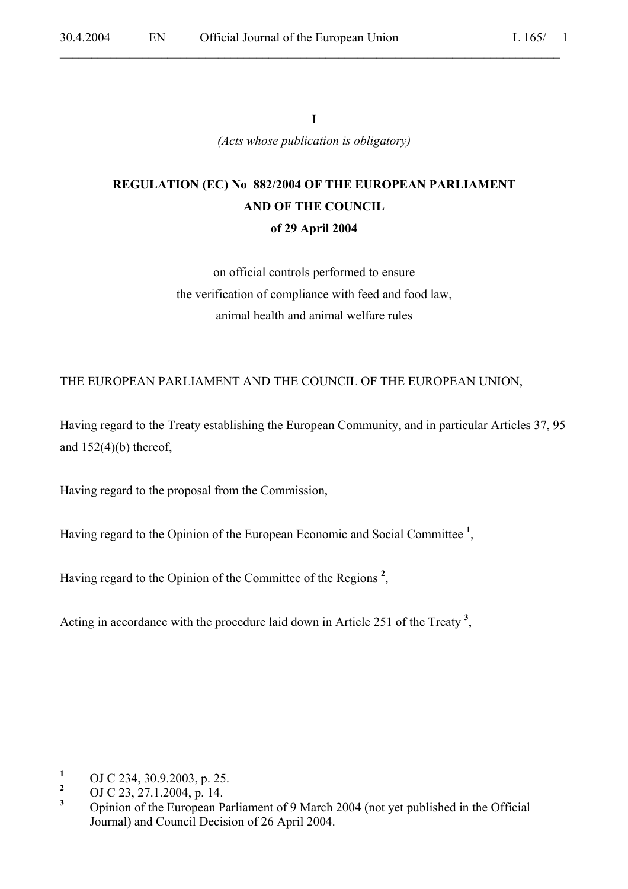$\mathcal{L}_\mathcal{L} = \mathcal{L}_\mathcal{L} = \mathcal{L}_\mathcal{L} = \mathcal{L}_\mathcal{L} = \mathcal{L}_\mathcal{L} = \mathcal{L}_\mathcal{L} = \mathcal{L}_\mathcal{L} = \mathcal{L}_\mathcal{L} = \mathcal{L}_\mathcal{L} = \mathcal{L}_\mathcal{L} = \mathcal{L}_\mathcal{L} = \mathcal{L}_\mathcal{L} = \mathcal{L}_\mathcal{L} = \mathcal{L}_\mathcal{L} = \mathcal{L}_\mathcal{L} = \mathcal{L}_\mathcal{L} = \mathcal{L}_\mathcal{L}$ 

I *(Acts whose publication is obligatory)*

# **REGULATION (EC) No 882/2004 OF THE EUROPEAN PARLIAMENT AND OF THE COUNCIL of 29 April 2004**

on official controls performed to ensure the verification of compliance with feed and food law, animal health and animal welfare rules

THE EUROPEAN PARLIAMENT AND THE COUNCIL OF THE EUROPEAN UNION,

Having regard to the Treaty establishing the European Community, and in particular Articles 37, 95 and  $152(4)(b)$  thereof,

Having regard to the proposal from the Commission,

Having regard to the Opinion of the European Economic and Social Committee **<sup>1</sup>** ,

Having regard to the Opinion of the Committee of the Regions **<sup>2</sup>** ,

Acting in accordance with the procedure laid down in Article 251 of the Treaty **<sup>3</sup>** ,

 **1** OJ C 234, 30.9.2003, p. 25.

**<sup>2</sup>** OJ C 23, 27.1.2004, p. 14.

**<sup>3</sup>** Opinion of the European Parliament of 9 March 2004 (not yet published in the Official Journal) and Council Decision of 26 April 2004.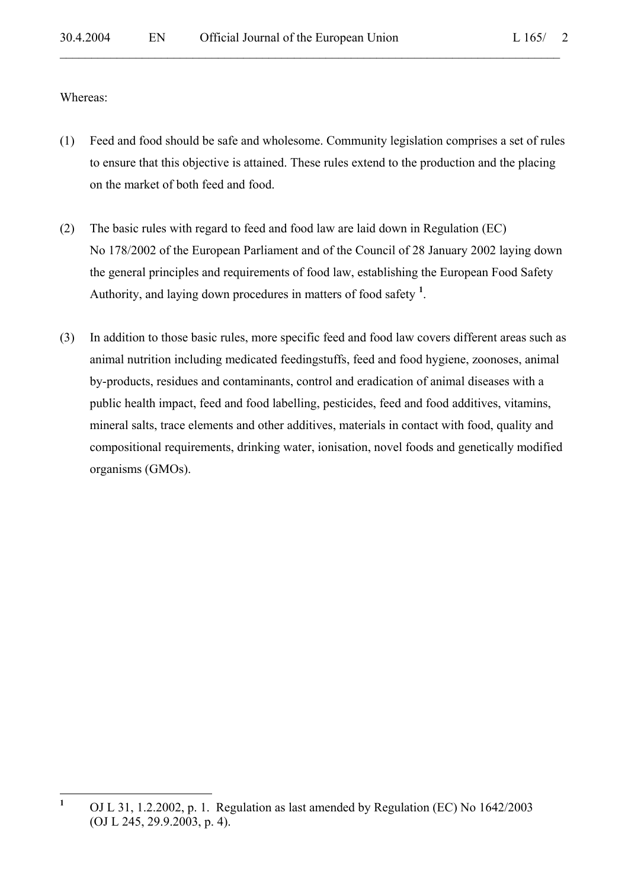Whereas:

- (1) Feed and food should be safe and wholesome. Community legislation comprises a set of rules to ensure that this objective is attained. These rules extend to the production and the placing on the market of both feed and food.
- (2) The basic rules with regard to feed and food law are laid down in Regulation (EC) No 178/2002 of the European Parliament and of the Council of 28 January 2002 laying down the general principles and requirements of food law, establishing the European Food Safety Authority, and laying down procedures in matters of food safety **<sup>1</sup>** .
- (3) In addition to those basic rules, more specific feed and food law covers different areas such as animal nutrition including medicated feedingstuffs, feed and food hygiene, zoonoses, animal by-products, residues and contaminants, control and eradication of animal diseases with a public health impact, feed and food labelling, pesticides, feed and food additives, vitamins, mineral salts, trace elements and other additives, materials in contact with food, quality and compositional requirements, drinking water, ionisation, novel foods and genetically modified organisms (GMOs).

 **1** OJ L 31, 1.2.2002, p. 1. Regulation as last amended by Regulation (EC) No 1642/2003 (OJ L 245, 29.9.2003, p. 4).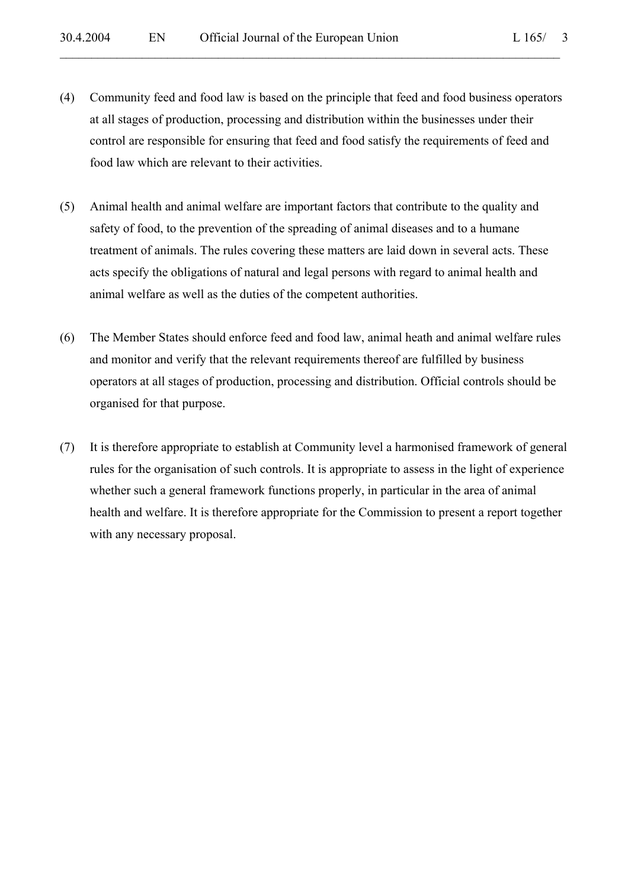(4) Community feed and food law is based on the principle that feed and food business operators at all stages of production, processing and distribution within the businesses under their control are responsible for ensuring that feed and food satisfy the requirements of feed and food law which are relevant to their activities.

- (5) Animal health and animal welfare are important factors that contribute to the quality and safety of food, to the prevention of the spreading of animal diseases and to a humane treatment of animals. The rules covering these matters are laid down in several acts. These acts specify the obligations of natural and legal persons with regard to animal health and animal welfare as well as the duties of the competent authorities.
- (6) The Member States should enforce feed and food law, animal heath and animal welfare rules and monitor and verify that the relevant requirements thereof are fulfilled by business operators at all stages of production, processing and distribution. Official controls should be organised for that purpose.
- (7) It is therefore appropriate to establish at Community level a harmonised framework of general rules for the organisation of such controls. It is appropriate to assess in the light of experience whether such a general framework functions properly, in particular in the area of animal health and welfare. It is therefore appropriate for the Commission to present a report together with any necessary proposal.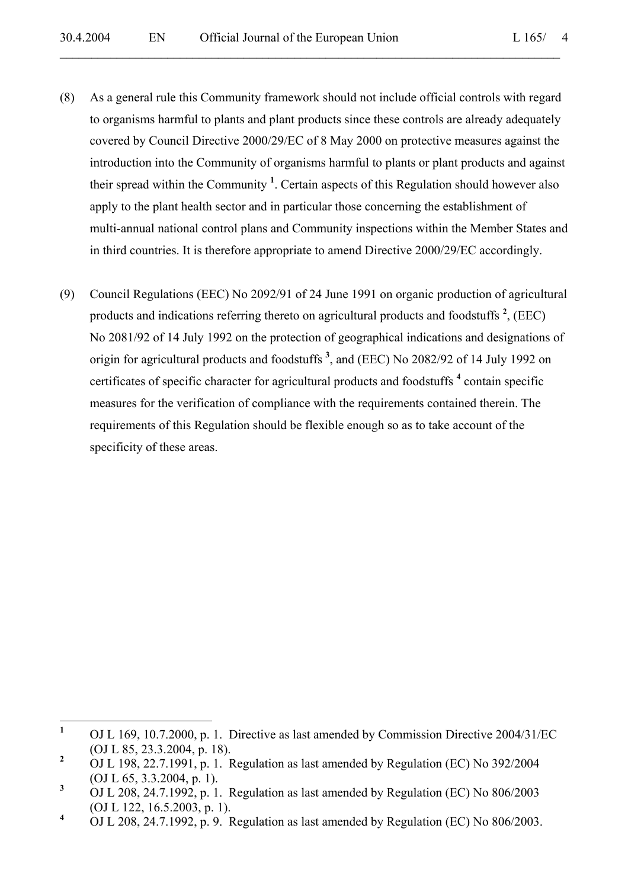(8) As a general rule this Community framework should not include official controls with regard to organisms harmful to plants and plant products since these controls are already adequately covered by Council Directive 2000/29/EC of 8 May 2000 on protective measures against the introduction into the Community of organisms harmful to plants or plant products and against their spread within the Community **<sup>1</sup>** . Certain aspects of this Regulation should however also apply to the plant health sector and in particular those concerning the establishment of multi-annual national control plans and Community inspections within the Member States and in third countries. It is therefore appropriate to amend Directive 2000/29/EC accordingly.

 $\mathcal{L}_\mathcal{L} = \mathcal{L}_\mathcal{L} = \mathcal{L}_\mathcal{L} = \mathcal{L}_\mathcal{L} = \mathcal{L}_\mathcal{L} = \mathcal{L}_\mathcal{L} = \mathcal{L}_\mathcal{L} = \mathcal{L}_\mathcal{L} = \mathcal{L}_\mathcal{L} = \mathcal{L}_\mathcal{L} = \mathcal{L}_\mathcal{L} = \mathcal{L}_\mathcal{L} = \mathcal{L}_\mathcal{L} = \mathcal{L}_\mathcal{L} = \mathcal{L}_\mathcal{L} = \mathcal{L}_\mathcal{L} = \mathcal{L}_\mathcal{L}$ 

(9) Council Regulations (EEC) No 2092/91 of 24 June 1991 on organic production of agricultural products and indications referring thereto on agricultural products and foodstuffs **<sup>2</sup>** , (EEC) No 2081/92 of 14 July 1992 on the protection of geographical indications and designations of origin for agricultural products and foodstuffs **<sup>3</sup>** , and (EEC) No 2082/92 of 14 July 1992 on certificates of specific character for agricultural products and foodstuffs **<sup>4</sup>** contain specific measures for the verification of compliance with the requirements contained therein. The requirements of this Regulation should be flexible enough so as to take account of the specificity of these areas.

 **1** OJ L 169, 10.7.2000, p. 1. Directive as last amended by Commission Directive 2004/31/EC (OJ L 85, 23.3.2004, p. 18).

**<sup>2</sup>** OJ L 198, 22.7.1991, p. 1. Regulation as last amended by Regulation (EC) No 392/2004 (OJ L 65, 3.3.2004, p. 1).

**<sup>3</sup>** OJ L 208, 24.7.1992, p. 1. Regulation as last amended by Regulation (EC) No 806/2003 (OJ L 122, 16.5.2003, p. 1).

**<sup>4</sup>** OJ L 208, 24.7.1992, p. 9. Regulation as last amended by Regulation (EC) No 806/2003.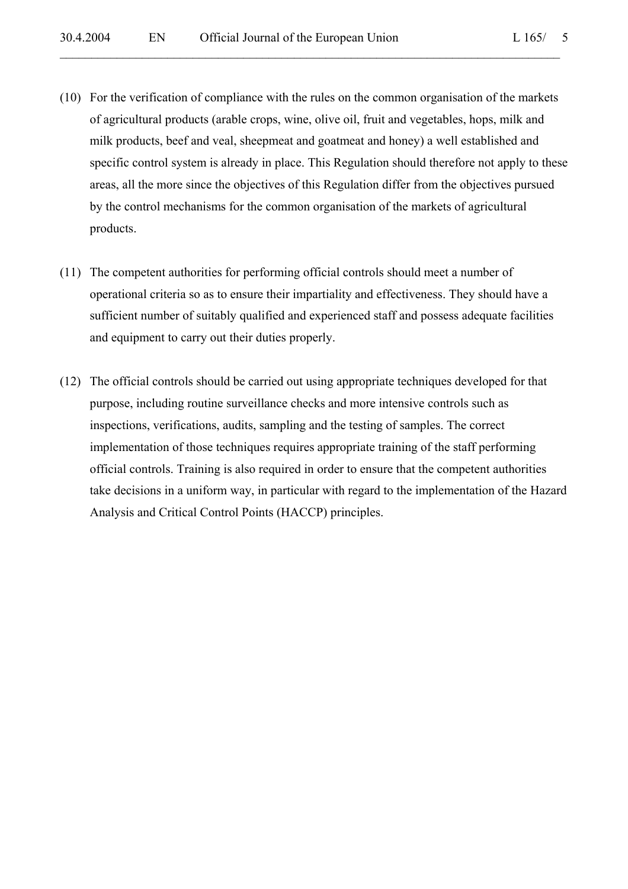(10) For the verification of compliance with the rules on the common organisation of the markets of agricultural products (arable crops, wine, olive oil, fruit and vegetables, hops, milk and milk products, beef and veal, sheepmeat and goatmeat and honey) a well established and specific control system is already in place. This Regulation should therefore not apply to these areas, all the more since the objectives of this Regulation differ from the objectives pursued by the control mechanisms for the common organisation of the markets of agricultural products.

- (11) The competent authorities for performing official controls should meet a number of operational criteria so as to ensure their impartiality and effectiveness. They should have a sufficient number of suitably qualified and experienced staff and possess adequate facilities and equipment to carry out their duties properly.
- (12) The official controls should be carried out using appropriate techniques developed for that purpose, including routine surveillance checks and more intensive controls such as inspections, verifications, audits, sampling and the testing of samples. The correct implementation of those techniques requires appropriate training of the staff performing official controls. Training is also required in order to ensure that the competent authorities take decisions in a uniform way, in particular with regard to the implementation of the Hazard Analysis and Critical Control Points (HACCP) principles.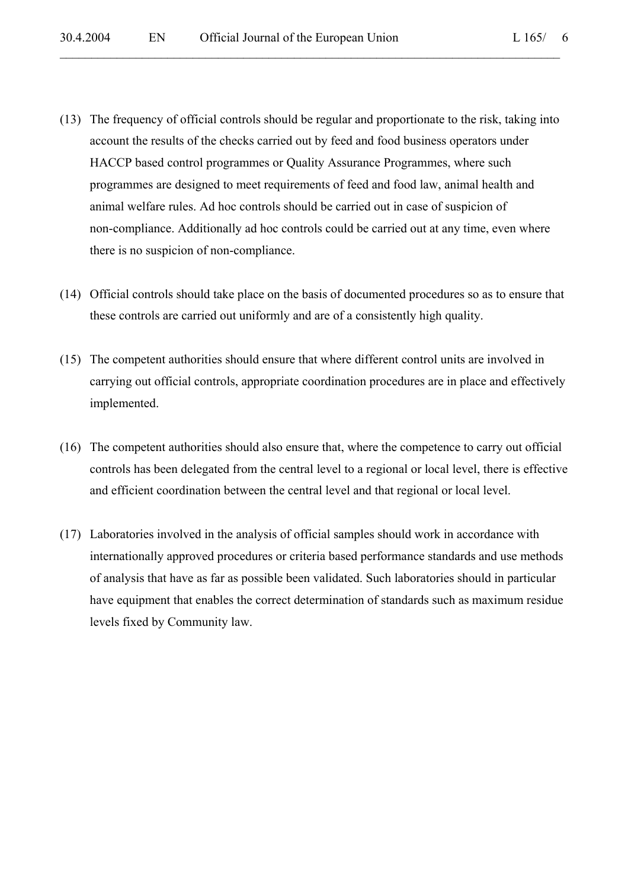(13) The frequency of official controls should be regular and proportionate to the risk, taking into account the results of the checks carried out by feed and food business operators under HACCP based control programmes or Quality Assurance Programmes, where such programmes are designed to meet requirements of feed and food law, animal health and animal welfare rules. Ad hoc controls should be carried out in case of suspicion of non-compliance. Additionally ad hoc controls could be carried out at any time, even where there is no suspicion of non-compliance.

- (14) Official controls should take place on the basis of documented procedures so as to ensure that these controls are carried out uniformly and are of a consistently high quality.
- (15) The competent authorities should ensure that where different control units are involved in carrying out official controls, appropriate coordination procedures are in place and effectively implemented.
- (16) The competent authorities should also ensure that, where the competence to carry out official controls has been delegated from the central level to a regional or local level, there is effective and efficient coordination between the central level and that regional or local level.
- (17) Laboratories involved in the analysis of official samples should work in accordance with internationally approved procedures or criteria based performance standards and use methods of analysis that have as far as possible been validated. Such laboratories should in particular have equipment that enables the correct determination of standards such as maximum residue levels fixed by Community law.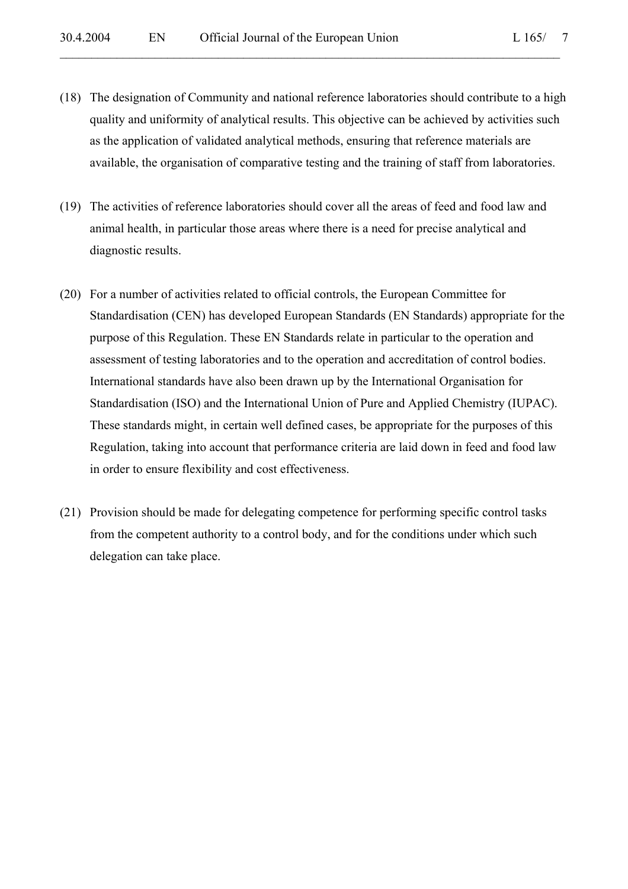(18) The designation of Community and national reference laboratories should contribute to a high quality and uniformity of analytical results. This objective can be achieved by activities such as the application of validated analytical methods, ensuring that reference materials are available, the organisation of comparative testing and the training of staff from laboratories.

- (19) The activities of reference laboratories should cover all the areas of feed and food law and animal health, in particular those areas where there is a need for precise analytical and diagnostic results.
- (20) For a number of activities related to official controls, the European Committee for Standardisation (CEN) has developed European Standards (EN Standards) appropriate for the purpose of this Regulation. These EN Standards relate in particular to the operation and assessment of testing laboratories and to the operation and accreditation of control bodies. International standards have also been drawn up by the International Organisation for Standardisation (ISO) and the International Union of Pure and Applied Chemistry (IUPAC). These standards might, in certain well defined cases, be appropriate for the purposes of this Regulation, taking into account that performance criteria are laid down in feed and food law in order to ensure flexibility and cost effectiveness.
- (21) Provision should be made for delegating competence for performing specific control tasks from the competent authority to a control body, and for the conditions under which such delegation can take place.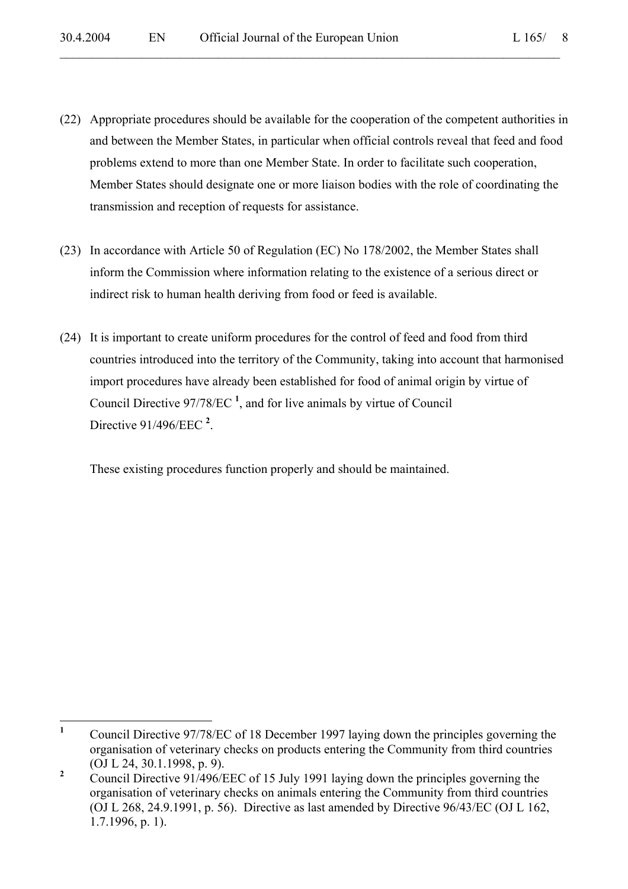(22) Appropriate procedures should be available for the cooperation of the competent authorities in and between the Member States, in particular when official controls reveal that feed and food problems extend to more than one Member State. In order to facilitate such cooperation, Member States should designate one or more liaison bodies with the role of coordinating the transmission and reception of requests for assistance.

 $\mathcal{L}_\mathcal{L} = \mathcal{L}_\mathcal{L} = \mathcal{L}_\mathcal{L} = \mathcal{L}_\mathcal{L} = \mathcal{L}_\mathcal{L} = \mathcal{L}_\mathcal{L} = \mathcal{L}_\mathcal{L} = \mathcal{L}_\mathcal{L} = \mathcal{L}_\mathcal{L} = \mathcal{L}_\mathcal{L} = \mathcal{L}_\mathcal{L} = \mathcal{L}_\mathcal{L} = \mathcal{L}_\mathcal{L} = \mathcal{L}_\mathcal{L} = \mathcal{L}_\mathcal{L} = \mathcal{L}_\mathcal{L} = \mathcal{L}_\mathcal{L}$ 

- (23) In accordance with Article 50 of Regulation (EC) No 178/2002, the Member States shall inform the Commission where information relating to the existence of a serious direct or indirect risk to human health deriving from food or feed is available.
- (24) It is important to create uniform procedures for the control of feed and food from third countries introduced into the territory of the Community, taking into account that harmonised import procedures have already been established for food of animal origin by virtue of Council Directive 97/78/EC **<sup>1</sup>** , and for live animals by virtue of Council Directive 91/496/EEC **<sup>2</sup>** .

These existing procedures function properly and should be maintained.

 **1** Council Directive 97/78/EC of 18 December 1997 laying down the principles governing the organisation of veterinary checks on products entering the Community from third countries (OJ L 24, 30.1.1998, p. 9).

**<sup>2</sup>** Council Directive 91/496/EEC of 15 July 1991 laying down the principles governing the organisation of veterinary checks on animals entering the Community from third countries (OJ L 268, 24.9.1991, p. 56). Directive as last amended by Directive 96/43/EC (OJ L 162, 1.7.1996, p. 1).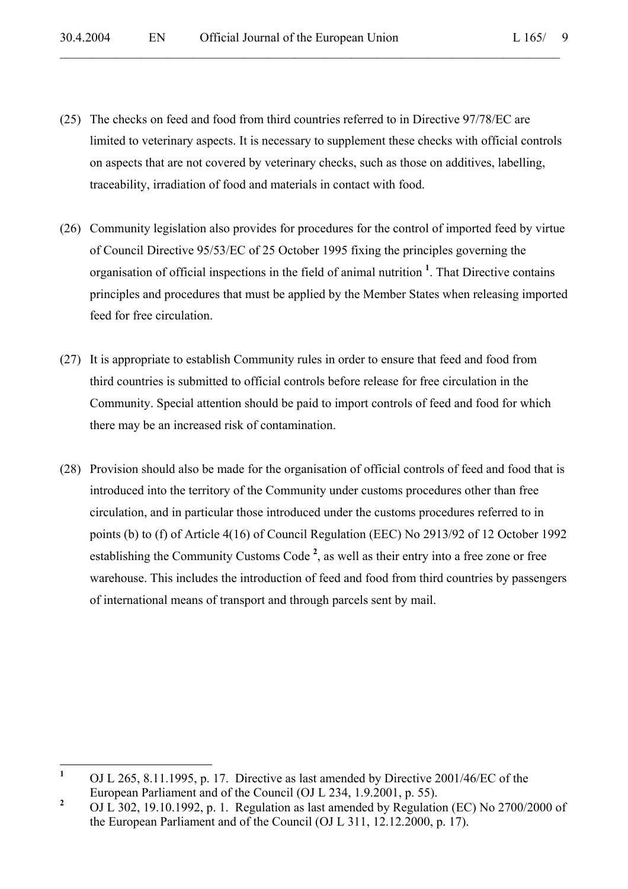(25) The checks on feed and food from third countries referred to in Directive 97/78/EC are limited to veterinary aspects. It is necessary to supplement these checks with official controls on aspects that are not covered by veterinary checks, such as those on additives, labelling, traceability, irradiation of food and materials in contact with food.

- (26) Community legislation also provides for procedures for the control of imported feed by virtue of Council Directive 95/53/EC of 25 October 1995 fixing the principles governing the organisation of official inspections in the field of animal nutrition **<sup>1</sup>** . That Directive contains principles and procedures that must be applied by the Member States when releasing imported feed for free circulation.
- (27) It is appropriate to establish Community rules in order to ensure that feed and food from third countries is submitted to official controls before release for free circulation in the Community. Special attention should be paid to import controls of feed and food for which there may be an increased risk of contamination.
- (28) Provision should also be made for the organisation of official controls of feed and food that is introduced into the territory of the Community under customs procedures other than free circulation, and in particular those introduced under the customs procedures referred to in points (b) to (f) of Article 4(16) of Council Regulation (EEC) No 2913/92 of 12 October 1992 establishing the Community Customs Code<sup>2</sup>, as well as their entry into a free zone or free warehouse. This includes the introduction of feed and food from third countries by passengers of international means of transport and through parcels sent by mail.

 **1** OJ L 265, 8.11.1995, p. 17. Directive as last amended by Directive 2001/46/EC of the European Parliament and of the Council (OJ L 234, 1.9.2001, p. 55).

**<sup>2</sup>** OJ L 302, 19.10.1992, p. 1. Regulation as last amended by Regulation (EC) No 2700/2000 of the European Parliament and of the Council (OJ L 311, 12.12.2000, p. 17).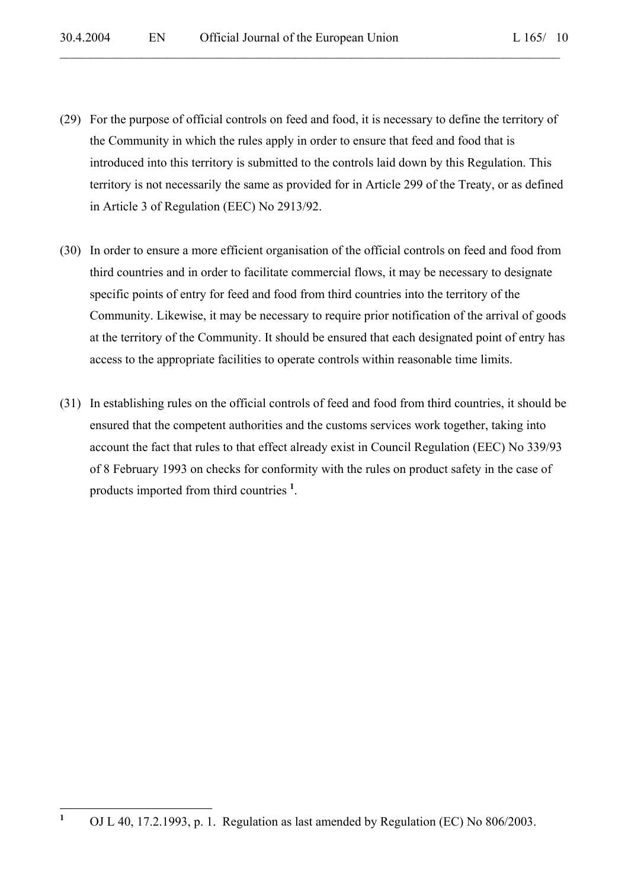(29) For the purpose of official controls on feed and food, it is necessary to define the territory of the Community in which the rules apply in order to ensure that feed and food that is introduced into this territory is submitted to the controls laid down by this Regulation. This territory is not necessarily the same as provided for in Article 299 of the Treaty, or as defined in Article 3 of Regulation (EEC) No 2913/92.

- (30) In order to ensure a more efficient organisation of the official controls on feed and food from third countries and in order to facilitate commercial flows, it may be necessary to designate specific points of entry for feed and food from third countries into the territory of the Community. Likewise, it may be necessary to require prior notification of the arrival of goods at the territory of the Community. It should be ensured that each designated point of entry has access to the appropriate facilities to operate controls within reasonable time limits.
- (31) In establishing rules on the official controls of feed and food from third countries, it should be ensured that the competent authorities and the customs services work together, taking into account the fact that rules to that effect already exist in Council Regulation (EEC) No 339/93 of 8 February 1993 on checks for conformity with the rules on product safety in the case of products imported from third countries **<sup>1</sup>** .

 **1** OJ L 40, 17.2.1993, p. 1. Regulation as last amended by Regulation (EC) No 806/2003.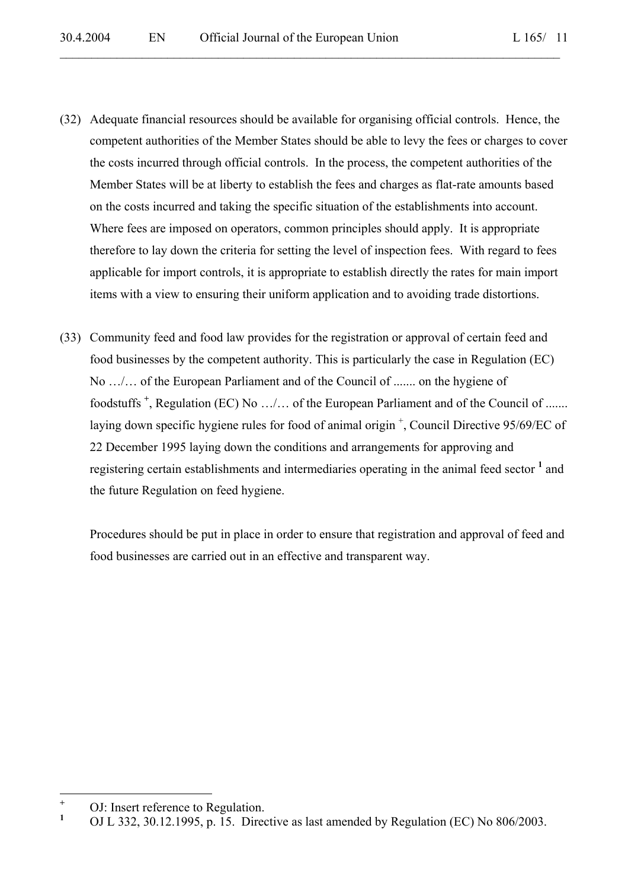(32) Adequate financial resources should be available for organising official controls. Hence, the competent authorities of the Member States should be able to levy the fees or charges to cover the costs incurred through official controls. In the process, the competent authorities of the Member States will be at liberty to establish the fees and charges as flat-rate amounts based on the costs incurred and taking the specific situation of the establishments into account. Where fees are imposed on operators, common principles should apply. It is appropriate therefore to lay down the criteria for setting the level of inspection fees. With regard to fees applicable for import controls, it is appropriate to establish directly the rates for main import items with a view to ensuring their uniform application and to avoiding trade distortions.

 $\mathcal{L}_\mathcal{L} = \mathcal{L}_\mathcal{L} = \mathcal{L}_\mathcal{L} = \mathcal{L}_\mathcal{L} = \mathcal{L}_\mathcal{L} = \mathcal{L}_\mathcal{L} = \mathcal{L}_\mathcal{L} = \mathcal{L}_\mathcal{L} = \mathcal{L}_\mathcal{L} = \mathcal{L}_\mathcal{L} = \mathcal{L}_\mathcal{L} = \mathcal{L}_\mathcal{L} = \mathcal{L}_\mathcal{L} = \mathcal{L}_\mathcal{L} = \mathcal{L}_\mathcal{L} = \mathcal{L}_\mathcal{L} = \mathcal{L}_\mathcal{L}$ 

(33) Community feed and food law provides for the registration or approval of certain feed and food businesses by the competent authority. This is particularly the case in Regulation (EC) No …/… of the European Parliament and of the Council of ....... on the hygiene of foodstuffs<sup>+</sup>, Regulation (EC) No .../... of the European Parliament and of the Council of ....... laying down specific hygiene rules for food of animal origin<sup>+</sup>, Council Directive 95/69/EC of 22 December 1995 laying down the conditions and arrangements for approving and registering certain establishments and intermediaries operating in the animal feed sector <sup>1</sup> and the future Regulation on feed hygiene.

Procedures should be put in place in order to ensure that registration and approval of feed and food businesses are carried out in an effective and transparent way.

 **+** OJ: Insert reference to Regulation.

**<sup>1</sup>** OJ L 332, 30.12.1995, p. 15. Directive as last amended by Regulation (EC) No 806/2003.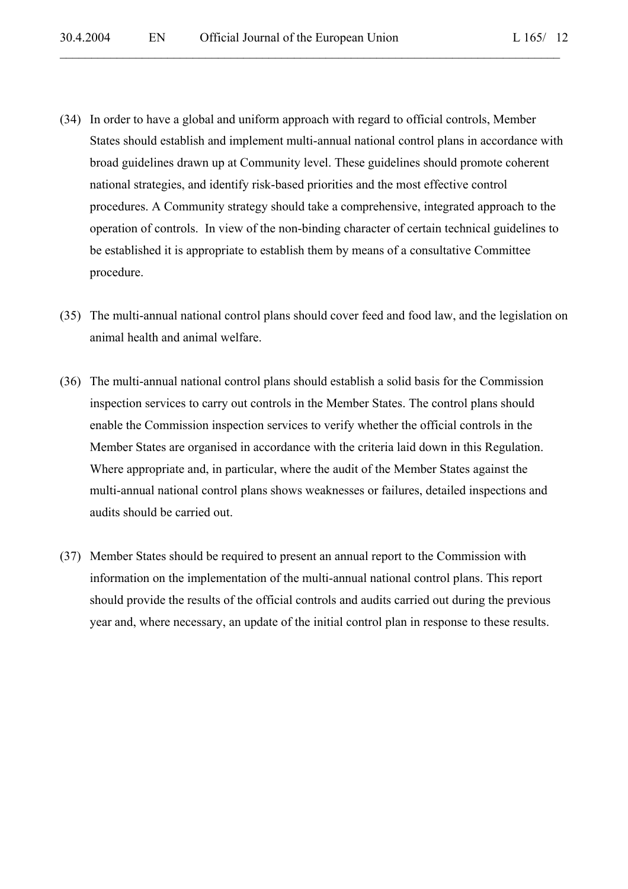- (34) In order to have a global and uniform approach with regard to official controls, Member States should establish and implement multi-annual national control plans in accordance with broad guidelines drawn up at Community level. These guidelines should promote coherent national strategies, and identify risk-based priorities and the most effective control procedures. A Community strategy should take a comprehensive, integrated approach to the operation of controls. In view of the non-binding character of certain technical guidelines to be established it is appropriate to establish them by means of a consultative Committee procedure.
- (35) The multi-annual national control plans should cover feed and food law, and the legislation on animal health and animal welfare.
- (36) The multi-annual national control plans should establish a solid basis for the Commission inspection services to carry out controls in the Member States. The control plans should enable the Commission inspection services to verify whether the official controls in the Member States are organised in accordance with the criteria laid down in this Regulation. Where appropriate and, in particular, where the audit of the Member States against the multi-annual national control plans shows weaknesses or failures, detailed inspections and audits should be carried out.
- (37) Member States should be required to present an annual report to the Commission with information on the implementation of the multi-annual national control plans. This report should provide the results of the official controls and audits carried out during the previous year and, where necessary, an update of the initial control plan in response to these results.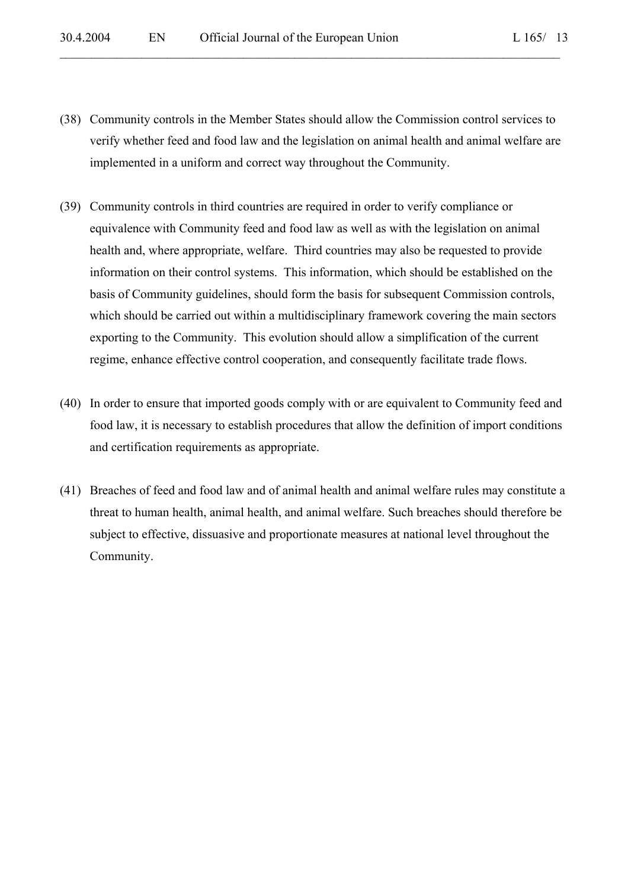(38) Community controls in the Member States should allow the Commission control services to verify whether feed and food law and the legislation on animal health and animal welfare are implemented in a uniform and correct way throughout the Community.

- (39) Community controls in third countries are required in order to verify compliance or equivalence with Community feed and food law as well as with the legislation on animal health and, where appropriate, welfare. Third countries may also be requested to provide information on their control systems. This information, which should be established on the basis of Community guidelines, should form the basis for subsequent Commission controls, which should be carried out within a multidisciplinary framework covering the main sectors exporting to the Community. This evolution should allow a simplification of the current regime, enhance effective control cooperation, and consequently facilitate trade flows.
- (40) In order to ensure that imported goods comply with or are equivalent to Community feed and food law, it is necessary to establish procedures that allow the definition of import conditions and certification requirements as appropriate.
- (41) Breaches of feed and food law and of animal health and animal welfare rules may constitute a threat to human health, animal health, and animal welfare. Such breaches should therefore be subject to effective, dissuasive and proportionate measures at national level throughout the Community.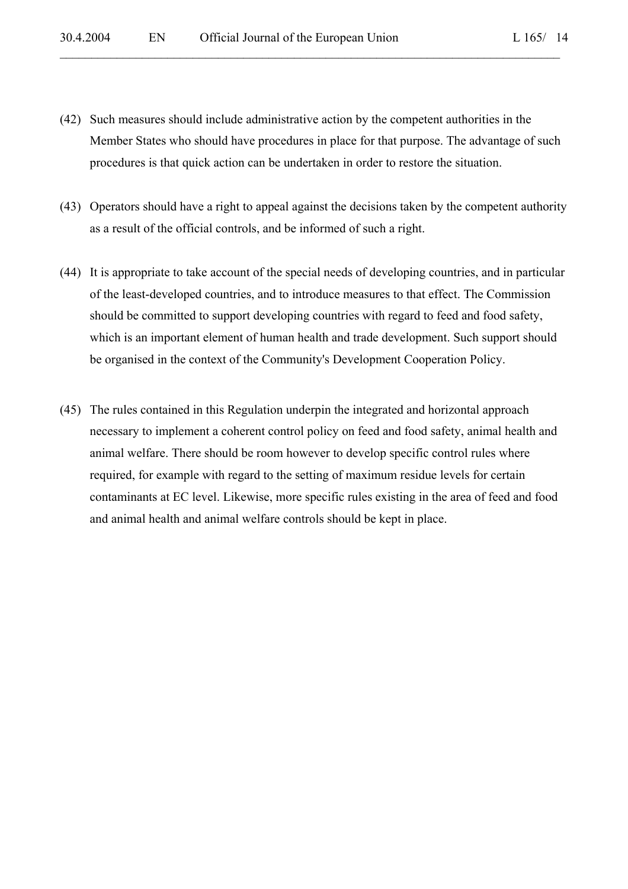(42) Such measures should include administrative action by the competent authorities in the Member States who should have procedures in place for that purpose. The advantage of such procedures is that quick action can be undertaken in order to restore the situation.

- (43) Operators should have a right to appeal against the decisions taken by the competent authority as a result of the official controls, and be informed of such a right.
- (44) It is appropriate to take account of the special needs of developing countries, and in particular of the least-developed countries, and to introduce measures to that effect. The Commission should be committed to support developing countries with regard to feed and food safety, which is an important element of human health and trade development. Such support should be organised in the context of the Community's Development Cooperation Policy.
- (45) The rules contained in this Regulation underpin the integrated and horizontal approach necessary to implement a coherent control policy on feed and food safety, animal health and animal welfare. There should be room however to develop specific control rules where required, for example with regard to the setting of maximum residue levels for certain contaminants at EC level. Likewise, more specific rules existing in the area of feed and food and animal health and animal welfare controls should be kept in place.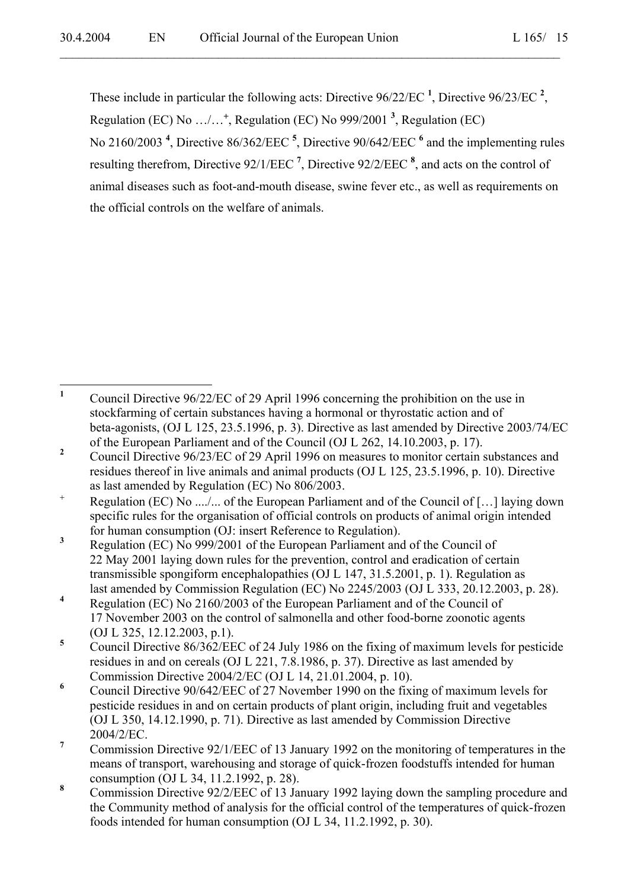These include in particular the following acts: Directive 96/22/EC **<sup>1</sup>** , Directive 96/23/EC **<sup>2</sup>** , Regulation (EC) No …/…<sup>+</sup> , Regulation (EC) No 999/2001 **<sup>3</sup>** , Regulation (EC) No 2160/2003 **<sup>4</sup>** , Directive 86/362/EEC **<sup>5</sup>** , Directive 90/642/EEC **<sup>6</sup>** and the implementing rules resulting therefrom, Directive 92/1/EEC **<sup>7</sup>** , Directive 92/2/EEC **<sup>8</sup>** , and acts on the control of animal diseases such as foot-and-mouth disease, swine fever etc., as well as requirements on

 $\mathcal{L}_\mathcal{L} = \mathcal{L}_\mathcal{L} = \mathcal{L}_\mathcal{L} = \mathcal{L}_\mathcal{L} = \mathcal{L}_\mathcal{L} = \mathcal{L}_\mathcal{L} = \mathcal{L}_\mathcal{L} = \mathcal{L}_\mathcal{L} = \mathcal{L}_\mathcal{L} = \mathcal{L}_\mathcal{L} = \mathcal{L}_\mathcal{L} = \mathcal{L}_\mathcal{L} = \mathcal{L}_\mathcal{L} = \mathcal{L}_\mathcal{L} = \mathcal{L}_\mathcal{L} = \mathcal{L}_\mathcal{L} = \mathcal{L}_\mathcal{L}$ 

the official controls on the welfare of animals.

 **1** Council Directive 96/22/EC of 29 April 1996 concerning the prohibition on the use in stockfarming of certain substances having a hormonal or thyrostatic action and of beta-agonists, (OJ L 125, 23.5.1996, p. 3). Directive as last amended by Directive 2003/74/EC of the European Parliament and of the Council (OJ L 262, 14.10.2003, p. 17).

**<sup>2</sup>** Council Directive 96/23/EC of 29 April 1996 on measures to monitor certain substances and residues thereof in live animals and animal products (OJ L 125, 23.5.1996, p. 10). Directive as last amended by Regulation (EC) No 806/2003.

<sup>+</sup> Regulation (EC) No ..../... of the European Parliament and of the Council of […] laying down specific rules for the organisation of official controls on products of animal origin intended for human consumption (OJ: insert Reference to Regulation).

**<sup>3</sup>** Regulation (EC) No 999/2001 of the European Parliament and of the Council of 22 May 2001 laying down rules for the prevention, control and eradication of certain transmissible spongiform encephalopathies (OJ L 147, 31.5.2001, p. 1). Regulation as last amended by Commission Regulation (EC) No 2245/2003 (OJ L 333, 20.12.2003, p. 28).

**<sup>4</sup>** Regulation (EC) No 2160/2003 of the European Parliament and of the Council of 17 November 2003 on the control of salmonella and other food-borne zoonotic agents (OJ L 325, 12.12.2003, p.1).

**<sup>5</sup>** Council Directive 86/362/EEC of 24 July 1986 on the fixing of maximum levels for pesticide residues in and on cereals (OJ L 221, 7.8.1986, p. 37). Directive as last amended by Commission Directive 2004/2/EC (OJ L 14, 21.01.2004, p. 10).

**<sup>6</sup>** Council Directive 90/642/EEC of 27 November 1990 on the fixing of maximum levels for pesticide residues in and on certain products of plant origin, including fruit and vegetables (OJ L 350, 14.12.1990, p. 71). Directive as last amended by Commission Directive 2004/2/EC.

**<sup>7</sup>** Commission Directive 92/1/EEC of 13 January 1992 on the monitoring of temperatures in the means of transport, warehousing and storage of quick-frozen foodstuffs intended for human consumption (OJ L 34, 11.2.1992, p. 28).

**<sup>8</sup>** Commission Directive 92/2/EEC of 13 January 1992 laying down the sampling procedure and the Community method of analysis for the official control of the temperatures of quick-frozen foods intended for human consumption (OJ L 34, 11.2.1992, p. 30).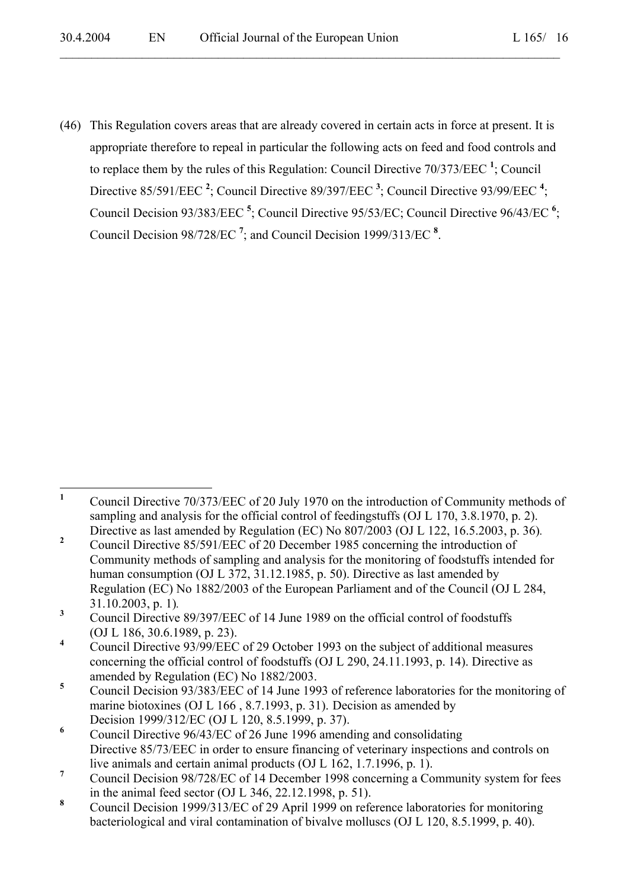(46) This Regulation covers areas that are already covered in certain acts in force at present. It is appropriate therefore to repeal in particular the following acts on feed and food controls and to replace them by the rules of this Regulation: Council Directive 70/373/EEC **<sup>1</sup>** ; Council Directive 85/591/EEC<sup>2</sup>; Council Directive 89/397/EEC<sup>3</sup>; Council Directive 93/99/EEC<sup>4</sup>; Council Decision 93/383/EEC **<sup>5</sup>** ; Council Directive 95/53/EC; Council Directive 96/43/EC **<sup>6</sup>** ; Council Decision 98/728/EC **<sup>7</sup>** ; and Council Decision 1999/313/EC **<sup>8</sup>** .

 **1** Council Directive 70/373/EEC of 20 July 1970 on the introduction of Community methods of sampling and analysis for the official control of feedingstuffs (OJ L 170, 3.8.1970, p. 2). Directive as last amended by Regulation (EC) No 807/2003 (OJ L 122, 16.5.2003, p. 36).<br>
Council Directive 85/501/EEC of 20 December 1085 concerning the introduction of

Council Directive 85/591/EEC of 20 December 1985 concerning the introduction of Community methods of sampling and analysis for the monitoring of foodstuffs intended for human consumption (OJ L 372, 31.12.1985, p. 50). Directive as last amended by Regulation (EC) No 1882/2003 of the European Parliament and of the Council (OJ L 284, 31.10.2003, p. 1)*.* **<sup>3</sup>**

Council Directive 89/397/EEC of 14 June 1989 on the official control of foodstuffs (OJ L 186, 30.6.1989, p. 23).

**<sup>4</sup>** Council Directive 93/99/EEC of 29 October 1993 on the subject of additional measures concerning the official control of foodstuffs (OJ L 290, 24.11.1993, p. 14). Directive as amended by Regulation (EC) No 1882/2003.

**<sup>5</sup>** Council Decision 93/383/EEC of 14 June 1993 of reference laboratories for the monitoring of marine biotoxines (OJ L 166 , 8.7.1993, p. 31). Decision as amended by Decision 1999/312/EC (OJ L 120, 8.5.1999, p. 37).

**<sup>6</sup>** Council Directive 96/43/EC of 26 June 1996 amending and consolidating Directive 85/73/EEC in order to ensure financing of veterinary inspections and controls on live animals and certain animal products (OJ L 162, 1.7.1996, p. 1).

**<sup>7</sup>** Council Decision 98/728/EC of 14 December 1998 concerning a Community system for fees in the animal feed sector (OJ L 346, 22.12.1998, p. 51).

**<sup>8</sup>** Council Decision 1999/313/EC of 29 April 1999 on reference laboratories for monitoring bacteriological and viral contamination of bivalve molluscs (OJ L 120, 8.5.1999, p. 40).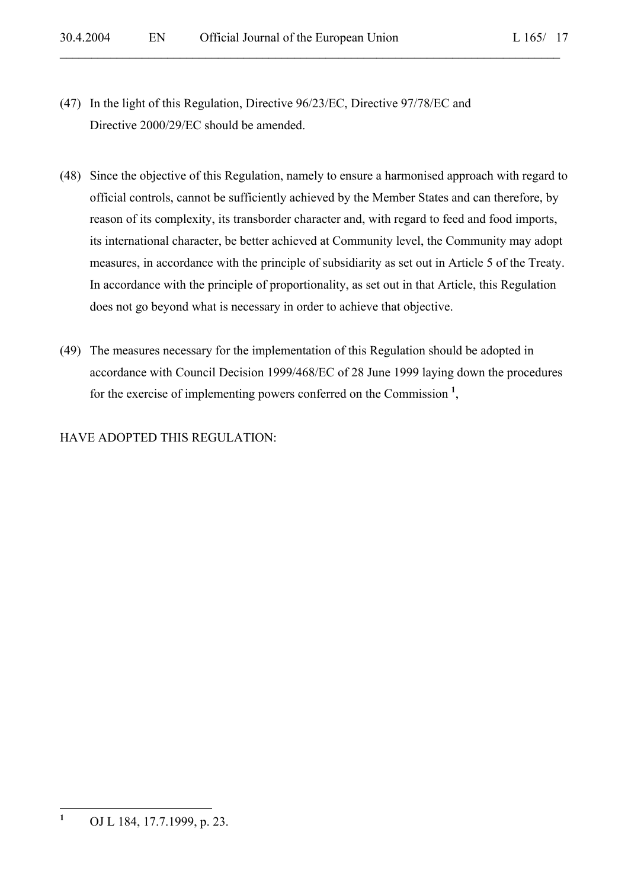- (47) In the light of this Regulation, Directive 96/23/EC, Directive 97/78/EC and Directive 2000/29/EC should be amended.
- (48) Since the objective of this Regulation, namely to ensure a harmonised approach with regard to official controls, cannot be sufficiently achieved by the Member States and can therefore, by reason of its complexity, its transborder character and, with regard to feed and food imports, its international character, be better achieved at Community level, the Community may adopt measures, in accordance with the principle of subsidiarity as set out in Article 5 of the Treaty. In accordance with the principle of proportionality, as set out in that Article, this Regulation does not go beyond what is necessary in order to achieve that objective.

 $\mathcal{L}_\mathcal{L} = \mathcal{L}_\mathcal{L} = \mathcal{L}_\mathcal{L} = \mathcal{L}_\mathcal{L} = \mathcal{L}_\mathcal{L} = \mathcal{L}_\mathcal{L} = \mathcal{L}_\mathcal{L} = \mathcal{L}_\mathcal{L} = \mathcal{L}_\mathcal{L} = \mathcal{L}_\mathcal{L} = \mathcal{L}_\mathcal{L} = \mathcal{L}_\mathcal{L} = \mathcal{L}_\mathcal{L} = \mathcal{L}_\mathcal{L} = \mathcal{L}_\mathcal{L} = \mathcal{L}_\mathcal{L} = \mathcal{L}_\mathcal{L}$ 

(49) The measures necessary for the implementation of this Regulation should be adopted in accordance with Council Decision 1999/468/EC of 28 June 1999 laying down the procedures for the exercise of implementing powers conferred on the Commission **<sup>1</sup>** ,

# HAVE ADOPTED THIS REGULATION:

 **1** OJ L 184, 17.7.1999, p. 23.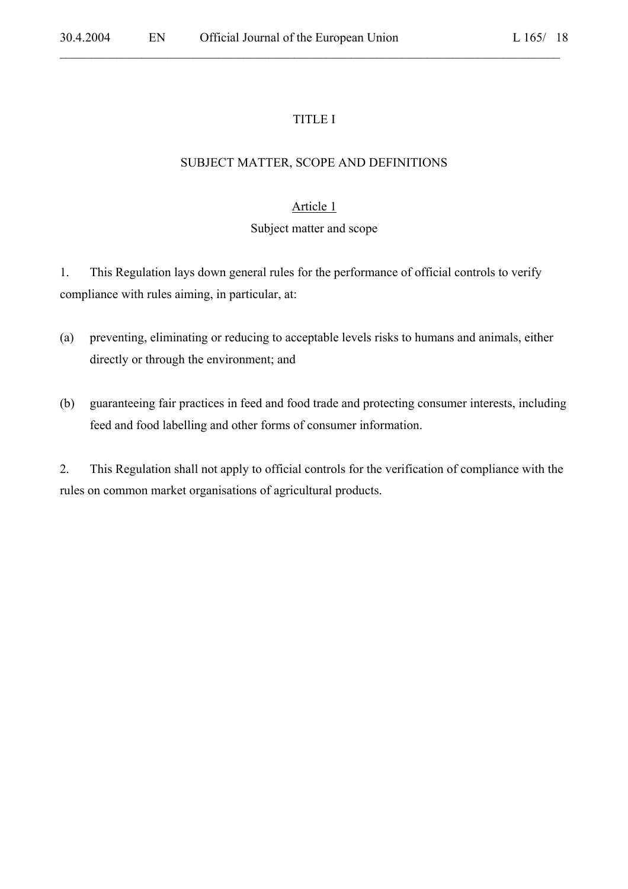# TITLE I

 $\mathcal{L}_\mathcal{L} = \mathcal{L}_\mathcal{L} = \mathcal{L}_\mathcal{L} = \mathcal{L}_\mathcal{L} = \mathcal{L}_\mathcal{L} = \mathcal{L}_\mathcal{L} = \mathcal{L}_\mathcal{L} = \mathcal{L}_\mathcal{L} = \mathcal{L}_\mathcal{L} = \mathcal{L}_\mathcal{L} = \mathcal{L}_\mathcal{L} = \mathcal{L}_\mathcal{L} = \mathcal{L}_\mathcal{L} = \mathcal{L}_\mathcal{L} = \mathcal{L}_\mathcal{L} = \mathcal{L}_\mathcal{L} = \mathcal{L}_\mathcal{L}$ 

## SUBJECT MATTER, SCOPE AND DEFINITIONS

# Article 1

## Subject matter and scope

1. This Regulation lays down general rules for the performance of official controls to verify compliance with rules aiming, in particular, at:

- (a) preventing, eliminating or reducing to acceptable levels risks to humans and animals, either directly or through the environment; and
- (b) guaranteeing fair practices in feed and food trade and protecting consumer interests, including feed and food labelling and other forms of consumer information.

2. This Regulation shall not apply to official controls for the verification of compliance with the rules on common market organisations of agricultural products.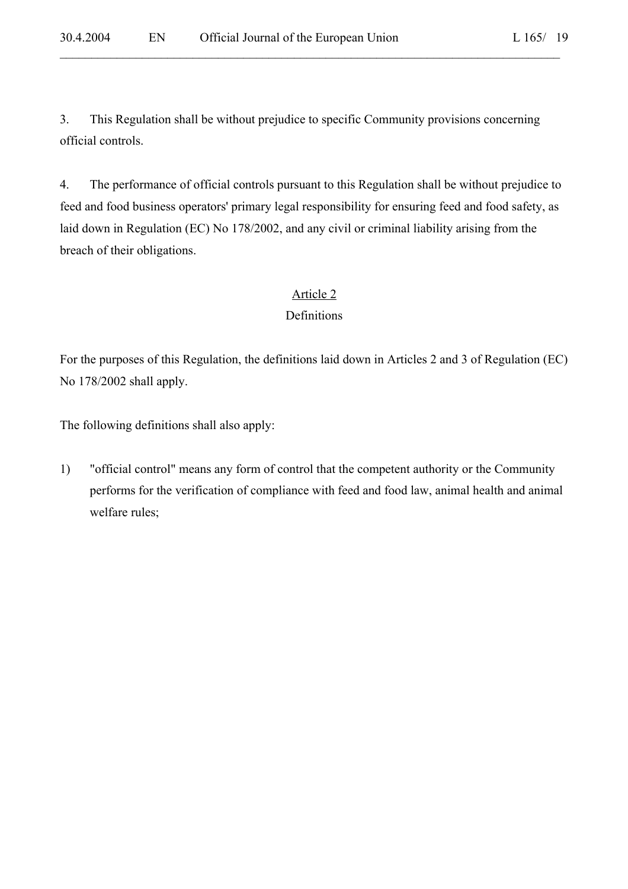3. This Regulation shall be without prejudice to specific Community provisions concerning official controls.

 $\mathcal{L}_\mathcal{L} = \mathcal{L}_\mathcal{L} = \mathcal{L}_\mathcal{L} = \mathcal{L}_\mathcal{L} = \mathcal{L}_\mathcal{L} = \mathcal{L}_\mathcal{L} = \mathcal{L}_\mathcal{L} = \mathcal{L}_\mathcal{L} = \mathcal{L}_\mathcal{L} = \mathcal{L}_\mathcal{L} = \mathcal{L}_\mathcal{L} = \mathcal{L}_\mathcal{L} = \mathcal{L}_\mathcal{L} = \mathcal{L}_\mathcal{L} = \mathcal{L}_\mathcal{L} = \mathcal{L}_\mathcal{L} = \mathcal{L}_\mathcal{L}$ 

4. The performance of official controls pursuant to this Regulation shall be without prejudice to feed and food business operators' primary legal responsibility for ensuring feed and food safety, as laid down in Regulation (EC) No 178/2002, and any civil or criminal liability arising from the breach of their obligations.

# Article 2

# Definitions

For the purposes of this Regulation, the definitions laid down in Articles 2 and 3 of Regulation (EC) No 178/2002 shall apply.

The following definitions shall also apply:

1) "official control" means any form of control that the competent authority or the Community performs for the verification of compliance with feed and food law, animal health and animal welfare rules;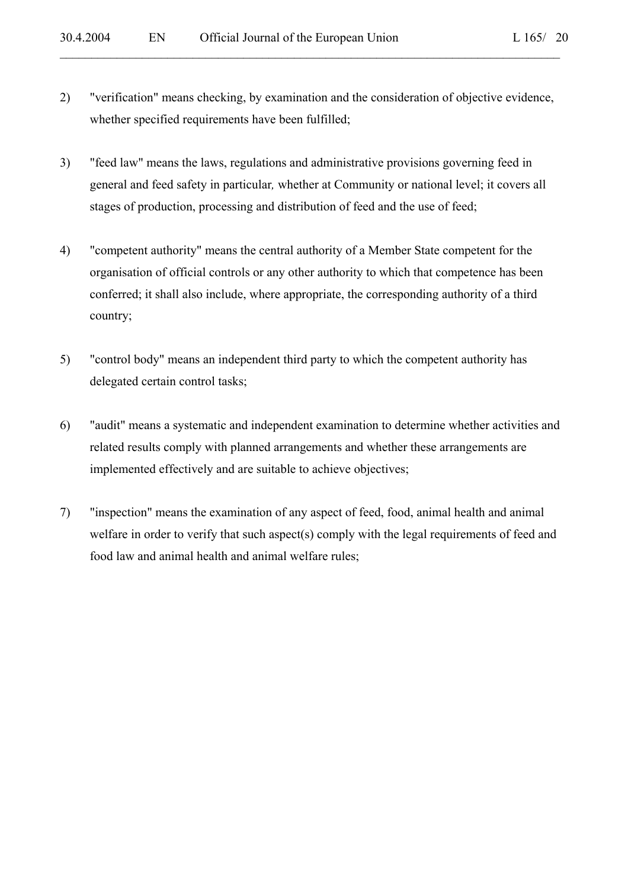2) "verification" means checking, by examination and the consideration of objective evidence, whether specified requirements have been fulfilled;

- 3) "feed law" means the laws, regulations and administrative provisions governing feed in general and feed safety in particular*,* whether at Community or national level; it covers all stages of production, processing and distribution of feed and the use of feed;
- 4) "competent authority" means the central authority of a Member State competent for the organisation of official controls or any other authority to which that competence has been conferred; it shall also include, where appropriate, the corresponding authority of a third country;
- 5) "control body" means an independent third party to which the competent authority has delegated certain control tasks;
- 6) "audit" means a systematic and independent examination to determine whether activities and related results comply with planned arrangements and whether these arrangements are implemented effectively and are suitable to achieve objectives;
- 7) "inspection" means the examination of any aspect of feed, food, animal health and animal welfare in order to verify that such aspect(s) comply with the legal requirements of feed and food law and animal health and animal welfare rules;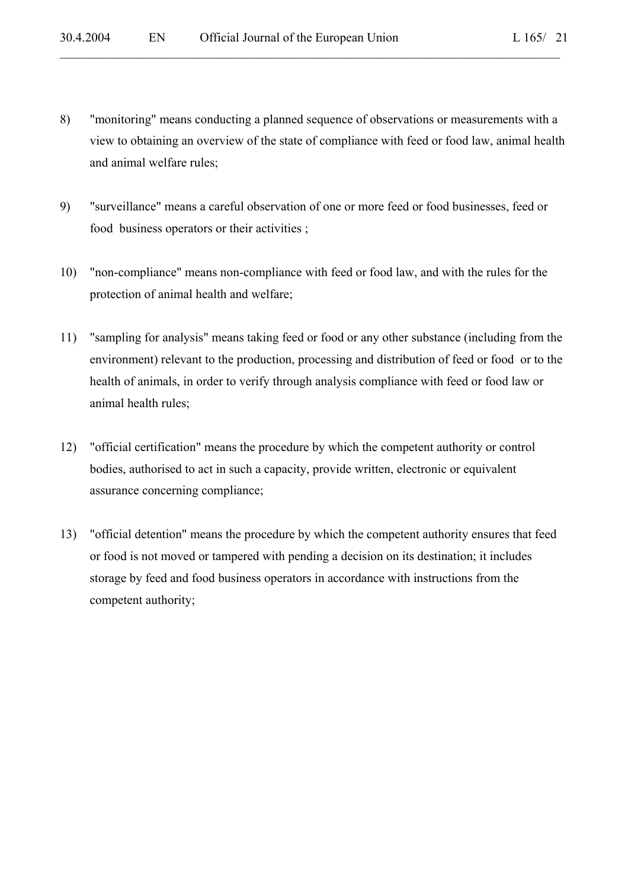8) "monitoring" means conducting a planned sequence of observations or measurements with a view to obtaining an overview of the state of compliance with feed or food law, animal health and animal welfare rules;

- 9) "surveillance" means a careful observation of one or more feed or food businesses, feed or food business operators or their activities ;
- 10) "non-compliance" means non-compliance with feed or food law, and with the rules for the protection of animal health and welfare;
- 11) "sampling for analysis" means taking feed or food or any other substance (including from the environment) relevant to the production, processing and distribution of feed or food or to the health of animals, in order to verify through analysis compliance with feed or food law or animal health rules;
- 12) "official certification" means the procedure by which the competent authority or control bodies, authorised to act in such a capacity, provide written, electronic or equivalent assurance concerning compliance;
- 13) "official detention" means the procedure by which the competent authority ensures that feed or food is not moved or tampered with pending a decision on its destination; it includes storage by feed and food business operators in accordance with instructions from the competent authority;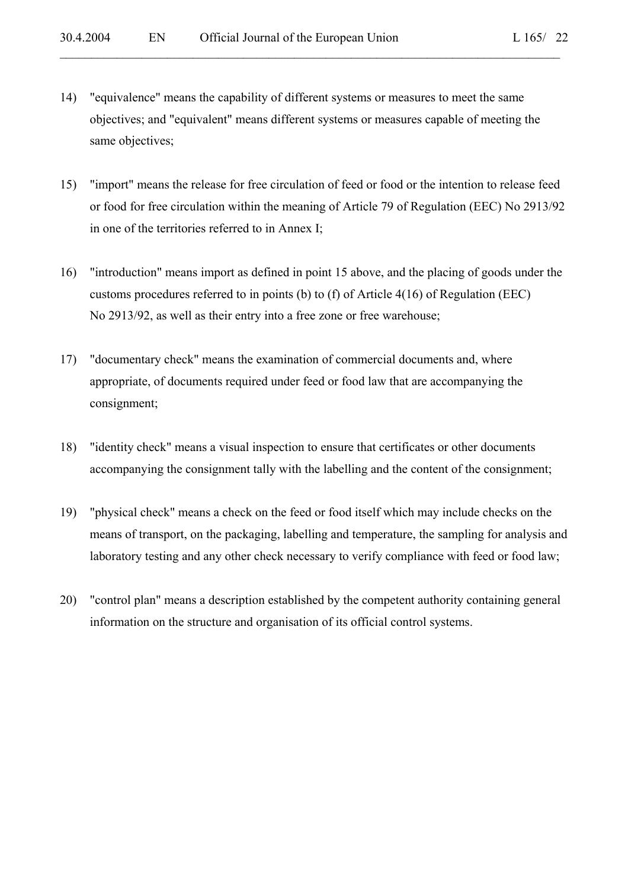14) "equivalence" means the capability of different systems or measures to meet the same objectives; and "equivalent" means different systems or measures capable of meeting the same objectives;

- 15) "import" means the release for free circulation of feed or food or the intention to release feed or food for free circulation within the meaning of Article 79 of Regulation (EEC) No 2913/92 in one of the territories referred to in Annex I;
- 16) "introduction" means import as defined in point 15 above, and the placing of goods under the customs procedures referred to in points (b) to (f) of Article 4(16) of Regulation (EEC) No 2913/92, as well as their entry into a free zone or free warehouse;
- 17) "documentary check" means the examination of commercial documents and, where appropriate, of documents required under feed or food law that are accompanying the consignment;
- 18) "identity check" means a visual inspection to ensure that certificates or other documents accompanying the consignment tally with the labelling and the content of the consignment;
- 19) "physical check" means a check on the feed or food itself which may include checks on the means of transport, on the packaging, labelling and temperature, the sampling for analysis and laboratory testing and any other check necessary to verify compliance with feed or food law;
- 20) "control plan" means a description established by the competent authority containing general information on the structure and organisation of its official control systems.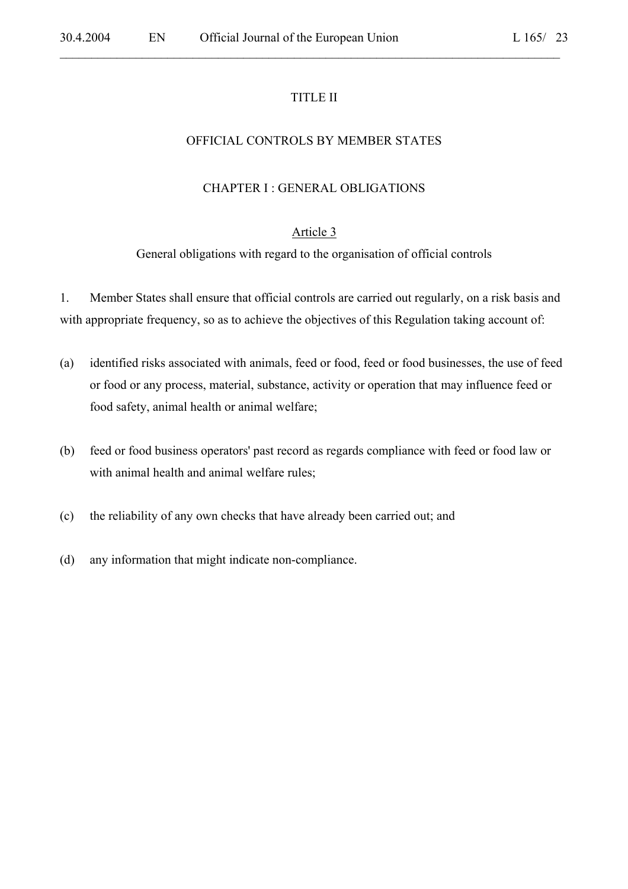#### TITLE II

 $\mathcal{L}_\mathcal{L} = \mathcal{L}_\mathcal{L} = \mathcal{L}_\mathcal{L} = \mathcal{L}_\mathcal{L} = \mathcal{L}_\mathcal{L} = \mathcal{L}_\mathcal{L} = \mathcal{L}_\mathcal{L} = \mathcal{L}_\mathcal{L} = \mathcal{L}_\mathcal{L} = \mathcal{L}_\mathcal{L} = \mathcal{L}_\mathcal{L} = \mathcal{L}_\mathcal{L} = \mathcal{L}_\mathcal{L} = \mathcal{L}_\mathcal{L} = \mathcal{L}_\mathcal{L} = \mathcal{L}_\mathcal{L} = \mathcal{L}_\mathcal{L}$ 

#### OFFICIAL CONTROLS BY MEMBER STATES

#### CHAPTER I : GENERAL OBLIGATIONS

#### Article 3

General obligations with regard to the organisation of official controls

1. Member States shall ensure that official controls are carried out regularly, on a risk basis and with appropriate frequency, so as to achieve the objectives of this Regulation taking account of:

- (a) identified risks associated with animals, feed or food, feed or food businesses, the use of feed or food or any process, material, substance, activity or operation that may influence feed or food safety, animal health or animal welfare;
- (b) feed or food business operators' past record as regards compliance with feed or food law or with animal health and animal welfare rules;
- (c) the reliability of any own checks that have already been carried out; and
- (d) any information that might indicate non-compliance.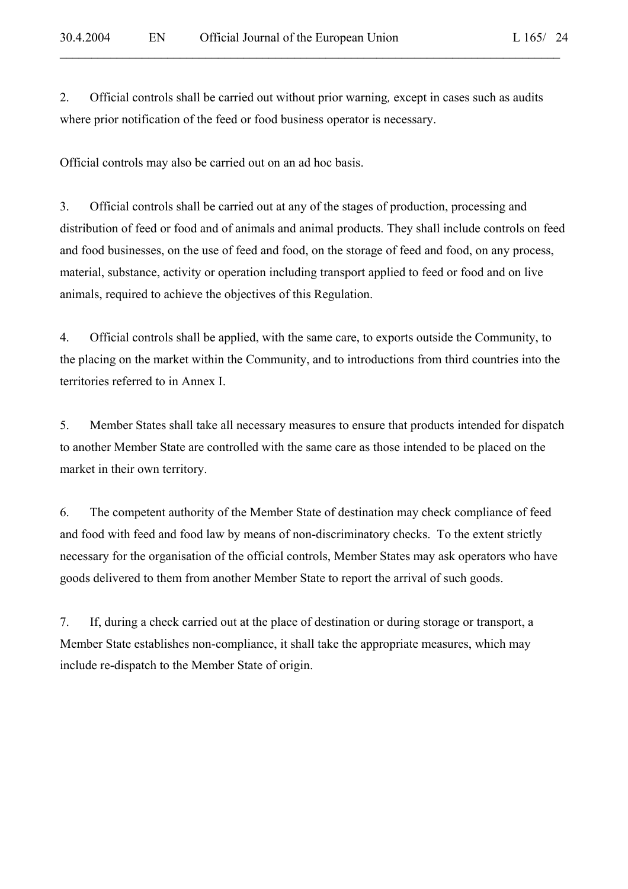2. Official controls shall be carried out without prior warning*,* except in cases such as audits where prior notification of the feed or food business operator is necessary.

 $\mathcal{L}_\mathcal{L} = \mathcal{L}_\mathcal{L} = \mathcal{L}_\mathcal{L} = \mathcal{L}_\mathcal{L} = \mathcal{L}_\mathcal{L} = \mathcal{L}_\mathcal{L} = \mathcal{L}_\mathcal{L} = \mathcal{L}_\mathcal{L} = \mathcal{L}_\mathcal{L} = \mathcal{L}_\mathcal{L} = \mathcal{L}_\mathcal{L} = \mathcal{L}_\mathcal{L} = \mathcal{L}_\mathcal{L} = \mathcal{L}_\mathcal{L} = \mathcal{L}_\mathcal{L} = \mathcal{L}_\mathcal{L} = \mathcal{L}_\mathcal{L}$ 

Official controls may also be carried out on an ad hoc basis.

3. Official controls shall be carried out at any of the stages of production, processing and distribution of feed or food and of animals and animal products. They shall include controls on feed and food businesses, on the use of feed and food, on the storage of feed and food, on any process, material, substance, activity or operation including transport applied to feed or food and on live animals, required to achieve the objectives of this Regulation.

4. Official controls shall be applied, with the same care, to exports outside the Community, to the placing on the market within the Community, and to introductions from third countries into the territories referred to in Annex I.

5. Member States shall take all necessary measures to ensure that products intended for dispatch to another Member State are controlled with the same care as those intended to be placed on the market in their own territory.

6. The competent authority of the Member State of destination may check compliance of feed and food with feed and food law by means of non-discriminatory checks. To the extent strictly necessary for the organisation of the official controls, Member States may ask operators who have goods delivered to them from another Member State to report the arrival of such goods.

7. If, during a check carried out at the place of destination or during storage or transport, a Member State establishes non-compliance, it shall take the appropriate measures, which may include re-dispatch to the Member State of origin.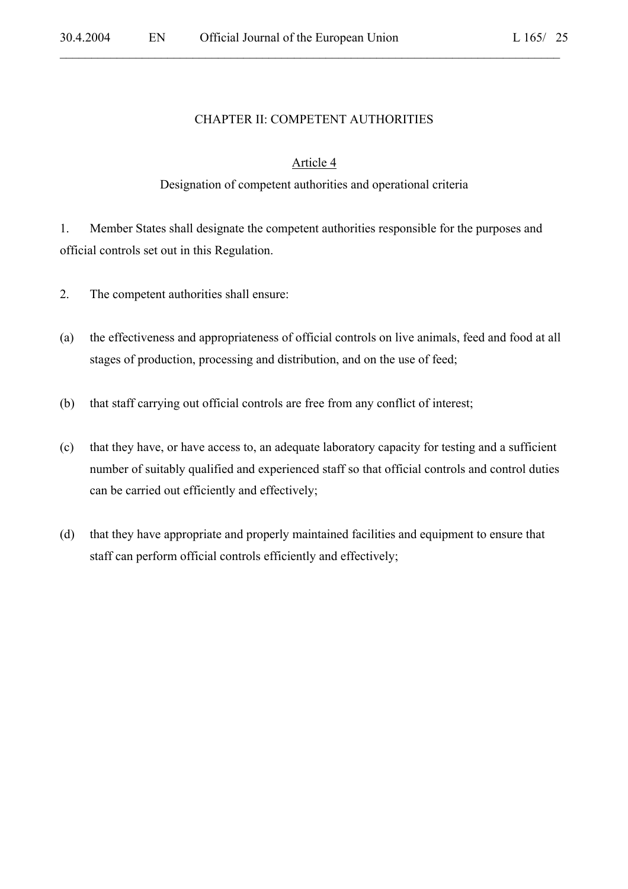## CHAPTER II: COMPETENT AUTHORITIES

 $\mathcal{L}_\mathcal{L} = \mathcal{L}_\mathcal{L} = \mathcal{L}_\mathcal{L} = \mathcal{L}_\mathcal{L} = \mathcal{L}_\mathcal{L} = \mathcal{L}_\mathcal{L} = \mathcal{L}_\mathcal{L} = \mathcal{L}_\mathcal{L} = \mathcal{L}_\mathcal{L} = \mathcal{L}_\mathcal{L} = \mathcal{L}_\mathcal{L} = \mathcal{L}_\mathcal{L} = \mathcal{L}_\mathcal{L} = \mathcal{L}_\mathcal{L} = \mathcal{L}_\mathcal{L} = \mathcal{L}_\mathcal{L} = \mathcal{L}_\mathcal{L}$ 

#### Article 4

#### Designation of competent authorities and operational criteria

1. Member States shall designate the competent authorities responsible for the purposes and official controls set out in this Regulation.

- 2. The competent authorities shall ensure:
- (a) the effectiveness and appropriateness of official controls on live animals, feed and food at all stages of production, processing and distribution, and on the use of feed;
- (b) that staff carrying out official controls are free from any conflict of interest;
- (c) that they have, or have access to, an adequate laboratory capacity for testing and a sufficient number of suitably qualified and experienced staff so that official controls and control duties can be carried out efficiently and effectively;
- (d) that they have appropriate and properly maintained facilities and equipment to ensure that staff can perform official controls efficiently and effectively;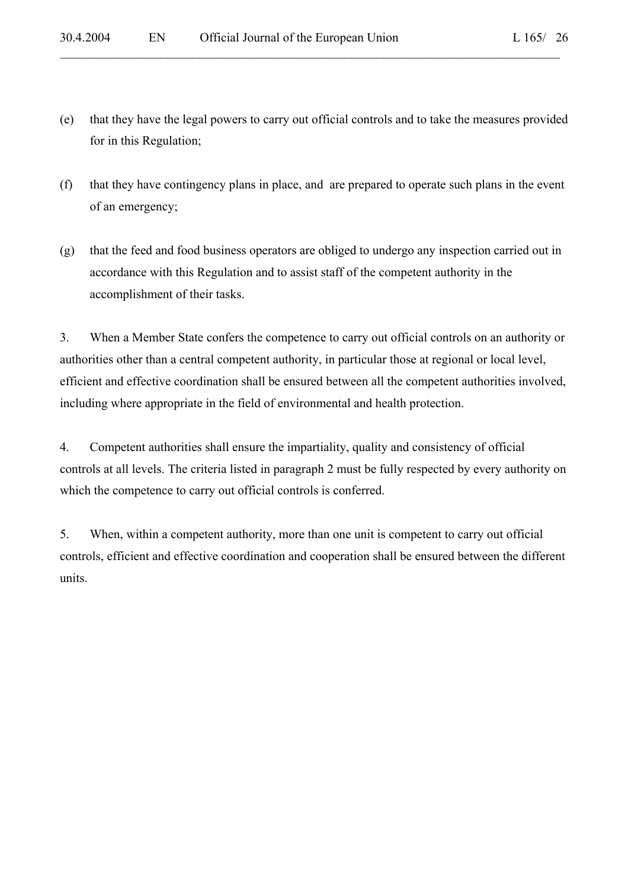(e) that they have the legal powers to carry out official controls and to take the measures provided for in this Regulation;

 $\mathcal{L}_\mathcal{L} = \mathcal{L}_\mathcal{L} = \mathcal{L}_\mathcal{L} = \mathcal{L}_\mathcal{L} = \mathcal{L}_\mathcal{L} = \mathcal{L}_\mathcal{L} = \mathcal{L}_\mathcal{L} = \mathcal{L}_\mathcal{L} = \mathcal{L}_\mathcal{L} = \mathcal{L}_\mathcal{L} = \mathcal{L}_\mathcal{L} = \mathcal{L}_\mathcal{L} = \mathcal{L}_\mathcal{L} = \mathcal{L}_\mathcal{L} = \mathcal{L}_\mathcal{L} = \mathcal{L}_\mathcal{L} = \mathcal{L}_\mathcal{L}$ 

- (f) that they have contingency plans in place, and are prepared to operate such plans in the event of an emergency;
- (g) that the feed and food business operators are obliged to undergo any inspection carried out in accordance with this Regulation and to assist staff of the competent authority in the accomplishment of their tasks.

3. When a Member State confers the competence to carry out official controls on an authority or authorities other than a central competent authority, in particular those at regional or local level, efficient and effective coordination shall be ensured between all the competent authorities involved, including where appropriate in the field of environmental and health protection.

4. Competent authorities shall ensure the impartiality, quality and consistency of official controls at all levels. The criteria listed in paragraph 2 must be fully respected by every authority on which the competence to carry out official controls is conferred.

5. When, within a competent authority, more than one unit is competent to carry out official controls, efficient and effective coordination and cooperation shall be ensured between the different units.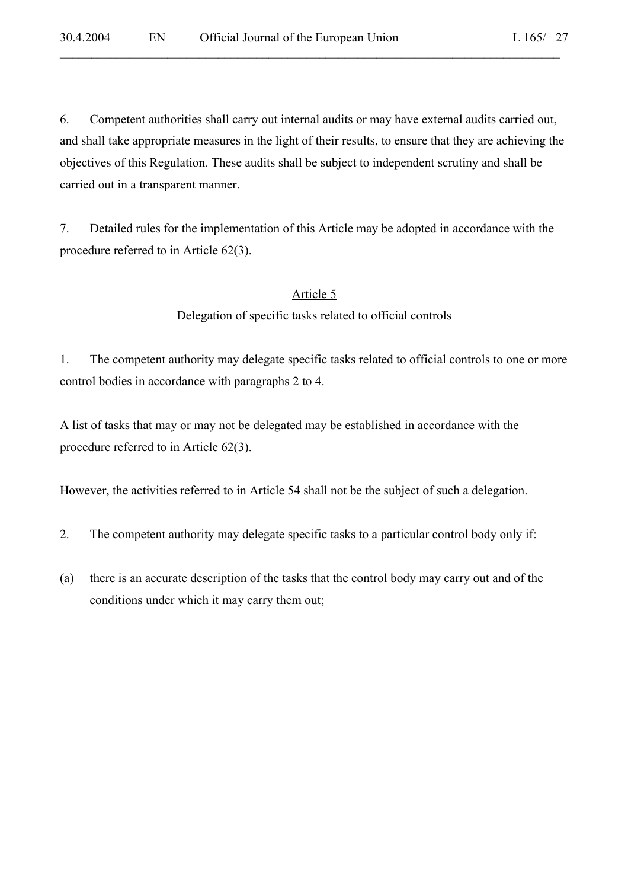6. Competent authorities shall carry out internal audits or may have external audits carried out, and shall take appropriate measures in the light of their results, to ensure that they are achieving the objectives of this Regulation*.* These audits shall be subject to independent scrutiny and shall be carried out in a transparent manner.

 $\mathcal{L}_\mathcal{L} = \mathcal{L}_\mathcal{L} = \mathcal{L}_\mathcal{L} = \mathcal{L}_\mathcal{L} = \mathcal{L}_\mathcal{L} = \mathcal{L}_\mathcal{L} = \mathcal{L}_\mathcal{L} = \mathcal{L}_\mathcal{L} = \mathcal{L}_\mathcal{L} = \mathcal{L}_\mathcal{L} = \mathcal{L}_\mathcal{L} = \mathcal{L}_\mathcal{L} = \mathcal{L}_\mathcal{L} = \mathcal{L}_\mathcal{L} = \mathcal{L}_\mathcal{L} = \mathcal{L}_\mathcal{L} = \mathcal{L}_\mathcal{L}$ 

7. Detailed rules for the implementation of this Article may be adopted in accordance with the procedure referred to in Article 62(3).

# Article 5

Delegation of specific tasks related to official controls

1. The competent authority may delegate specific tasks related to official controls to one or more control bodies in accordance with paragraphs 2 to 4.

A list of tasks that may or may not be delegated may be established in accordance with the procedure referred to in Article 62(3).

However, the activities referred to in Article 54 shall not be the subject of such a delegation.

- 2. The competent authority may delegate specific tasks to a particular control body only if:
- (a) there is an accurate description of the tasks that the control body may carry out and of the conditions under which it may carry them out;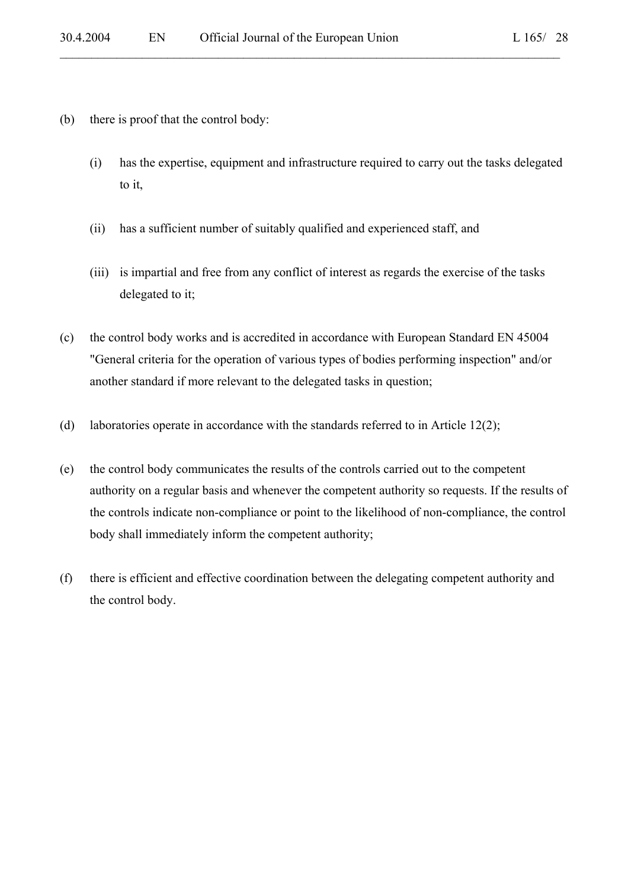- (b) there is proof that the control body:
	- (i) has the expertise, equipment and infrastructure required to carry out the tasks delegated to it,

- (ii) has a sufficient number of suitably qualified and experienced staff, and
- (iii) is impartial and free from any conflict of interest as regards the exercise of the tasks delegated to it;
- (c) the control body works and is accredited in accordance with European Standard EN 45004 "General criteria for the operation of various types of bodies performing inspection" and/or another standard if more relevant to the delegated tasks in question;
- (d) laboratories operate in accordance with the standards referred to in Article 12(2);
- (e) the control body communicates the results of the controls carried out to the competent authority on a regular basis and whenever the competent authority so requests. If the results of the controls indicate non-compliance or point to the likelihood of non-compliance, the control body shall immediately inform the competent authority;
- (f) there is efficient and effective coordination between the delegating competent authority and the control body.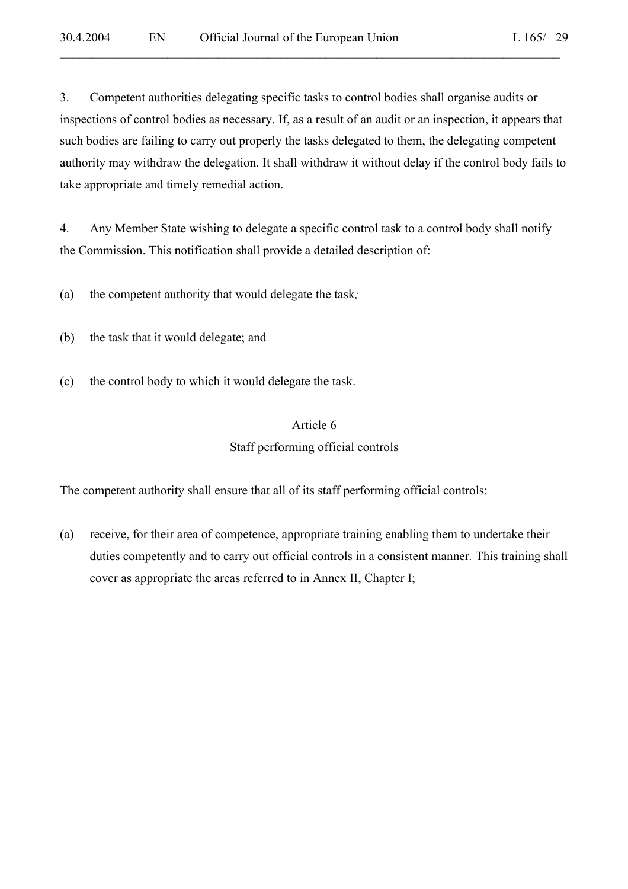3. Competent authorities delegating specific tasks to control bodies shall organise audits or inspections of control bodies as necessary. If, as a result of an audit or an inspection, it appears that such bodies are failing to carry out properly the tasks delegated to them, the delegating competent authority may withdraw the delegation. It shall withdraw it without delay if the control body fails to take appropriate and timely remedial action.

 $\mathcal{L}_\mathcal{L} = \mathcal{L}_\mathcal{L} = \mathcal{L}_\mathcal{L} = \mathcal{L}_\mathcal{L} = \mathcal{L}_\mathcal{L} = \mathcal{L}_\mathcal{L} = \mathcal{L}_\mathcal{L} = \mathcal{L}_\mathcal{L} = \mathcal{L}_\mathcal{L} = \mathcal{L}_\mathcal{L} = \mathcal{L}_\mathcal{L} = \mathcal{L}_\mathcal{L} = \mathcal{L}_\mathcal{L} = \mathcal{L}_\mathcal{L} = \mathcal{L}_\mathcal{L} = \mathcal{L}_\mathcal{L} = \mathcal{L}_\mathcal{L}$ 

4. Any Member State wishing to delegate a specific control task to a control body shall notify the Commission. This notification shall provide a detailed description of:

(a) the competent authority that would delegate the task*;*

- (b) the task that it would delegate; and
- (c) the control body to which it would delegate the task.

# Article 6 Staff performing official controls

The competent authority shall ensure that all of its staff performing official controls:

(a) receive, for their area of competence, appropriate training enabling them to undertake their duties competently and to carry out official controls in a consistent manner*.* This training shall cover as appropriate the areas referred to in Annex II, Chapter I;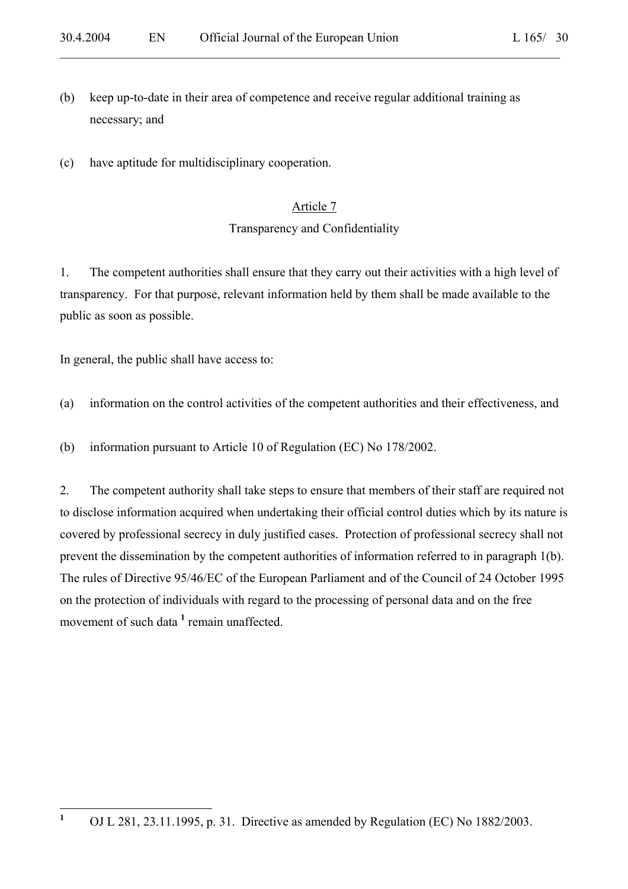(b) keep up-to-date in their area of competence and receive regular additional training as necessary; and

 $\mathcal{L}_\mathcal{L} = \mathcal{L}_\mathcal{L} = \mathcal{L}_\mathcal{L} = \mathcal{L}_\mathcal{L} = \mathcal{L}_\mathcal{L} = \mathcal{L}_\mathcal{L} = \mathcal{L}_\mathcal{L} = \mathcal{L}_\mathcal{L} = \mathcal{L}_\mathcal{L} = \mathcal{L}_\mathcal{L} = \mathcal{L}_\mathcal{L} = \mathcal{L}_\mathcal{L} = \mathcal{L}_\mathcal{L} = \mathcal{L}_\mathcal{L} = \mathcal{L}_\mathcal{L} = \mathcal{L}_\mathcal{L} = \mathcal{L}_\mathcal{L}$ 

(c) have aptitude for multidisciplinary cooperation.

#### Article 7

#### Transparency and Confidentiality

1. The competent authorities shall ensure that they carry out their activities with a high level of transparency. For that purpose, relevant information held by them shall be made available to the public as soon as possible.

In general, the public shall have access to:

(a) information on the control activities of the competent authorities and their effectiveness, and

(b) information pursuant to Article 10 of Regulation (EC) No 178/2002.

2. The competent authority shall take steps to ensure that members of their staff are required not to disclose information acquired when undertaking their official control duties which by its nature is covered by professional secrecy in duly justified cases. Protection of professional secrecy shall not prevent the dissemination by the competent authorities of information referred to in paragraph 1(b). The rules of Directive 95/46/EC of the European Parliament and of the Council of 24 October 1995 on the protection of individuals with regard to the processing of personal data and on the free movement of such data <sup>1</sup> remain unaffected.

 **1** OJ L 281, 23.11.1995, p. 31. Directive as amended by Regulation (EC) No 1882/2003.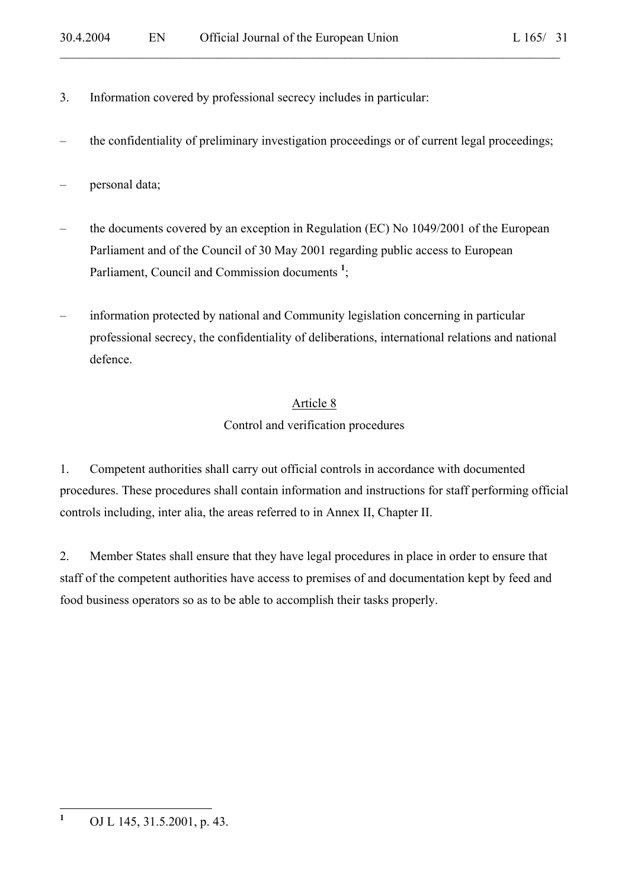- 3. Information covered by professional secrecy includes in particular:
- the confidentiality of preliminary investigation proceedings or of current legal proceedings;

 $\mathcal{L}_\mathcal{L} = \mathcal{L}_\mathcal{L} = \mathcal{L}_\mathcal{L} = \mathcal{L}_\mathcal{L} = \mathcal{L}_\mathcal{L} = \mathcal{L}_\mathcal{L} = \mathcal{L}_\mathcal{L} = \mathcal{L}_\mathcal{L} = \mathcal{L}_\mathcal{L} = \mathcal{L}_\mathcal{L} = \mathcal{L}_\mathcal{L} = \mathcal{L}_\mathcal{L} = \mathcal{L}_\mathcal{L} = \mathcal{L}_\mathcal{L} = \mathcal{L}_\mathcal{L} = \mathcal{L}_\mathcal{L} = \mathcal{L}_\mathcal{L}$ 

- personal data;
- the documents covered by an exception in Regulation (EC) No 1049/2001 of the European Parliament and of the Council of 30 May 2001 regarding public access to European Parliament, Council and Commission documents<sup>1</sup>;
- information protected by national and Community legislation concerning in particular professional secrecy, the confidentiality of deliberations, international relations and national defence.

# Article 8

# Control and verification procedures

1. Competent authorities shall carry out official controls in accordance with documented procedures. These procedures shall contain information and instructions for staff performing official controls including, inter alia, the areas referred to in Annex II, Chapter II.

2. Member States shall ensure that they have legal procedures in place in order to ensure that staff of the competent authorities have access to premises of and documentation kept by feed and food business operators so as to be able to accomplish their tasks properly.

 **1** OJ L 145, 31.5.2001, p. 43.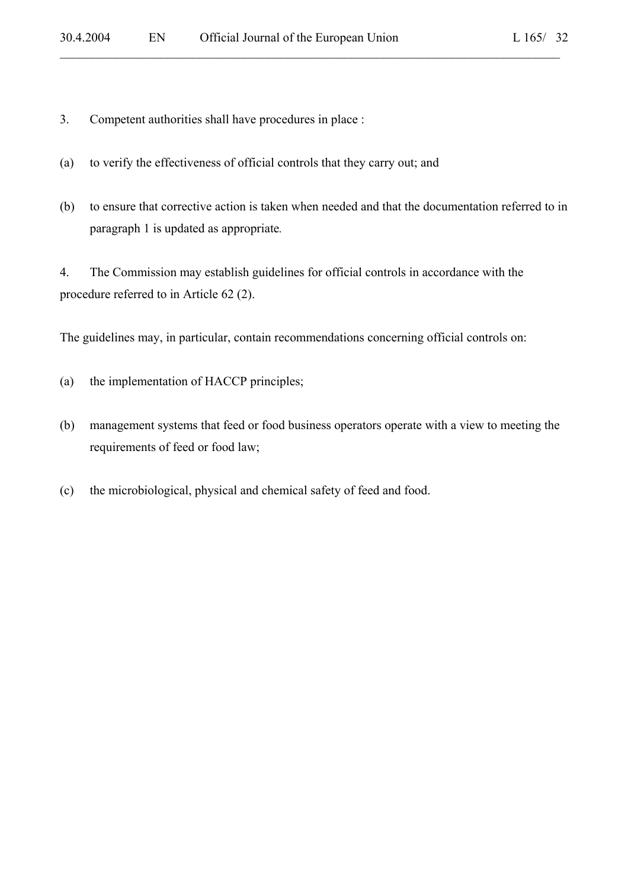3. Competent authorities shall have procedures in place :

- (a) to verify the effectiveness of official controls that they carry out; and
- (b) to ensure that corrective action is taken when needed and that the documentation referred to in paragraph 1 is updated as appropriate*.*

 $\mathcal{L}_\mathcal{L} = \mathcal{L}_\mathcal{L} = \mathcal{L}_\mathcal{L} = \mathcal{L}_\mathcal{L} = \mathcal{L}_\mathcal{L} = \mathcal{L}_\mathcal{L} = \mathcal{L}_\mathcal{L} = \mathcal{L}_\mathcal{L} = \mathcal{L}_\mathcal{L} = \mathcal{L}_\mathcal{L} = \mathcal{L}_\mathcal{L} = \mathcal{L}_\mathcal{L} = \mathcal{L}_\mathcal{L} = \mathcal{L}_\mathcal{L} = \mathcal{L}_\mathcal{L} = \mathcal{L}_\mathcal{L} = \mathcal{L}_\mathcal{L}$ 

4. The Commission may establish guidelines for official controls in accordance with the procedure referred to in Article 62 (2).

The guidelines may, in particular, contain recommendations concerning official controls on:

- (a) the implementation of HACCP principles;
- (b) management systems that feed or food business operators operate with a view to meeting the requirements of feed or food law;
- (c) the microbiological, physical and chemical safety of feed and food.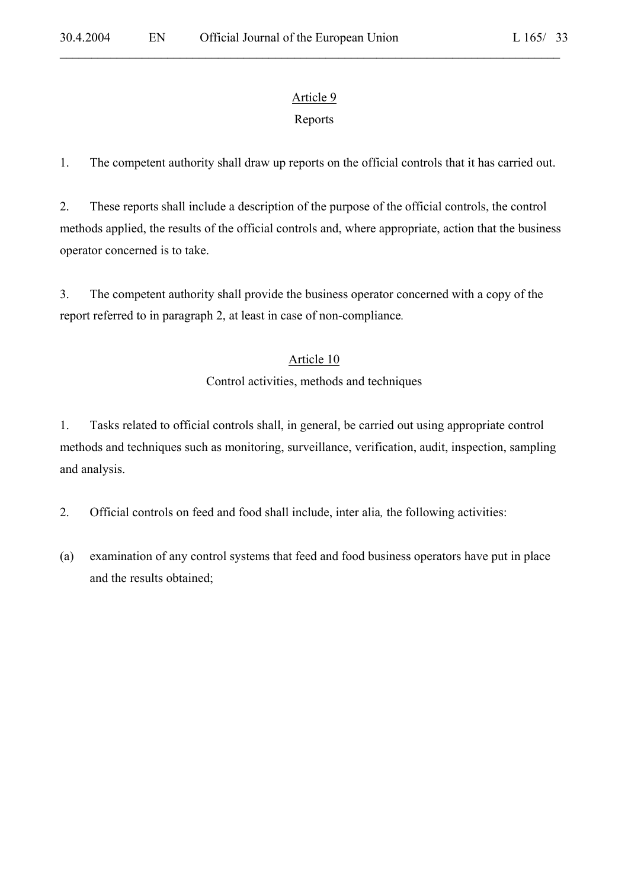# Article 9

 $\mathcal{L}_\mathcal{L} = \mathcal{L}_\mathcal{L} = \mathcal{L}_\mathcal{L} = \mathcal{L}_\mathcal{L} = \mathcal{L}_\mathcal{L} = \mathcal{L}_\mathcal{L} = \mathcal{L}_\mathcal{L} = \mathcal{L}_\mathcal{L} = \mathcal{L}_\mathcal{L} = \mathcal{L}_\mathcal{L} = \mathcal{L}_\mathcal{L} = \mathcal{L}_\mathcal{L} = \mathcal{L}_\mathcal{L} = \mathcal{L}_\mathcal{L} = \mathcal{L}_\mathcal{L} = \mathcal{L}_\mathcal{L} = \mathcal{L}_\mathcal{L}$ 

# Reports

1. The competent authority shall draw up reports on the official controls that it has carried out.

2. These reports shall include a description of the purpose of the official controls, the control methods applied, the results of the official controls and, where appropriate, action that the business operator concerned is to take.

3. The competent authority shall provide the business operator concerned with a copy of the report referred to in paragraph 2, at least in case of non-compliance*.*

# Article 10

# Control activities, methods and techniques

1. Tasks related to official controls shall, in general, be carried out using appropriate control methods and techniques such as monitoring, surveillance, verification, audit, inspection, sampling and analysis.

- 2. Official controls on feed and food shall include, inter alia*,* the following activities:
- (a) examination of any control systems that feed and food business operators have put in place and the results obtained;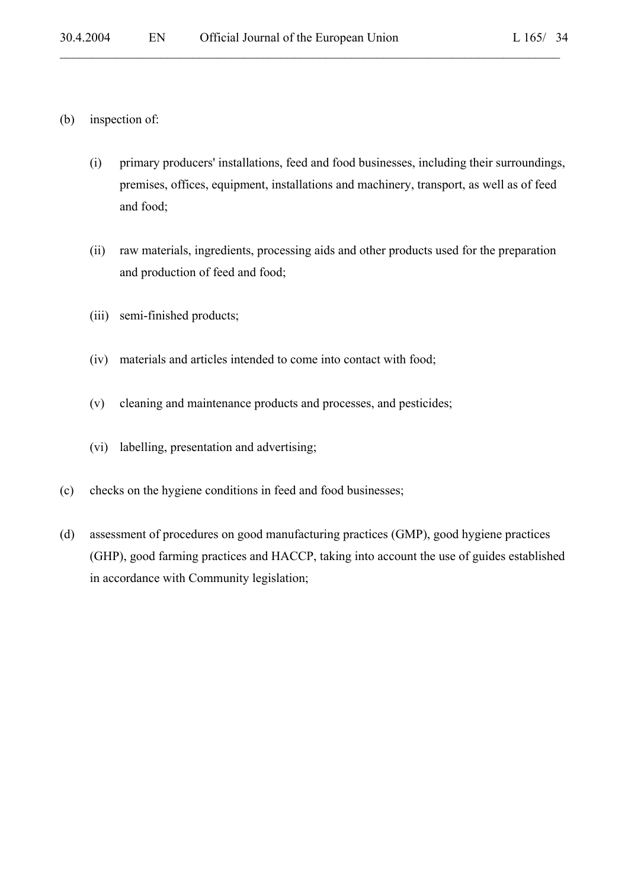- (b) inspection of:
	- (i) primary producers' installations, feed and food businesses, including their surroundings, premises, offices, equipment, installations and machinery, transport, as well as of feed and food;

- (ii) raw materials, ingredients, processing aids and other products used for the preparation and production of feed and food;
- (iii) semi-finished products;
- (iv) materials and articles intended to come into contact with food;
- (v) cleaning and maintenance products and processes, and pesticides;
- (vi) labelling, presentation and advertising;
- (c) checks on the hygiene conditions in feed and food businesses;
- (d) assessment of procedures on good manufacturing practices (GMP), good hygiene practices (GHP), good farming practices and HACCP, taking into account the use of guides established in accordance with Community legislation;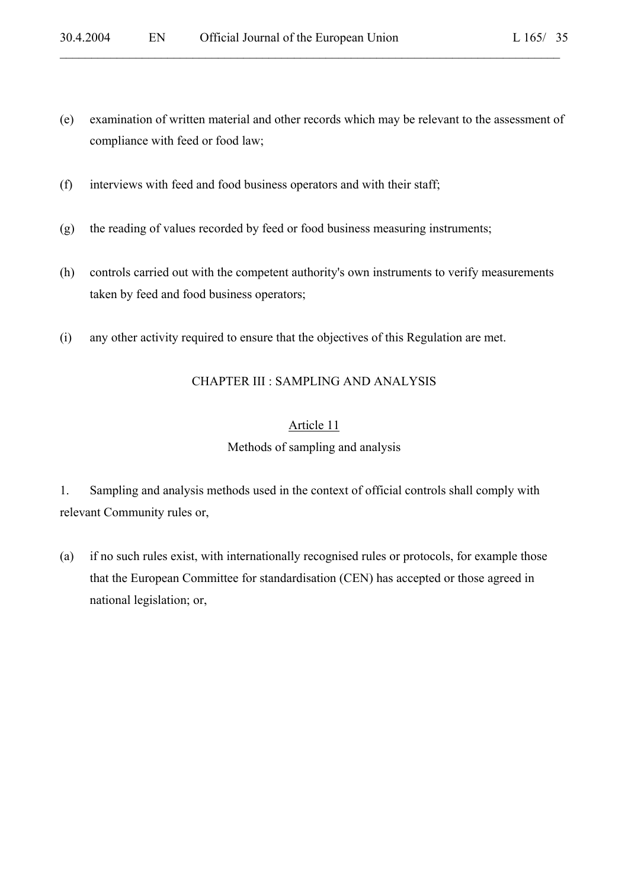(e) examination of written material and other records which may be relevant to the assessment of compliance with feed or food law;

 $\mathcal{L}_\mathcal{L} = \mathcal{L}_\mathcal{L} = \mathcal{L}_\mathcal{L} = \mathcal{L}_\mathcal{L} = \mathcal{L}_\mathcal{L} = \mathcal{L}_\mathcal{L} = \mathcal{L}_\mathcal{L} = \mathcal{L}_\mathcal{L} = \mathcal{L}_\mathcal{L} = \mathcal{L}_\mathcal{L} = \mathcal{L}_\mathcal{L} = \mathcal{L}_\mathcal{L} = \mathcal{L}_\mathcal{L} = \mathcal{L}_\mathcal{L} = \mathcal{L}_\mathcal{L} = \mathcal{L}_\mathcal{L} = \mathcal{L}_\mathcal{L}$ 

- (f) interviews with feed and food business operators and with their staff;
- (g) the reading of values recorded by feed or food business measuring instruments;
- (h) controls carried out with the competent authority's own instruments to verify measurements taken by feed and food business operators;
- (i) any other activity required to ensure that the objectives of this Regulation are met.

## CHAPTER III : SAMPLING AND ANALYSIS

# Article 11 Methods of sampling and analysis

1. Sampling and analysis methods used in the context of official controls shall comply with relevant Community rules or,

(a) if no such rules exist, with internationally recognised rules or protocols, for example those that the European Committee for standardisation (CEN) has accepted or those agreed in national legislation; or,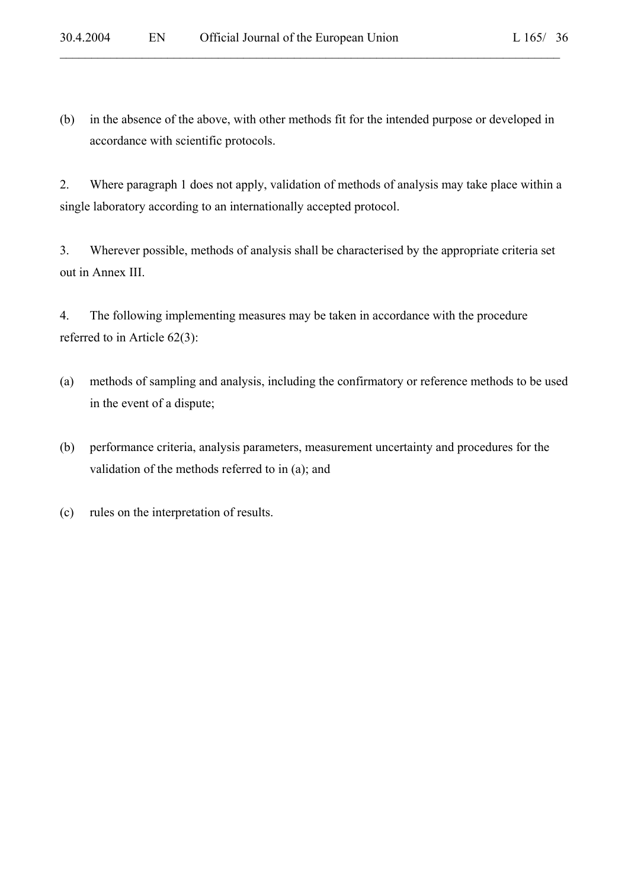(b) in the absence of the above, with other methods fit for the intended purpose or developed in accordance with scientific protocols.

2. Where paragraph 1 does not apply, validation of methods of analysis may take place within a single laboratory according to an internationally accepted protocol.

3. Wherever possible, methods of analysis shall be characterised by the appropriate criteria set out in Annex III.

4. The following implementing measures may be taken in accordance with the procedure referred to in Article 62(3):

- (a) methods of sampling and analysis, including the confirmatory or reference methods to be used in the event of a dispute;
- (b) performance criteria, analysis parameters, measurement uncertainty and procedures for the validation of the methods referred to in (a); and
- (c) rules on the interpretation of results.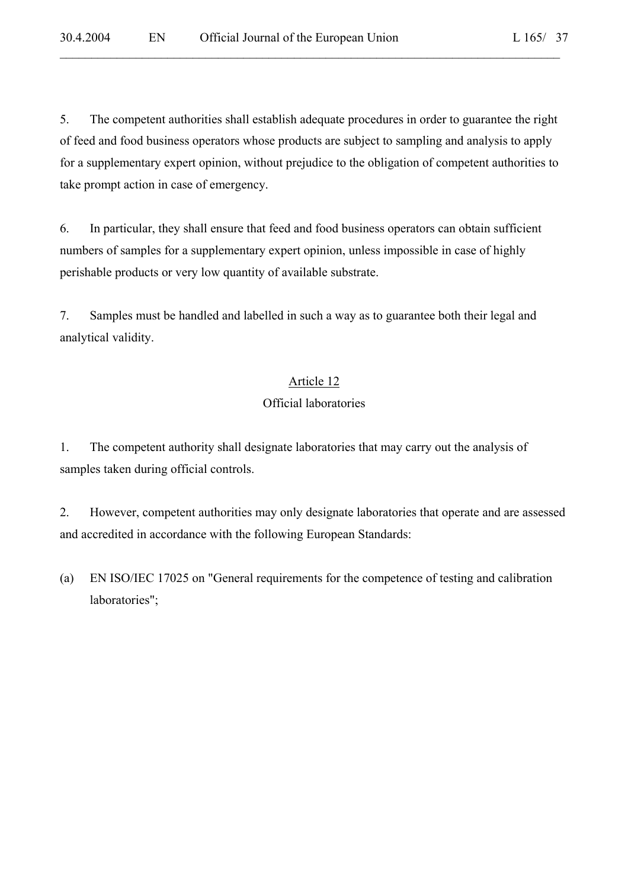5. The competent authorities shall establish adequate procedures in order to guarantee the right of feed and food business operators whose products are subject to sampling and analysis to apply for a supplementary expert opinion, without prejudice to the obligation of competent authorities to take prompt action in case of emergency.

 $\mathcal{L}_\mathcal{L} = \mathcal{L}_\mathcal{L} = \mathcal{L}_\mathcal{L} = \mathcal{L}_\mathcal{L} = \mathcal{L}_\mathcal{L} = \mathcal{L}_\mathcal{L} = \mathcal{L}_\mathcal{L} = \mathcal{L}_\mathcal{L} = \mathcal{L}_\mathcal{L} = \mathcal{L}_\mathcal{L} = \mathcal{L}_\mathcal{L} = \mathcal{L}_\mathcal{L} = \mathcal{L}_\mathcal{L} = \mathcal{L}_\mathcal{L} = \mathcal{L}_\mathcal{L} = \mathcal{L}_\mathcal{L} = \mathcal{L}_\mathcal{L}$ 

6. In particular, they shall ensure that feed and food business operators can obtain sufficient numbers of samples for a supplementary expert opinion, unless impossible in case of highly perishable products or very low quantity of available substrate.

7. Samples must be handled and labelled in such a way as to guarantee both their legal and analytical validity.

### Article 12

### Official laboratories

1. The competent authority shall designate laboratories that may carry out the analysis of samples taken during official controls.

2. However, competent authorities may only designate laboratories that operate and are assessed and accredited in accordance with the following European Standards:

(a) EN ISO/IEC 17025 on "General requirements for the competence of testing and calibration laboratories";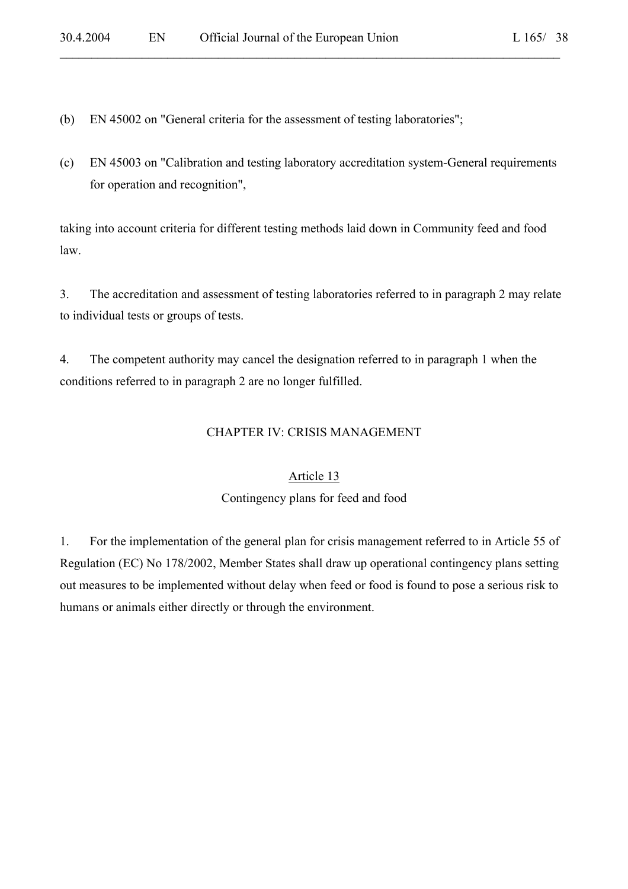- (b) EN 45002 on "General criteria for the assessment of testing laboratories";
- (c) EN 45003 on "Calibration and testing laboratory accreditation system-General requirements for operation and recognition",

 $\mathcal{L}_\mathcal{L} = \mathcal{L}_\mathcal{L} = \mathcal{L}_\mathcal{L} = \mathcal{L}_\mathcal{L} = \mathcal{L}_\mathcal{L} = \mathcal{L}_\mathcal{L} = \mathcal{L}_\mathcal{L} = \mathcal{L}_\mathcal{L} = \mathcal{L}_\mathcal{L} = \mathcal{L}_\mathcal{L} = \mathcal{L}_\mathcal{L} = \mathcal{L}_\mathcal{L} = \mathcal{L}_\mathcal{L} = \mathcal{L}_\mathcal{L} = \mathcal{L}_\mathcal{L} = \mathcal{L}_\mathcal{L} = \mathcal{L}_\mathcal{L}$ 

taking into account criteria for different testing methods laid down in Community feed and food law.

3. The accreditation and assessment of testing laboratories referred to in paragraph 2 may relate to individual tests or groups of tests.

4. The competent authority may cancel the designation referred to in paragraph 1 when the conditions referred to in paragraph 2 are no longer fulfilled.

### CHAPTER IV: CRISIS MANAGEMENT

#### Article 13

#### Contingency plans for feed and food

1. For the implementation of the general plan for crisis management referred to in Article 55 of Regulation (EC) No 178/2002, Member States shall draw up operational contingency plans setting out measures to be implemented without delay when feed or food is found to pose a serious risk to humans or animals either directly or through the environment.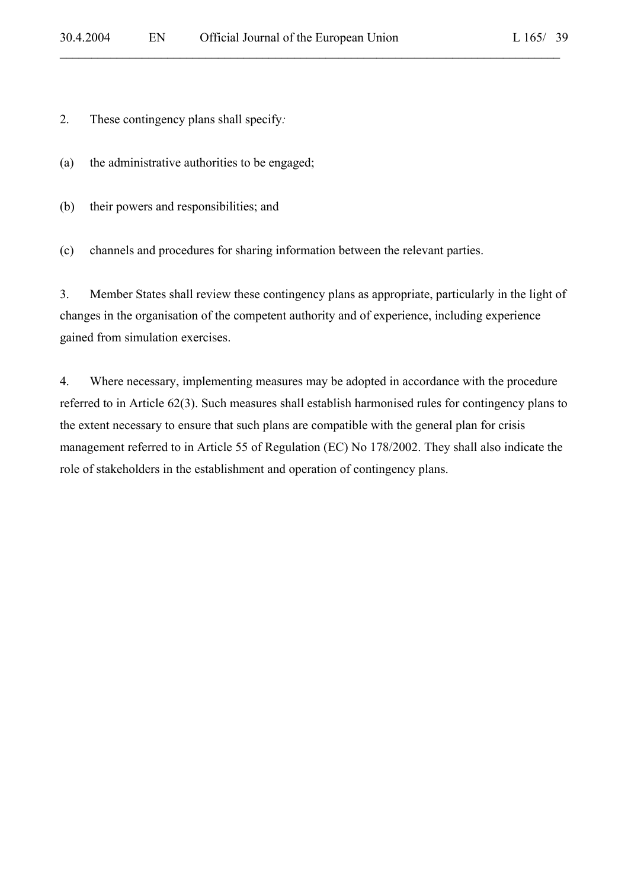2. These contingency plans shall specify*:* 

- (a) the administrative authorities to be engaged;
- (b) their powers and responsibilities; and

(c) channels and procedures for sharing information between the relevant parties.

3. Member States shall review these contingency plans as appropriate, particularly in the light of changes in the organisation of the competent authority and of experience, including experience gained from simulation exercises.

 $\mathcal{L}_\mathcal{L} = \mathcal{L}_\mathcal{L} = \mathcal{L}_\mathcal{L} = \mathcal{L}_\mathcal{L} = \mathcal{L}_\mathcal{L} = \mathcal{L}_\mathcal{L} = \mathcal{L}_\mathcal{L} = \mathcal{L}_\mathcal{L} = \mathcal{L}_\mathcal{L} = \mathcal{L}_\mathcal{L} = \mathcal{L}_\mathcal{L} = \mathcal{L}_\mathcal{L} = \mathcal{L}_\mathcal{L} = \mathcal{L}_\mathcal{L} = \mathcal{L}_\mathcal{L} = \mathcal{L}_\mathcal{L} = \mathcal{L}_\mathcal{L}$ 

4. Where necessary, implementing measures may be adopted in accordance with the procedure referred to in Article 62(3). Such measures shall establish harmonised rules for contingency plans to the extent necessary to ensure that such plans are compatible with the general plan for crisis management referred to in Article 55 of Regulation (EC) No 178/2002. They shall also indicate the role of stakeholders in the establishment and operation of contingency plans.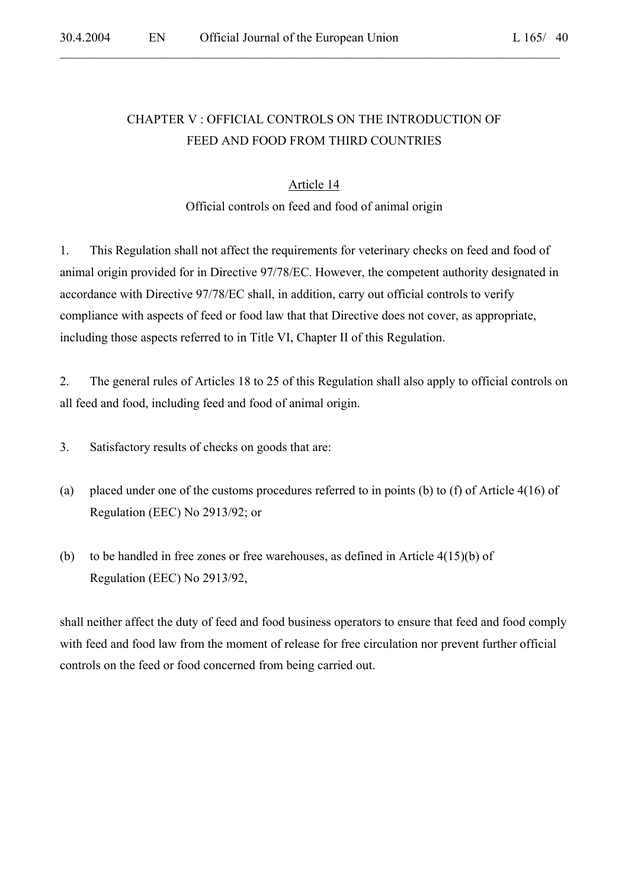# CHAPTER V : OFFICIAL CONTROLS ON THE INTRODUCTION OF FEED AND FOOD FROM THIRD COUNTRIES

 $\mathcal{L}_\mathcal{L} = \mathcal{L}_\mathcal{L} = \mathcal{L}_\mathcal{L} = \mathcal{L}_\mathcal{L} = \mathcal{L}_\mathcal{L} = \mathcal{L}_\mathcal{L} = \mathcal{L}_\mathcal{L} = \mathcal{L}_\mathcal{L} = \mathcal{L}_\mathcal{L} = \mathcal{L}_\mathcal{L} = \mathcal{L}_\mathcal{L} = \mathcal{L}_\mathcal{L} = \mathcal{L}_\mathcal{L} = \mathcal{L}_\mathcal{L} = \mathcal{L}_\mathcal{L} = \mathcal{L}_\mathcal{L} = \mathcal{L}_\mathcal{L}$ 

#### Article 14

### Official controls on feed and food of animal origin

1. This Regulation shall not affect the requirements for veterinary checks on feed and food of animal origin provided for in Directive 97/78/EC. However, the competent authority designated in accordance with Directive 97/78/EC shall, in addition, carry out official controls to verify compliance with aspects of feed or food law that that Directive does not cover, as appropriate, including those aspects referred to in Title VI, Chapter II of this Regulation.

2. The general rules of Articles 18 to 25 of this Regulation shall also apply to official controls on all feed and food, including feed and food of animal origin.

- 3. Satisfactory results of checks on goods that are:
- (a) placed under one of the customs procedures referred to in points (b) to (f) of Article 4(16) of Regulation (EEC) No 2913/92; or
- (b) to be handled in free zones or free warehouses, as defined in Article 4(15)(b) of Regulation (EEC) No 2913/92,

shall neither affect the duty of feed and food business operators to ensure that feed and food comply with feed and food law from the moment of release for free circulation nor prevent further official controls on the feed or food concerned from being carried out.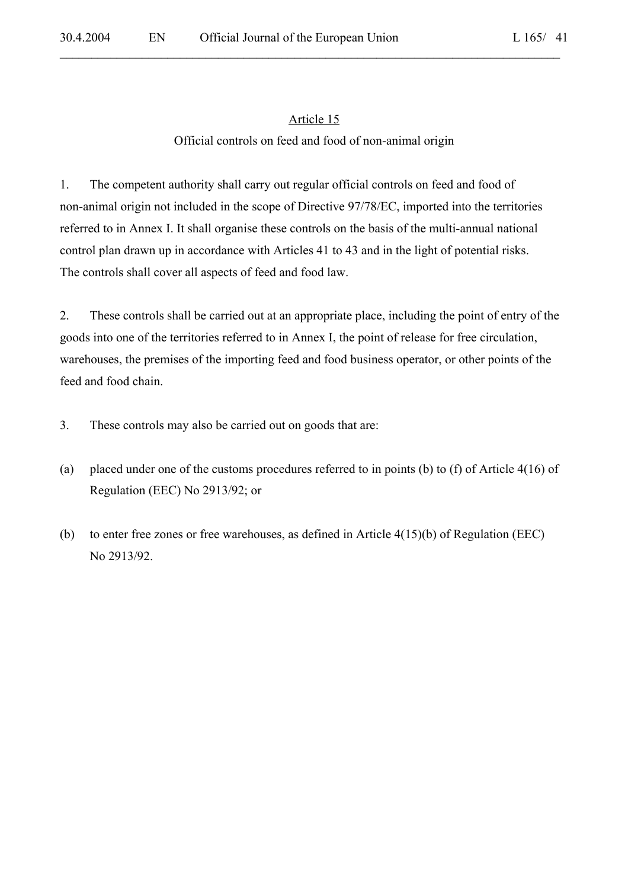$\mathcal{L}_\mathcal{L} = \mathcal{L}_\mathcal{L} = \mathcal{L}_\mathcal{L} = \mathcal{L}_\mathcal{L} = \mathcal{L}_\mathcal{L} = \mathcal{L}_\mathcal{L} = \mathcal{L}_\mathcal{L} = \mathcal{L}_\mathcal{L} = \mathcal{L}_\mathcal{L} = \mathcal{L}_\mathcal{L} = \mathcal{L}_\mathcal{L} = \mathcal{L}_\mathcal{L} = \mathcal{L}_\mathcal{L} = \mathcal{L}_\mathcal{L} = \mathcal{L}_\mathcal{L} = \mathcal{L}_\mathcal{L} = \mathcal{L}_\mathcal{L}$ 

### Official controls on feed and food of non-animal origin

1. The competent authority shall carry out regular official controls on feed and food of non-animal origin not included in the scope of Directive 97/78/EC, imported into the territories referred to in Annex I. It shall organise these controls on the basis of the multi-annual national control plan drawn up in accordance with Articles 41 to 43 and in the light of potential risks. The controls shall cover all aspects of feed and food law.

2. These controls shall be carried out at an appropriate place, including the point of entry of the goods into one of the territories referred to in Annex I, the point of release for free circulation, warehouses, the premises of the importing feed and food business operator, or other points of the feed and food chain.

- 3. These controls may also be carried out on goods that are:
- (a) placed under one of the customs procedures referred to in points (b) to (f) of Article 4(16) of Regulation (EEC) No 2913/92; or
- (b) to enter free zones or free warehouses, as defined in Article 4(15)(b) of Regulation (EEC) No 2913/92.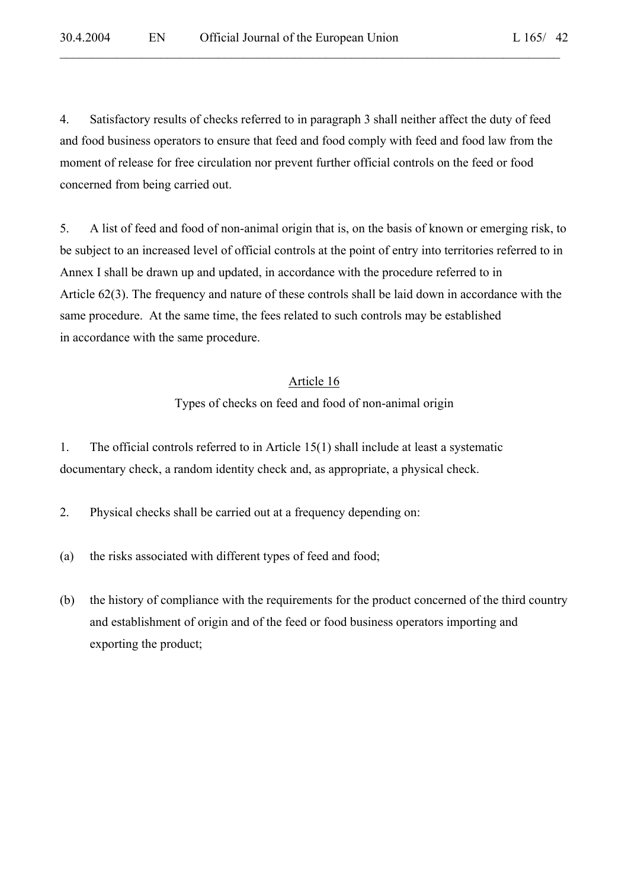4. Satisfactory results of checks referred to in paragraph 3 shall neither affect the duty of feed and food business operators to ensure that feed and food comply with feed and food law from the moment of release for free circulation nor prevent further official controls on the feed or food concerned from being carried out.

 $\mathcal{L}_\mathcal{L} = \mathcal{L}_\mathcal{L} = \mathcal{L}_\mathcal{L} = \mathcal{L}_\mathcal{L} = \mathcal{L}_\mathcal{L} = \mathcal{L}_\mathcal{L} = \mathcal{L}_\mathcal{L} = \mathcal{L}_\mathcal{L} = \mathcal{L}_\mathcal{L} = \mathcal{L}_\mathcal{L} = \mathcal{L}_\mathcal{L} = \mathcal{L}_\mathcal{L} = \mathcal{L}_\mathcal{L} = \mathcal{L}_\mathcal{L} = \mathcal{L}_\mathcal{L} = \mathcal{L}_\mathcal{L} = \mathcal{L}_\mathcal{L}$ 

5. A list of feed and food of non-animal origin that is, on the basis of known or emerging risk, to be subject to an increased level of official controls at the point of entry into territories referred to in Annex I shall be drawn up and updated, in accordance with the procedure referred to in Article 62(3). The frequency and nature of these controls shall be laid down in accordance with the same procedure. At the same time, the fees related to such controls may be established in accordance with the same procedure.

#### Article 16

Types of checks on feed and food of non-animal origin

1. The official controls referred to in Article 15(1) shall include at least a systematic documentary check, a random identity check and, as appropriate, a physical check.

- 2. Physical checks shall be carried out at a frequency depending on:
- (a) the risks associated with different types of feed and food;
- (b) the history of compliance with the requirements for the product concerned of the third country and establishment of origin and of the feed or food business operators importing and exporting the product;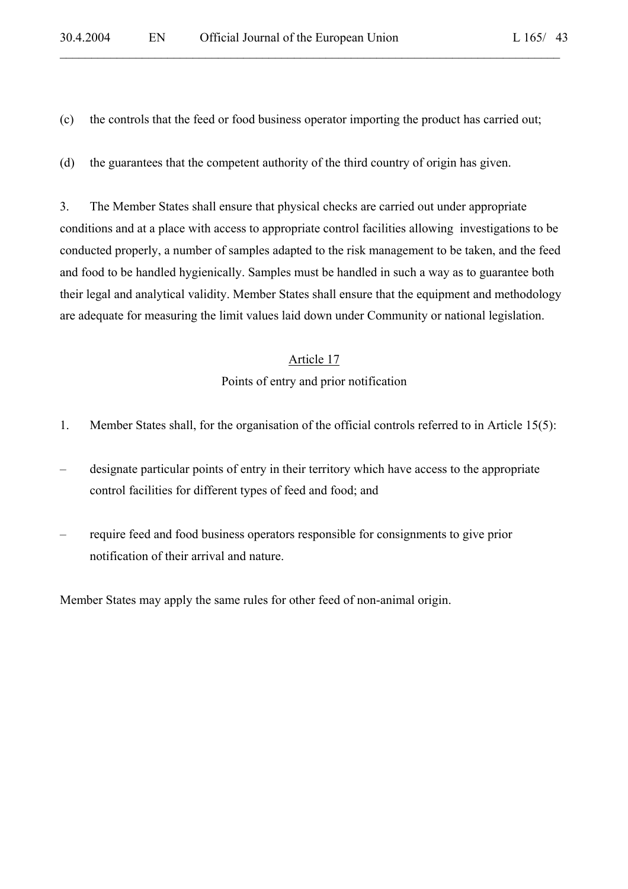(c) the controls that the feed or food business operator importing the product has carried out;

 $\mathcal{L}_\mathcal{L} = \mathcal{L}_\mathcal{L} = \mathcal{L}_\mathcal{L} = \mathcal{L}_\mathcal{L} = \mathcal{L}_\mathcal{L} = \mathcal{L}_\mathcal{L} = \mathcal{L}_\mathcal{L} = \mathcal{L}_\mathcal{L} = \mathcal{L}_\mathcal{L} = \mathcal{L}_\mathcal{L} = \mathcal{L}_\mathcal{L} = \mathcal{L}_\mathcal{L} = \mathcal{L}_\mathcal{L} = \mathcal{L}_\mathcal{L} = \mathcal{L}_\mathcal{L} = \mathcal{L}_\mathcal{L} = \mathcal{L}_\mathcal{L}$ 

(d) the guarantees that the competent authority of the third country of origin has given.

3. The Member States shall ensure that physical checks are carried out under appropriate conditions and at a place with access to appropriate control facilities allowing investigations to be conducted properly, a number of samples adapted to the risk management to be taken, and the feed and food to be handled hygienically. Samples must be handled in such a way as to guarantee both their legal and analytical validity. Member States shall ensure that the equipment and methodology are adequate for measuring the limit values laid down under Community or national legislation.

#### Article 17

#### Points of entry and prior notification

- 1. Member States shall, for the organisation of the official controls referred to in Article 15(5):
- designate particular points of entry in their territory which have access to the appropriate control facilities for different types of feed and food; and
- require feed and food business operators responsible for consignments to give prior notification of their arrival and nature.

Member States may apply the same rules for other feed of non-animal origin.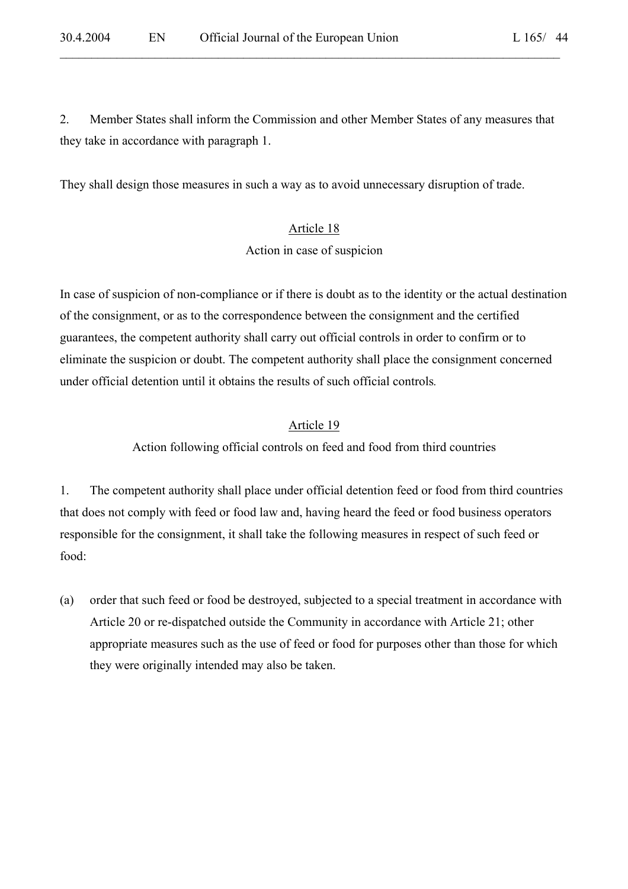2. Member States shall inform the Commission and other Member States of any measures that they take in accordance with paragraph 1.

 $\mathcal{L}_\mathcal{L} = \mathcal{L}_\mathcal{L} = \mathcal{L}_\mathcal{L} = \mathcal{L}_\mathcal{L} = \mathcal{L}_\mathcal{L} = \mathcal{L}_\mathcal{L} = \mathcal{L}_\mathcal{L} = \mathcal{L}_\mathcal{L} = \mathcal{L}_\mathcal{L} = \mathcal{L}_\mathcal{L} = \mathcal{L}_\mathcal{L} = \mathcal{L}_\mathcal{L} = \mathcal{L}_\mathcal{L} = \mathcal{L}_\mathcal{L} = \mathcal{L}_\mathcal{L} = \mathcal{L}_\mathcal{L} = \mathcal{L}_\mathcal{L}$ 

They shall design those measures in such a way as to avoid unnecessary disruption of trade.

#### Article 18

Action in case of suspicion

In case of suspicion of non-compliance or if there is doubt as to the identity or the actual destination of the consignment, or as to the correspondence between the consignment and the certified guarantees, the competent authority shall carry out official controls in order to confirm or to eliminate the suspicion or doubt. The competent authority shall place the consignment concerned under official detention until it obtains the results of such official controls*.*

### Article 19

Action following official controls on feed and food from third countries

1. The competent authority shall place under official detention feed or food from third countries that does not comply with feed or food law and, having heard the feed or food business operators responsible for the consignment, it shall take the following measures in respect of such feed or food:

(a) order that such feed or food be destroyed, subjected to a special treatment in accordance with Article 20 or re-dispatched outside the Community in accordance with Article 21; other appropriate measures such as the use of feed or food for purposes other than those for which they were originally intended may also be taken.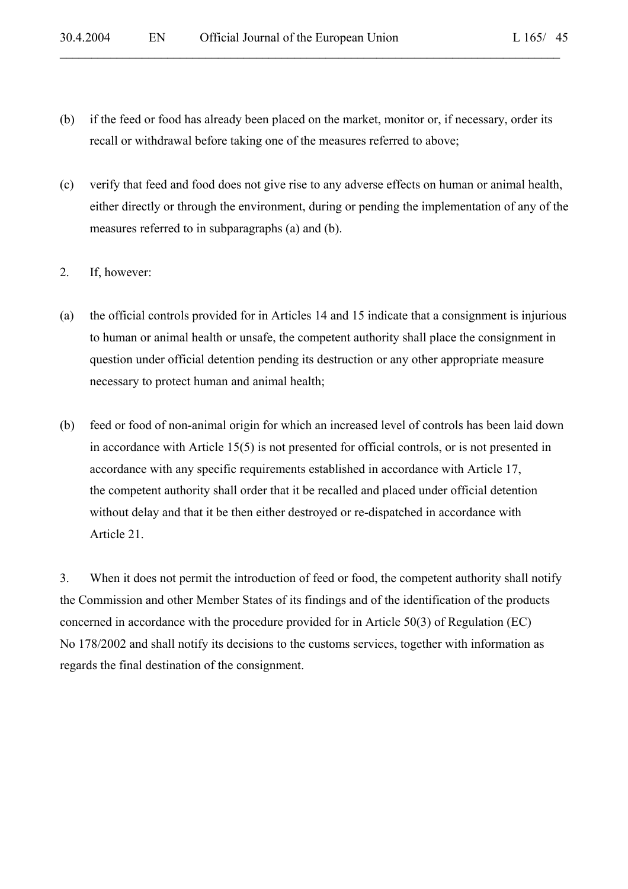(b) if the feed or food has already been placed on the market, monitor or, if necessary, order its recall or withdrawal before taking one of the measures referred to above;

 $\mathcal{L}_\mathcal{L} = \mathcal{L}_\mathcal{L} = \mathcal{L}_\mathcal{L} = \mathcal{L}_\mathcal{L} = \mathcal{L}_\mathcal{L} = \mathcal{L}_\mathcal{L} = \mathcal{L}_\mathcal{L} = \mathcal{L}_\mathcal{L} = \mathcal{L}_\mathcal{L} = \mathcal{L}_\mathcal{L} = \mathcal{L}_\mathcal{L} = \mathcal{L}_\mathcal{L} = \mathcal{L}_\mathcal{L} = \mathcal{L}_\mathcal{L} = \mathcal{L}_\mathcal{L} = \mathcal{L}_\mathcal{L} = \mathcal{L}_\mathcal{L}$ 

- (c) verify that feed and food does not give rise to any adverse effects on human or animal health, either directly or through the environment, during or pending the implementation of any of the measures referred to in subparagraphs (a) and (b).
- 2. If, however:
- (a) the official controls provided for in Articles 14 and 15 indicate that a consignment is injurious to human or animal health or unsafe, the competent authority shall place the consignment in question under official detention pending its destruction or any other appropriate measure necessary to protect human and animal health;
- (b) feed or food of non-animal origin for which an increased level of controls has been laid down in accordance with Article 15(5) is not presented for official controls, or is not presented in accordance with any specific requirements established in accordance with Article 17, the competent authority shall order that it be recalled and placed under official detention without delay and that it be then either destroyed or re-dispatched in accordance with Article 21.

3. When it does not permit the introduction of feed or food, the competent authority shall notify the Commission and other Member States of its findings and of the identification of the products concerned in accordance with the procedure provided for in Article 50(3) of Regulation (EC) No 178/2002 and shall notify its decisions to the customs services, together with information as regards the final destination of the consignment.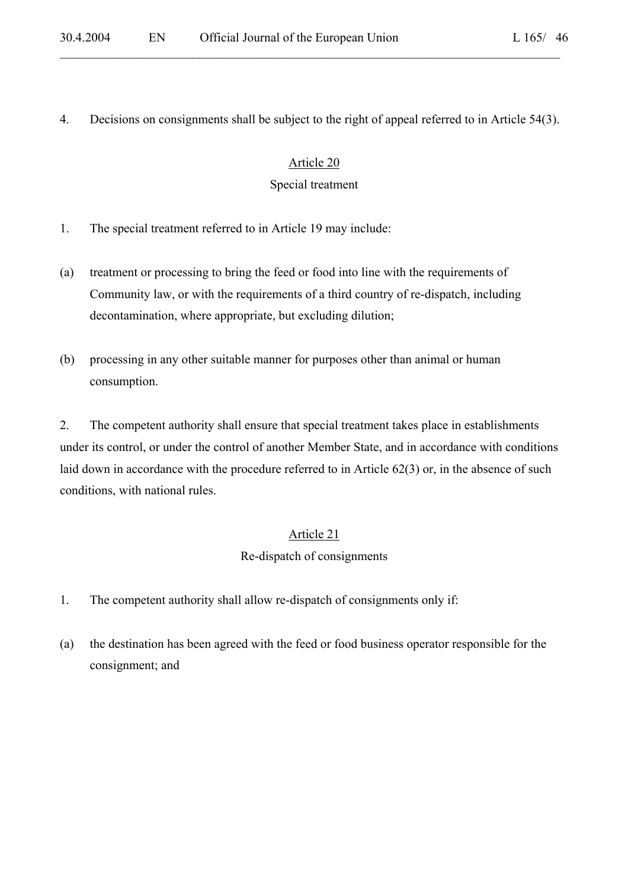### 4. Decisions on consignments shall be subject to the right of appeal referred to in Article 54(3).

 $\mathcal{L}_\mathcal{L} = \mathcal{L}_\mathcal{L} = \mathcal{L}_\mathcal{L} = \mathcal{L}_\mathcal{L} = \mathcal{L}_\mathcal{L} = \mathcal{L}_\mathcal{L} = \mathcal{L}_\mathcal{L} = \mathcal{L}_\mathcal{L} = \mathcal{L}_\mathcal{L} = \mathcal{L}_\mathcal{L} = \mathcal{L}_\mathcal{L} = \mathcal{L}_\mathcal{L} = \mathcal{L}_\mathcal{L} = \mathcal{L}_\mathcal{L} = \mathcal{L}_\mathcal{L} = \mathcal{L}_\mathcal{L} = \mathcal{L}_\mathcal{L}$ 

#### Article 20

#### Special treatment

- 1. The special treatment referred to in Article 19 may include:
- (a) treatment or processing to bring the feed or food into line with the requirements of Community law, or with the requirements of a third country of re-dispatch, including decontamination, where appropriate, but excluding dilution;
- (b) processing in any other suitable manner for purposes other than animal or human consumption.

2. The competent authority shall ensure that special treatment takes place in establishments under its control, or under the control of another Member State, and in accordance with conditions laid down in accordance with the procedure referred to in Article 62(3) or, in the absence of such conditions, with national rules.

#### Article 21

#### Re-dispatch of consignments

- 1. The competent authority shall allow re-dispatch of consignments only if:
- (a) the destination has been agreed with the feed or food business operator responsible for the consignment; and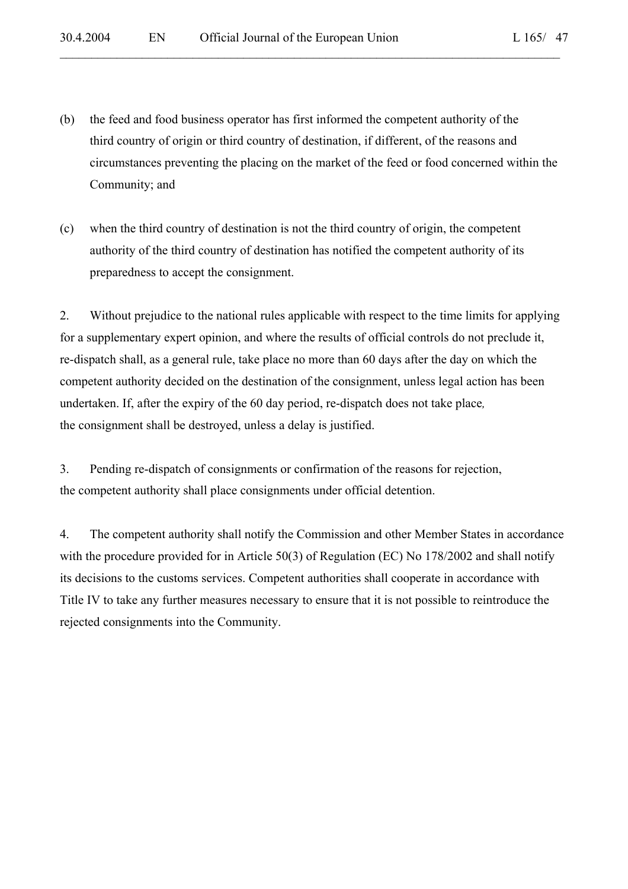(b) the feed and food business operator has first informed the competent authority of the third country of origin or third country of destination, if different, of the reasons and circumstances preventing the placing on the market of the feed or food concerned within the Community; and

 $\mathcal{L}_\mathcal{L} = \mathcal{L}_\mathcal{L} = \mathcal{L}_\mathcal{L} = \mathcal{L}_\mathcal{L} = \mathcal{L}_\mathcal{L} = \mathcal{L}_\mathcal{L} = \mathcal{L}_\mathcal{L} = \mathcal{L}_\mathcal{L} = \mathcal{L}_\mathcal{L} = \mathcal{L}_\mathcal{L} = \mathcal{L}_\mathcal{L} = \mathcal{L}_\mathcal{L} = \mathcal{L}_\mathcal{L} = \mathcal{L}_\mathcal{L} = \mathcal{L}_\mathcal{L} = \mathcal{L}_\mathcal{L} = \mathcal{L}_\mathcal{L}$ 

(c) when the third country of destination is not the third country of origin, the competent authority of the third country of destination has notified the competent authority of its preparedness to accept the consignment.

2. Without prejudice to the national rules applicable with respect to the time limits for applying for a supplementary expert opinion, and where the results of official controls do not preclude it, re-dispatch shall, as a general rule, take place no more than 60 days after the day on which the competent authority decided on the destination of the consignment, unless legal action has been undertaken. If, after the expiry of the 60 day period, re-dispatch does not take place*,*  the consignment shall be destroyed, unless a delay is justified.

3. Pending re-dispatch of consignments or confirmation of the reasons for rejection, the competent authority shall place consignments under official detention.

4. The competent authority shall notify the Commission and other Member States in accordance with the procedure provided for in Article 50(3) of Regulation (EC) No 178/2002 and shall notify its decisions to the customs services. Competent authorities shall cooperate in accordance with Title IV to take any further measures necessary to ensure that it is not possible to reintroduce the rejected consignments into the Community.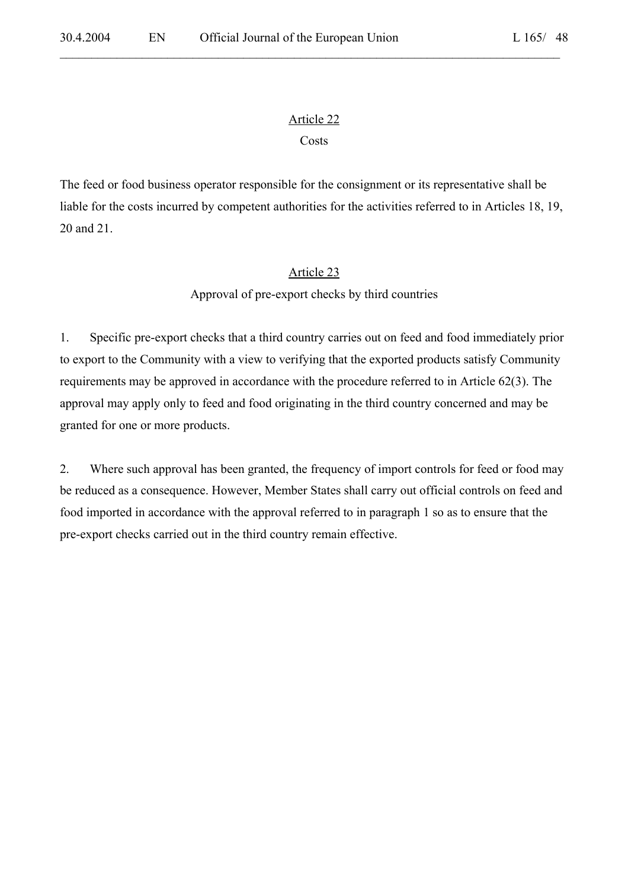$\mathcal{L}_\mathcal{L} = \mathcal{L}_\mathcal{L} = \mathcal{L}_\mathcal{L} = \mathcal{L}_\mathcal{L} = \mathcal{L}_\mathcal{L} = \mathcal{L}_\mathcal{L} = \mathcal{L}_\mathcal{L} = \mathcal{L}_\mathcal{L} = \mathcal{L}_\mathcal{L} = \mathcal{L}_\mathcal{L} = \mathcal{L}_\mathcal{L} = \mathcal{L}_\mathcal{L} = \mathcal{L}_\mathcal{L} = \mathcal{L}_\mathcal{L} = \mathcal{L}_\mathcal{L} = \mathcal{L}_\mathcal{L} = \mathcal{L}_\mathcal{L}$ 

### Costs

The feed or food business operator responsible for the consignment or its representative shall be liable for the costs incurred by competent authorities for the activities referred to in Articles 18, 19, 20 and 21.

### Article 23

Approval of pre-export checks by third countries

1. Specific pre-export checks that a third country carries out on feed and food immediately prior to export to the Community with a view to verifying that the exported products satisfy Community requirements may be approved in accordance with the procedure referred to in Article 62(3). The approval may apply only to feed and food originating in the third country concerned and may be granted for one or more products.

2. Where such approval has been granted, the frequency of import controls for feed or food may be reduced as a consequence. However, Member States shall carry out official controls on feed and food imported in accordance with the approval referred to in paragraph 1 so as to ensure that the pre-export checks carried out in the third country remain effective.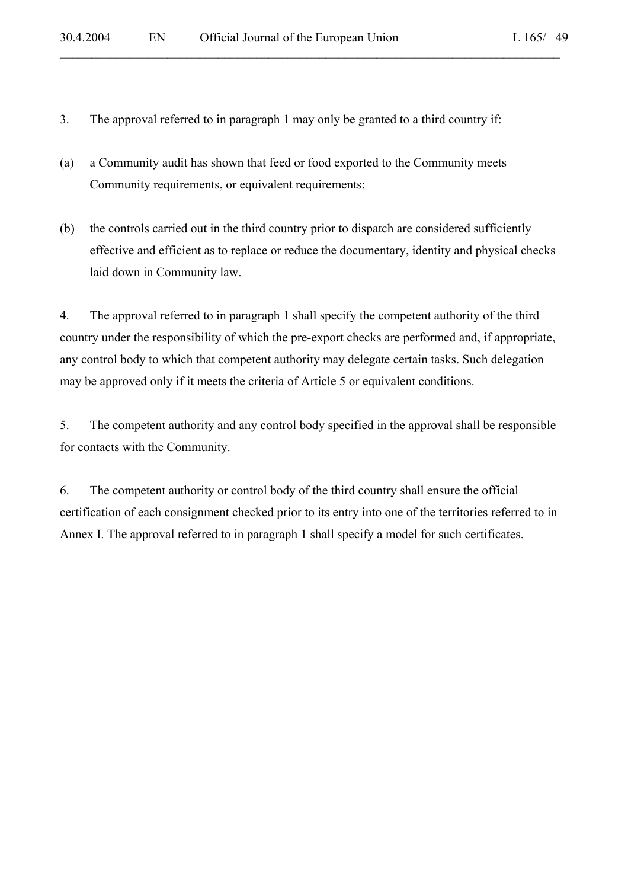- 3. The approval referred to in paragraph 1 may only be granted to a third country if:
- (a) a Community audit has shown that feed or food exported to the Community meets Community requirements, or equivalent requirements;
- (b) the controls carried out in the third country prior to dispatch are considered sufficiently effective and efficient as to replace or reduce the documentary, identity and physical checks laid down in Community law.

 $\mathcal{L}_\mathcal{L} = \mathcal{L}_\mathcal{L} = \mathcal{L}_\mathcal{L} = \mathcal{L}_\mathcal{L} = \mathcal{L}_\mathcal{L} = \mathcal{L}_\mathcal{L} = \mathcal{L}_\mathcal{L} = \mathcal{L}_\mathcal{L} = \mathcal{L}_\mathcal{L} = \mathcal{L}_\mathcal{L} = \mathcal{L}_\mathcal{L} = \mathcal{L}_\mathcal{L} = \mathcal{L}_\mathcal{L} = \mathcal{L}_\mathcal{L} = \mathcal{L}_\mathcal{L} = \mathcal{L}_\mathcal{L} = \mathcal{L}_\mathcal{L}$ 

4. The approval referred to in paragraph 1 shall specify the competent authority of the third country under the responsibility of which the pre-export checks are performed and, if appropriate, any control body to which that competent authority may delegate certain tasks. Such delegation may be approved only if it meets the criteria of Article 5 or equivalent conditions.

5. The competent authority and any control body specified in the approval shall be responsible for contacts with the Community.

6. The competent authority or control body of the third country shall ensure the official certification of each consignment checked prior to its entry into one of the territories referred to in Annex I. The approval referred to in paragraph 1 shall specify a model for such certificates.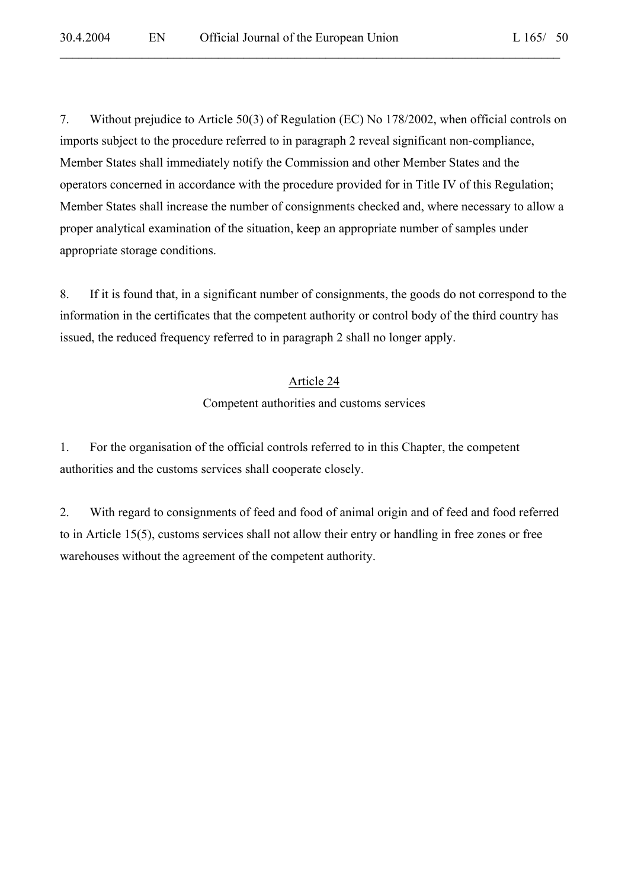7. Without prejudice to Article 50(3) of Regulation (EC) No 178/2002, when official controls on imports subject to the procedure referred to in paragraph 2 reveal significant non-compliance, Member States shall immediately notify the Commission and other Member States and the operators concerned in accordance with the procedure provided for in Title IV of this Regulation; Member States shall increase the number of consignments checked and, where necessary to allow a proper analytical examination of the situation, keep an appropriate number of samples under appropriate storage conditions.

 $\mathcal{L}_\mathcal{L} = \mathcal{L}_\mathcal{L} = \mathcal{L}_\mathcal{L} = \mathcal{L}_\mathcal{L} = \mathcal{L}_\mathcal{L} = \mathcal{L}_\mathcal{L} = \mathcal{L}_\mathcal{L} = \mathcal{L}_\mathcal{L} = \mathcal{L}_\mathcal{L} = \mathcal{L}_\mathcal{L} = \mathcal{L}_\mathcal{L} = \mathcal{L}_\mathcal{L} = \mathcal{L}_\mathcal{L} = \mathcal{L}_\mathcal{L} = \mathcal{L}_\mathcal{L} = \mathcal{L}_\mathcal{L} = \mathcal{L}_\mathcal{L}$ 

8. If it is found that, in a significant number of consignments, the goods do not correspond to the information in the certificates that the competent authority or control body of the third country has issued, the reduced frequency referred to in paragraph 2 shall no longer apply.

#### Article 24

Competent authorities and customs services

1. For the organisation of the official controls referred to in this Chapter, the competent authorities and the customs services shall cooperate closely.

2. With regard to consignments of feed and food of animal origin and of feed and food referred to in Article 15(5), customs services shall not allow their entry or handling in free zones or free warehouses without the agreement of the competent authority.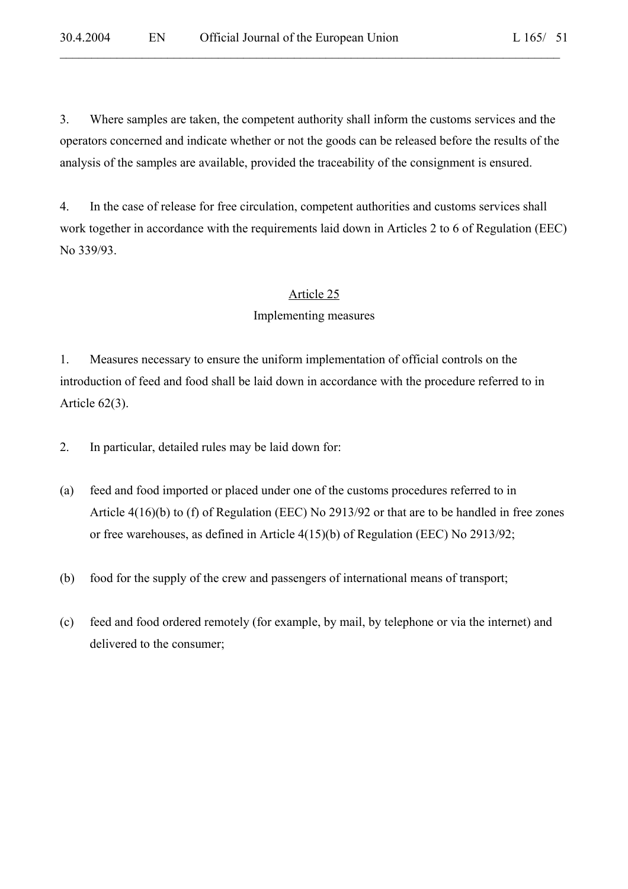3. Where samples are taken, the competent authority shall inform the customs services and the operators concerned and indicate whether or not the goods can be released before the results of the analysis of the samples are available, provided the traceability of the consignment is ensured.

 $\mathcal{L}_\mathcal{L} = \mathcal{L}_\mathcal{L} = \mathcal{L}_\mathcal{L} = \mathcal{L}_\mathcal{L} = \mathcal{L}_\mathcal{L} = \mathcal{L}_\mathcal{L} = \mathcal{L}_\mathcal{L} = \mathcal{L}_\mathcal{L} = \mathcal{L}_\mathcal{L} = \mathcal{L}_\mathcal{L} = \mathcal{L}_\mathcal{L} = \mathcal{L}_\mathcal{L} = \mathcal{L}_\mathcal{L} = \mathcal{L}_\mathcal{L} = \mathcal{L}_\mathcal{L} = \mathcal{L}_\mathcal{L} = \mathcal{L}_\mathcal{L}$ 

4. In the case of release for free circulation, competent authorities and customs services shall work together in accordance with the requirements laid down in Articles 2 to 6 of Regulation (EEC) No 339/93.

#### Article 25

#### Implementing measures

1. Measures necessary to ensure the uniform implementation of official controls on the introduction of feed and food shall be laid down in accordance with the procedure referred to in Article 62(3).

- 2. In particular, detailed rules may be laid down for:
- (a) feed and food imported or placed under one of the customs procedures referred to in Article 4(16)(b) to (f) of Regulation (EEC) No 2913/92 or that are to be handled in free zones or free warehouses, as defined in Article 4(15)(b) of Regulation (EEC) No 2913/92;
- (b) food for the supply of the crew and passengers of international means of transport;
- (c) feed and food ordered remotely (for example, by mail, by telephone or via the internet) and delivered to the consumer;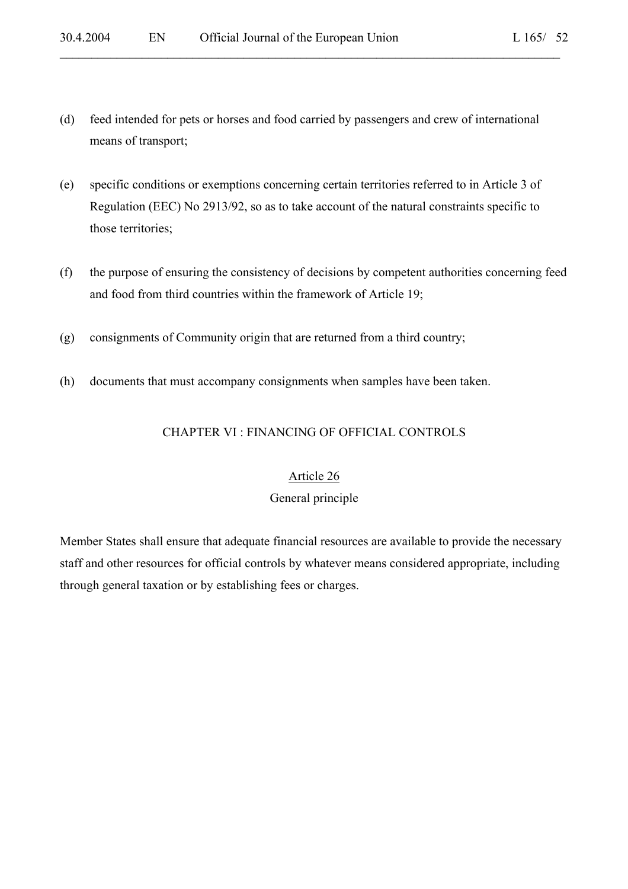(d) feed intended for pets or horses and food carried by passengers and crew of international means of transport;

 $\mathcal{L}_\mathcal{L} = \mathcal{L}_\mathcal{L} = \mathcal{L}_\mathcal{L} = \mathcal{L}_\mathcal{L} = \mathcal{L}_\mathcal{L} = \mathcal{L}_\mathcal{L} = \mathcal{L}_\mathcal{L} = \mathcal{L}_\mathcal{L} = \mathcal{L}_\mathcal{L} = \mathcal{L}_\mathcal{L} = \mathcal{L}_\mathcal{L} = \mathcal{L}_\mathcal{L} = \mathcal{L}_\mathcal{L} = \mathcal{L}_\mathcal{L} = \mathcal{L}_\mathcal{L} = \mathcal{L}_\mathcal{L} = \mathcal{L}_\mathcal{L}$ 

- (e) specific conditions or exemptions concerning certain territories referred to in Article 3 of Regulation (EEC) No 2913/92, so as to take account of the natural constraints specific to those territories;
- (f) the purpose of ensuring the consistency of decisions by competent authorities concerning feed and food from third countries within the framework of Article 19;
- (g) consignments of Community origin that are returned from a third country;
- (h) documents that must accompany consignments when samples have been taken.

#### CHAPTER VI : FINANCING OF OFFICIAL CONTROLS

#### Article 26

#### General principle

Member States shall ensure that adequate financial resources are available to provide the necessary staff and other resources for official controls by whatever means considered appropriate, including through general taxation or by establishing fees or charges.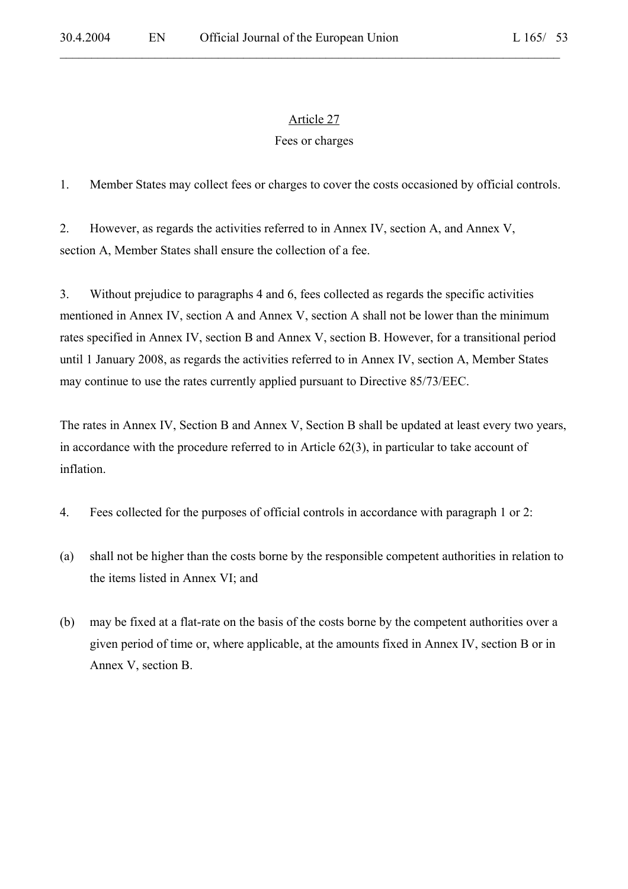$\mathcal{L}_\mathcal{L} = \mathcal{L}_\mathcal{L} = \mathcal{L}_\mathcal{L} = \mathcal{L}_\mathcal{L} = \mathcal{L}_\mathcal{L} = \mathcal{L}_\mathcal{L} = \mathcal{L}_\mathcal{L} = \mathcal{L}_\mathcal{L} = \mathcal{L}_\mathcal{L} = \mathcal{L}_\mathcal{L} = \mathcal{L}_\mathcal{L} = \mathcal{L}_\mathcal{L} = \mathcal{L}_\mathcal{L} = \mathcal{L}_\mathcal{L} = \mathcal{L}_\mathcal{L} = \mathcal{L}_\mathcal{L} = \mathcal{L}_\mathcal{L}$ 

### Fees or charges

1. Member States may collect fees or charges to cover the costs occasioned by official controls.

2. However, as regards the activities referred to in Annex IV, section A, and Annex V, section A, Member States shall ensure the collection of a fee.

3. Without prejudice to paragraphs 4 and 6, fees collected as regards the specific activities mentioned in Annex IV, section A and Annex V, section A shall not be lower than the minimum rates specified in Annex IV, section B and Annex V, section B. However, for a transitional period until 1 January 2008, as regards the activities referred to in Annex IV, section A, Member States may continue to use the rates currently applied pursuant to Directive 85/73/EEC.

The rates in Annex IV, Section B and Annex V, Section B shall be updated at least every two years, in accordance with the procedure referred to in Article 62(3), in particular to take account of inflation.

- 4. Fees collected for the purposes of official controls in accordance with paragraph 1 or 2:
- (a) shall not be higher than the costs borne by the responsible competent authorities in relation to the items listed in Annex VI; and
- (b) may be fixed at a flat-rate on the basis of the costs borne by the competent authorities over a given period of time or, where applicable, at the amounts fixed in Annex IV, section B or in Annex V, section B.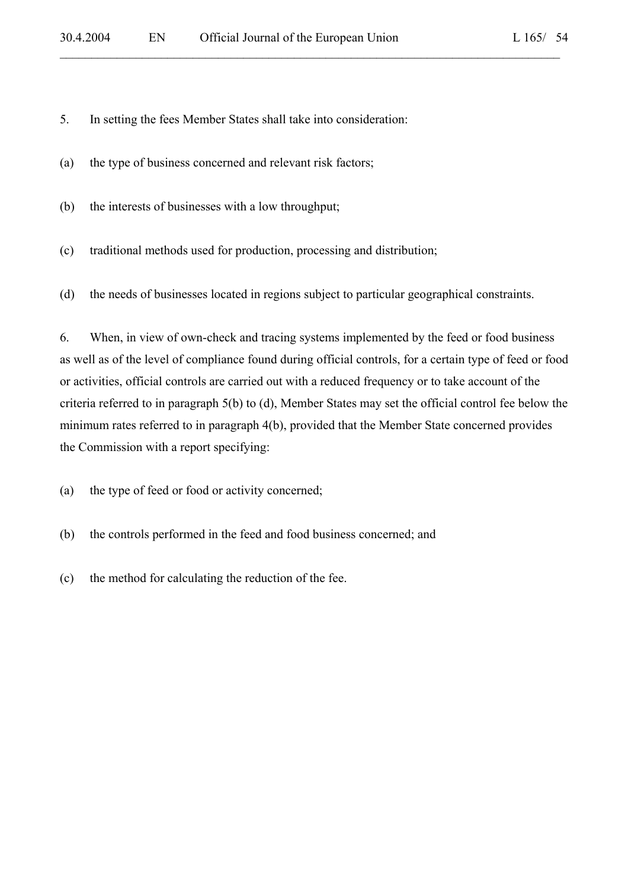5. In setting the fees Member States shall take into consideration:

(a) the type of business concerned and relevant risk factors;

(b) the interests of businesses with a low throughput;

(c) traditional methods used for production, processing and distribution;

(d) the needs of businesses located in regions subject to particular geographical constraints.

 $\mathcal{L}_\mathcal{L} = \mathcal{L}_\mathcal{L} = \mathcal{L}_\mathcal{L} = \mathcal{L}_\mathcal{L} = \mathcal{L}_\mathcal{L} = \mathcal{L}_\mathcal{L} = \mathcal{L}_\mathcal{L} = \mathcal{L}_\mathcal{L} = \mathcal{L}_\mathcal{L} = \mathcal{L}_\mathcal{L} = \mathcal{L}_\mathcal{L} = \mathcal{L}_\mathcal{L} = \mathcal{L}_\mathcal{L} = \mathcal{L}_\mathcal{L} = \mathcal{L}_\mathcal{L} = \mathcal{L}_\mathcal{L} = \mathcal{L}_\mathcal{L}$ 

6. When, in view of own-check and tracing systems implemented by the feed or food business as well as of the level of compliance found during official controls, for a certain type of feed or food or activities, official controls are carried out with a reduced frequency or to take account of the criteria referred to in paragraph 5(b) to (d), Member States may set the official control fee below the minimum rates referred to in paragraph 4(b), provided that the Member State concerned provides the Commission with a report specifying:

(a) the type of feed or food or activity concerned;

- (b) the controls performed in the feed and food business concerned; and
- (c) the method for calculating the reduction of the fee.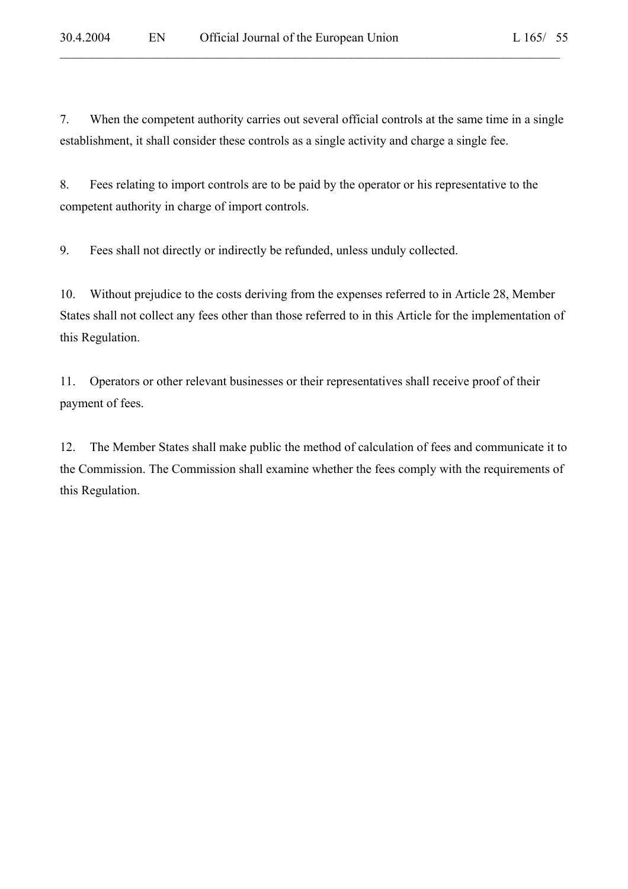7. When the competent authority carries out several official controls at the same time in a single establishment, it shall consider these controls as a single activity and charge a single fee.

 $\mathcal{L}_\mathcal{L} = \mathcal{L}_\mathcal{L} = \mathcal{L}_\mathcal{L} = \mathcal{L}_\mathcal{L} = \mathcal{L}_\mathcal{L} = \mathcal{L}_\mathcal{L} = \mathcal{L}_\mathcal{L} = \mathcal{L}_\mathcal{L} = \mathcal{L}_\mathcal{L} = \mathcal{L}_\mathcal{L} = \mathcal{L}_\mathcal{L} = \mathcal{L}_\mathcal{L} = \mathcal{L}_\mathcal{L} = \mathcal{L}_\mathcal{L} = \mathcal{L}_\mathcal{L} = \mathcal{L}_\mathcal{L} = \mathcal{L}_\mathcal{L}$ 

8. Fees relating to import controls are to be paid by the operator or his representative to the competent authority in charge of import controls.

9. Fees shall not directly or indirectly be refunded, unless unduly collected.

10. Without prejudice to the costs deriving from the expenses referred to in Article 28, Member States shall not collect any fees other than those referred to in this Article for the implementation of this Regulation.

11. Operators or other relevant businesses or their representatives shall receive proof of their payment of fees.

12. The Member States shall make public the method of calculation of fees and communicate it to the Commission. The Commission shall examine whether the fees comply with the requirements of this Regulation.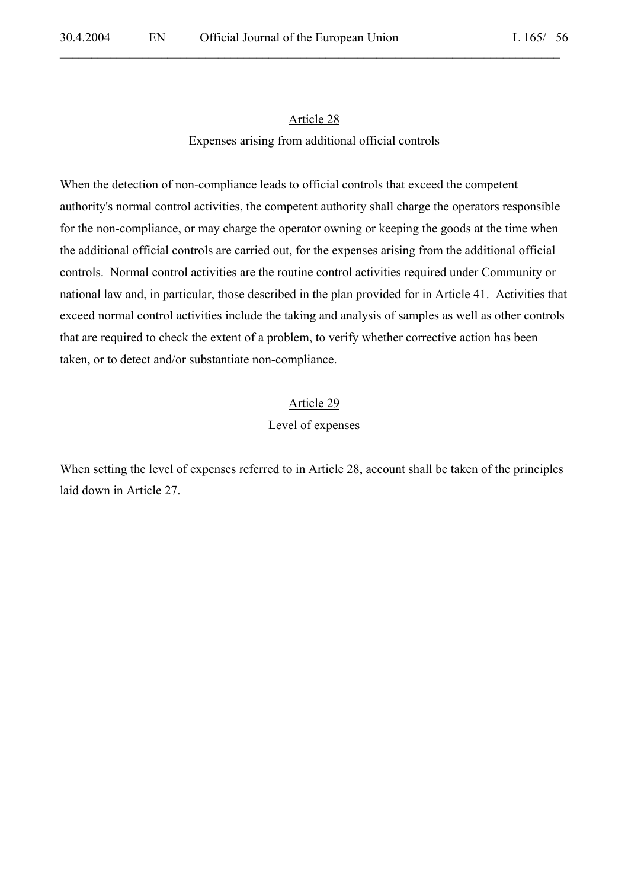$\mathcal{L}_\mathcal{L} = \mathcal{L}_\mathcal{L} = \mathcal{L}_\mathcal{L} = \mathcal{L}_\mathcal{L} = \mathcal{L}_\mathcal{L} = \mathcal{L}_\mathcal{L} = \mathcal{L}_\mathcal{L} = \mathcal{L}_\mathcal{L} = \mathcal{L}_\mathcal{L} = \mathcal{L}_\mathcal{L} = \mathcal{L}_\mathcal{L} = \mathcal{L}_\mathcal{L} = \mathcal{L}_\mathcal{L} = \mathcal{L}_\mathcal{L} = \mathcal{L}_\mathcal{L} = \mathcal{L}_\mathcal{L} = \mathcal{L}_\mathcal{L}$ 

#### Expenses arising from additional official controls

When the detection of non-compliance leads to official controls that exceed the competent authority's normal control activities, the competent authority shall charge the operators responsible for the non-compliance, or may charge the operator owning or keeping the goods at the time when the additional official controls are carried out, for the expenses arising from the additional official controls. Normal control activities are the routine control activities required under Community or national law and, in particular, those described in the plan provided for in Article 41. Activities that exceed normal control activities include the taking and analysis of samples as well as other controls that are required to check the extent of a problem, to verify whether corrective action has been taken, or to detect and/or substantiate non-compliance.

#### Article 29

#### Level of expenses

When setting the level of expenses referred to in Article 28, account shall be taken of the principles laid down in Article 27.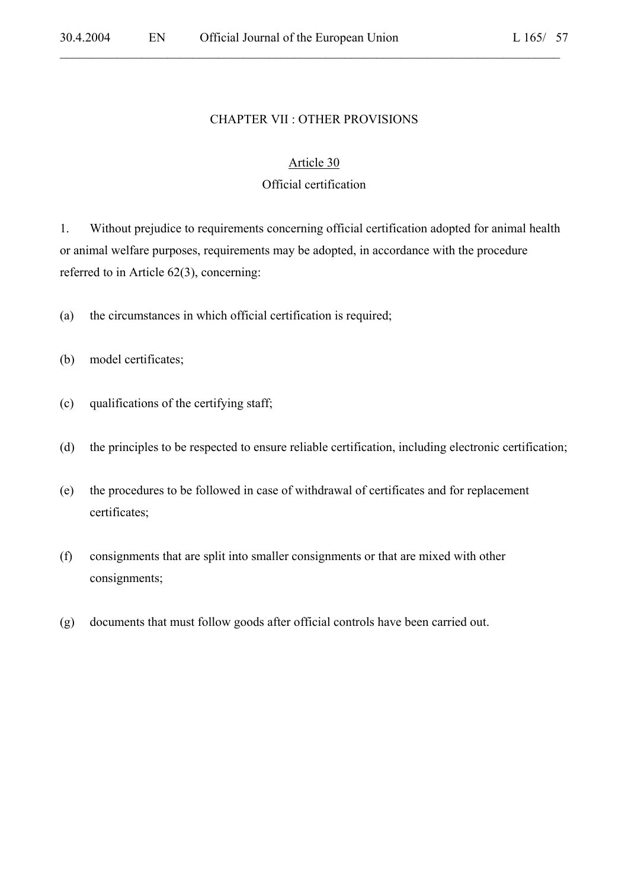#### CHAPTER VII : OTHER PROVISIONS

 $\mathcal{L}_\mathcal{L} = \mathcal{L}_\mathcal{L} = \mathcal{L}_\mathcal{L} = \mathcal{L}_\mathcal{L} = \mathcal{L}_\mathcal{L} = \mathcal{L}_\mathcal{L} = \mathcal{L}_\mathcal{L} = \mathcal{L}_\mathcal{L} = \mathcal{L}_\mathcal{L} = \mathcal{L}_\mathcal{L} = \mathcal{L}_\mathcal{L} = \mathcal{L}_\mathcal{L} = \mathcal{L}_\mathcal{L} = \mathcal{L}_\mathcal{L} = \mathcal{L}_\mathcal{L} = \mathcal{L}_\mathcal{L} = \mathcal{L}_\mathcal{L}$ 

#### Article 30

#### Official certification

1. Without prejudice to requirements concerning official certification adopted for animal health or animal welfare purposes, requirements may be adopted, in accordance with the procedure referred to in Article 62(3), concerning:

- (a) the circumstances in which official certification is required;
- (b) model certificates;
- (c) qualifications of the certifying staff;
- (d) the principles to be respected to ensure reliable certification, including electronic certification;
- (e) the procedures to be followed in case of withdrawal of certificates and for replacement certificates;
- (f) consignments that are split into smaller consignments or that are mixed with other consignments;
- (g) documents that must follow goods after official controls have been carried out.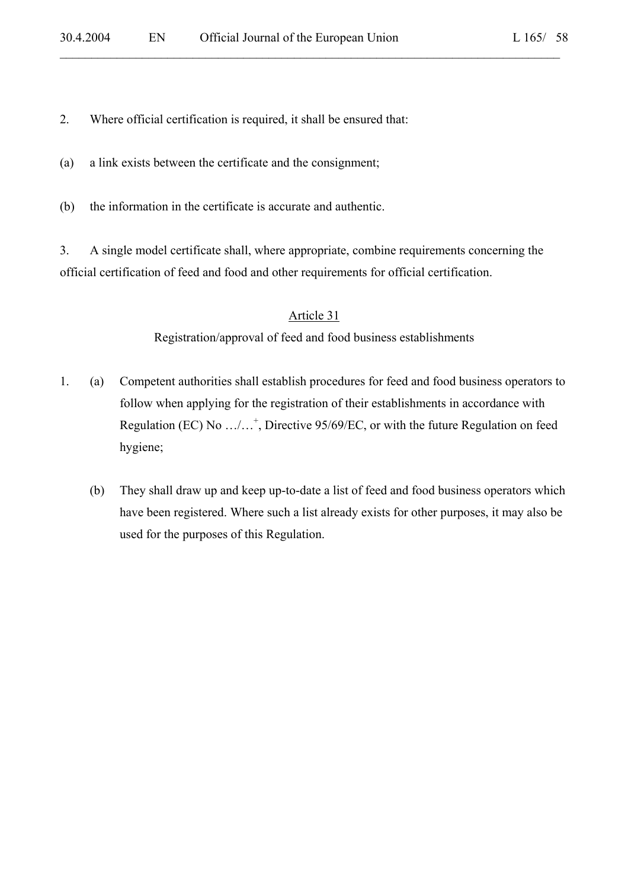2. Where official certification is required, it shall be ensured that:

(a) a link exists between the certificate and the consignment;

(b) the information in the certificate is accurate and authentic.

3. A single model certificate shall, where appropriate, combine requirements concerning the official certification of feed and food and other requirements for official certification.

 $\mathcal{L}_\mathcal{L} = \mathcal{L}_\mathcal{L} = \mathcal{L}_\mathcal{L} = \mathcal{L}_\mathcal{L} = \mathcal{L}_\mathcal{L} = \mathcal{L}_\mathcal{L} = \mathcal{L}_\mathcal{L} = \mathcal{L}_\mathcal{L} = \mathcal{L}_\mathcal{L} = \mathcal{L}_\mathcal{L} = \mathcal{L}_\mathcal{L} = \mathcal{L}_\mathcal{L} = \mathcal{L}_\mathcal{L} = \mathcal{L}_\mathcal{L} = \mathcal{L}_\mathcal{L} = \mathcal{L}_\mathcal{L} = \mathcal{L}_\mathcal{L}$ 

#### Article 31

Registration/approval of feed and food business establishments

- 1. (a) Competent authorities shall establish procedures for feed and food business operators to follow when applying for the registration of their establishments in accordance with Regulation (EC) No .../...<sup>+</sup>, Directive 95/69/EC, or with the future Regulation on feed hygiene;
	- (b) They shall draw up and keep up-to-date a list of feed and food business operators which have been registered. Where such a list already exists for other purposes, it may also be used for the purposes of this Regulation.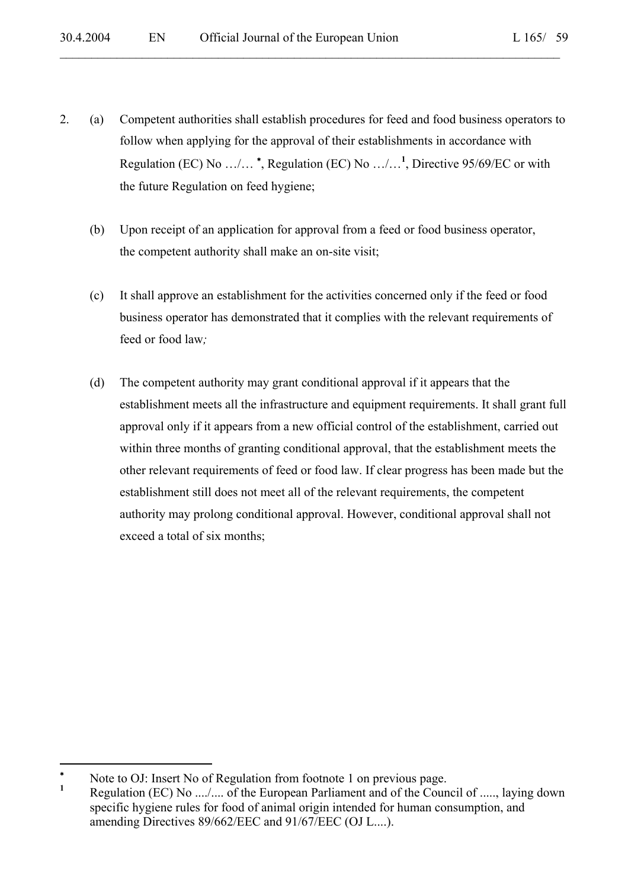2. (a) Competent authorities shall establish procedures for feed and food business operators to follow when applying for the approval of their establishments in accordance with Regulation (EC) No …/… <sup>∗</sup> , Regulation (EC) No …/…**<sup>1</sup>** , Directive 95/69/EC or with the future Regulation on feed hygiene;

 $\mathcal{L}_\mathcal{L} = \mathcal{L}_\mathcal{L} = \mathcal{L}_\mathcal{L} = \mathcal{L}_\mathcal{L} = \mathcal{L}_\mathcal{L} = \mathcal{L}_\mathcal{L} = \mathcal{L}_\mathcal{L} = \mathcal{L}_\mathcal{L} = \mathcal{L}_\mathcal{L} = \mathcal{L}_\mathcal{L} = \mathcal{L}_\mathcal{L} = \mathcal{L}_\mathcal{L} = \mathcal{L}_\mathcal{L} = \mathcal{L}_\mathcal{L} = \mathcal{L}_\mathcal{L} = \mathcal{L}_\mathcal{L} = \mathcal{L}_\mathcal{L}$ 

- (b) Upon receipt of an application for approval from a feed or food business operator, the competent authority shall make an on-site visit;
- (c) It shall approve an establishment for the activities concerned only if the feed or food business operator has demonstrated that it complies with the relevant requirements of feed or food law*;*
- (d) The competent authority may grant conditional approval if it appears that the establishment meets all the infrastructure and equipment requirements. It shall grant full approval only if it appears from a new official control of the establishment, carried out within three months of granting conditional approval, that the establishment meets the other relevant requirements of feed or food law. If clear progress has been made but the establishment still does not meet all of the relevant requirements, the competent authority may prolong conditional approval. However, conditional approval shall not exceed a total of six months;

 $\overline{a}$ 

<sup>∗</sup> Note to OJ: Insert No of Regulation from footnote 1 on previous page.

**<sup>1</sup>** Regulation (EC) No ..../.... of the European Parliament and of the Council of ....., laying down specific hygiene rules for food of animal origin intended for human consumption, and amending Directives 89/662/EEC and 91/67/EEC (OJ L....).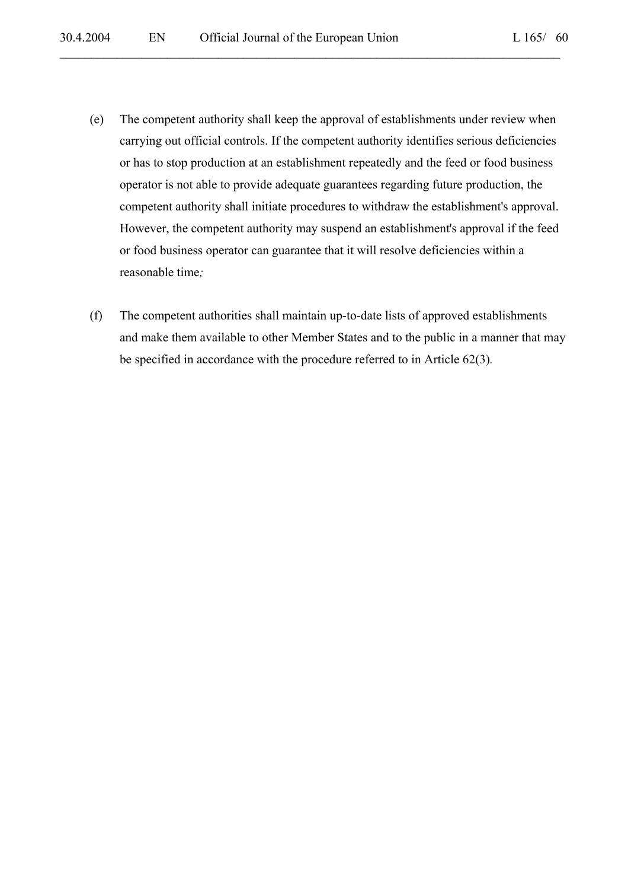- (e) The competent authority shall keep the approval of establishments under review when carrying out official controls. If the competent authority identifies serious deficiencies or has to stop production at an establishment repeatedly and the feed or food business operator is not able to provide adequate guarantees regarding future production, the competent authority shall initiate procedures to withdraw the establishment's approval. However, the competent authority may suspend an establishment's approval if the feed or food business operator can guarantee that it will resolve deficiencies within a reasonable time*;*
- (f) The competent authorities shall maintain up-to-date lists of approved establishments and make them available to other Member States and to the public in a manner that may be specified in accordance with the procedure referred to in Article 62(3)*.*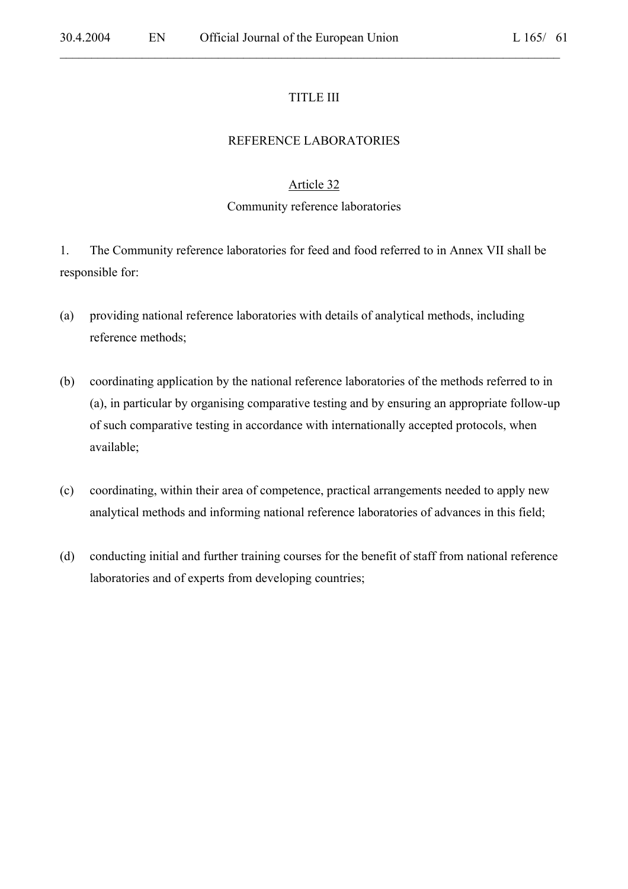#### TITLE III

 $\mathcal{L}_\mathcal{L} = \mathcal{L}_\mathcal{L} = \mathcal{L}_\mathcal{L} = \mathcal{L}_\mathcal{L} = \mathcal{L}_\mathcal{L} = \mathcal{L}_\mathcal{L} = \mathcal{L}_\mathcal{L} = \mathcal{L}_\mathcal{L} = \mathcal{L}_\mathcal{L} = \mathcal{L}_\mathcal{L} = \mathcal{L}_\mathcal{L} = \mathcal{L}_\mathcal{L} = \mathcal{L}_\mathcal{L} = \mathcal{L}_\mathcal{L} = \mathcal{L}_\mathcal{L} = \mathcal{L}_\mathcal{L} = \mathcal{L}_\mathcal{L}$ 

#### REFERENCE LABORATORIES

#### Article 32

#### Community reference laboratories

1. The Community reference laboratories for feed and food referred to in Annex VII shall be responsible for:

- (a) providing national reference laboratories with details of analytical methods, including reference methods;
- (b) coordinating application by the national reference laboratories of the methods referred to in (a), in particular by organising comparative testing and by ensuring an appropriate follow-up of such comparative testing in accordance with internationally accepted protocols, when available;
- (c) coordinating, within their area of competence, practical arrangements needed to apply new analytical methods and informing national reference laboratories of advances in this field;
- (d) conducting initial and further training courses for the benefit of staff from national reference laboratories and of experts from developing countries;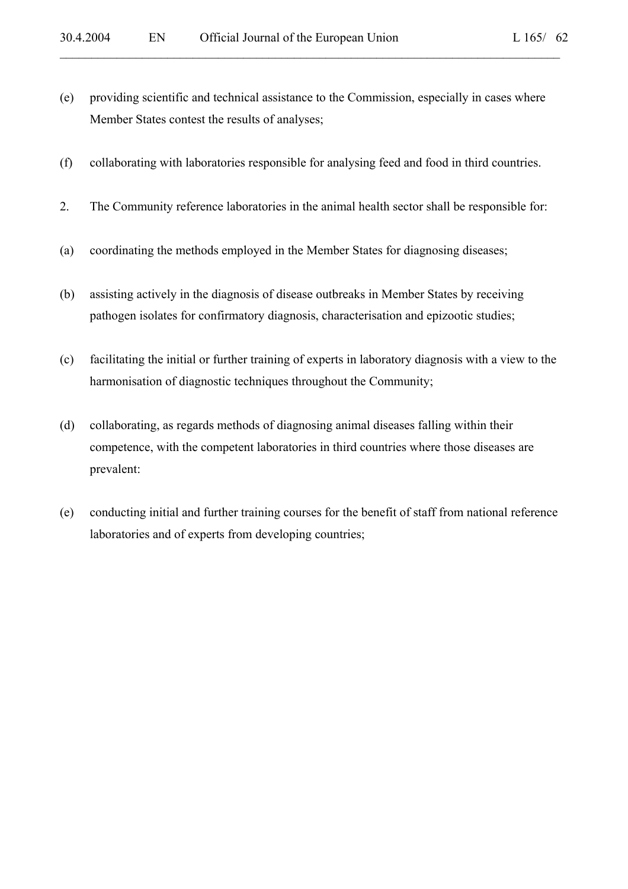(e) providing scientific and technical assistance to the Commission, especially in cases where Member States contest the results of analyses;

 $\mathcal{L}_\mathcal{L} = \mathcal{L}_\mathcal{L} = \mathcal{L}_\mathcal{L} = \mathcal{L}_\mathcal{L} = \mathcal{L}_\mathcal{L} = \mathcal{L}_\mathcal{L} = \mathcal{L}_\mathcal{L} = \mathcal{L}_\mathcal{L} = \mathcal{L}_\mathcal{L} = \mathcal{L}_\mathcal{L} = \mathcal{L}_\mathcal{L} = \mathcal{L}_\mathcal{L} = \mathcal{L}_\mathcal{L} = \mathcal{L}_\mathcal{L} = \mathcal{L}_\mathcal{L} = \mathcal{L}_\mathcal{L} = \mathcal{L}_\mathcal{L}$ 

- (f) collaborating with laboratories responsible for analysing feed and food in third countries.
- 2. The Community reference laboratories in the animal health sector shall be responsible for:
- (a) coordinating the methods employed in the Member States for diagnosing diseases;
- (b) assisting actively in the diagnosis of disease outbreaks in Member States by receiving pathogen isolates for confirmatory diagnosis, characterisation and epizootic studies;
- (c) facilitating the initial or further training of experts in laboratory diagnosis with a view to the harmonisation of diagnostic techniques throughout the Community;
- (d) collaborating, as regards methods of diagnosing animal diseases falling within their competence, with the competent laboratories in third countries where those diseases are prevalent:
- (e) conducting initial and further training courses for the benefit of staff from national reference laboratories and of experts from developing countries;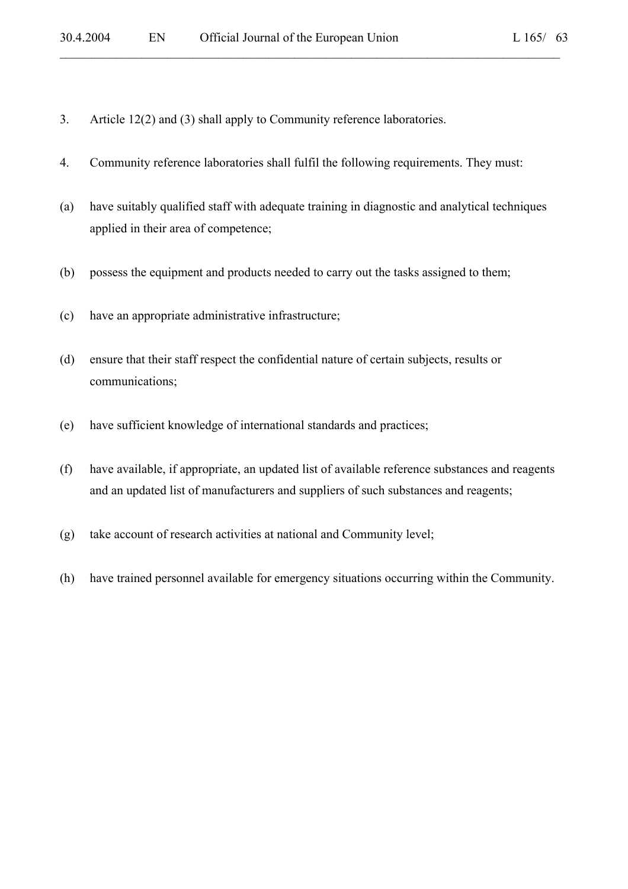- 3. Article 12(2) and (3) shall apply to Community reference laboratories.
- 4. Community reference laboratories shall fulfil the following requirements. They must:
- (a) have suitably qualified staff with adequate training in diagnostic and analytical techniques applied in their area of competence;

 $\mathcal{L}_\mathcal{L} = \mathcal{L}_\mathcal{L} = \mathcal{L}_\mathcal{L} = \mathcal{L}_\mathcal{L} = \mathcal{L}_\mathcal{L} = \mathcal{L}_\mathcal{L} = \mathcal{L}_\mathcal{L} = \mathcal{L}_\mathcal{L} = \mathcal{L}_\mathcal{L} = \mathcal{L}_\mathcal{L} = \mathcal{L}_\mathcal{L} = \mathcal{L}_\mathcal{L} = \mathcal{L}_\mathcal{L} = \mathcal{L}_\mathcal{L} = \mathcal{L}_\mathcal{L} = \mathcal{L}_\mathcal{L} = \mathcal{L}_\mathcal{L}$ 

- (b) possess the equipment and products needed to carry out the tasks assigned to them;
- (c) have an appropriate administrative infrastructure;
- (d) ensure that their staff respect the confidential nature of certain subjects, results or communications;
- (e) have sufficient knowledge of international standards and practices;
- (f) have available, if appropriate, an updated list of available reference substances and reagents and an updated list of manufacturers and suppliers of such substances and reagents;
- (g) take account of research activities at national and Community level;
- (h) have trained personnel available for emergency situations occurring within the Community.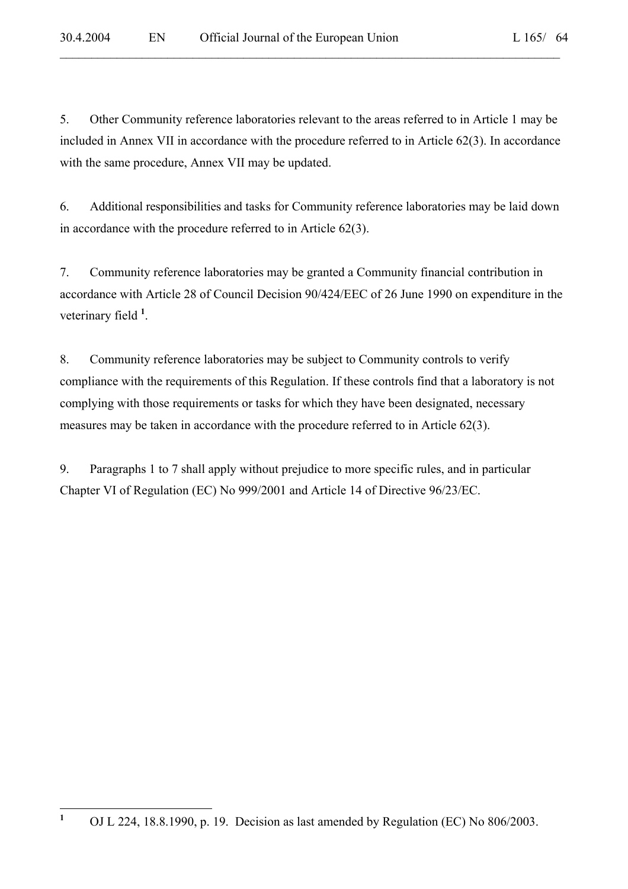5. Other Community reference laboratories relevant to the areas referred to in Article 1 may be included in Annex VII in accordance with the procedure referred to in Article 62(3). In accordance with the same procedure, Annex VII may be updated.

 $\mathcal{L}_\mathcal{L} = \mathcal{L}_\mathcal{L} = \mathcal{L}_\mathcal{L} = \mathcal{L}_\mathcal{L} = \mathcal{L}_\mathcal{L} = \mathcal{L}_\mathcal{L} = \mathcal{L}_\mathcal{L} = \mathcal{L}_\mathcal{L} = \mathcal{L}_\mathcal{L} = \mathcal{L}_\mathcal{L} = \mathcal{L}_\mathcal{L} = \mathcal{L}_\mathcal{L} = \mathcal{L}_\mathcal{L} = \mathcal{L}_\mathcal{L} = \mathcal{L}_\mathcal{L} = \mathcal{L}_\mathcal{L} = \mathcal{L}_\mathcal{L}$ 

6. Additional responsibilities and tasks for Community reference laboratories may be laid down in accordance with the procedure referred to in Article 62(3).

7. Community reference laboratories may be granted a Community financial contribution in accordance with Article 28 of Council Decision 90/424/EEC of 26 June 1990 on expenditure in the veterinary field **<sup>1</sup>** .

8. Community reference laboratories may be subject to Community controls to verify compliance with the requirements of this Regulation. If these controls find that a laboratory is not complying with those requirements or tasks for which they have been designated, necessary measures may be taken in accordance with the procedure referred to in Article 62(3).

9. Paragraphs 1 to 7 shall apply without prejudice to more specific rules, and in particular Chapter VI of Regulation (EC) No 999/2001 and Article 14 of Directive 96/23/EC.

 **1** OJ L 224, 18.8.1990, p. 19. Decision as last amended by Regulation (EC) No 806/2003.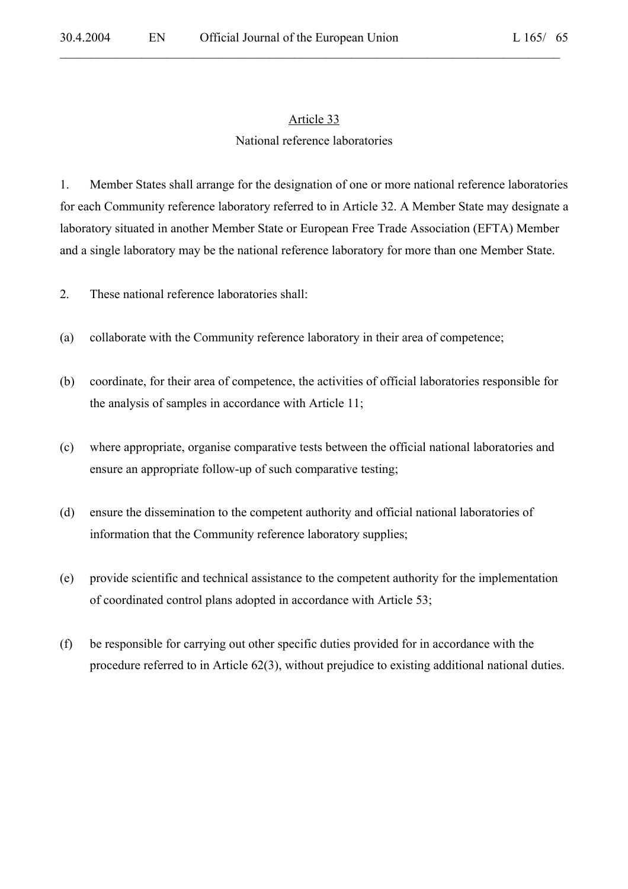$\mathcal{L}_\mathcal{L} = \mathcal{L}_\mathcal{L} = \mathcal{L}_\mathcal{L} = \mathcal{L}_\mathcal{L} = \mathcal{L}_\mathcal{L} = \mathcal{L}_\mathcal{L} = \mathcal{L}_\mathcal{L} = \mathcal{L}_\mathcal{L} = \mathcal{L}_\mathcal{L} = \mathcal{L}_\mathcal{L} = \mathcal{L}_\mathcal{L} = \mathcal{L}_\mathcal{L} = \mathcal{L}_\mathcal{L} = \mathcal{L}_\mathcal{L} = \mathcal{L}_\mathcal{L} = \mathcal{L}_\mathcal{L} = \mathcal{L}_\mathcal{L}$ 

#### National reference laboratories

1. Member States shall arrange for the designation of one or more national reference laboratories for each Community reference laboratory referred to in Article 32. A Member State may designate a laboratory situated in another Member State or European Free Trade Association (EFTA) Member and a single laboratory may be the national reference laboratory for more than one Member State.

2. These national reference laboratories shall:

- (a) collaborate with the Community reference laboratory in their area of competence;
- (b) coordinate, for their area of competence, the activities of official laboratories responsible for the analysis of samples in accordance with Article 11;
- (c) where appropriate, organise comparative tests between the official national laboratories and ensure an appropriate follow-up of such comparative testing;
- (d) ensure the dissemination to the competent authority and official national laboratories of information that the Community reference laboratory supplies;
- (e) provide scientific and technical assistance to the competent authority for the implementation of coordinated control plans adopted in accordance with Article 53;
- (f) be responsible for carrying out other specific duties provided for in accordance with the procedure referred to in Article 62(3), without prejudice to existing additional national duties.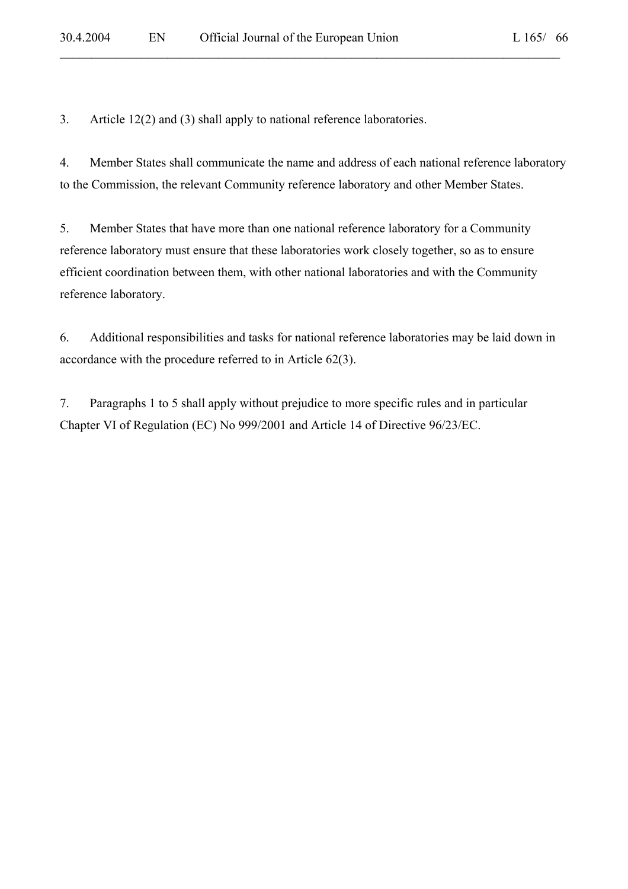3. Article 12(2) and (3) shall apply to national reference laboratories.

4. Member States shall communicate the name and address of each national reference laboratory to the Commission, the relevant Community reference laboratory and other Member States.

 $\mathcal{L}_\mathcal{L} = \mathcal{L}_\mathcal{L} = \mathcal{L}_\mathcal{L} = \mathcal{L}_\mathcal{L} = \mathcal{L}_\mathcal{L} = \mathcal{L}_\mathcal{L} = \mathcal{L}_\mathcal{L} = \mathcal{L}_\mathcal{L} = \mathcal{L}_\mathcal{L} = \mathcal{L}_\mathcal{L} = \mathcal{L}_\mathcal{L} = \mathcal{L}_\mathcal{L} = \mathcal{L}_\mathcal{L} = \mathcal{L}_\mathcal{L} = \mathcal{L}_\mathcal{L} = \mathcal{L}_\mathcal{L} = \mathcal{L}_\mathcal{L}$ 

5. Member States that have more than one national reference laboratory for a Community reference laboratory must ensure that these laboratories work closely together, so as to ensure efficient coordination between them, with other national laboratories and with the Community reference laboratory.

6. Additional responsibilities and tasks for national reference laboratories may be laid down in accordance with the procedure referred to in Article 62(3).

7. Paragraphs 1 to 5 shall apply without prejudice to more specific rules and in particular Chapter VI of Regulation (EC) No 999/2001 and Article 14 of Directive 96/23/EC.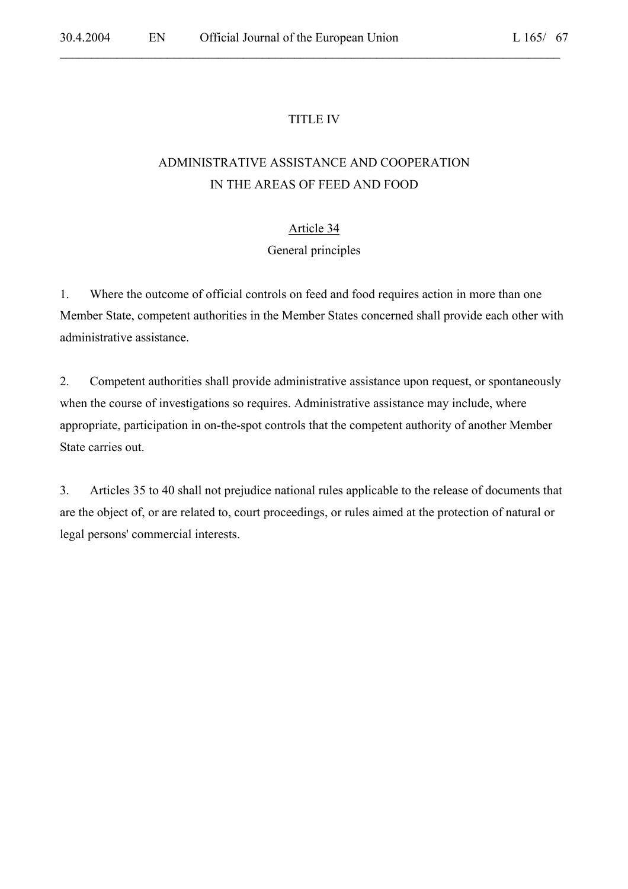### TITLE IV

 $\mathcal{L}_\mathcal{L} = \mathcal{L}_\mathcal{L} = \mathcal{L}_\mathcal{L} = \mathcal{L}_\mathcal{L} = \mathcal{L}_\mathcal{L} = \mathcal{L}_\mathcal{L} = \mathcal{L}_\mathcal{L} = \mathcal{L}_\mathcal{L} = \mathcal{L}_\mathcal{L} = \mathcal{L}_\mathcal{L} = \mathcal{L}_\mathcal{L} = \mathcal{L}_\mathcal{L} = \mathcal{L}_\mathcal{L} = \mathcal{L}_\mathcal{L} = \mathcal{L}_\mathcal{L} = \mathcal{L}_\mathcal{L} = \mathcal{L}_\mathcal{L}$ 

# ADMINISTRATIVE ASSISTANCE AND COOPERATION IN THE AREAS OF FEED AND FOOD

#### Article 34

#### General principles

1. Where the outcome of official controls on feed and food requires action in more than one Member State, competent authorities in the Member States concerned shall provide each other with administrative assistance.

2. Competent authorities shall provide administrative assistance upon request, or spontaneously when the course of investigations so requires. Administrative assistance may include, where appropriate, participation in on-the-spot controls that the competent authority of another Member State carries out.

3. Articles 35 to 40 shall not prejudice national rules applicable to the release of documents that are the object of, or are related to, court proceedings, or rules aimed at the protection of natural or legal persons' commercial interests.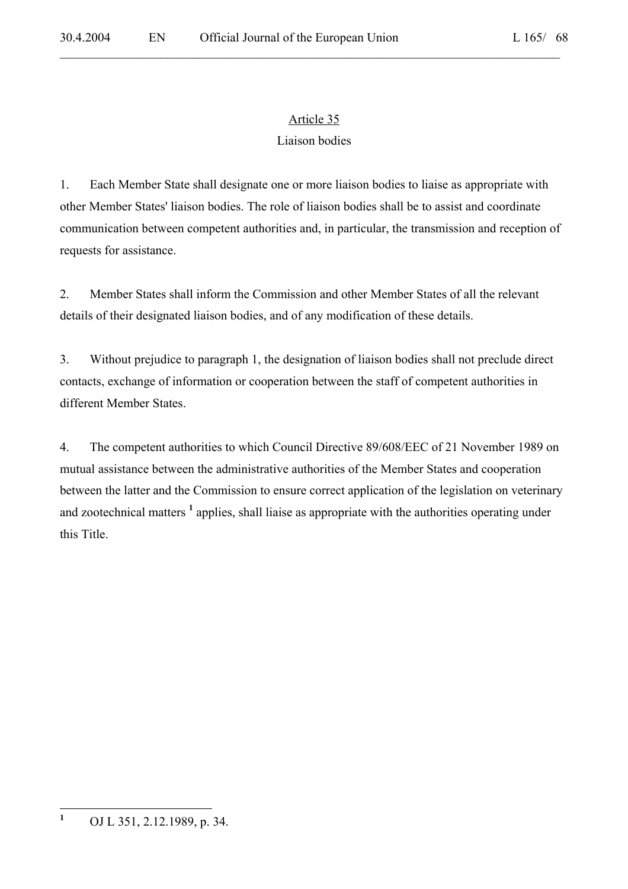$\mathcal{L}_\mathcal{L} = \mathcal{L}_\mathcal{L} = \mathcal{L}_\mathcal{L} = \mathcal{L}_\mathcal{L} = \mathcal{L}_\mathcal{L} = \mathcal{L}_\mathcal{L} = \mathcal{L}_\mathcal{L} = \mathcal{L}_\mathcal{L} = \mathcal{L}_\mathcal{L} = \mathcal{L}_\mathcal{L} = \mathcal{L}_\mathcal{L} = \mathcal{L}_\mathcal{L} = \mathcal{L}_\mathcal{L} = \mathcal{L}_\mathcal{L} = \mathcal{L}_\mathcal{L} = \mathcal{L}_\mathcal{L} = \mathcal{L}_\mathcal{L}$ 

# Article 35

### Liaison bodies

1. Each Member State shall designate one or more liaison bodies to liaise as appropriate with other Member States' liaison bodies. The role of liaison bodies shall be to assist and coordinate communication between competent authorities and, in particular, the transmission and reception of requests for assistance.

2. Member States shall inform the Commission and other Member States of all the relevant details of their designated liaison bodies, and of any modification of these details.

3. Without prejudice to paragraph 1, the designation of liaison bodies shall not preclude direct contacts, exchange of information or cooperation between the staff of competent authorities in different Member States.

4. The competent authorities to which Council Directive 89/608/EEC of 21 November 1989 on mutual assistance between the administrative authorities of the Member States and cooperation between the latter and the Commission to ensure correct application of the legislation on veterinary and zootechnical matters <sup>1</sup> applies, shall liaise as appropriate with the authorities operating under this Title.

 **1** OJ L 351, 2.12.1989, p. 34.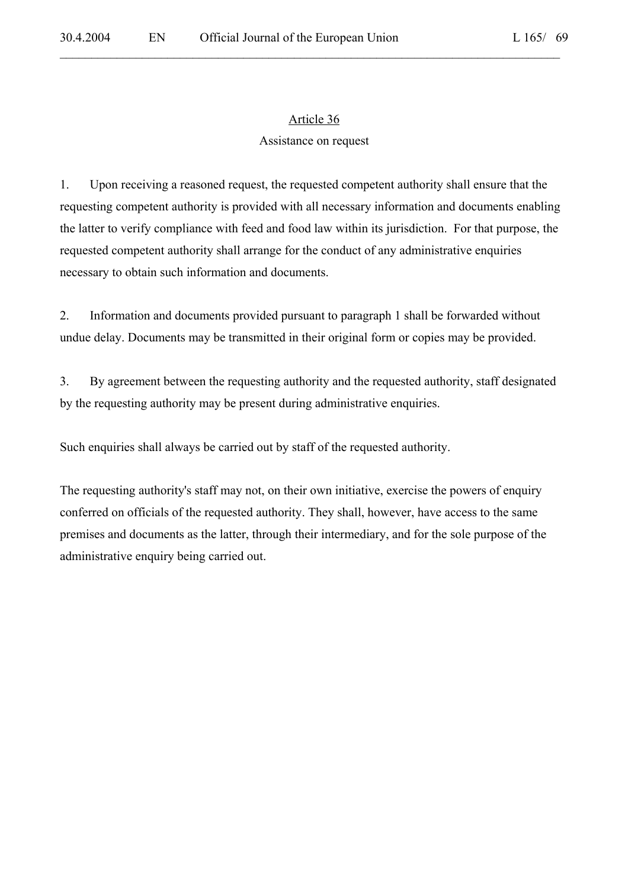$\mathcal{L}_\mathcal{L} = \mathcal{L}_\mathcal{L} = \mathcal{L}_\mathcal{L} = \mathcal{L}_\mathcal{L} = \mathcal{L}_\mathcal{L} = \mathcal{L}_\mathcal{L} = \mathcal{L}_\mathcal{L} = \mathcal{L}_\mathcal{L} = \mathcal{L}_\mathcal{L} = \mathcal{L}_\mathcal{L} = \mathcal{L}_\mathcal{L} = \mathcal{L}_\mathcal{L} = \mathcal{L}_\mathcal{L} = \mathcal{L}_\mathcal{L} = \mathcal{L}_\mathcal{L} = \mathcal{L}_\mathcal{L} = \mathcal{L}_\mathcal{L}$ 

### Assistance on request

1. Upon receiving a reasoned request, the requested competent authority shall ensure that the requesting competent authority is provided with all necessary information and documents enabling the latter to verify compliance with feed and food law within its jurisdiction. For that purpose, the requested competent authority shall arrange for the conduct of any administrative enquiries necessary to obtain such information and documents.

2. Information and documents provided pursuant to paragraph 1 shall be forwarded without undue delay. Documents may be transmitted in their original form or copies may be provided.

3. By agreement between the requesting authority and the requested authority, staff designated by the requesting authority may be present during administrative enquiries.

Such enquiries shall always be carried out by staff of the requested authority.

The requesting authority's staff may not, on their own initiative, exercise the powers of enquiry conferred on officials of the requested authority. They shall, however, have access to the same premises and documents as the latter, through their intermediary, and for the sole purpose of the administrative enquiry being carried out.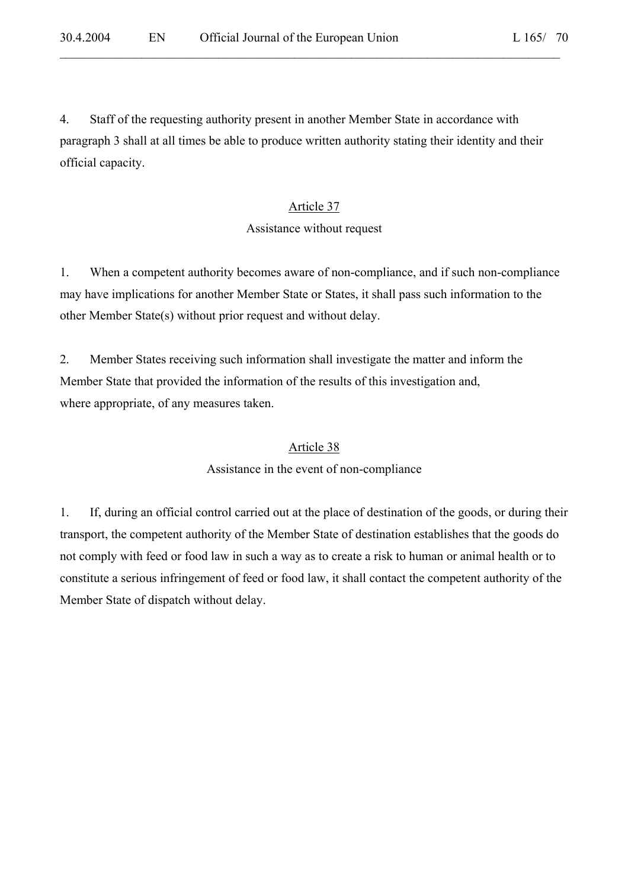4. Staff of the requesting authority present in another Member State in accordance with paragraph 3 shall at all times be able to produce written authority stating their identity and their official capacity.

 $\mathcal{L}_\mathcal{L} = \mathcal{L}_\mathcal{L} = \mathcal{L}_\mathcal{L} = \mathcal{L}_\mathcal{L} = \mathcal{L}_\mathcal{L} = \mathcal{L}_\mathcal{L} = \mathcal{L}_\mathcal{L} = \mathcal{L}_\mathcal{L} = \mathcal{L}_\mathcal{L} = \mathcal{L}_\mathcal{L} = \mathcal{L}_\mathcal{L} = \mathcal{L}_\mathcal{L} = \mathcal{L}_\mathcal{L} = \mathcal{L}_\mathcal{L} = \mathcal{L}_\mathcal{L} = \mathcal{L}_\mathcal{L} = \mathcal{L}_\mathcal{L}$ 

### Article 37

#### Assistance without request

1. When a competent authority becomes aware of non-compliance, and if such non-compliance may have implications for another Member State or States, it shall pass such information to the other Member State(s) without prior request and without delay.

2. Member States receiving such information shall investigate the matter and inform the Member State that provided the information of the results of this investigation and, where appropriate, of any measures taken.

### Article 38

#### Assistance in the event of non-compliance

1. If, during an official control carried out at the place of destination of the goods, or during their transport, the competent authority of the Member State of destination establishes that the goods do not comply with feed or food law in such a way as to create a risk to human or animal health or to constitute a serious infringement of feed or food law, it shall contact the competent authority of the Member State of dispatch without delay.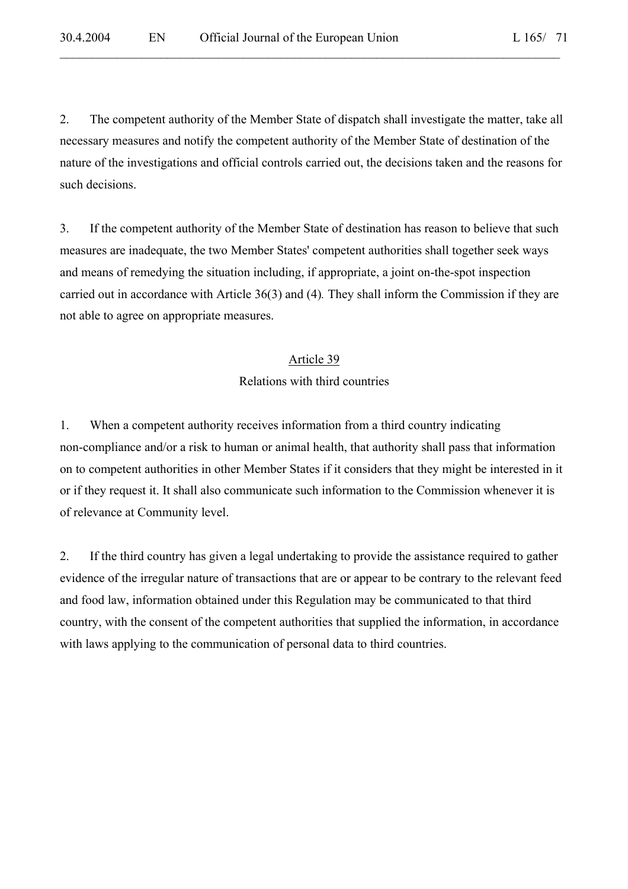2. The competent authority of the Member State of dispatch shall investigate the matter, take all necessary measures and notify the competent authority of the Member State of destination of the nature of the investigations and official controls carried out, the decisions taken and the reasons for such decisions.

 $\mathcal{L}_\mathcal{L} = \mathcal{L}_\mathcal{L} = \mathcal{L}_\mathcal{L} = \mathcal{L}_\mathcal{L} = \mathcal{L}_\mathcal{L} = \mathcal{L}_\mathcal{L} = \mathcal{L}_\mathcal{L} = \mathcal{L}_\mathcal{L} = \mathcal{L}_\mathcal{L} = \mathcal{L}_\mathcal{L} = \mathcal{L}_\mathcal{L} = \mathcal{L}_\mathcal{L} = \mathcal{L}_\mathcal{L} = \mathcal{L}_\mathcal{L} = \mathcal{L}_\mathcal{L} = \mathcal{L}_\mathcal{L} = \mathcal{L}_\mathcal{L}$ 

3. If the competent authority of the Member State of destination has reason to believe that such measures are inadequate, the two Member States' competent authorities shall together seek ways and means of remedying the situation including, if appropriate, a joint on-the-spot inspection carried out in accordance with Article 36(3) and (4)*.* They shall inform the Commission if they are not able to agree on appropriate measures.

#### Article 39

#### Relations with third countries

1. When a competent authority receives information from a third country indicating non-compliance and/or a risk to human or animal health, that authority shall pass that information on to competent authorities in other Member States if it considers that they might be interested in it or if they request it. It shall also communicate such information to the Commission whenever it is of relevance at Community level.

2. If the third country has given a legal undertaking to provide the assistance required to gather evidence of the irregular nature of transactions that are or appear to be contrary to the relevant feed and food law, information obtained under this Regulation may be communicated to that third country, with the consent of the competent authorities that supplied the information, in accordance with laws applying to the communication of personal data to third countries.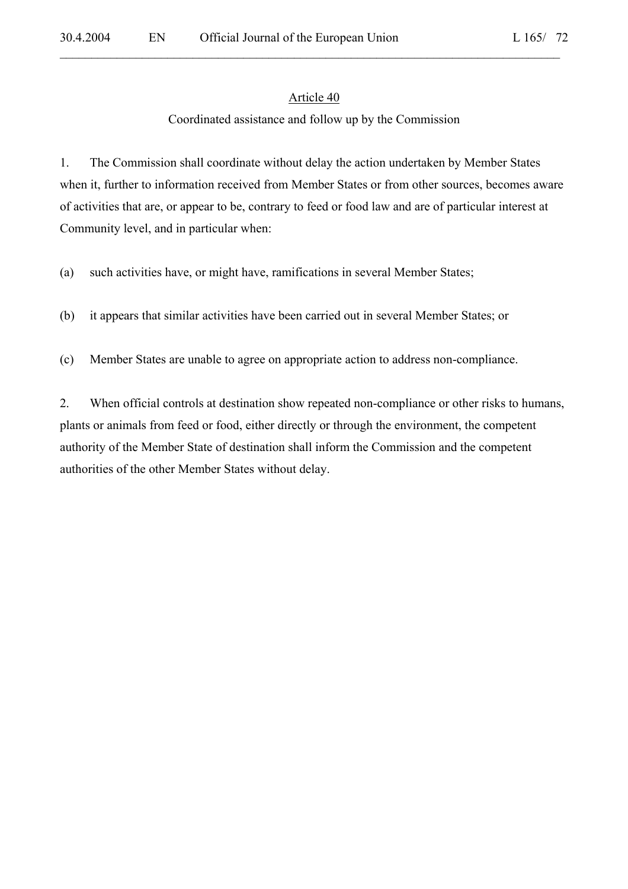$\mathcal{L}_\mathcal{L} = \mathcal{L}_\mathcal{L} = \mathcal{L}_\mathcal{L} = \mathcal{L}_\mathcal{L} = \mathcal{L}_\mathcal{L} = \mathcal{L}_\mathcal{L} = \mathcal{L}_\mathcal{L} = \mathcal{L}_\mathcal{L} = \mathcal{L}_\mathcal{L} = \mathcal{L}_\mathcal{L} = \mathcal{L}_\mathcal{L} = \mathcal{L}_\mathcal{L} = \mathcal{L}_\mathcal{L} = \mathcal{L}_\mathcal{L} = \mathcal{L}_\mathcal{L} = \mathcal{L}_\mathcal{L} = \mathcal{L}_\mathcal{L}$ 

#### Coordinated assistance and follow up by the Commission

1. The Commission shall coordinate without delay the action undertaken by Member States when it, further to information received from Member States or from other sources, becomes aware of activities that are, or appear to be, contrary to feed or food law and are of particular interest at Community level, and in particular when:

(a) such activities have, or might have, ramifications in several Member States;

(b) it appears that similar activities have been carried out in several Member States; or

(c) Member States are unable to agree on appropriate action to address non-compliance.

2. When official controls at destination show repeated non-compliance or other risks to humans, plants or animals from feed or food, either directly or through the environment, the competent authority of the Member State of destination shall inform the Commission and the competent authorities of the other Member States without delay.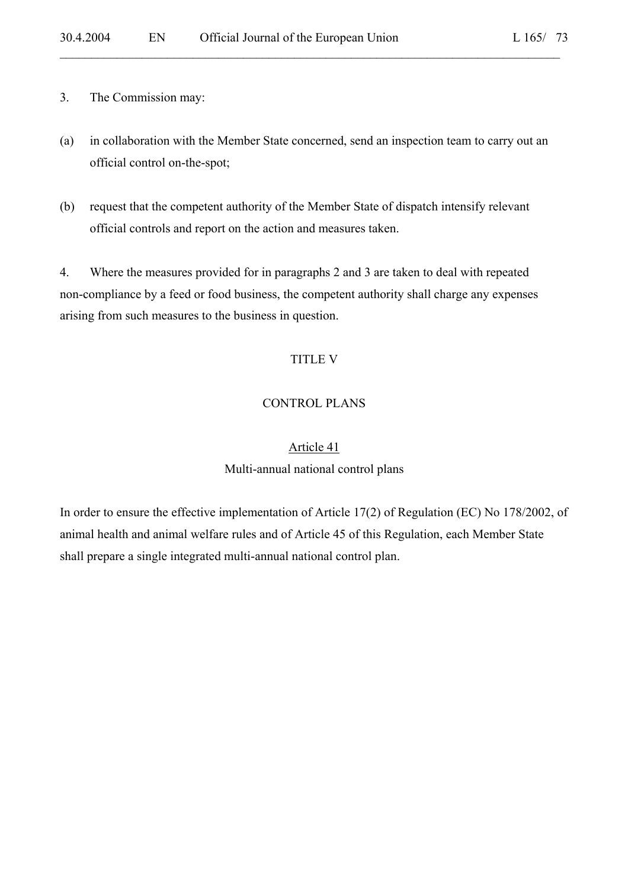- 3. The Commission may:
- (a) in collaboration with the Member State concerned, send an inspection team to carry out an official control on-the-spot;

(b) request that the competent authority of the Member State of dispatch intensify relevant official controls and report on the action and measures taken.

4. Where the measures provided for in paragraphs 2 and 3 are taken to deal with repeated non-compliance by a feed or food business, the competent authority shall charge any expenses arising from such measures to the business in question.

### TITLE V

### CONTROL PLANS

## Article 41 Multi-annual national control plans

In order to ensure the effective implementation of Article 17(2) of Regulation (EC) No 178/2002, of animal health and animal welfare rules and of Article 45 of this Regulation, each Member State shall prepare a single integrated multi-annual national control plan.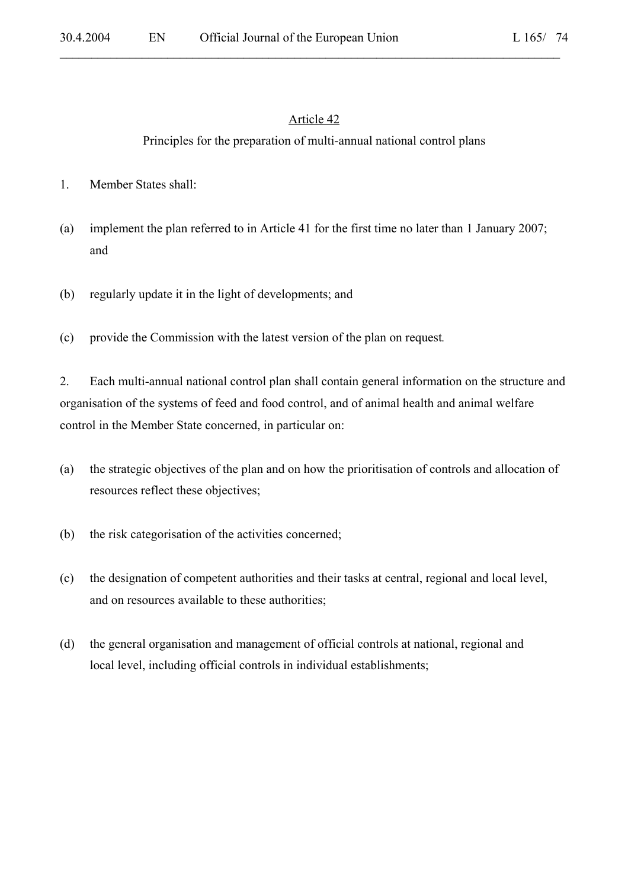#### Article 42

 $\mathcal{L}_\mathcal{L} = \mathcal{L}_\mathcal{L} = \mathcal{L}_\mathcal{L} = \mathcal{L}_\mathcal{L} = \mathcal{L}_\mathcal{L} = \mathcal{L}_\mathcal{L} = \mathcal{L}_\mathcal{L} = \mathcal{L}_\mathcal{L} = \mathcal{L}_\mathcal{L} = \mathcal{L}_\mathcal{L} = \mathcal{L}_\mathcal{L} = \mathcal{L}_\mathcal{L} = \mathcal{L}_\mathcal{L} = \mathcal{L}_\mathcal{L} = \mathcal{L}_\mathcal{L} = \mathcal{L}_\mathcal{L} = \mathcal{L}_\mathcal{L}$ 

## Principles for the preparation of multi-annual national control plans

- 1. Member States shall:
- (a) implement the plan referred to in Article 41 for the first time no later than 1 January 2007; and
- (b) regularly update it in the light of developments; and
- (c) provide the Commission with the latest version of the plan on request*.*

2. Each multi-annual national control plan shall contain general information on the structure and organisation of the systems of feed and food control, and of animal health and animal welfare control in the Member State concerned, in particular on:

- (a) the strategic objectives of the plan and on how the prioritisation of controls and allocation of resources reflect these objectives;
- (b) the risk categorisation of the activities concerned;
- (c) the designation of competent authorities and their tasks at central, regional and local level, and on resources available to these authorities;
- (d) the general organisation and management of official controls at national, regional and local level, including official controls in individual establishments;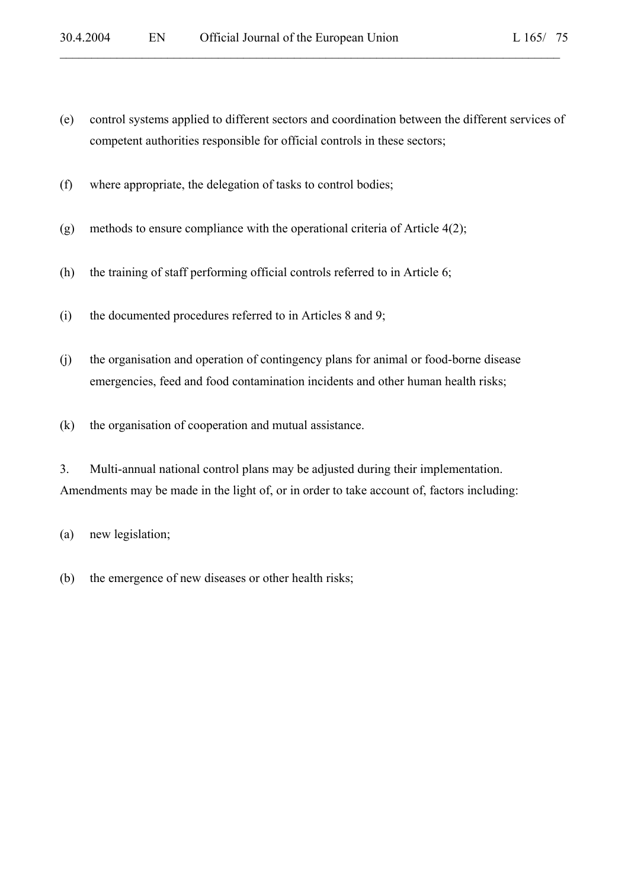- L 165/ 75
- (e) control systems applied to different sectors and coordination between the different services of competent authorities responsible for official controls in these sectors;

- (f) where appropriate, the delegation of tasks to control bodies;
- (g) methods to ensure compliance with the operational criteria of Article 4(2);
- (h) the training of staff performing official controls referred to in Article 6;
- (i) the documented procedures referred to in Articles 8 and 9;
- (j) the organisation and operation of contingency plans for animal or food-borne disease emergencies, feed and food contamination incidents and other human health risks;
- (k) the organisation of cooperation and mutual assistance.
- 3. Multi-annual national control plans may be adjusted during their implementation. Amendments may be made in the light of, or in order to take account of, factors including:

(a) new legislation;

(b) the emergence of new diseases or other health risks;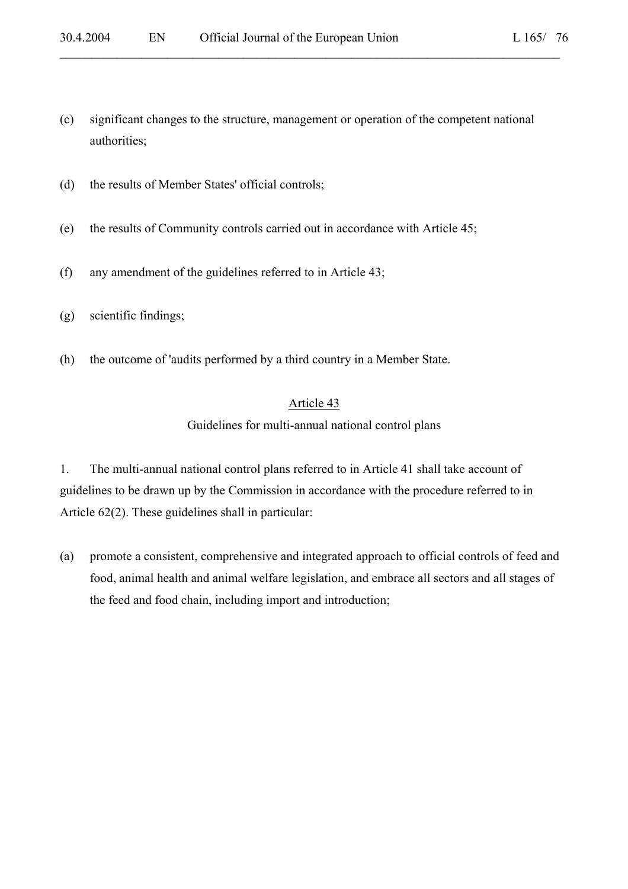(c) significant changes to the structure, management or operation of the competent national authorities;

 $\mathcal{L}_\mathcal{L} = \mathcal{L}_\mathcal{L} = \mathcal{L}_\mathcal{L} = \mathcal{L}_\mathcal{L} = \mathcal{L}_\mathcal{L} = \mathcal{L}_\mathcal{L} = \mathcal{L}_\mathcal{L} = \mathcal{L}_\mathcal{L} = \mathcal{L}_\mathcal{L} = \mathcal{L}_\mathcal{L} = \mathcal{L}_\mathcal{L} = \mathcal{L}_\mathcal{L} = \mathcal{L}_\mathcal{L} = \mathcal{L}_\mathcal{L} = \mathcal{L}_\mathcal{L} = \mathcal{L}_\mathcal{L} = \mathcal{L}_\mathcal{L}$ 

- (d) the results of Member States' official controls;
- (e) the results of Community controls carried out in accordance with Article 45;
- (f) any amendment of the guidelines referred to in Article 43;
- (g) scientific findings;
- (h) the outcome of 'audits performed by a third country in a Member State.

### Article 43

Guidelines for multi-annual national control plans

1. The multi-annual national control plans referred to in Article 41 shall take account of guidelines to be drawn up by the Commission in accordance with the procedure referred to in Article 62(2). These guidelines shall in particular:

(a) promote a consistent, comprehensive and integrated approach to official controls of feed and food, animal health and animal welfare legislation, and embrace all sectors and all stages of the feed and food chain, including import and introduction;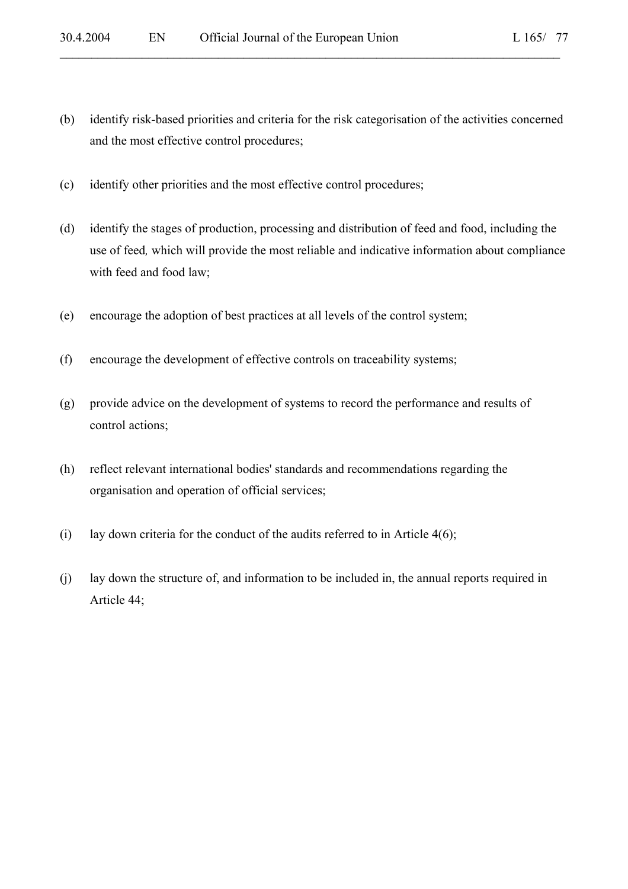(b) identify risk-based priorities and criteria for the risk categorisation of the activities concerned and the most effective control procedures;

 $\mathcal{L}_\mathcal{L} = \mathcal{L}_\mathcal{L} = \mathcal{L}_\mathcal{L} = \mathcal{L}_\mathcal{L} = \mathcal{L}_\mathcal{L} = \mathcal{L}_\mathcal{L} = \mathcal{L}_\mathcal{L} = \mathcal{L}_\mathcal{L} = \mathcal{L}_\mathcal{L} = \mathcal{L}_\mathcal{L} = \mathcal{L}_\mathcal{L} = \mathcal{L}_\mathcal{L} = \mathcal{L}_\mathcal{L} = \mathcal{L}_\mathcal{L} = \mathcal{L}_\mathcal{L} = \mathcal{L}_\mathcal{L} = \mathcal{L}_\mathcal{L}$ 

- (c) identify other priorities and the most effective control procedures;
- (d) identify the stages of production, processing and distribution of feed and food, including the use of feed*,* which will provide the most reliable and indicative information about compliance with feed and food law;
- (e) encourage the adoption of best practices at all levels of the control system;
- (f) encourage the development of effective controls on traceability systems;
- (g) provide advice on the development of systems to record the performance and results of control actions;
- (h) reflect relevant international bodies' standards and recommendations regarding the organisation and operation of official services;
- (i) lay down criteria for the conduct of the audits referred to in Article  $4(6)$ ;
- (j) lay down the structure of, and information to be included in, the annual reports required in Article 44;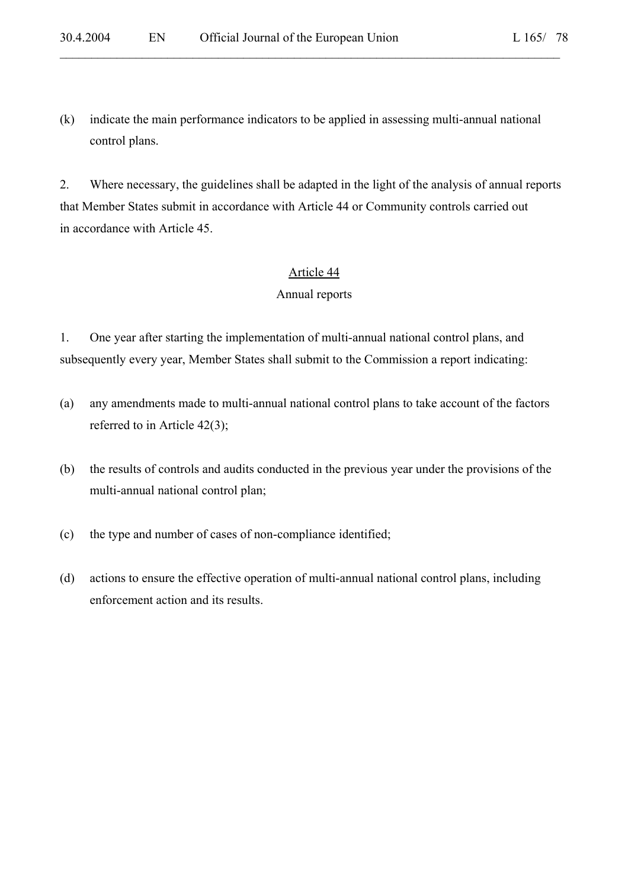(k) indicate the main performance indicators to be applied in assessing multi-annual national control plans.

 $\mathcal{L}_\mathcal{L} = \mathcal{L}_\mathcal{L} = \mathcal{L}_\mathcal{L} = \mathcal{L}_\mathcal{L} = \mathcal{L}_\mathcal{L} = \mathcal{L}_\mathcal{L} = \mathcal{L}_\mathcal{L} = \mathcal{L}_\mathcal{L} = \mathcal{L}_\mathcal{L} = \mathcal{L}_\mathcal{L} = \mathcal{L}_\mathcal{L} = \mathcal{L}_\mathcal{L} = \mathcal{L}_\mathcal{L} = \mathcal{L}_\mathcal{L} = \mathcal{L}_\mathcal{L} = \mathcal{L}_\mathcal{L} = \mathcal{L}_\mathcal{L}$ 

2. Where necessary, the guidelines shall be adapted in the light of the analysis of annual reports that Member States submit in accordance with Article 44 or Community controls carried out in accordance with Article 45.

#### Article 44

#### Annual reports

1. One year after starting the implementation of multi-annual national control plans, and subsequently every year, Member States shall submit to the Commission a report indicating:

- (a) any amendments made to multi-annual national control plans to take account of the factors referred to in Article 42(3);
- (b) the results of controls and audits conducted in the previous year under the provisions of the multi-annual national control plan;
- (c) the type and number of cases of non-compliance identified;
- (d) actions to ensure the effective operation of multi-annual national control plans, including enforcement action and its results.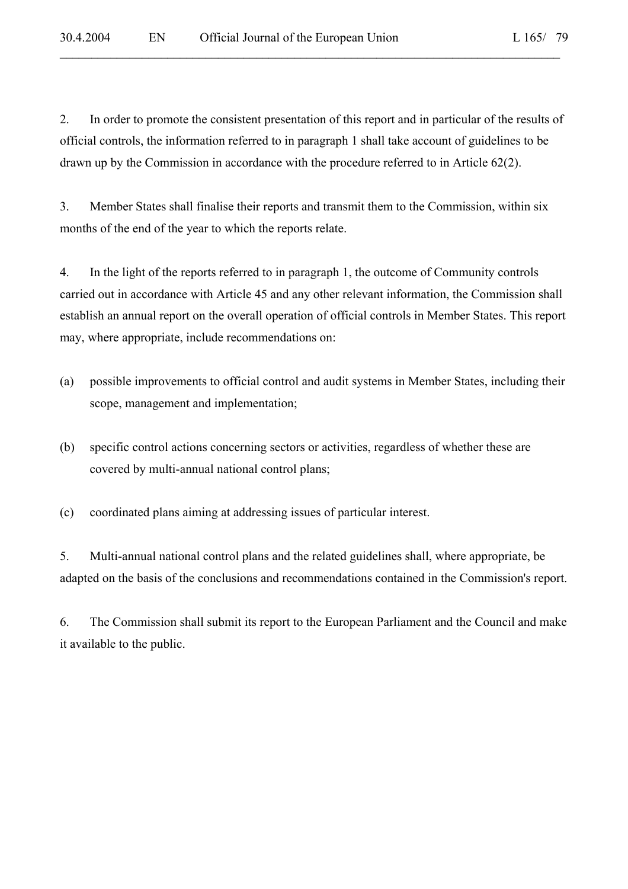2. In order to promote the consistent presentation of this report and in particular of the results of official controls, the information referred to in paragraph 1 shall take account of guidelines to be drawn up by the Commission in accordance with the procedure referred to in Article 62(2).

 $\mathcal{L}_\mathcal{L} = \mathcal{L}_\mathcal{L} = \mathcal{L}_\mathcal{L} = \mathcal{L}_\mathcal{L} = \mathcal{L}_\mathcal{L} = \mathcal{L}_\mathcal{L} = \mathcal{L}_\mathcal{L} = \mathcal{L}_\mathcal{L} = \mathcal{L}_\mathcal{L} = \mathcal{L}_\mathcal{L} = \mathcal{L}_\mathcal{L} = \mathcal{L}_\mathcal{L} = \mathcal{L}_\mathcal{L} = \mathcal{L}_\mathcal{L} = \mathcal{L}_\mathcal{L} = \mathcal{L}_\mathcal{L} = \mathcal{L}_\mathcal{L}$ 

3. Member States shall finalise their reports and transmit them to the Commission, within six months of the end of the year to which the reports relate.

4. In the light of the reports referred to in paragraph 1, the outcome of Community controls carried out in accordance with Article 45 and any other relevant information, the Commission shall establish an annual report on the overall operation of official controls in Member States. This report may, where appropriate, include recommendations on:

- (a) possible improvements to official control and audit systems in Member States, including their scope, management and implementation;
- (b) specific control actions concerning sectors or activities, regardless of whether these are covered by multi-annual national control plans;
- (c) coordinated plans aiming at addressing issues of particular interest.

5. Multi-annual national control plans and the related guidelines shall, where appropriate, be adapted on the basis of the conclusions and recommendations contained in the Commission's report.

6. The Commission shall submit its report to the European Parliament and the Council and make it available to the public.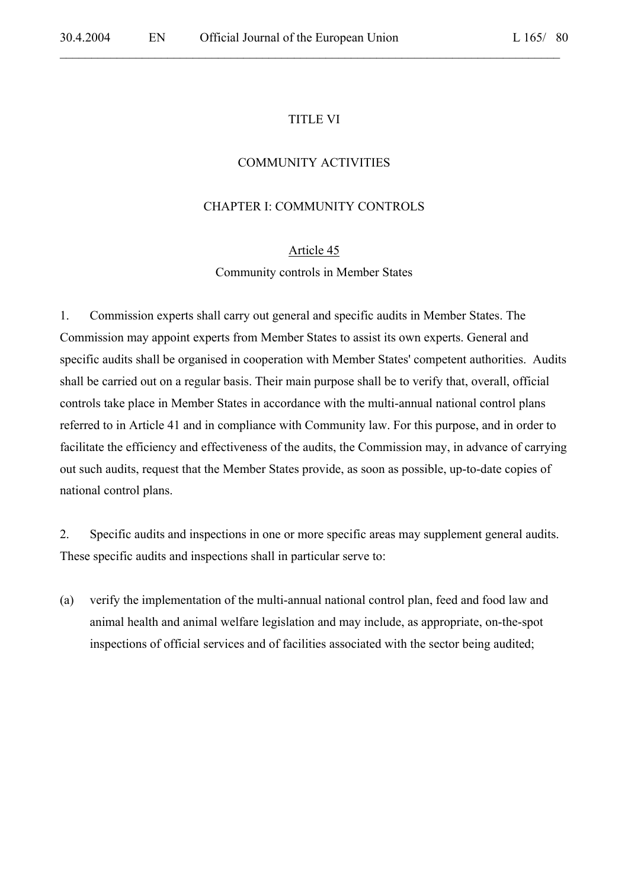#### TITLE VI

 $\mathcal{L}_\mathcal{L} = \mathcal{L}_\mathcal{L} = \mathcal{L}_\mathcal{L} = \mathcal{L}_\mathcal{L} = \mathcal{L}_\mathcal{L} = \mathcal{L}_\mathcal{L} = \mathcal{L}_\mathcal{L} = \mathcal{L}_\mathcal{L} = \mathcal{L}_\mathcal{L} = \mathcal{L}_\mathcal{L} = \mathcal{L}_\mathcal{L} = \mathcal{L}_\mathcal{L} = \mathcal{L}_\mathcal{L} = \mathcal{L}_\mathcal{L} = \mathcal{L}_\mathcal{L} = \mathcal{L}_\mathcal{L} = \mathcal{L}_\mathcal{L}$ 

#### COMMUNITY ACTIVITIES

### CHAPTER I: COMMUNITY CONTROLS

#### Article 45

Community controls in Member States

1. Commission experts shall carry out general and specific audits in Member States. The Commission may appoint experts from Member States to assist its own experts. General and specific audits shall be organised in cooperation with Member States' competent authorities. Audits shall be carried out on a regular basis. Their main purpose shall be to verify that, overall, official controls take place in Member States in accordance with the multi-annual national control plans referred to in Article 41 and in compliance with Community law. For this purpose, and in order to facilitate the efficiency and effectiveness of the audits, the Commission may, in advance of carrying out such audits, request that the Member States provide, as soon as possible, up-to-date copies of national control plans.

2. Specific audits and inspections in one or more specific areas may supplement general audits. These specific audits and inspections shall in particular serve to:

(a) verify the implementation of the multi-annual national control plan, feed and food law and animal health and animal welfare legislation and may include, as appropriate, on-the-spot inspections of official services and of facilities associated with the sector being audited;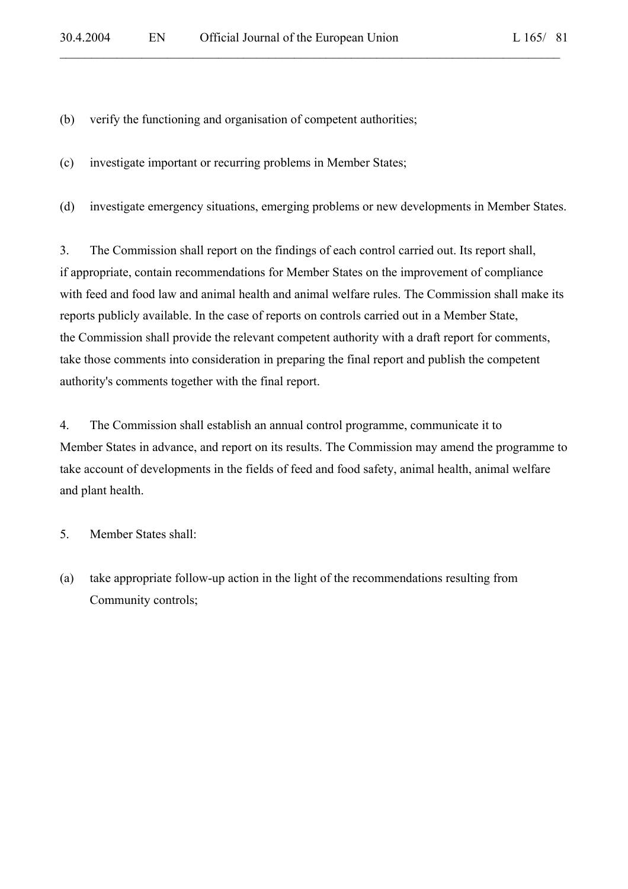(b) verify the functioning and organisation of competent authorities;

(c) investigate important or recurring problems in Member States;

(d) investigate emergency situations, emerging problems or new developments in Member States.

 $\mathcal{L}_\mathcal{L} = \mathcal{L}_\mathcal{L} = \mathcal{L}_\mathcal{L} = \mathcal{L}_\mathcal{L} = \mathcal{L}_\mathcal{L} = \mathcal{L}_\mathcal{L} = \mathcal{L}_\mathcal{L} = \mathcal{L}_\mathcal{L} = \mathcal{L}_\mathcal{L} = \mathcal{L}_\mathcal{L} = \mathcal{L}_\mathcal{L} = \mathcal{L}_\mathcal{L} = \mathcal{L}_\mathcal{L} = \mathcal{L}_\mathcal{L} = \mathcal{L}_\mathcal{L} = \mathcal{L}_\mathcal{L} = \mathcal{L}_\mathcal{L}$ 

3. The Commission shall report on the findings of each control carried out. Its report shall, if appropriate, contain recommendations for Member States on the improvement of compliance with feed and food law and animal health and animal welfare rules. The Commission shall make its reports publicly available. In the case of reports on controls carried out in a Member State, the Commission shall provide the relevant competent authority with a draft report for comments, take those comments into consideration in preparing the final report and publish the competent authority's comments together with the final report.

4. The Commission shall establish an annual control programme, communicate it to Member States in advance, and report on its results. The Commission may amend the programme to take account of developments in the fields of feed and food safety, animal health, animal welfare and plant health.

5. Member States shall:

(a) take appropriate follow-up action in the light of the recommendations resulting from Community controls;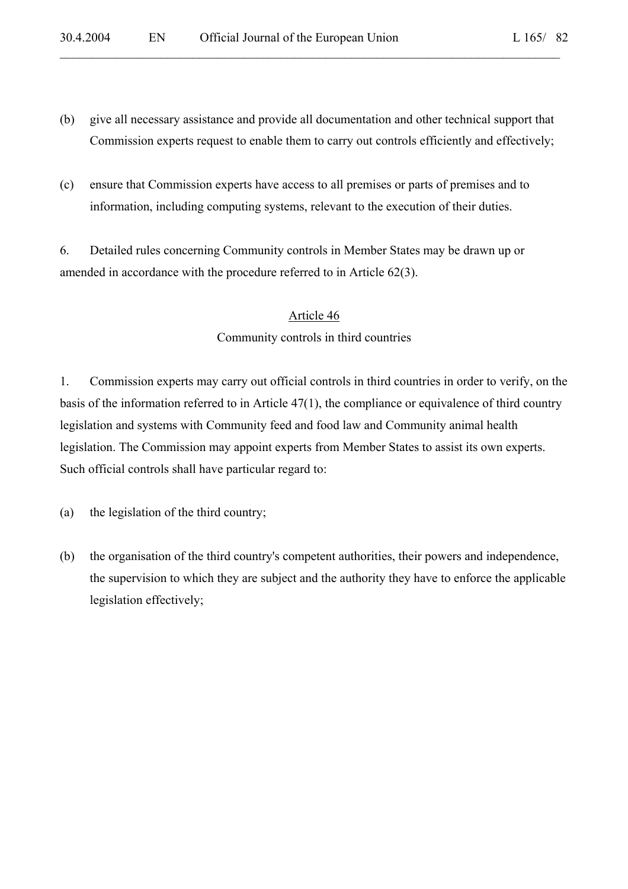(b) give all necessary assistance and provide all documentation and other technical support that Commission experts request to enable them to carry out controls efficiently and effectively;

 $\mathcal{L}_\mathcal{L} = \mathcal{L}_\mathcal{L} = \mathcal{L}_\mathcal{L} = \mathcal{L}_\mathcal{L} = \mathcal{L}_\mathcal{L} = \mathcal{L}_\mathcal{L} = \mathcal{L}_\mathcal{L} = \mathcal{L}_\mathcal{L} = \mathcal{L}_\mathcal{L} = \mathcal{L}_\mathcal{L} = \mathcal{L}_\mathcal{L} = \mathcal{L}_\mathcal{L} = \mathcal{L}_\mathcal{L} = \mathcal{L}_\mathcal{L} = \mathcal{L}_\mathcal{L} = \mathcal{L}_\mathcal{L} = \mathcal{L}_\mathcal{L}$ 

(c) ensure that Commission experts have access to all premises or parts of premises and to information, including computing systems, relevant to the execution of their duties.

6. Detailed rules concerning Community controls in Member States may be drawn up or amended in accordance with the procedure referred to in Article 62(3).

# Article 46 Community controls in third countries

1. Commission experts may carry out official controls in third countries in order to verify, on the basis of the information referred to in Article 47(1), the compliance or equivalence of third country legislation and systems with Community feed and food law and Community animal health legislation. The Commission may appoint experts from Member States to assist its own experts. Such official controls shall have particular regard to:

(a) the legislation of the third country;

(b) the organisation of the third country's competent authorities, their powers and independence, the supervision to which they are subject and the authority they have to enforce the applicable legislation effectively;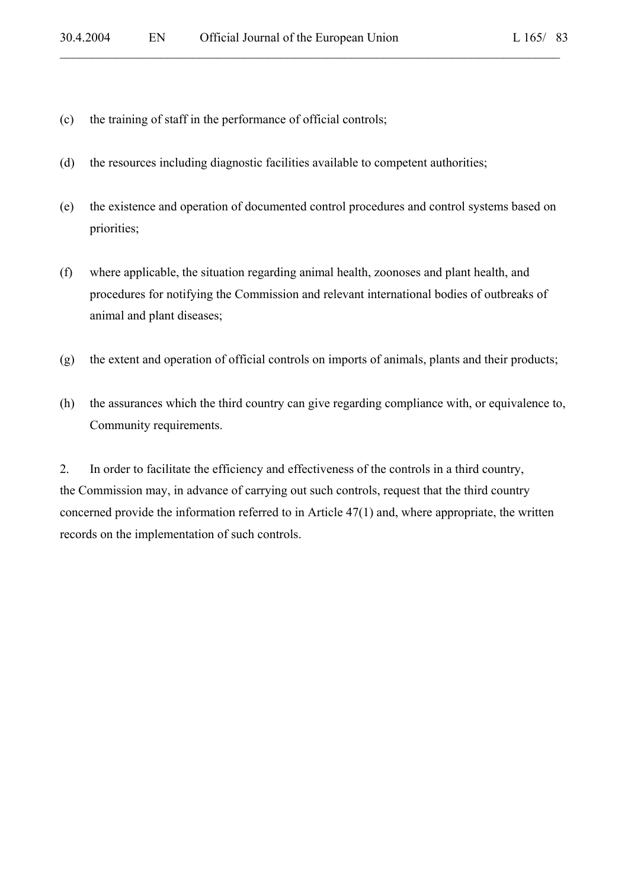- (c) the training of staff in the performance of official controls;
- (d) the resources including diagnostic facilities available to competent authorities;
- (e) the existence and operation of documented control procedures and control systems based on priorities;

- (f) where applicable, the situation regarding animal health, zoonoses and plant health, and procedures for notifying the Commission and relevant international bodies of outbreaks of animal and plant diseases;
- (g) the extent and operation of official controls on imports of animals, plants and their products;
- (h) the assurances which the third country can give regarding compliance with, or equivalence to, Community requirements.

2. In order to facilitate the efficiency and effectiveness of the controls in a third country, the Commission may, in advance of carrying out such controls, request that the third country concerned provide the information referred to in Article 47(1) and, where appropriate, the written records on the implementation of such controls.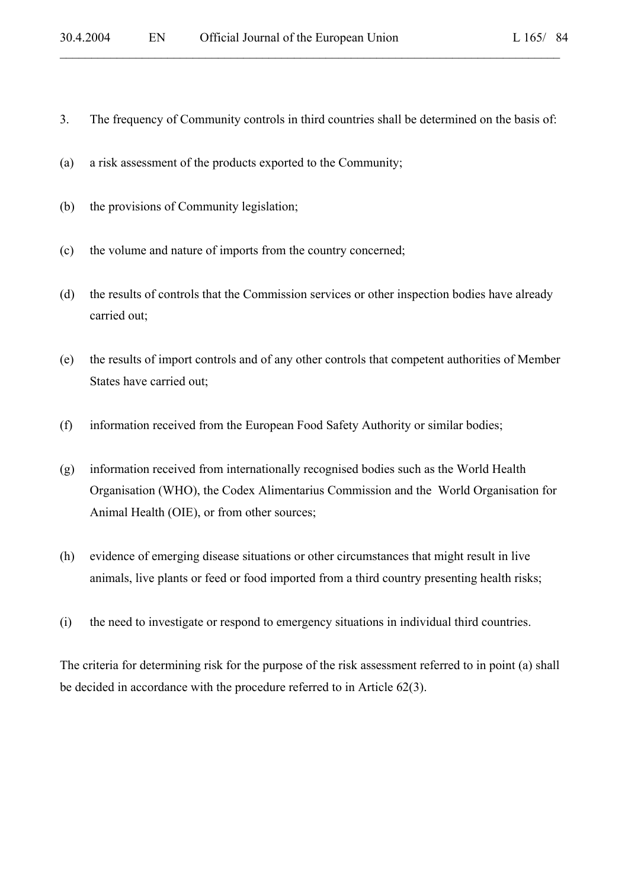3. The frequency of Community controls in third countries shall be determined on the basis of:

 $\mathcal{L}_\mathcal{L} = \mathcal{L}_\mathcal{L} = \mathcal{L}_\mathcal{L} = \mathcal{L}_\mathcal{L} = \mathcal{L}_\mathcal{L} = \mathcal{L}_\mathcal{L} = \mathcal{L}_\mathcal{L} = \mathcal{L}_\mathcal{L} = \mathcal{L}_\mathcal{L} = \mathcal{L}_\mathcal{L} = \mathcal{L}_\mathcal{L} = \mathcal{L}_\mathcal{L} = \mathcal{L}_\mathcal{L} = \mathcal{L}_\mathcal{L} = \mathcal{L}_\mathcal{L} = \mathcal{L}_\mathcal{L} = \mathcal{L}_\mathcal{L}$ 

- (a) a risk assessment of the products exported to the Community;
- (b) the provisions of Community legislation;
- (c) the volume and nature of imports from the country concerned;
- (d) the results of controls that the Commission services or other inspection bodies have already carried out;
- (e) the results of import controls and of any other controls that competent authorities of Member States have carried out;
- (f) information received from the European Food Safety Authority or similar bodies;
- (g) information received from internationally recognised bodies such as the World Health Organisation (WHO), the Codex Alimentarius Commission and the World Organisation for Animal Health (OIE), or from other sources;
- (h) evidence of emerging disease situations or other circumstances that might result in live animals, live plants or feed or food imported from a third country presenting health risks;
- (i) the need to investigate or respond to emergency situations in individual third countries.

The criteria for determining risk for the purpose of the risk assessment referred to in point (a) shall be decided in accordance with the procedure referred to in Article 62(3).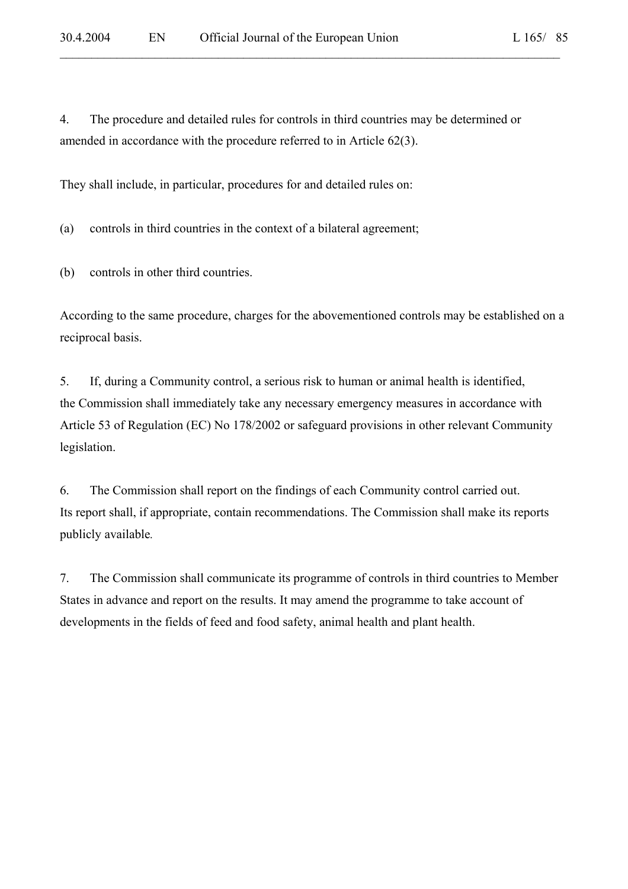4. The procedure and detailed rules for controls in third countries may be determined or amended in accordance with the procedure referred to in Article 62(3).

 $\mathcal{L}_\mathcal{L} = \mathcal{L}_\mathcal{L} = \mathcal{L}_\mathcal{L} = \mathcal{L}_\mathcal{L} = \mathcal{L}_\mathcal{L} = \mathcal{L}_\mathcal{L} = \mathcal{L}_\mathcal{L} = \mathcal{L}_\mathcal{L} = \mathcal{L}_\mathcal{L} = \mathcal{L}_\mathcal{L} = \mathcal{L}_\mathcal{L} = \mathcal{L}_\mathcal{L} = \mathcal{L}_\mathcal{L} = \mathcal{L}_\mathcal{L} = \mathcal{L}_\mathcal{L} = \mathcal{L}_\mathcal{L} = \mathcal{L}_\mathcal{L}$ 

They shall include, in particular, procedures for and detailed rules on:

(a) controls in third countries in the context of a bilateral agreement;

(b) controls in other third countries.

According to the same procedure, charges for the abovementioned controls may be established on a reciprocal basis.

5. If, during a Community control, a serious risk to human or animal health is identified, the Commission shall immediately take any necessary emergency measures in accordance with Article 53 of Regulation (EC) No 178/2002 or safeguard provisions in other relevant Community legislation.

6. The Commission shall report on the findings of each Community control carried out. Its report shall, if appropriate, contain recommendations. The Commission shall make its reports publicly available*.* 

7. The Commission shall communicate its programme of controls in third countries to Member States in advance and report on the results. It may amend the programme to take account of developments in the fields of feed and food safety, animal health and plant health.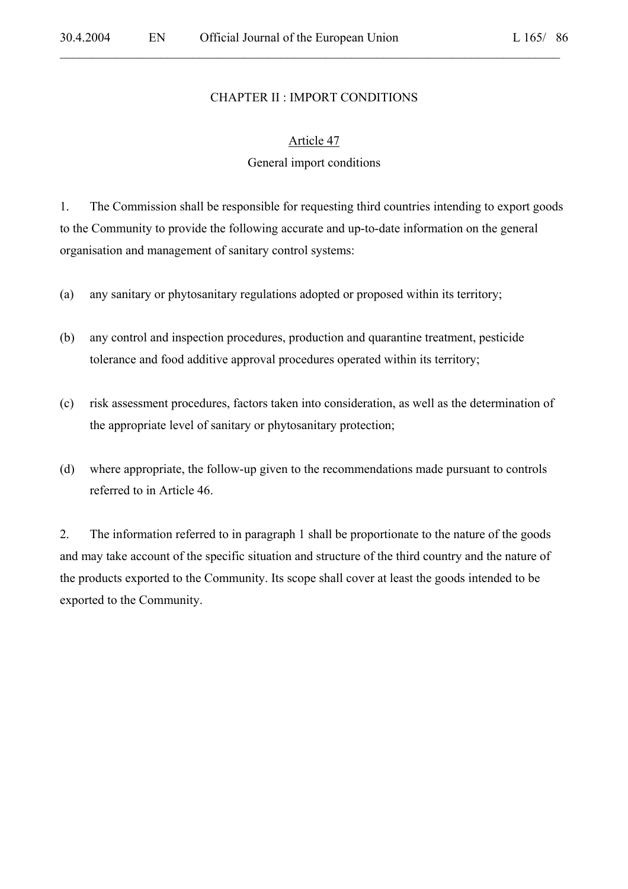#### CHAPTER II : IMPORT CONDITIONS

 $\mathcal{L}_\mathcal{L} = \mathcal{L}_\mathcal{L} = \mathcal{L}_\mathcal{L} = \mathcal{L}_\mathcal{L} = \mathcal{L}_\mathcal{L} = \mathcal{L}_\mathcal{L} = \mathcal{L}_\mathcal{L} = \mathcal{L}_\mathcal{L} = \mathcal{L}_\mathcal{L} = \mathcal{L}_\mathcal{L} = \mathcal{L}_\mathcal{L} = \mathcal{L}_\mathcal{L} = \mathcal{L}_\mathcal{L} = \mathcal{L}_\mathcal{L} = \mathcal{L}_\mathcal{L} = \mathcal{L}_\mathcal{L} = \mathcal{L}_\mathcal{L}$ 

#### Article 47

#### General import conditions

1. The Commission shall be responsible for requesting third countries intending to export goods to the Community to provide the following accurate and up-to-date information on the general organisation and management of sanitary control systems:

- (a) any sanitary or phytosanitary regulations adopted or proposed within its territory;
- (b) any control and inspection procedures, production and quarantine treatment, pesticide tolerance and food additive approval procedures operated within its territory;
- (c) risk assessment procedures, factors taken into consideration, as well as the determination of the appropriate level of sanitary or phytosanitary protection;
- (d) where appropriate, the follow-up given to the recommendations made pursuant to controls referred to in Article 46.

2. The information referred to in paragraph 1 shall be proportionate to the nature of the goods and may take account of the specific situation and structure of the third country and the nature of the products exported to the Community. Its scope shall cover at least the goods intended to be exported to the Community.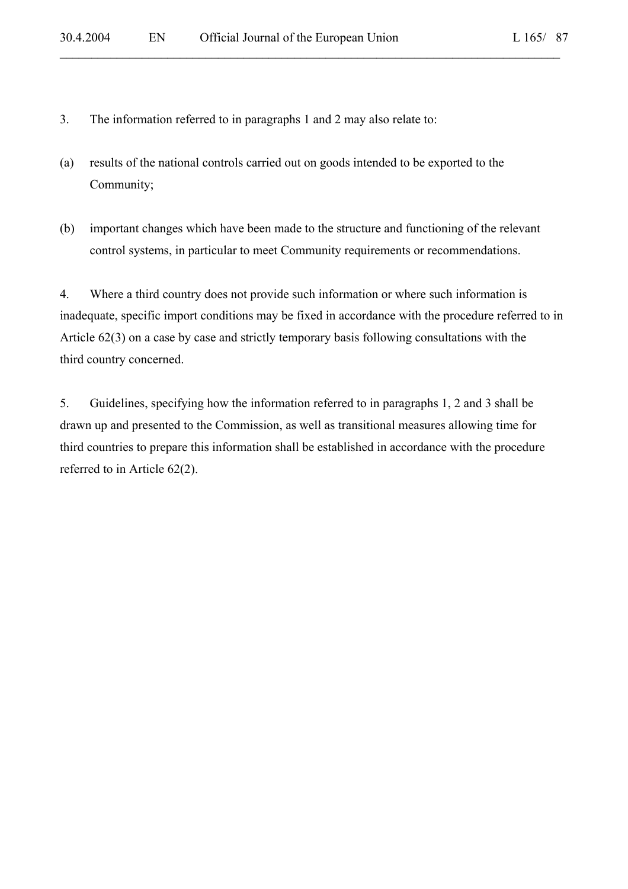- 3. The information referred to in paragraphs 1 and 2 may also relate to:
- (a) results of the national controls carried out on goods intended to be exported to the Community;
- (b) important changes which have been made to the structure and functioning of the relevant control systems, in particular to meet Community requirements or recommendations.

4. Where a third country does not provide such information or where such information is inadequate, specific import conditions may be fixed in accordance with the procedure referred to in Article 62(3) on a case by case and strictly temporary basis following consultations with the third country concerned.

5. Guidelines, specifying how the information referred to in paragraphs 1, 2 and 3 shall be drawn up and presented to the Commission, as well as transitional measures allowing time for third countries to prepare this information shall be established in accordance with the procedure referred to in Article 62(2).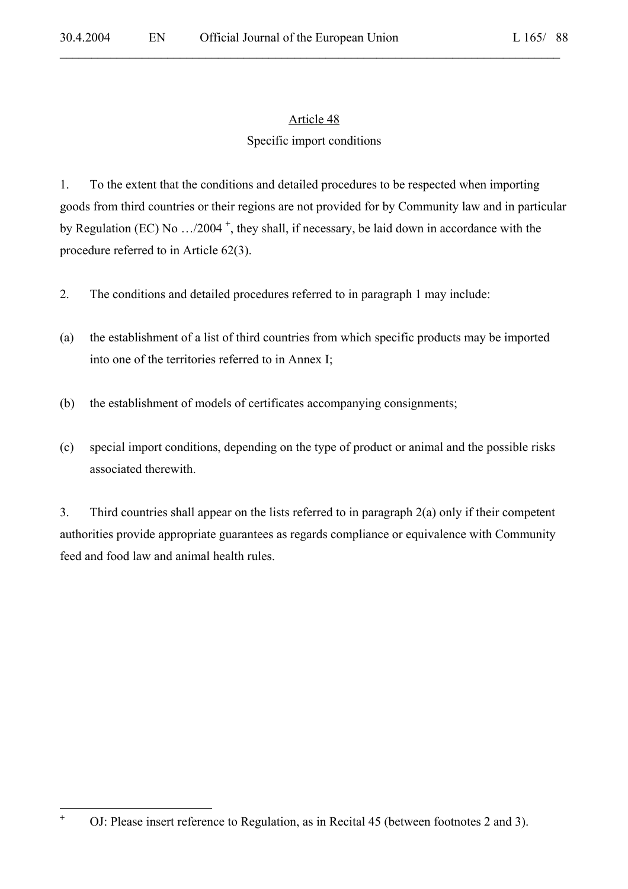# Article 48

 $\mathcal{L}_\mathcal{L} = \mathcal{L}_\mathcal{L} = \mathcal{L}_\mathcal{L} = \mathcal{L}_\mathcal{L} = \mathcal{L}_\mathcal{L} = \mathcal{L}_\mathcal{L} = \mathcal{L}_\mathcal{L} = \mathcal{L}_\mathcal{L} = \mathcal{L}_\mathcal{L} = \mathcal{L}_\mathcal{L} = \mathcal{L}_\mathcal{L} = \mathcal{L}_\mathcal{L} = \mathcal{L}_\mathcal{L} = \mathcal{L}_\mathcal{L} = \mathcal{L}_\mathcal{L} = \mathcal{L}_\mathcal{L} = \mathcal{L}_\mathcal{L}$ 

## Specific import conditions

1. To the extent that the conditions and detailed procedures to be respected when importing goods from third countries or their regions are not provided for by Community law and in particular by Regulation (EC) No …/2004 **<sup>+</sup>** , they shall, if necessary, be laid down in accordance with the procedure referred to in Article 62(3).

- 2. The conditions and detailed procedures referred to in paragraph 1 may include:
- (a) the establishment of a list of third countries from which specific products may be imported into one of the territories referred to in Annex I;
- (b) the establishment of models of certificates accompanying consignments;
- (c) special import conditions, depending on the type of product or animal and the possible risks associated therewith.

3. Third countries shall appear on the lists referred to in paragraph 2(a) only if their competent authorities provide appropriate guarantees as regards compliance or equivalence with Community feed and food law and animal health rules.

**+**

OJ: Please insert reference to Regulation, as in Recital 45 (between footnotes 2 and 3).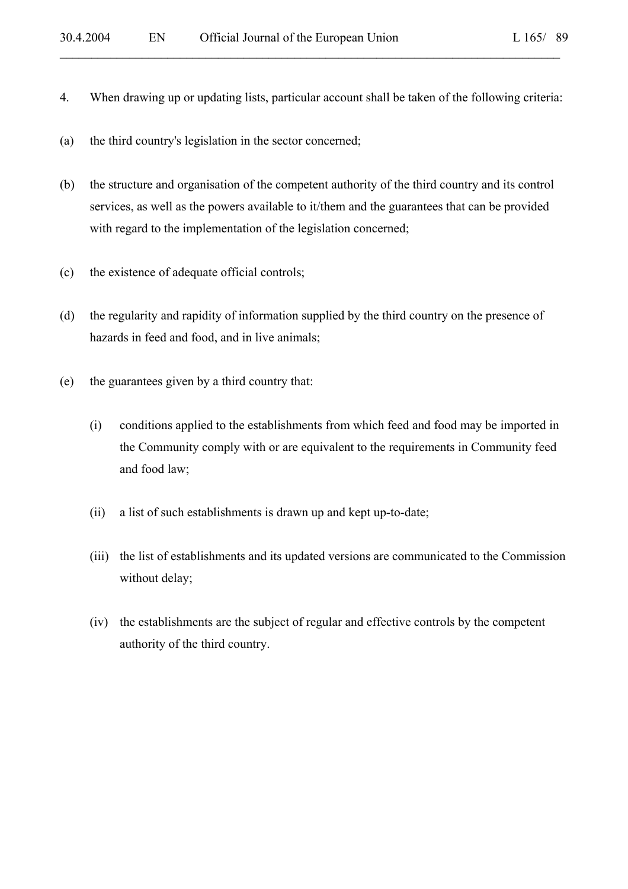4. When drawing up or updating lists, particular account shall be taken of the following criteria:

 $\mathcal{L}_\mathcal{L} = \mathcal{L}_\mathcal{L} = \mathcal{L}_\mathcal{L} = \mathcal{L}_\mathcal{L} = \mathcal{L}_\mathcal{L} = \mathcal{L}_\mathcal{L} = \mathcal{L}_\mathcal{L} = \mathcal{L}_\mathcal{L} = \mathcal{L}_\mathcal{L} = \mathcal{L}_\mathcal{L} = \mathcal{L}_\mathcal{L} = \mathcal{L}_\mathcal{L} = \mathcal{L}_\mathcal{L} = \mathcal{L}_\mathcal{L} = \mathcal{L}_\mathcal{L} = \mathcal{L}_\mathcal{L} = \mathcal{L}_\mathcal{L}$ 

- (a) the third country's legislation in the sector concerned;
- (b) the structure and organisation of the competent authority of the third country and its control services, as well as the powers available to it/them and the guarantees that can be provided with regard to the implementation of the legislation concerned;
- (c) the existence of adequate official controls;
- (d) the regularity and rapidity of information supplied by the third country on the presence of hazards in feed and food, and in live animals;
- (e) the guarantees given by a third country that:
	- (i) conditions applied to the establishments from which feed and food may be imported in the Community comply with or are equivalent to the requirements in Community feed and food law;
	- (ii) a list of such establishments is drawn up and kept up-to-date;
	- (iii) the list of establishments and its updated versions are communicated to the Commission without delay;
	- (iv) the establishments are the subject of regular and effective controls by the competent authority of the third country.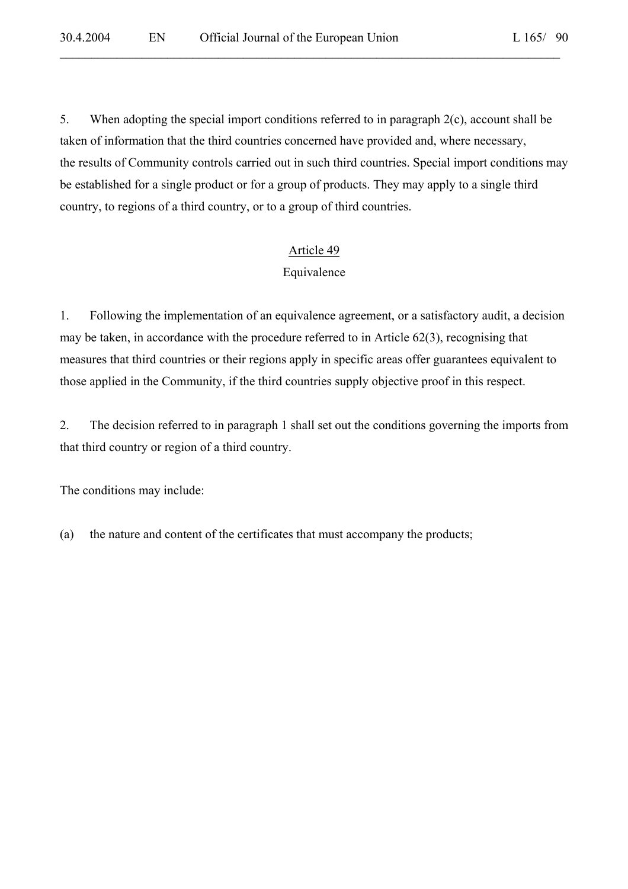5. When adopting the special import conditions referred to in paragraph 2(c), account shall be taken of information that the third countries concerned have provided and, where necessary, the results of Community controls carried out in such third countries. Special import conditions may be established for a single product or for a group of products. They may apply to a single third country, to regions of a third country, or to a group of third countries.

 $\mathcal{L}_\mathcal{L} = \mathcal{L}_\mathcal{L} = \mathcal{L}_\mathcal{L} = \mathcal{L}_\mathcal{L} = \mathcal{L}_\mathcal{L} = \mathcal{L}_\mathcal{L} = \mathcal{L}_\mathcal{L} = \mathcal{L}_\mathcal{L} = \mathcal{L}_\mathcal{L} = \mathcal{L}_\mathcal{L} = \mathcal{L}_\mathcal{L} = \mathcal{L}_\mathcal{L} = \mathcal{L}_\mathcal{L} = \mathcal{L}_\mathcal{L} = \mathcal{L}_\mathcal{L} = \mathcal{L}_\mathcal{L} = \mathcal{L}_\mathcal{L}$ 

### Article 49

## Equivalence

1. Following the implementation of an equivalence agreement, or a satisfactory audit, a decision may be taken, in accordance with the procedure referred to in Article 62(3), recognising that measures that third countries or their regions apply in specific areas offer guarantees equivalent to those applied in the Community, if the third countries supply objective proof in this respect.

2. The decision referred to in paragraph 1 shall set out the conditions governing the imports from that third country or region of a third country.

The conditions may include:

(a) the nature and content of the certificates that must accompany the products;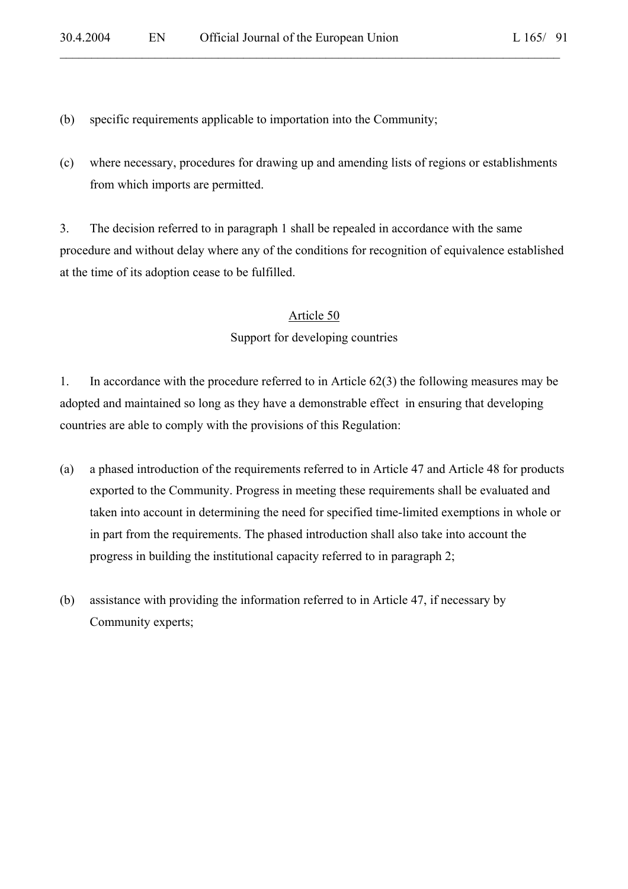(b) specific requirements applicable to importation into the Community;

(c) where necessary, procedures for drawing up and amending lists of regions or establishments from which imports are permitted.

 $\mathcal{L}_\mathcal{L} = \mathcal{L}_\mathcal{L} = \mathcal{L}_\mathcal{L} = \mathcal{L}_\mathcal{L} = \mathcal{L}_\mathcal{L} = \mathcal{L}_\mathcal{L} = \mathcal{L}_\mathcal{L} = \mathcal{L}_\mathcal{L} = \mathcal{L}_\mathcal{L} = \mathcal{L}_\mathcal{L} = \mathcal{L}_\mathcal{L} = \mathcal{L}_\mathcal{L} = \mathcal{L}_\mathcal{L} = \mathcal{L}_\mathcal{L} = \mathcal{L}_\mathcal{L} = \mathcal{L}_\mathcal{L} = \mathcal{L}_\mathcal{L}$ 

3. The decision referred to in paragraph 1 shall be repealed in accordance with the same procedure and without delay where any of the conditions for recognition of equivalence established at the time of its adoption cease to be fulfilled.

# Article 50 Support for developing countries

1. In accordance with the procedure referred to in Article 62(3) the following measures may be adopted and maintained so long as they have a demonstrable effect in ensuring that developing countries are able to comply with the provisions of this Regulation:

- (a) a phased introduction of the requirements referred to in Article 47 and Article 48 for products exported to the Community. Progress in meeting these requirements shall be evaluated and taken into account in determining the need for specified time-limited exemptions in whole or in part from the requirements. The phased introduction shall also take into account the progress in building the institutional capacity referred to in paragraph 2;
- (b) assistance with providing the information referred to in Article 47, if necessary by Community experts;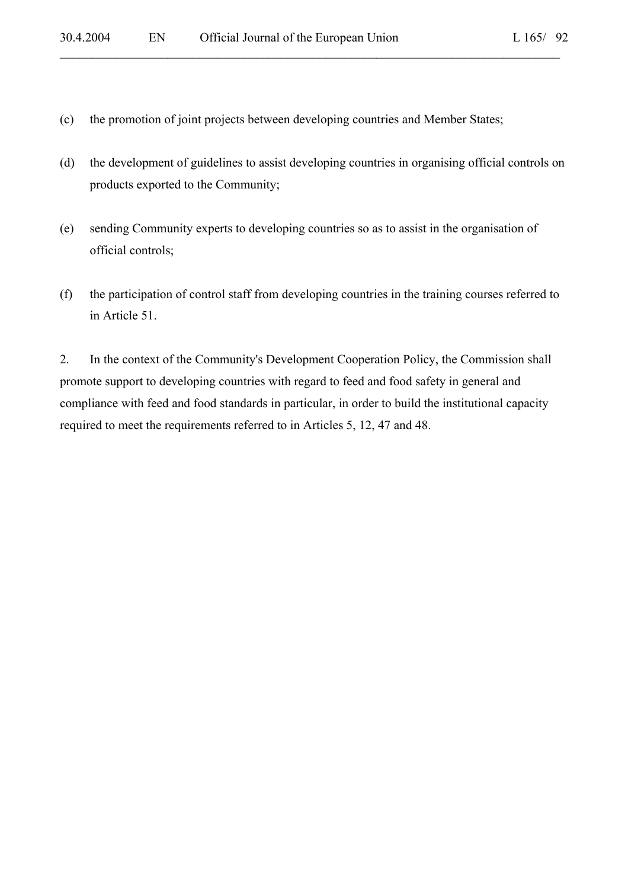- (c) the promotion of joint projects between developing countries and Member States;
- (d) the development of guidelines to assist developing countries in organising official controls on products exported to the Community;

- (e) sending Community experts to developing countries so as to assist in the organisation of official controls;
- (f) the participation of control staff from developing countries in the training courses referred to in Article 51.

2. In the context of the Community's Development Cooperation Policy, the Commission shall promote support to developing countries with regard to feed and food safety in general and compliance with feed and food standards in particular, in order to build the institutional capacity required to meet the requirements referred to in Articles 5, 12, 47 and 48.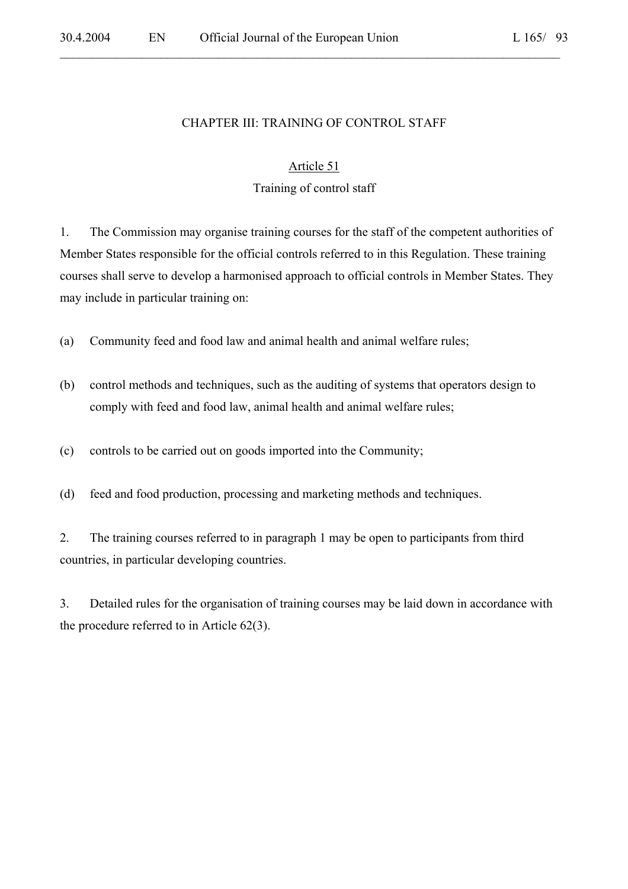#### CHAPTER III: TRAINING OF CONTROL STAFF

 $\mathcal{L}_\mathcal{L} = \mathcal{L}_\mathcal{L} = \mathcal{L}_\mathcal{L} = \mathcal{L}_\mathcal{L} = \mathcal{L}_\mathcal{L} = \mathcal{L}_\mathcal{L} = \mathcal{L}_\mathcal{L} = \mathcal{L}_\mathcal{L} = \mathcal{L}_\mathcal{L} = \mathcal{L}_\mathcal{L} = \mathcal{L}_\mathcal{L} = \mathcal{L}_\mathcal{L} = \mathcal{L}_\mathcal{L} = \mathcal{L}_\mathcal{L} = \mathcal{L}_\mathcal{L} = \mathcal{L}_\mathcal{L} = \mathcal{L}_\mathcal{L}$ 

### Article 51

## Training of control staff

1. The Commission may organise training courses for the staff of the competent authorities of Member States responsible for the official controls referred to in this Regulation. These training courses shall serve to develop a harmonised approach to official controls in Member States. They may include in particular training on:

(a) Community feed and food law and animal health and animal welfare rules;

(b) control methods and techniques, such as the auditing of systems that operators design to comply with feed and food law, animal health and animal welfare rules;

(c) controls to be carried out on goods imported into the Community;

(d) feed and food production, processing and marketing methods and techniques.

2. The training courses referred to in paragraph 1 may be open to participants from third countries, in particular developing countries.

3. Detailed rules for the organisation of training courses may be laid down in accordance with the procedure referred to in Article 62(3).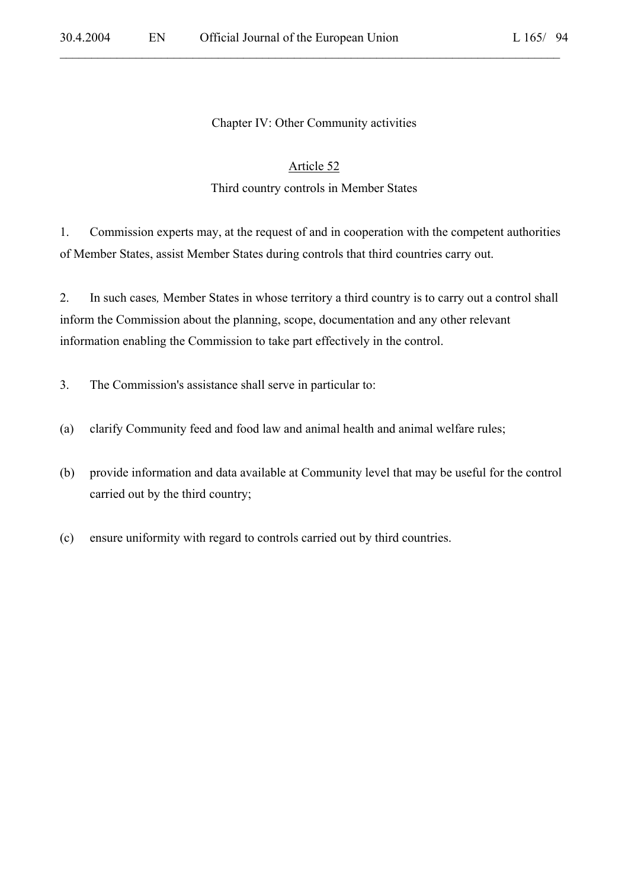#### Chapter IV: Other Community activities

 $\mathcal{L}_\mathcal{L} = \mathcal{L}_\mathcal{L} = \mathcal{L}_\mathcal{L} = \mathcal{L}_\mathcal{L} = \mathcal{L}_\mathcal{L} = \mathcal{L}_\mathcal{L} = \mathcal{L}_\mathcal{L} = \mathcal{L}_\mathcal{L} = \mathcal{L}_\mathcal{L} = \mathcal{L}_\mathcal{L} = \mathcal{L}_\mathcal{L} = \mathcal{L}_\mathcal{L} = \mathcal{L}_\mathcal{L} = \mathcal{L}_\mathcal{L} = \mathcal{L}_\mathcal{L} = \mathcal{L}_\mathcal{L} = \mathcal{L}_\mathcal{L}$ 

#### Article 52

#### Third country controls in Member States

1. Commission experts may, at the request of and in cooperation with the competent authorities of Member States, assist Member States during controls that third countries carry out.

2. In such cases*,* Member States in whose territory a third country is to carry out a control shall inform the Commission about the planning, scope, documentation and any other relevant information enabling the Commission to take part effectively in the control.

- 3. The Commission's assistance shall serve in particular to:
- (a) clarify Community feed and food law and animal health and animal welfare rules;
- (b) provide information and data available at Community level that may be useful for the control carried out by the third country;
- (c) ensure uniformity with regard to controls carried out by third countries.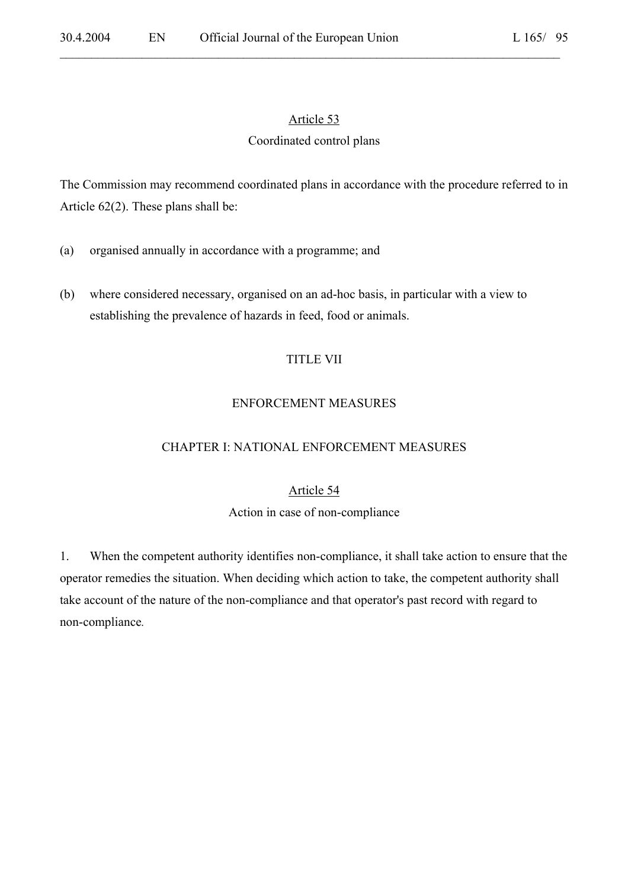## Article 53

 $\mathcal{L}_\mathcal{L} = \mathcal{L}_\mathcal{L} = \mathcal{L}_\mathcal{L} = \mathcal{L}_\mathcal{L} = \mathcal{L}_\mathcal{L} = \mathcal{L}_\mathcal{L} = \mathcal{L}_\mathcal{L} = \mathcal{L}_\mathcal{L} = \mathcal{L}_\mathcal{L} = \mathcal{L}_\mathcal{L} = \mathcal{L}_\mathcal{L} = \mathcal{L}_\mathcal{L} = \mathcal{L}_\mathcal{L} = \mathcal{L}_\mathcal{L} = \mathcal{L}_\mathcal{L} = \mathcal{L}_\mathcal{L} = \mathcal{L}_\mathcal{L}$ 

## Coordinated control plans

The Commission may recommend coordinated plans in accordance with the procedure referred to in Article 62(2). These plans shall be:

- (a) organised annually in accordance with a programme; and
- (b) where considered necessary, organised on an ad-hoc basis, in particular with a view to establishing the prevalence of hazards in feed, food or animals.

## TITLE VII

## ENFORCEMENT MEASURES

## CHAPTER I: NATIONAL ENFORCEMENT MEASURES

#### Article 54

#### Action in case of non-compliance

1. When the competent authority identifies non-compliance, it shall take action to ensure that the operator remedies the situation. When deciding which action to take, the competent authority shall take account of the nature of the non-compliance and that operator's past record with regard to non-compliance*.*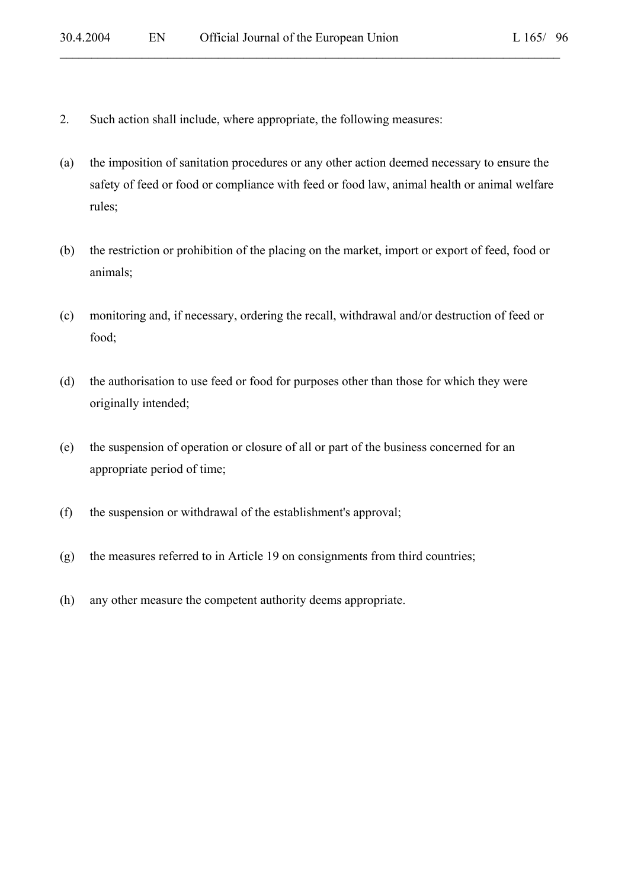- 2. Such action shall include, where appropriate, the following measures:
- (a) the imposition of sanitation procedures or any other action deemed necessary to ensure the safety of feed or food or compliance with feed or food law, animal health or animal welfare rules;

- (b) the restriction or prohibition of the placing on the market, import or export of feed, food or animals;
- (c) monitoring and, if necessary, ordering the recall, withdrawal and/or destruction of feed or food;
- (d) the authorisation to use feed or food for purposes other than those for which they were originally intended;
- (e) the suspension of operation or closure of all or part of the business concerned for an appropriate period of time;
- (f) the suspension or withdrawal of the establishment's approval;
- (g) the measures referred to in Article 19 on consignments from third countries;
- (h) any other measure the competent authority deems appropriate.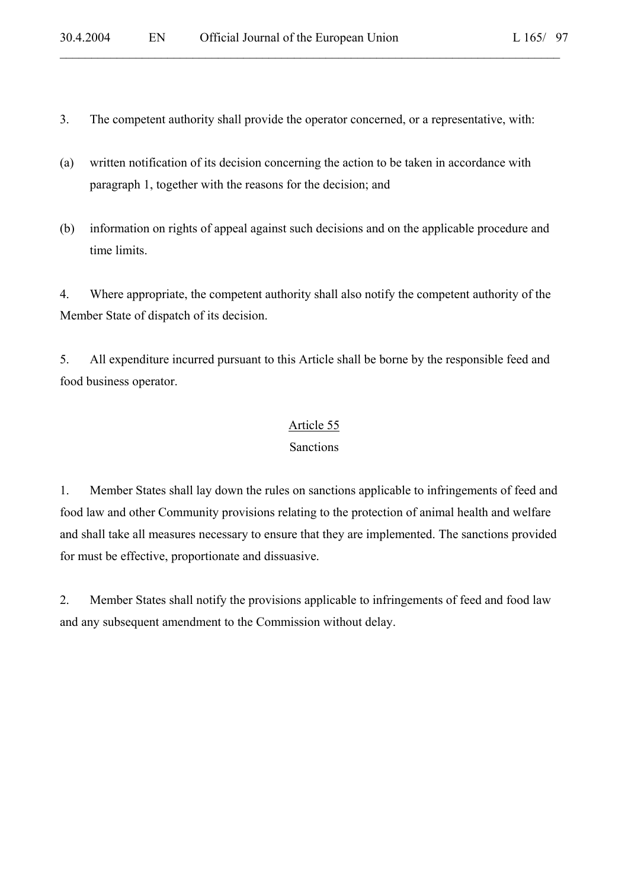3. The competent authority shall provide the operator concerned, or a representative, with:

 $\mathcal{L}_\mathcal{L} = \mathcal{L}_\mathcal{L} = \mathcal{L}_\mathcal{L} = \mathcal{L}_\mathcal{L} = \mathcal{L}_\mathcal{L} = \mathcal{L}_\mathcal{L} = \mathcal{L}_\mathcal{L} = \mathcal{L}_\mathcal{L} = \mathcal{L}_\mathcal{L} = \mathcal{L}_\mathcal{L} = \mathcal{L}_\mathcal{L} = \mathcal{L}_\mathcal{L} = \mathcal{L}_\mathcal{L} = \mathcal{L}_\mathcal{L} = \mathcal{L}_\mathcal{L} = \mathcal{L}_\mathcal{L} = \mathcal{L}_\mathcal{L}$ 

- (a) written notification of its decision concerning the action to be taken in accordance with paragraph 1, together with the reasons for the decision; and
- (b) information on rights of appeal against such decisions and on the applicable procedure and time limits.

4. Where appropriate, the competent authority shall also notify the competent authority of the Member State of dispatch of its decision.

5. All expenditure incurred pursuant to this Article shall be borne by the responsible feed and food business operator.

### Article 55

## Sanctions

1. Member States shall lay down the rules on sanctions applicable to infringements of feed and food law and other Community provisions relating to the protection of animal health and welfare and shall take all measures necessary to ensure that they are implemented. The sanctions provided for must be effective, proportionate and dissuasive.

2. Member States shall notify the provisions applicable to infringements of feed and food law and any subsequent amendment to the Commission without delay.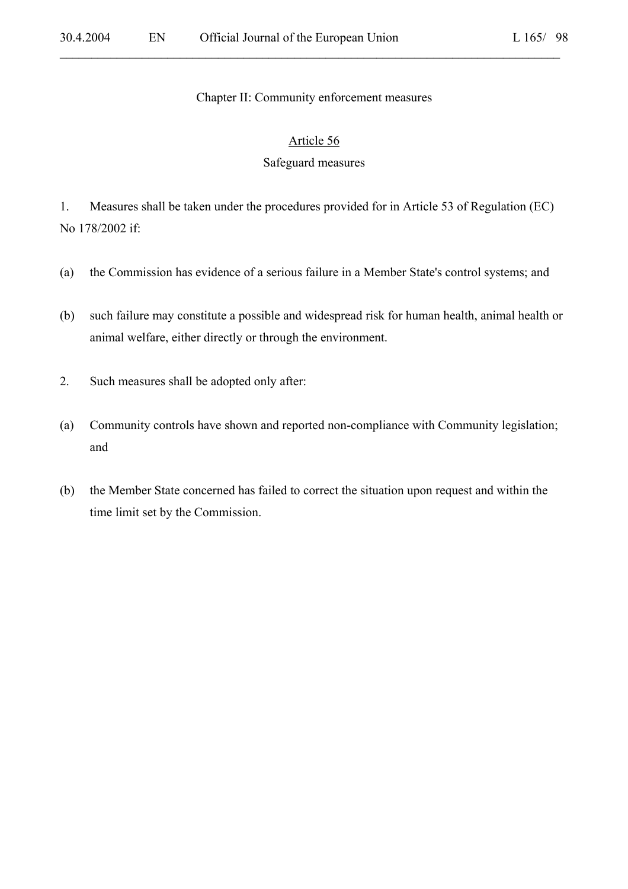#### Chapter II: Community enforcement measures

#### Article 56

#### Safeguard measures

1. Measures shall be taken under the procedures provided for in Article 53 of Regulation (EC) No 178/2002 if:

- (a) the Commission has evidence of a serious failure in a Member State's control systems; and
- (b) such failure may constitute a possible and widespread risk for human health, animal health or animal welfare, either directly or through the environment.
- 2. Such measures shall be adopted only after:
- (a) Community controls have shown and reported non-compliance with Community legislation; and
- (b) the Member State concerned has failed to correct the situation upon request and within the time limit set by the Commission.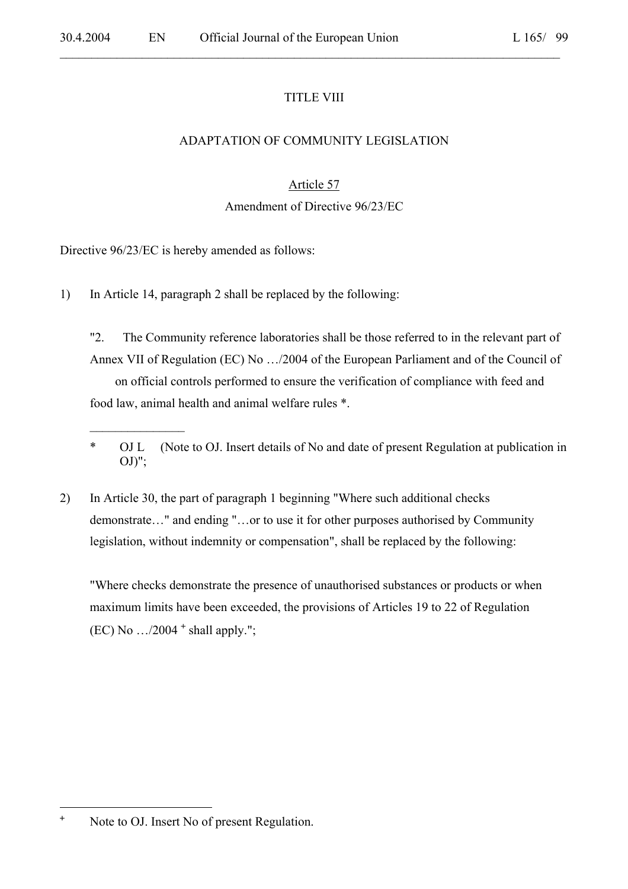## TITLE VIII

 $\mathcal{L}_\mathcal{L} = \mathcal{L}_\mathcal{L} = \mathcal{L}_\mathcal{L} = \mathcal{L}_\mathcal{L} = \mathcal{L}_\mathcal{L} = \mathcal{L}_\mathcal{L} = \mathcal{L}_\mathcal{L} = \mathcal{L}_\mathcal{L} = \mathcal{L}_\mathcal{L} = \mathcal{L}_\mathcal{L} = \mathcal{L}_\mathcal{L} = \mathcal{L}_\mathcal{L} = \mathcal{L}_\mathcal{L} = \mathcal{L}_\mathcal{L} = \mathcal{L}_\mathcal{L} = \mathcal{L}_\mathcal{L} = \mathcal{L}_\mathcal{L}$ 

## ADAPTATION OF COMMUNITY LEGISLATION

## Article 57

## Amendment of Directive 96/23/EC

Directive 96/23/EC is hereby amended as follows:

 $\overline{\phantom{a}}$  , where  $\overline{\phantom{a}}$ 

1) In Article 14, paragraph 2 shall be replaced by the following:

"2. The Community reference laboratories shall be those referred to in the relevant part of Annex VII of Regulation (EC) No …/2004 of the European Parliament and of the Council of on official controls performed to ensure the verification of compliance with feed and food law, animal health and animal welfare rules \*.

2) In Article 30, the part of paragraph 1 beginning "Where such additional checks demonstrate…" and ending "…or to use it for other purposes authorised by Community legislation, without indemnity or compensation", shall be replaced by the following:

"Where checks demonstrate the presence of unauthorised substances or products or when maximum limits have been exceeded, the provisions of Articles 19 to 22 of Regulation  $(EC)$  No  $\ldots$ /2004  $^+$  shall apply.";

<sup>\*</sup> OJ L (Note to OJ. Insert details of No and date of present Regulation at publication in  $OJ$ ";

 $\pm$ Note to OJ. Insert No of present Regulation.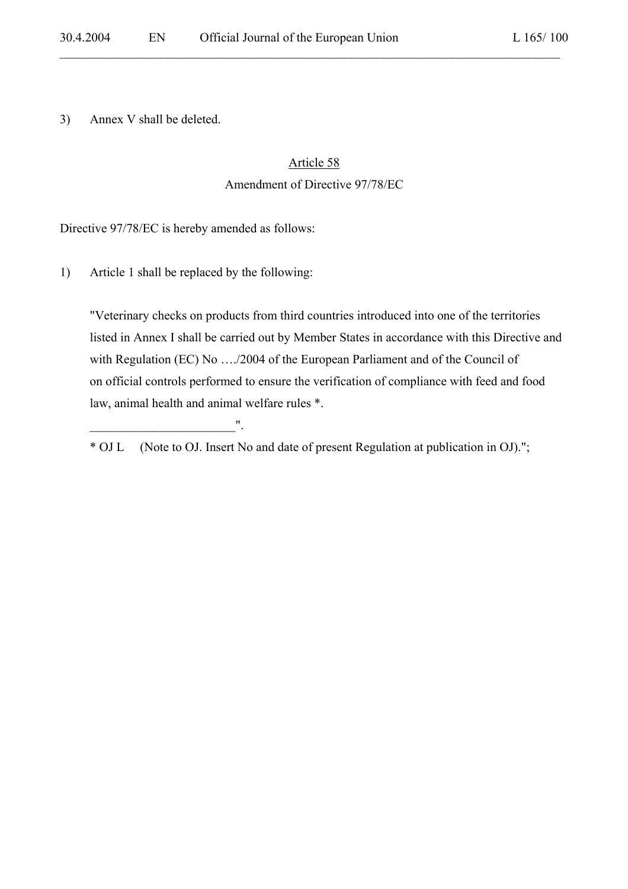3) Annex V shall be deleted.

#### Article 58

 $\mathcal{L}_\mathcal{L} = \mathcal{L}_\mathcal{L} = \mathcal{L}_\mathcal{L} = \mathcal{L}_\mathcal{L} = \mathcal{L}_\mathcal{L} = \mathcal{L}_\mathcal{L} = \mathcal{L}_\mathcal{L} = \mathcal{L}_\mathcal{L} = \mathcal{L}_\mathcal{L} = \mathcal{L}_\mathcal{L} = \mathcal{L}_\mathcal{L} = \mathcal{L}_\mathcal{L} = \mathcal{L}_\mathcal{L} = \mathcal{L}_\mathcal{L} = \mathcal{L}_\mathcal{L} = \mathcal{L}_\mathcal{L} = \mathcal{L}_\mathcal{L}$ 

#### Amendment of Directive 97/78/EC

Directive 97/78/EC is hereby amended as follows:

1) Article 1 shall be replaced by the following:

 $\mathbf{u}_\mathrm{max}$  . The set of the set of the set of the set of the set of the set of the set of the set of the set of the set of the set of the set of the set of the set of the set of the set of the set of the set of the set

"Veterinary checks on products from third countries introduced into one of the territories listed in Annex I shall be carried out by Member States in accordance with this Directive and with Regulation (EC) No ..../2004 of the European Parliament and of the Council of on official controls performed to ensure the verification of compliance with feed and food law, animal health and animal welfare rules \*.

\* OJ L (Note to OJ. Insert No and date of present Regulation at publication in OJ).";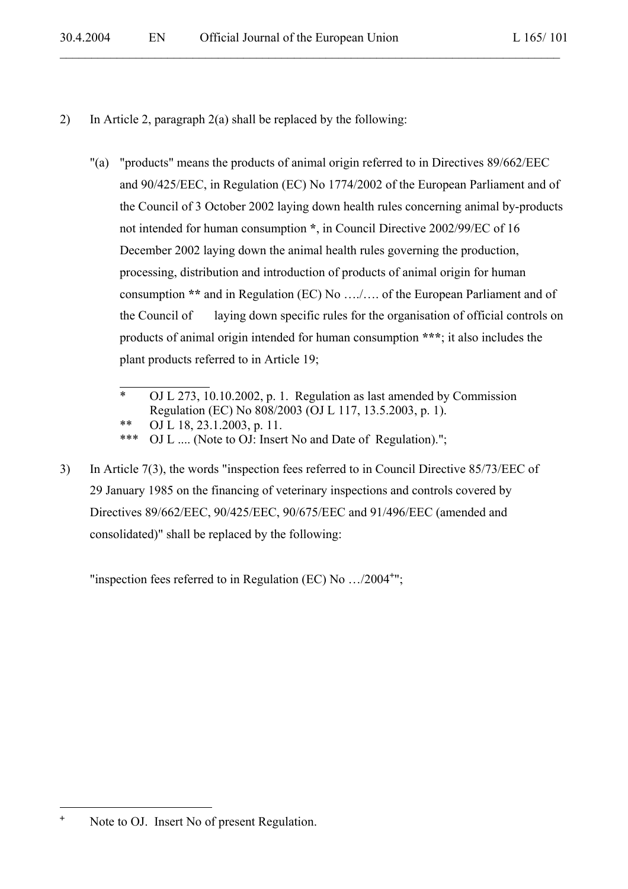2) In Article 2, paragraph 2(a) shall be replaced by the following:

"(a) "products" means the products of animal origin referred to in Directives 89/662/EEC and 90/425/EEC, in Regulation (EC) No 1774/2002 of the European Parliament and of the Council of 3 October 2002 laying down health rules concerning animal by-products not intended for human consumption **\***, in Council Directive 2002/99/EC of 16 December 2002 laying down the animal health rules governing the production, processing, distribution and introduction of products of animal origin for human consumption **\*\*** and in Regulation (EC) No …./…. of the European Parliament and of the Council of laying down specific rules for the organisation of official controls on products of animal origin intended for human consumption **\*\*\***; it also includes the plant products referred to in Article 19;

3) In Article 7(3), the words "inspection fees referred to in Council Directive 85/73/EEC of 29 January 1985 on the financing of veterinary inspections and controls covered by Directives 89/662/EEC, 90/425/EEC, 90/675/EEC and 91/496/EEC (amended and consolidated)" shall be replaced by the following:

"inspection fees referred to in Regulation (EC) No .../2004<sup>+</sup>";

<sup>\*</sup> OJ L 273, 10.10.2002, p. 1. Regulation as last amended by Commission Regulation (EC) No 808/2003 (OJ L 117, 13.5.2003, p. 1).

 <sup>\*\*</sup> OJ L 18, 23.1.2003, p. 11.

<sup>\*\*\*</sup> OJ L .... (Note to OJ: Insert No and Date of Regulation).";

 $\pm$ Note to OJ. Insert No of present Regulation.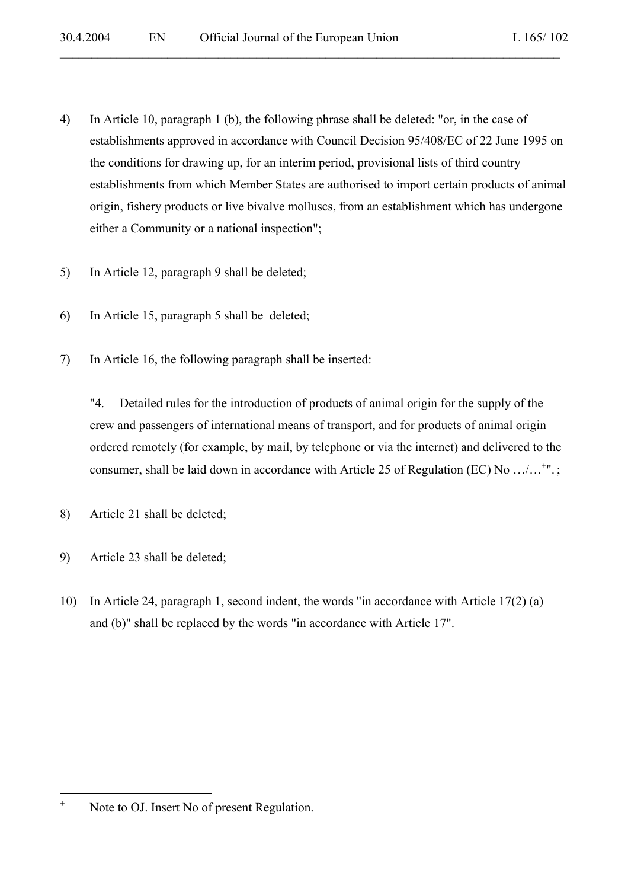4) In Article 10, paragraph 1 (b), the following phrase shall be deleted: "or, in the case of establishments approved in accordance with Council Decision 95/408/EC of 22 June 1995 on the conditions for drawing up, for an interim period, provisional lists of third country establishments from which Member States are authorised to import certain products of animal origin, fishery products or live bivalve molluscs, from an establishment which has undergone either a Community or a national inspection";

 $\mathcal{L}_\mathcal{L} = \mathcal{L}_\mathcal{L} = \mathcal{L}_\mathcal{L} = \mathcal{L}_\mathcal{L} = \mathcal{L}_\mathcal{L} = \mathcal{L}_\mathcal{L} = \mathcal{L}_\mathcal{L} = \mathcal{L}_\mathcal{L} = \mathcal{L}_\mathcal{L} = \mathcal{L}_\mathcal{L} = \mathcal{L}_\mathcal{L} = \mathcal{L}_\mathcal{L} = \mathcal{L}_\mathcal{L} = \mathcal{L}_\mathcal{L} = \mathcal{L}_\mathcal{L} = \mathcal{L}_\mathcal{L} = \mathcal{L}_\mathcal{L}$ 

- 5) In Article 12, paragraph 9 shall be deleted;
- 6) In Article 15, paragraph 5 shall be deleted;
- 7) In Article 16, the following paragraph shall be inserted:

"4. Detailed rules for the introduction of products of animal origin for the supply of the crew and passengers of international means of transport, and for products of animal origin ordered remotely (for example, by mail, by telephone or via the internet) and delivered to the consumer, shall be laid down in accordance with Article 25 of Regulation (EC) No .../...<sup>+</sup>".;

- 8) Article 21 shall be deleted;
- 9) Article 23 shall be deleted;
- 10) In Article 24, paragraph 1, second indent, the words "in accordance with Article 17(2) (a) and (b)" shall be replaced by the words "in accordance with Article 17".

<sup>+</sup> Note to OJ. Insert No of present Regulation.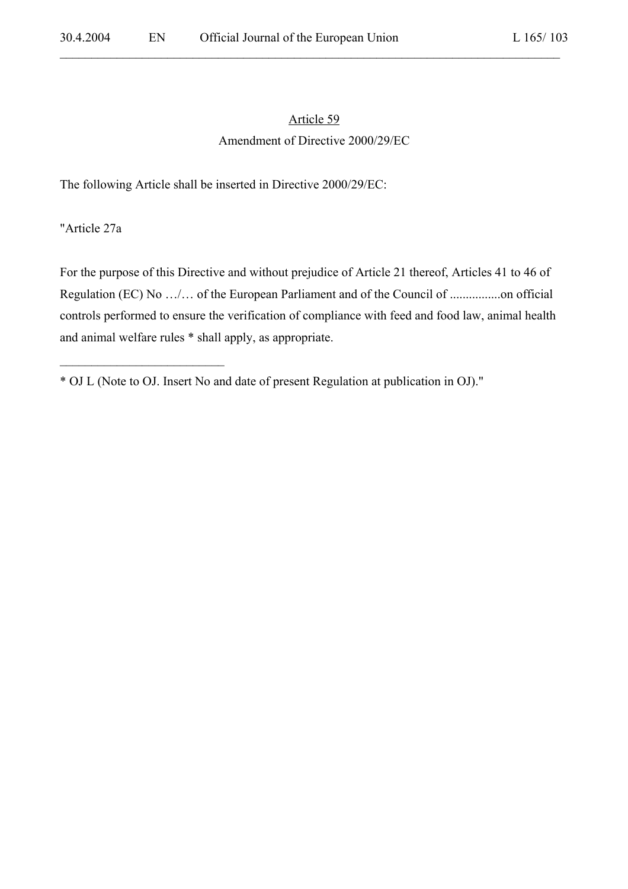# Article 59

 $\mathcal{L}_\mathcal{L} = \mathcal{L}_\mathcal{L} = \mathcal{L}_\mathcal{L} = \mathcal{L}_\mathcal{L} = \mathcal{L}_\mathcal{L} = \mathcal{L}_\mathcal{L} = \mathcal{L}_\mathcal{L} = \mathcal{L}_\mathcal{L} = \mathcal{L}_\mathcal{L} = \mathcal{L}_\mathcal{L} = \mathcal{L}_\mathcal{L} = \mathcal{L}_\mathcal{L} = \mathcal{L}_\mathcal{L} = \mathcal{L}_\mathcal{L} = \mathcal{L}_\mathcal{L} = \mathcal{L}_\mathcal{L} = \mathcal{L}_\mathcal{L}$ 

#### Amendment of Directive 2000/29/EC

The following Article shall be inserted in Directive 2000/29/EC:

"Article 27a

 $\mathcal{L}_\text{max}$  , where  $\mathcal{L}_\text{max}$  and  $\mathcal{L}_\text{max}$ 

For the purpose of this Directive and without prejudice of Article 21 thereof, Articles 41 to 46 of Regulation (EC) No …/… of the European Parliament and of the Council of ................on official controls performed to ensure the verification of compliance with feed and food law, animal health and animal welfare rules \* shall apply, as appropriate.

<sup>\*</sup> OJ L (Note to OJ. Insert No and date of present Regulation at publication in OJ)."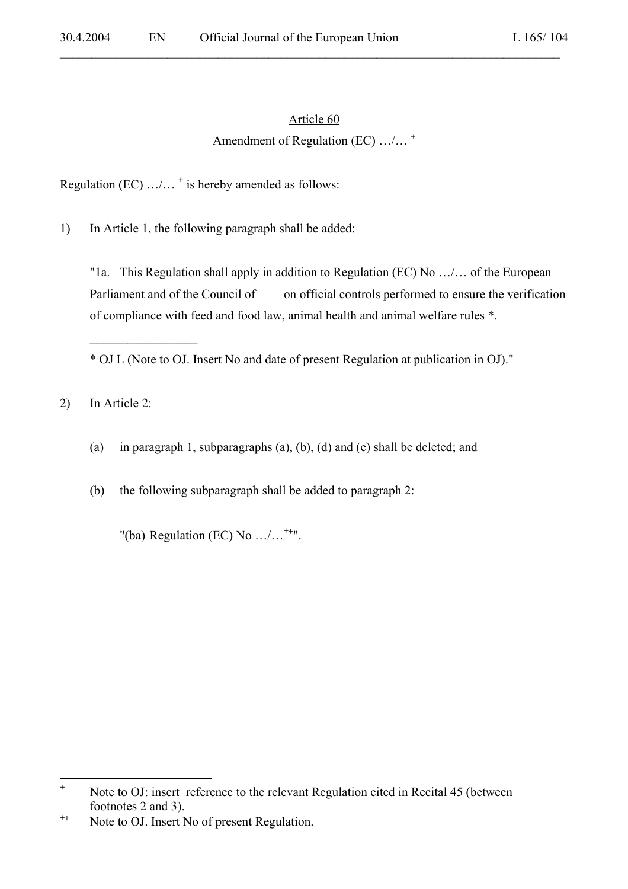## Article 60

## Amendment of Regulation (EC) …/…<sup>+</sup>

Regulation (EC) …/… **<sup>+</sup>** is hereby amended as follows:

1) In Article 1, the following paragraph shall be added:

"1a. This Regulation shall apply in addition to Regulation (EC) No …/… of the European Parliament and of the Council of on official controls performed to ensure the verification of compliance with feed and food law, animal health and animal welfare rules \*.

\* OJ L (Note to OJ. Insert No and date of present Regulation at publication in OJ)."

2) In Article 2:

 $\mathcal{L}_\text{max}$ 

(a) in paragraph 1, subparagraphs (a), (b), (d) and (e) shall be deleted; and

(b) the following subparagraph shall be added to paragraph 2:

"(ba) Regulation (EC) No …/…**<sup>+</sup>**<sup>+</sup> ".

 **+** Note to OJ: insert reference to the relevant Regulation cited in Recital 45 (between footnotes 2 and 3).

**<sup>+</sup>**+ Note to OJ. Insert No of present Regulation.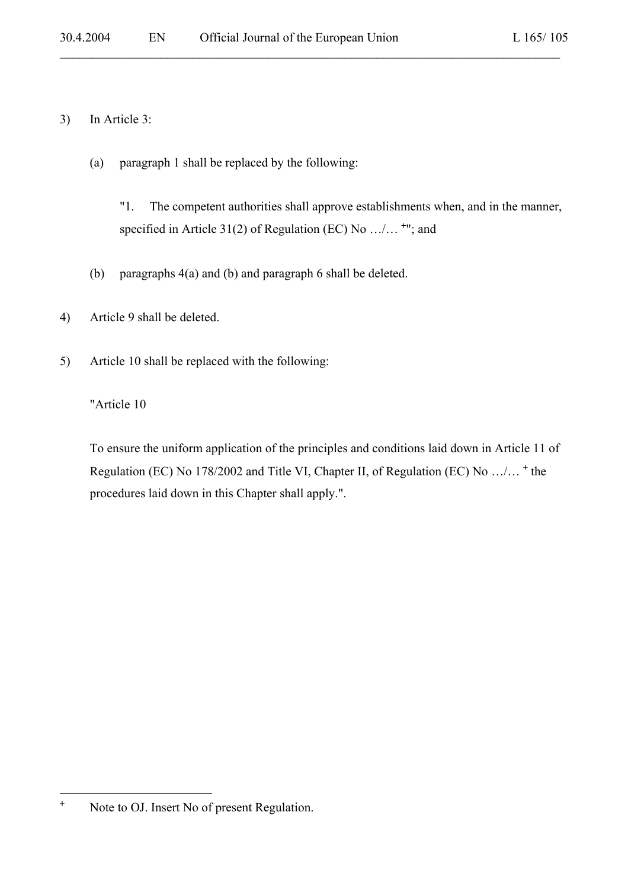### 3) In Article 3:

(a) paragraph 1 shall be replaced by the following:

"1. The competent authorities shall approve establishments when, and in the manner, specified in Article 31(2) of Regulation (EC) No  $\dots$  <sup>+"</sup>; and

 $\mathcal{L}_\mathcal{L} = \mathcal{L}_\mathcal{L} = \mathcal{L}_\mathcal{L} = \mathcal{L}_\mathcal{L} = \mathcal{L}_\mathcal{L} = \mathcal{L}_\mathcal{L} = \mathcal{L}_\mathcal{L} = \mathcal{L}_\mathcal{L} = \mathcal{L}_\mathcal{L} = \mathcal{L}_\mathcal{L} = \mathcal{L}_\mathcal{L} = \mathcal{L}_\mathcal{L} = \mathcal{L}_\mathcal{L} = \mathcal{L}_\mathcal{L} = \mathcal{L}_\mathcal{L} = \mathcal{L}_\mathcal{L} = \mathcal{L}_\mathcal{L}$ 

- (b) paragraphs 4(a) and (b) and paragraph 6 shall be deleted.
- 4) Article 9 shall be deleted.
- 5) Article 10 shall be replaced with the following:

"Article 10

To ensure the uniform application of the principles and conditions laid down in Article 11 of Regulation (EC) No 178/2002 and Title VI, Chapter II, of Regulation (EC) No .../...<sup>+</sup> the procedures laid down in this Chapter shall apply.".

<sup>+</sup> Note to OJ. Insert No of present Regulation.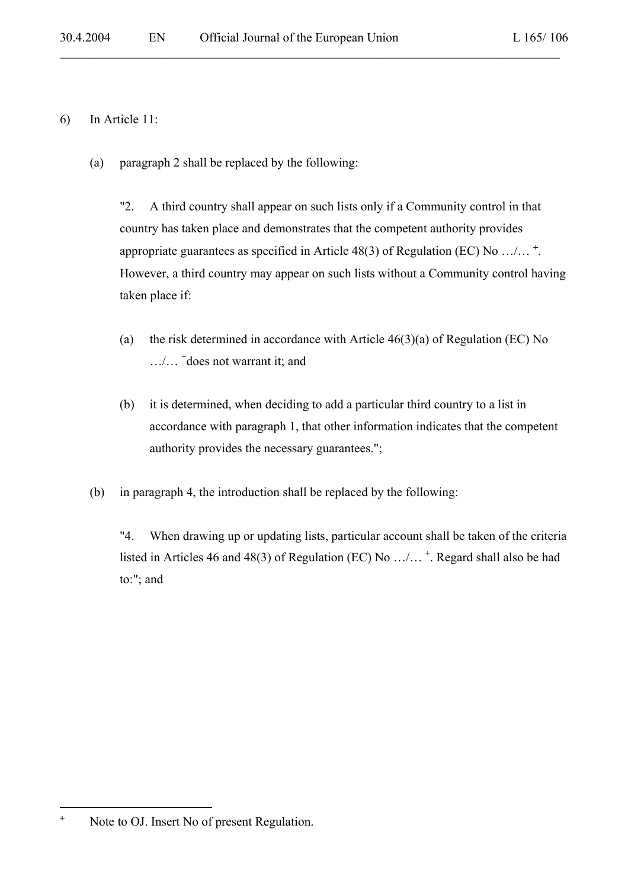## 6) In Article 11:

(a) paragraph 2 shall be replaced by the following:

"2. A third country shall appear on such lists only if a Community control in that country has taken place and demonstrates that the competent authority provides appropriate guarantees as specified in Article 48(3) of Regulation (EC) No  $\dots$   $\dots$   $\ddots$ However, a third country may appear on such lists without a Community control having taken place if:

 $\mathcal{L}_\mathcal{L} = \mathcal{L}_\mathcal{L} = \mathcal{L}_\mathcal{L} = \mathcal{L}_\mathcal{L} = \mathcal{L}_\mathcal{L} = \mathcal{L}_\mathcal{L} = \mathcal{L}_\mathcal{L} = \mathcal{L}_\mathcal{L} = \mathcal{L}_\mathcal{L} = \mathcal{L}_\mathcal{L} = \mathcal{L}_\mathcal{L} = \mathcal{L}_\mathcal{L} = \mathcal{L}_\mathcal{L} = \mathcal{L}_\mathcal{L} = \mathcal{L}_\mathcal{L} = \mathcal{L}_\mathcal{L} = \mathcal{L}_\mathcal{L}$ 

- (a) the risk determined in accordance with Article  $46(3)(a)$  of Regulation (EC) No …/… <sup>+</sup> does not warrant it; and
- (b) it is determined, when deciding to add a particular third country to a list in accordance with paragraph 1, that other information indicates that the competent authority provides the necessary guarantees.";
- (b) in paragraph 4, the introduction shall be replaced by the following:

"4. When drawing up or updating lists, particular account shall be taken of the criteria listed in Articles 46 and 48(3) of Regulation (EC) No  $\ldots/\ldots$  \*. Regard shall also be had to:"; and

<sup>+</sup> Note to OJ. Insert No of present Regulation.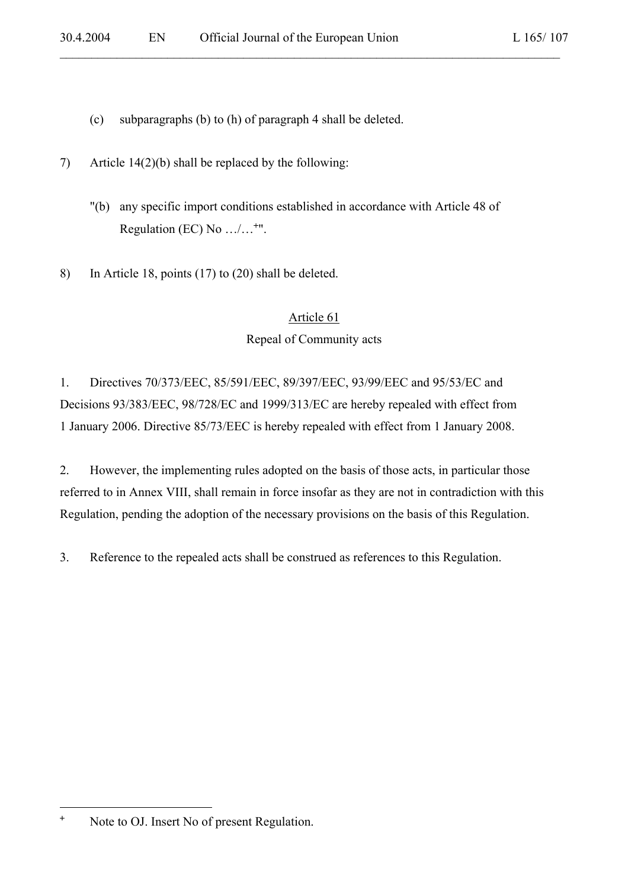- (c) subparagraphs (b) to (h) of paragraph 4 shall be deleted.
- 7) Article 14(2)(b) shall be replaced by the following:
	- "(b) any specific import conditions established in accordance with Article 48 of Regulation (EC) No  $\ldots/\ldots$ <sup>+"</sup>.

8) In Article 18, points (17) to (20) shall be deleted.

### Article 61

### Repeal of Community acts

1. Directives 70/373/EEC, 85/591/EEC, 89/397/EEC, 93/99/EEC and 95/53/EC and Decisions 93/383/EEC, 98/728/EC and 1999/313/EC are hereby repealed with effect from 1 January 2006. Directive 85/73/EEC is hereby repealed with effect from 1 January 2008.

2. However, the implementing rules adopted on the basis of those acts, in particular those referred to in Annex VIII, shall remain in force insofar as they are not in contradiction with this Regulation, pending the adoption of the necessary provisions on the basis of this Regulation.

3. Reference to the repealed acts shall be construed as references to this Regulation.

<sup>+</sup> Note to OJ. Insert No of present Regulation.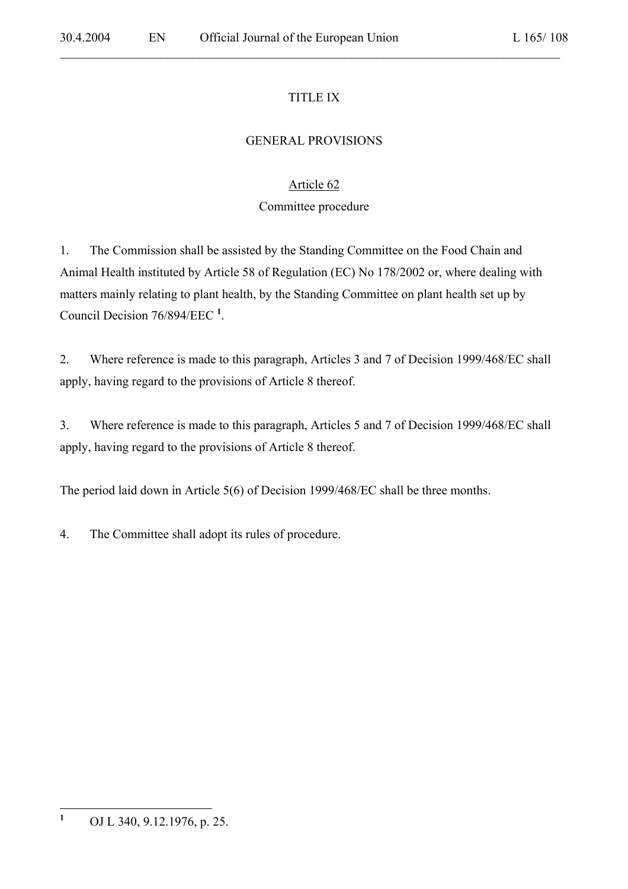## TITLE IX

 $\mathcal{L}_\mathcal{L} = \mathcal{L}_\mathcal{L} = \mathcal{L}_\mathcal{L} = \mathcal{L}_\mathcal{L} = \mathcal{L}_\mathcal{L} = \mathcal{L}_\mathcal{L} = \mathcal{L}_\mathcal{L} = \mathcal{L}_\mathcal{L} = \mathcal{L}_\mathcal{L} = \mathcal{L}_\mathcal{L} = \mathcal{L}_\mathcal{L} = \mathcal{L}_\mathcal{L} = \mathcal{L}_\mathcal{L} = \mathcal{L}_\mathcal{L} = \mathcal{L}_\mathcal{L} = \mathcal{L}_\mathcal{L} = \mathcal{L}_\mathcal{L}$ 

## GENERAL PROVISIONS

## Article 62

## Committee procedure

1. The Commission shall be assisted by the Standing Committee on the Food Chain and Animal Health instituted by Article 58 of Regulation (EC) No 178/2002 or, where dealing with matters mainly relating to plant health, by the Standing Committee on plant health set up by Council Decision 76/894/EEC **<sup>1</sup>** .

2. Where reference is made to this paragraph, Articles 3 and 7 of Decision 1999/468/EC shall apply, having regard to the provisions of Article 8 thereof.

3. Where reference is made to this paragraph, Articles 5 and 7 of Decision 1999/468/EC shall apply, having regard to the provisions of Article 8 thereof.

The period laid down in Article 5(6) of Decision 1999/468/EC shall be three months.

4. The Committee shall adopt its rules of procedure.

 **1** OJ L 340, 9.12.1976, p. 25.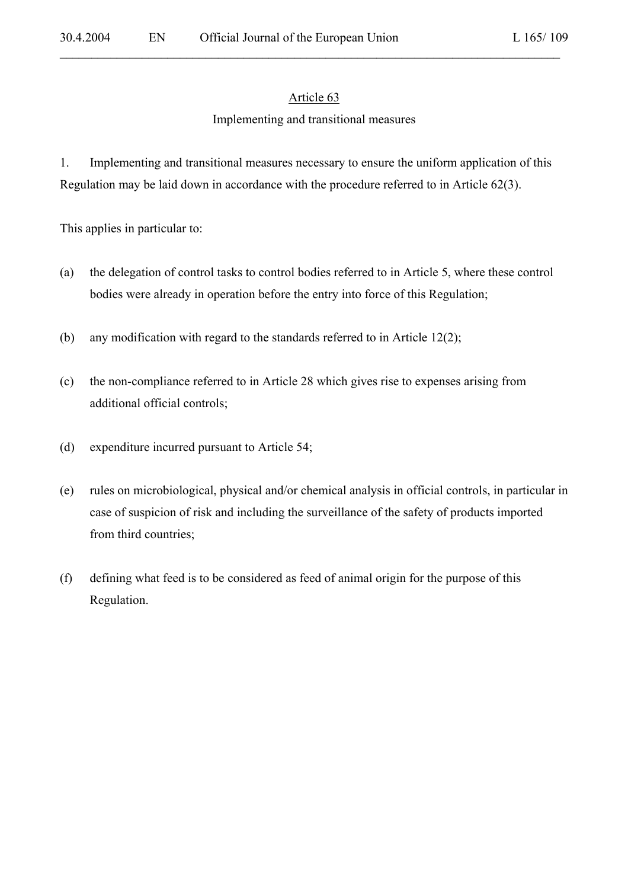#### Article 63

 $\mathcal{L}_\mathcal{L} = \mathcal{L}_\mathcal{L} = \mathcal{L}_\mathcal{L} = \mathcal{L}_\mathcal{L} = \mathcal{L}_\mathcal{L} = \mathcal{L}_\mathcal{L} = \mathcal{L}_\mathcal{L} = \mathcal{L}_\mathcal{L} = \mathcal{L}_\mathcal{L} = \mathcal{L}_\mathcal{L} = \mathcal{L}_\mathcal{L} = \mathcal{L}_\mathcal{L} = \mathcal{L}_\mathcal{L} = \mathcal{L}_\mathcal{L} = \mathcal{L}_\mathcal{L} = \mathcal{L}_\mathcal{L} = \mathcal{L}_\mathcal{L}$ 

### Implementing and transitional measures

1. Implementing and transitional measures necessary to ensure the uniform application of this Regulation may be laid down in accordance with the procedure referred to in Article 62(3).

This applies in particular to:

- (a) the delegation of control tasks to control bodies referred to in Article 5, where these control bodies were already in operation before the entry into force of this Regulation;
- (b) any modification with regard to the standards referred to in Article 12(2);
- (c) the non-compliance referred to in Article 28 which gives rise to expenses arising from additional official controls;
- (d) expenditure incurred pursuant to Article 54;
- (e) rules on microbiological, physical and/or chemical analysis in official controls, in particular in case of suspicion of risk and including the surveillance of the safety of products imported from third countries;
- (f) defining what feed is to be considered as feed of animal origin for the purpose of this Regulation.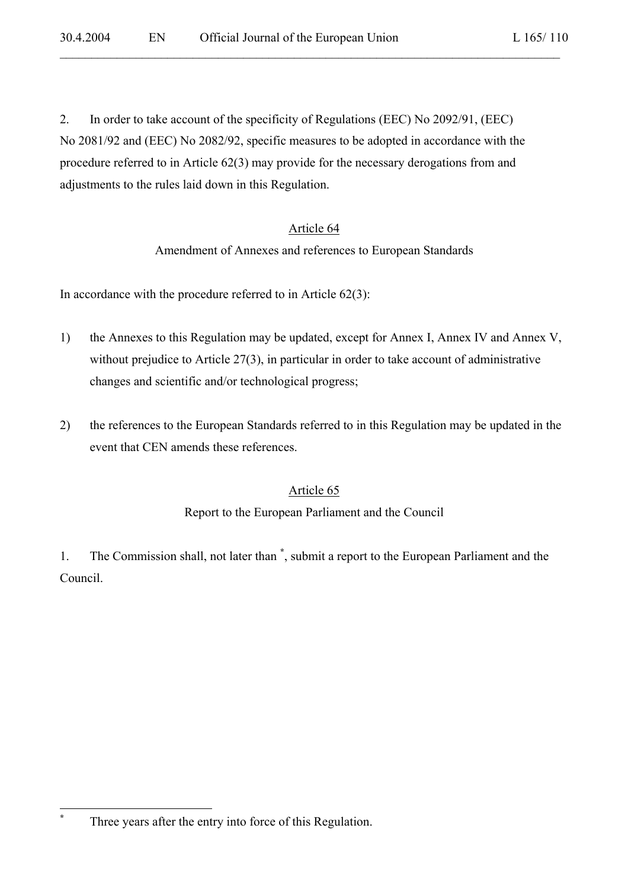2. In order to take account of the specificity of Regulations (EEC) No 2092/91, (EEC) No 2081/92 and (EEC) No 2082/92, specific measures to be adopted in accordance with the procedure referred to in Article 62(3) may provide for the necessary derogations from and adjustments to the rules laid down in this Regulation.

 $\mathcal{L}_\mathcal{L} = \mathcal{L}_\mathcal{L} = \mathcal{L}_\mathcal{L} = \mathcal{L}_\mathcal{L} = \mathcal{L}_\mathcal{L} = \mathcal{L}_\mathcal{L} = \mathcal{L}_\mathcal{L} = \mathcal{L}_\mathcal{L} = \mathcal{L}_\mathcal{L} = \mathcal{L}_\mathcal{L} = \mathcal{L}_\mathcal{L} = \mathcal{L}_\mathcal{L} = \mathcal{L}_\mathcal{L} = \mathcal{L}_\mathcal{L} = \mathcal{L}_\mathcal{L} = \mathcal{L}_\mathcal{L} = \mathcal{L}_\mathcal{L}$ 

### Article 64

Amendment of Annexes and references to European Standards

In accordance with the procedure referred to in Article  $62(3)$ :

- 1) the Annexes to this Regulation may be updated, except for Annex I, Annex IV and Annex V, without prejudice to Article 27(3), in particular in order to take account of administrative changes and scientific and/or technological progress;
- 2) the references to the European Standards referred to in this Regulation may be updated in the event that CEN amends these references.

### Article 65

#### Report to the European Parliament and the Council

1. The Commission shall, not later than **\*** , submit a report to the European Parliament and the Council.

**\***

Three years after the entry into force of this Regulation.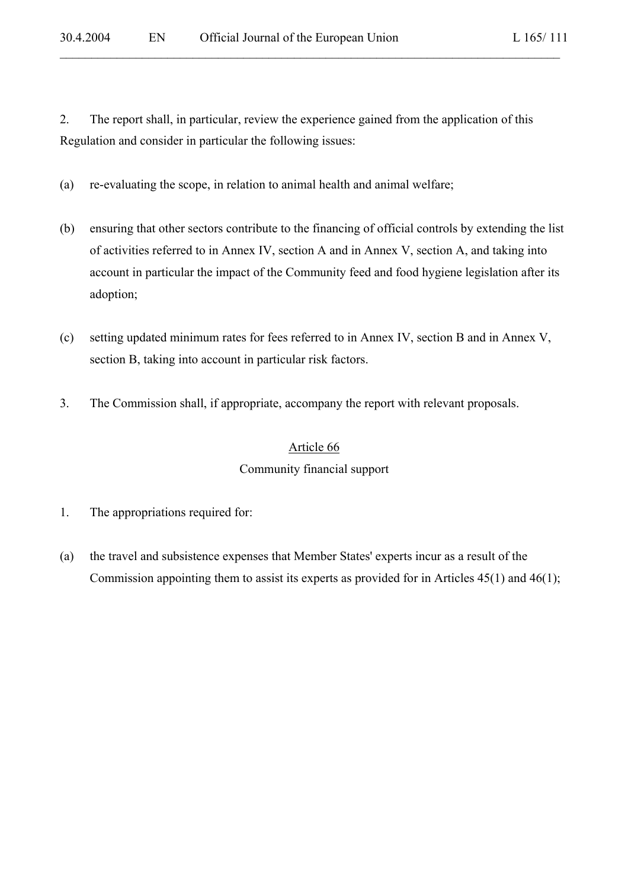2. The report shall, in particular, review the experience gained from the application of this Regulation and consider in particular the following issues:

 $\mathcal{L}_\mathcal{L} = \mathcal{L}_\mathcal{L} = \mathcal{L}_\mathcal{L} = \mathcal{L}_\mathcal{L} = \mathcal{L}_\mathcal{L} = \mathcal{L}_\mathcal{L} = \mathcal{L}_\mathcal{L} = \mathcal{L}_\mathcal{L} = \mathcal{L}_\mathcal{L} = \mathcal{L}_\mathcal{L} = \mathcal{L}_\mathcal{L} = \mathcal{L}_\mathcal{L} = \mathcal{L}_\mathcal{L} = \mathcal{L}_\mathcal{L} = \mathcal{L}_\mathcal{L} = \mathcal{L}_\mathcal{L} = \mathcal{L}_\mathcal{L}$ 

- (a) re-evaluating the scope, in relation to animal health and animal welfare;
- (b) ensuring that other sectors contribute to the financing of official controls by extending the list of activities referred to in Annex IV, section A and in Annex V, section A, and taking into account in particular the impact of the Community feed and food hygiene legislation after its adoption;
- (c) setting updated minimum rates for fees referred to in Annex IV, section B and in Annex V, section B, taking into account in particular risk factors.
- 3. The Commission shall, if appropriate, accompany the report with relevant proposals.

# Article 66

### Community financial support

- 1. The appropriations required for:
- (a) the travel and subsistence expenses that Member States' experts incur as a result of the Commission appointing them to assist its experts as provided for in Articles 45(1) and 46(1);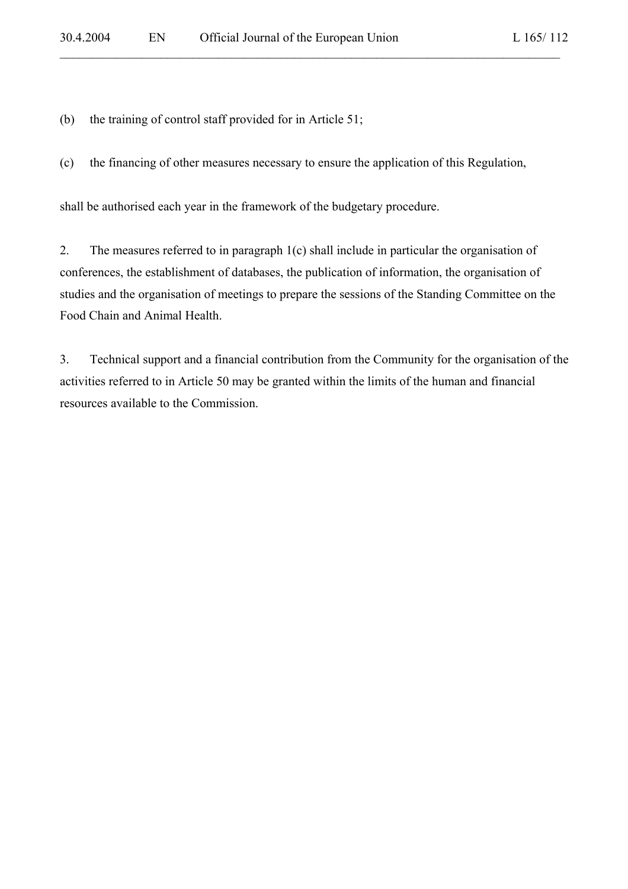(b) the training of control staff provided for in Article 51;

(c) the financing of other measures necessary to ensure the application of this Regulation,

 $\mathcal{L}_\mathcal{L} = \mathcal{L}_\mathcal{L} = \mathcal{L}_\mathcal{L} = \mathcal{L}_\mathcal{L} = \mathcal{L}_\mathcal{L} = \mathcal{L}_\mathcal{L} = \mathcal{L}_\mathcal{L} = \mathcal{L}_\mathcal{L} = \mathcal{L}_\mathcal{L} = \mathcal{L}_\mathcal{L} = \mathcal{L}_\mathcal{L} = \mathcal{L}_\mathcal{L} = \mathcal{L}_\mathcal{L} = \mathcal{L}_\mathcal{L} = \mathcal{L}_\mathcal{L} = \mathcal{L}_\mathcal{L} = \mathcal{L}_\mathcal{L}$ 

shall be authorised each year in the framework of the budgetary procedure.

2. The measures referred to in paragraph 1(c) shall include in particular the organisation of conferences, the establishment of databases, the publication of information, the organisation of studies and the organisation of meetings to prepare the sessions of the Standing Committee on the Food Chain and Animal Health.

3. Technical support and a financial contribution from the Community for the organisation of the activities referred to in Article 50 may be granted within the limits of the human and financial resources available to the Commission.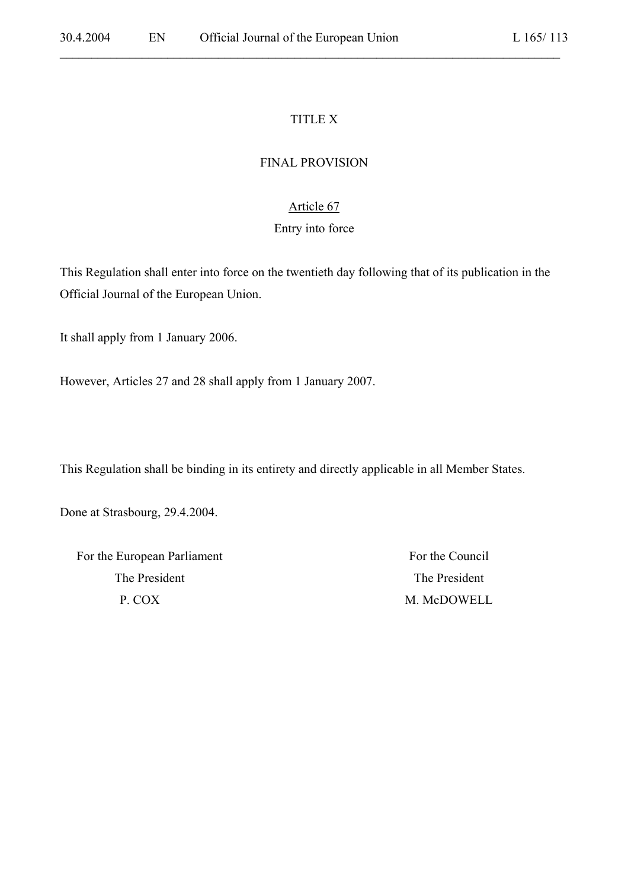### TITLE X

 $\mathcal{L}_\mathcal{L} = \mathcal{L}_\mathcal{L} = \mathcal{L}_\mathcal{L} = \mathcal{L}_\mathcal{L} = \mathcal{L}_\mathcal{L} = \mathcal{L}_\mathcal{L} = \mathcal{L}_\mathcal{L} = \mathcal{L}_\mathcal{L} = \mathcal{L}_\mathcal{L} = \mathcal{L}_\mathcal{L} = \mathcal{L}_\mathcal{L} = \mathcal{L}_\mathcal{L} = \mathcal{L}_\mathcal{L} = \mathcal{L}_\mathcal{L} = \mathcal{L}_\mathcal{L} = \mathcal{L}_\mathcal{L} = \mathcal{L}_\mathcal{L}$ 

#### FINAL PROVISION

### Article 67

#### Entry into force

This Regulation shall enter into force on the twentieth day following that of its publication in the Official Journal of the European Union.

It shall apply from 1 January 2006.

However, Articles 27 and 28 shall apply from 1 January 2007.

This Regulation shall be binding in its entirety and directly applicable in all Member States.

Done at Strasbourg, 29.4.2004.

For the European Parliament For the Council The President The President P. COX M. McDOWELL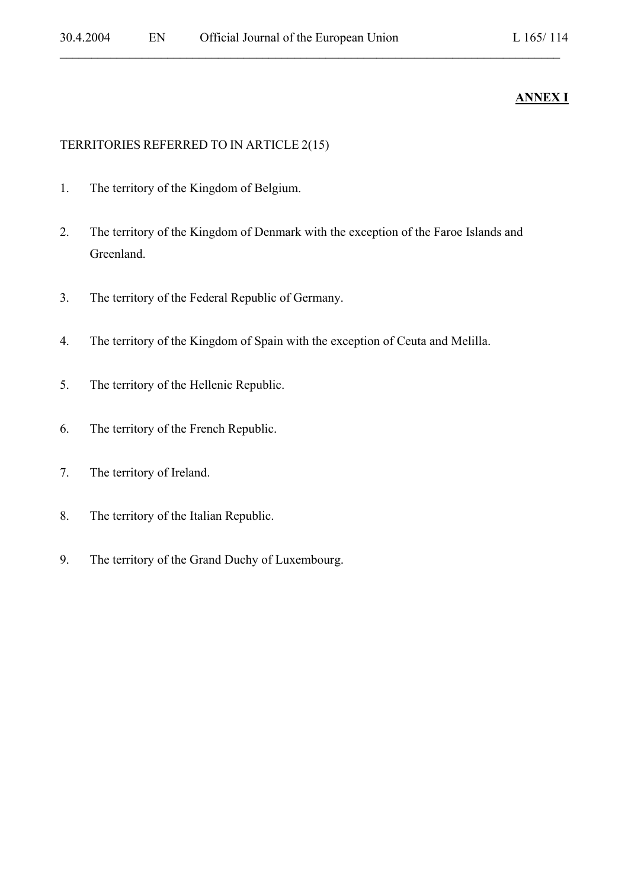# **ANNEX I**

#### TERRITORIES REFERRED TO IN ARTICLE 2(15)

- 1. The territory of the Kingdom of Belgium.
- 2. The territory of the Kingdom of Denmark with the exception of the Faroe Islands and Greenland.

- 3. The territory of the Federal Republic of Germany.
- 4. The territory of the Kingdom of Spain with the exception of Ceuta and Melilla.
- 5. The territory of the Hellenic Republic.
- 6. The territory of the French Republic.
- 7. The territory of Ireland.
- 8. The territory of the Italian Republic.
- 9. The territory of the Grand Duchy of Luxembourg.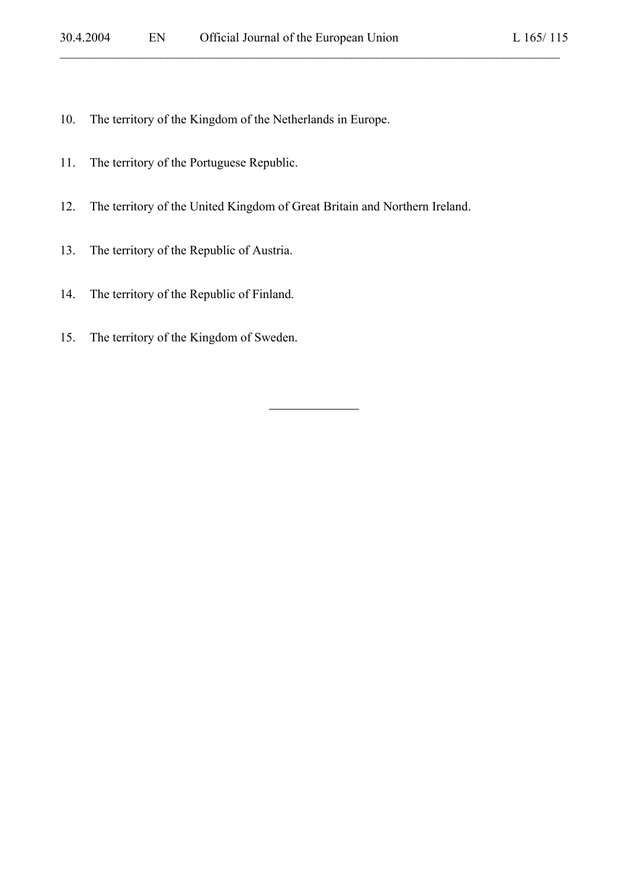- 10. The territory of the Kingdom of the Netherlands in Europe.
- 11. The territory of the Portuguese Republic.
- 12. The territory of the United Kingdom of Great Britain and Northern Ireland.

l

- 13. The territory of the Republic of Austria.
- 14. The territory of the Republic of Finland.
- 15. The territory of the Kingdom of Sweden.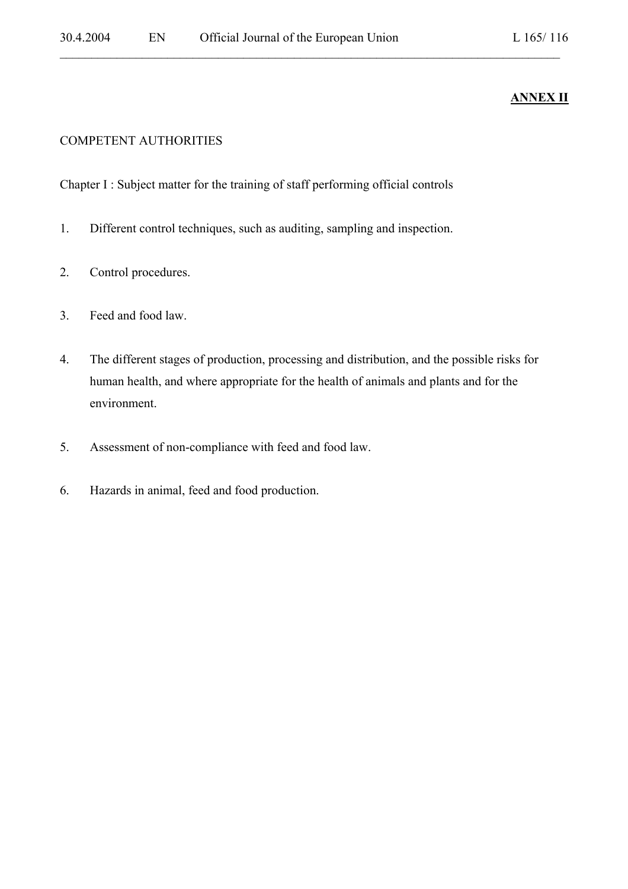# **ANNEX II**

#### COMPETENT AUTHORITIES

Chapter I : Subject matter for the training of staff performing official controls

- 1. Different control techniques, such as auditing, sampling and inspection.
- 2. Control procedures.
- 3. Feed and food law.
- 4. The different stages of production, processing and distribution, and the possible risks for human health, and where appropriate for the health of animals and plants and for the environment.

- 5. Assessment of non-compliance with feed and food law.
- 6. Hazards in animal, feed and food production.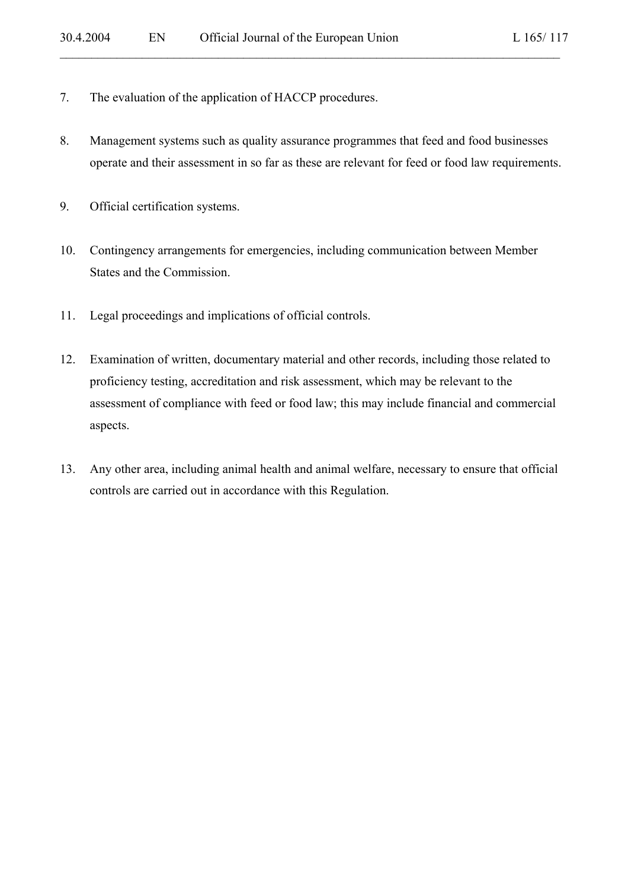- 7. The evaluation of the application of HACCP procedures.
- 8. Management systems such as quality assurance programmes that feed and food businesses operate and their assessment in so far as these are relevant for feed or food law requirements.

- 9. Official certification systems.
- 10. Contingency arrangements for emergencies, including communication between Member States and the Commission.
- 11. Legal proceedings and implications of official controls.
- 12. Examination of written, documentary material and other records, including those related to proficiency testing, accreditation and risk assessment, which may be relevant to the assessment of compliance with feed or food law; this may include financial and commercial aspects.
- 13. Any other area, including animal health and animal welfare, necessary to ensure that official controls are carried out in accordance with this Regulation.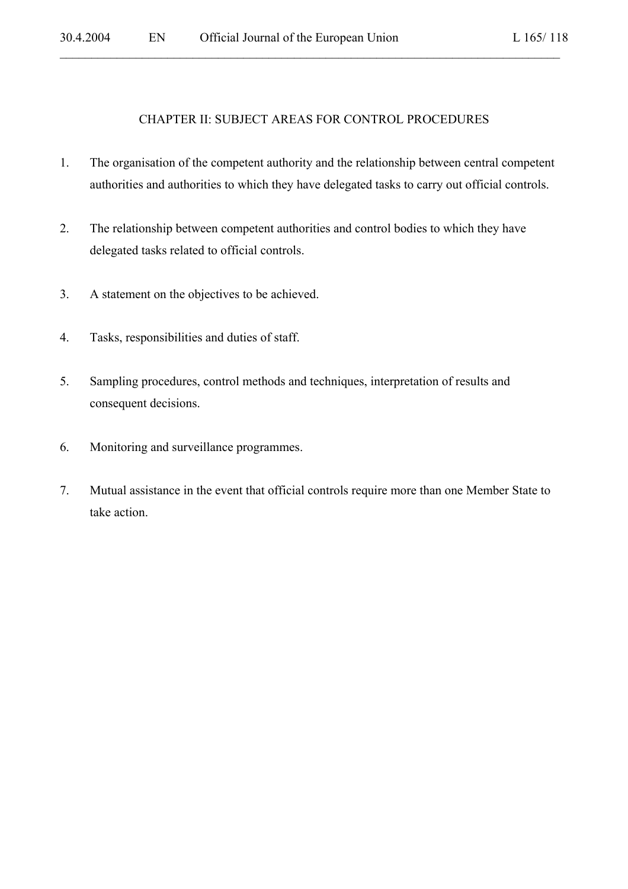#### CHAPTER II: SUBJECT AREAS FOR CONTROL PROCEDURES

- 1. The organisation of the competent authority and the relationship between central competent authorities and authorities to which they have delegated tasks to carry out official controls.
- 2. The relationship between competent authorities and control bodies to which they have delegated tasks related to official controls.
- 3. A statement on the objectives to be achieved.
- 4. Tasks, responsibilities and duties of staff.
- 5. Sampling procedures, control methods and techniques, interpretation of results and consequent decisions.
- 6. Monitoring and surveillance programmes.
- 7. Mutual assistance in the event that official controls require more than one Member State to take action.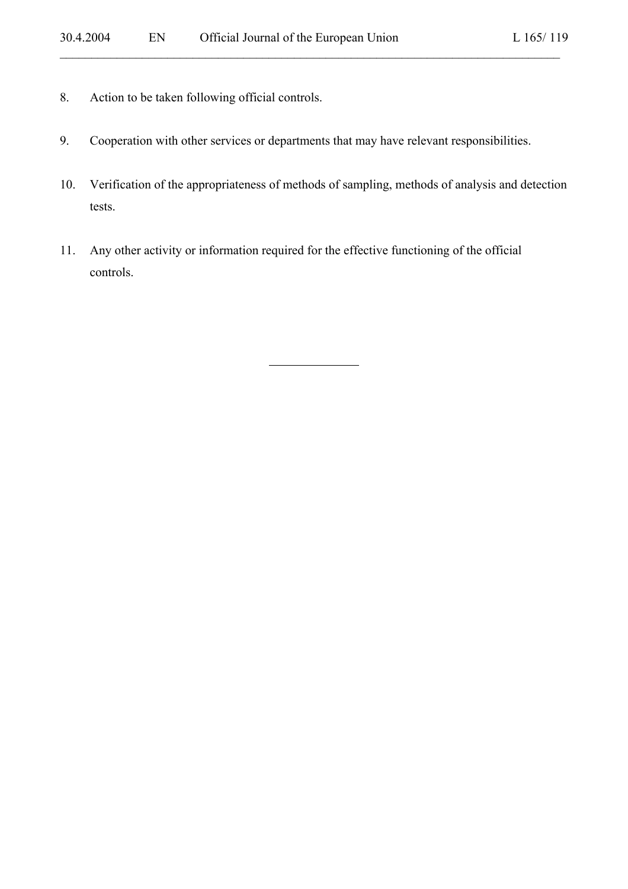- 8. Action to be taken following official controls.
- 9. Cooperation with other services or departments that may have relevant responsibilities.
- 10. Verification of the appropriateness of methods of sampling, methods of analysis and detection tests.

 $\mathcal{L}_\mathcal{L} = \mathcal{L}_\mathcal{L} = \mathcal{L}_\mathcal{L} = \mathcal{L}_\mathcal{L} = \mathcal{L}_\mathcal{L} = \mathcal{L}_\mathcal{L} = \mathcal{L}_\mathcal{L} = \mathcal{L}_\mathcal{L} = \mathcal{L}_\mathcal{L} = \mathcal{L}_\mathcal{L} = \mathcal{L}_\mathcal{L} = \mathcal{L}_\mathcal{L} = \mathcal{L}_\mathcal{L} = \mathcal{L}_\mathcal{L} = \mathcal{L}_\mathcal{L} = \mathcal{L}_\mathcal{L} = \mathcal{L}_\mathcal{L}$ 

11. Any other activity or information required for the effective functioning of the official controls.

 $\overline{a}$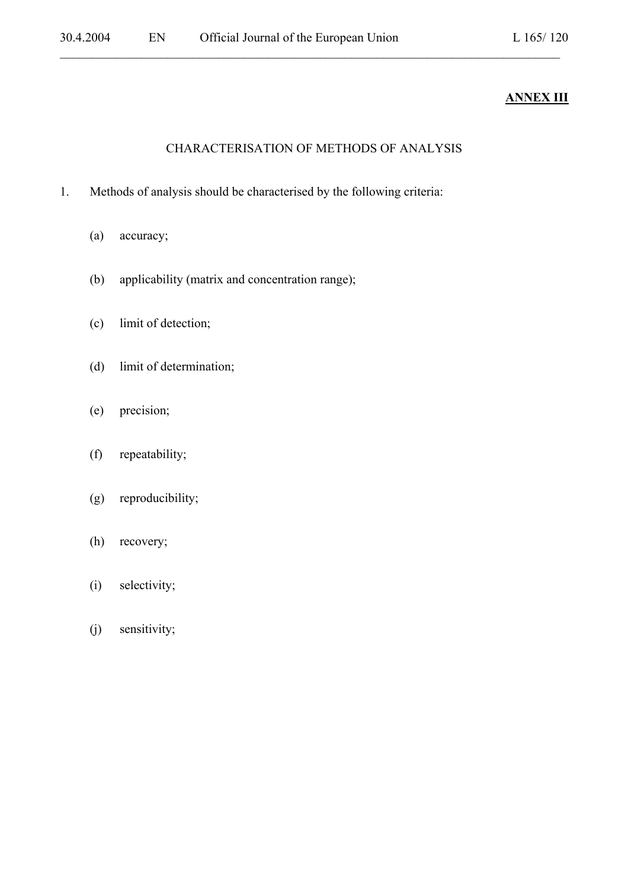# **ANNEX III**

# CHARACTERISATION OF METHODS OF ANALYSIS

- 1. Methods of analysis should be characterised by the following criteria:
	- (a) accuracy;
	- (b) applicability (matrix and concentration range);
	- (c) limit of detection;
	- (d) limit of determination;
	- (e) precision;
	- (f) repeatability;
	- (g) reproducibility;
	- (h) recovery;
	- (i) selectivity;
	- (j) sensitivity;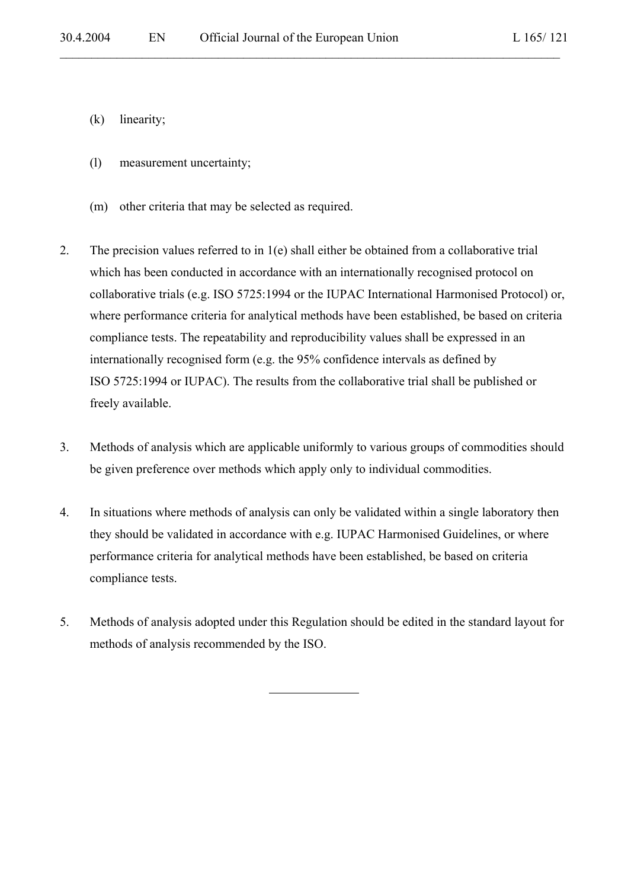- (k) linearity;
- (l) measurement uncertainty;
- (m) other criteria that may be selected as required.
- 2. The precision values referred to in 1(e) shall either be obtained from a collaborative trial which has been conducted in accordance with an internationally recognised protocol on collaborative trials (e.g. ISO 5725:1994 or the IUPAC International Harmonised Protocol) or, where performance criteria for analytical methods have been established, be based on criteria compliance tests. The repeatability and reproducibility values shall be expressed in an internationally recognised form (e.g. the 95% confidence intervals as defined by ISO 5725:1994 or IUPAC). The results from the collaborative trial shall be published or freely available.

 $\mathcal{L}_\mathcal{L} = \mathcal{L}_\mathcal{L} = \mathcal{L}_\mathcal{L} = \mathcal{L}_\mathcal{L} = \mathcal{L}_\mathcal{L} = \mathcal{L}_\mathcal{L} = \mathcal{L}_\mathcal{L} = \mathcal{L}_\mathcal{L} = \mathcal{L}_\mathcal{L} = \mathcal{L}_\mathcal{L} = \mathcal{L}_\mathcal{L} = \mathcal{L}_\mathcal{L} = \mathcal{L}_\mathcal{L} = \mathcal{L}_\mathcal{L} = \mathcal{L}_\mathcal{L} = \mathcal{L}_\mathcal{L} = \mathcal{L}_\mathcal{L}$ 

- 3. Methods of analysis which are applicable uniformly to various groups of commodities should be given preference over methods which apply only to individual commodities.
- 4. In situations where methods of analysis can only be validated within a single laboratory then they should be validated in accordance with e.g. IUPAC Harmonised Guidelines, or where performance criteria for analytical methods have been established, be based on criteria compliance tests.
- 5. Methods of analysis adopted under this Regulation should be edited in the standard layout for methods of analysis recommended by the ISO.

 $\overline{a}$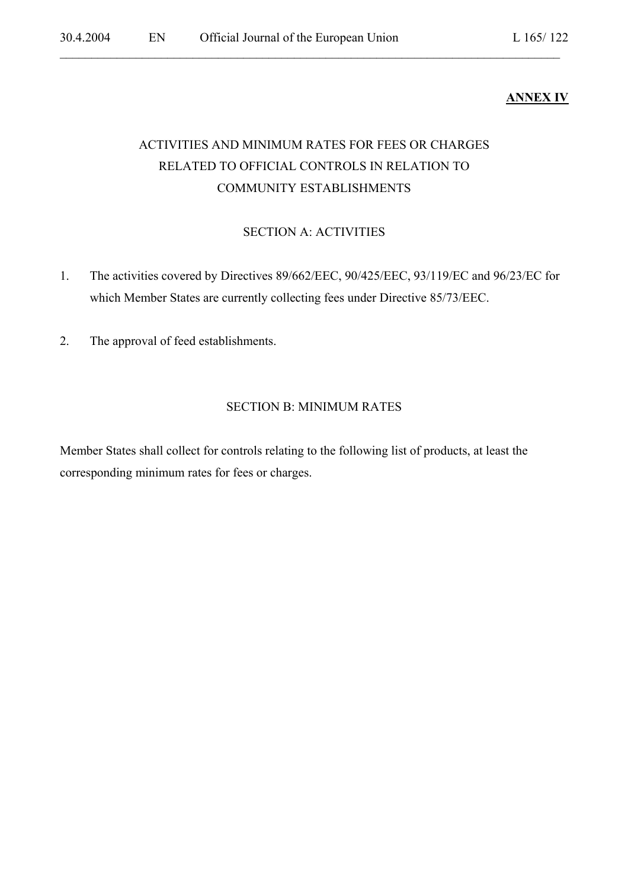# **ANNEX IV**

# ACTIVITIES AND MINIMUM RATES FOR FEES OR CHARGES RELATED TO OFFICIAL CONTROLS IN RELATION TO COMMUNITY ESTABLISHMENTS

 $\mathcal{L}_\mathcal{L} = \mathcal{L}_\mathcal{L} = \mathcal{L}_\mathcal{L} = \mathcal{L}_\mathcal{L} = \mathcal{L}_\mathcal{L} = \mathcal{L}_\mathcal{L} = \mathcal{L}_\mathcal{L} = \mathcal{L}_\mathcal{L} = \mathcal{L}_\mathcal{L} = \mathcal{L}_\mathcal{L} = \mathcal{L}_\mathcal{L} = \mathcal{L}_\mathcal{L} = \mathcal{L}_\mathcal{L} = \mathcal{L}_\mathcal{L} = \mathcal{L}_\mathcal{L} = \mathcal{L}_\mathcal{L} = \mathcal{L}_\mathcal{L}$ 

# SECTION A: ACTIVITIES

- 1. The activities covered by Directives 89/662/EEC, 90/425/EEC, 93/119/EC and 96/23/EC for which Member States are currently collecting fees under Directive 85/73/EEC.
- 2. The approval of feed establishments.

#### SECTION B: MINIMUM RATES

Member States shall collect for controls relating to the following list of products, at least the corresponding minimum rates for fees or charges.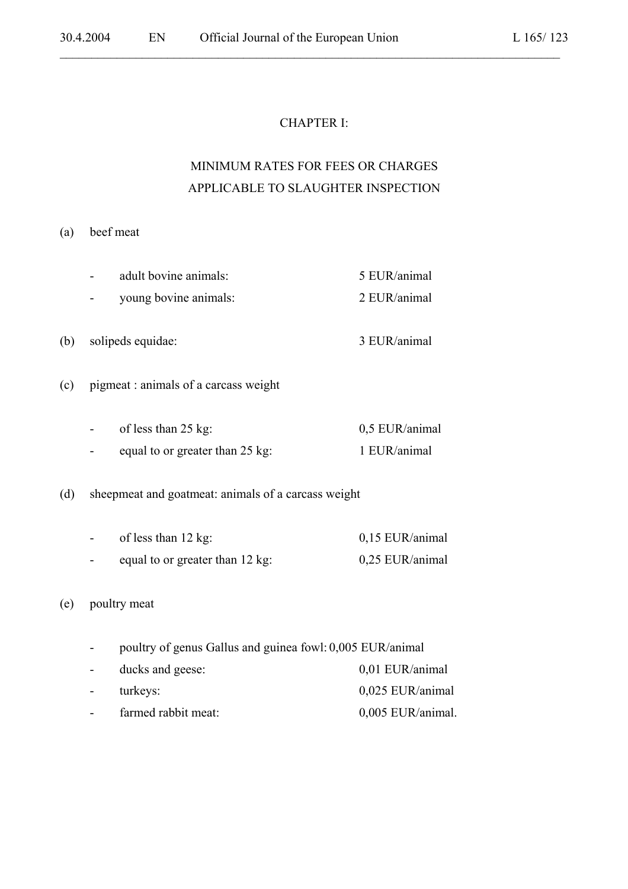### CHAPTER I:

 $\mathcal{L}_\mathcal{L} = \mathcal{L}_\mathcal{L} = \mathcal{L}_\mathcal{L} = \mathcal{L}_\mathcal{L} = \mathcal{L}_\mathcal{L} = \mathcal{L}_\mathcal{L} = \mathcal{L}_\mathcal{L} = \mathcal{L}_\mathcal{L} = \mathcal{L}_\mathcal{L} = \mathcal{L}_\mathcal{L} = \mathcal{L}_\mathcal{L} = \mathcal{L}_\mathcal{L} = \mathcal{L}_\mathcal{L} = \mathcal{L}_\mathcal{L} = \mathcal{L}_\mathcal{L} = \mathcal{L}_\mathcal{L} = \mathcal{L}_\mathcal{L}$ 

# MINIMUM RATES FOR FEES OR CHARGES APPLICABLE TO SLAUGHTER INSPECTION

#### (a) beef meat

| adult bovine animals: | 5 EUR/animal |
|-----------------------|--------------|
| young bovine animals: | 2 EUR/animal |
|                       |              |

- (b) solipeds equidae: 3 EUR/animal
- (c) pigmeat : animals of a carcass weight

| $\blacksquare$           | of less than $25 \text{ kg}$ :  | 0.5 EUR/animal |
|--------------------------|---------------------------------|----------------|
| $\overline{\phantom{0}}$ | equal to or greater than 25 kg: | 1 EUR/animal   |

(d) sheepmeat and goatmeat: animals of a carcass weight

| $\sim$                   | of less than $12 \text{ kg}$ :  | 0,15 EUR/animal |
|--------------------------|---------------------------------|-----------------|
| $\overline{\phantom{0}}$ | equal to or greater than 12 kg: | 0,25 EUR/animal |

#### (e) poultry meat

- poultry of genus Gallus and guinea fowl: 0,005 EUR/animal
- ducks and geese: 0,01 EUR/animal - turkeys: 0,025 EUR/animal - farmed rabbit meat: 0,005 EUR/animal.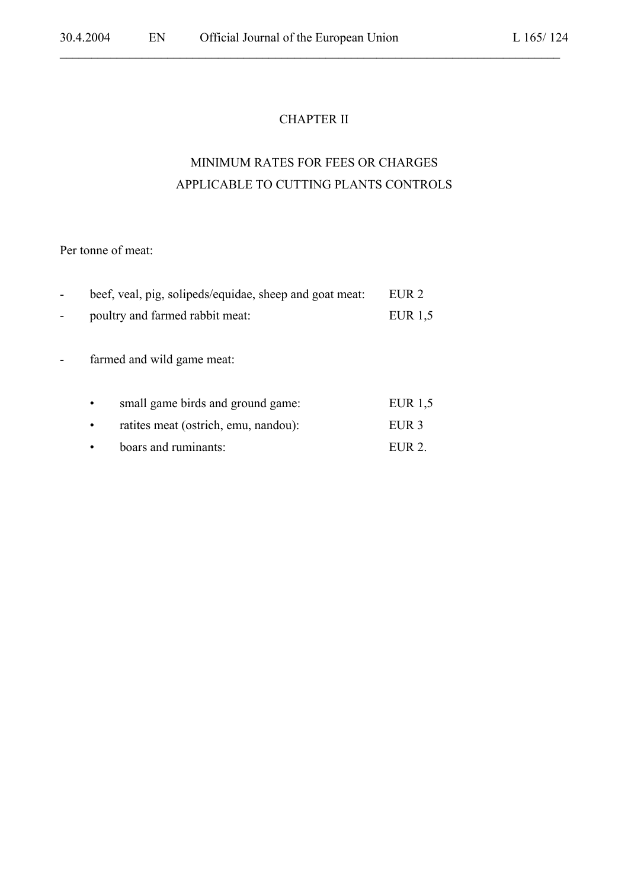### CHAPTER II

 $\mathcal{L}_\mathcal{L} = \mathcal{L}_\mathcal{L} = \mathcal{L}_\mathcal{L} = \mathcal{L}_\mathcal{L} = \mathcal{L}_\mathcal{L} = \mathcal{L}_\mathcal{L} = \mathcal{L}_\mathcal{L} = \mathcal{L}_\mathcal{L} = \mathcal{L}_\mathcal{L} = \mathcal{L}_\mathcal{L} = \mathcal{L}_\mathcal{L} = \mathcal{L}_\mathcal{L} = \mathcal{L}_\mathcal{L} = \mathcal{L}_\mathcal{L} = \mathcal{L}_\mathcal{L} = \mathcal{L}_\mathcal{L} = \mathcal{L}_\mathcal{L}$ 

# MINIMUM RATES FOR FEES OR CHARGES APPLICABLE TO CUTTING PLANTS CONTROLS

Per tonne of meat:

| beef, veal, pig, solipeds/equidae, sheep and goat meat: | EUR 2     |
|---------------------------------------------------------|-----------|
| poultry and farmed rabbit meat:                         | EUR $1,5$ |
|                                                         |           |
| farmed and wild game meat:                              |           |
|                                                         |           |
| small game birds and ground game:                       | EUR $1,5$ |
| ratites meat (ostrich, emu, nandou):                    | EUR 3     |

|  | boars and ruminants: | EUR 2. |
|--|----------------------|--------|
|--|----------------------|--------|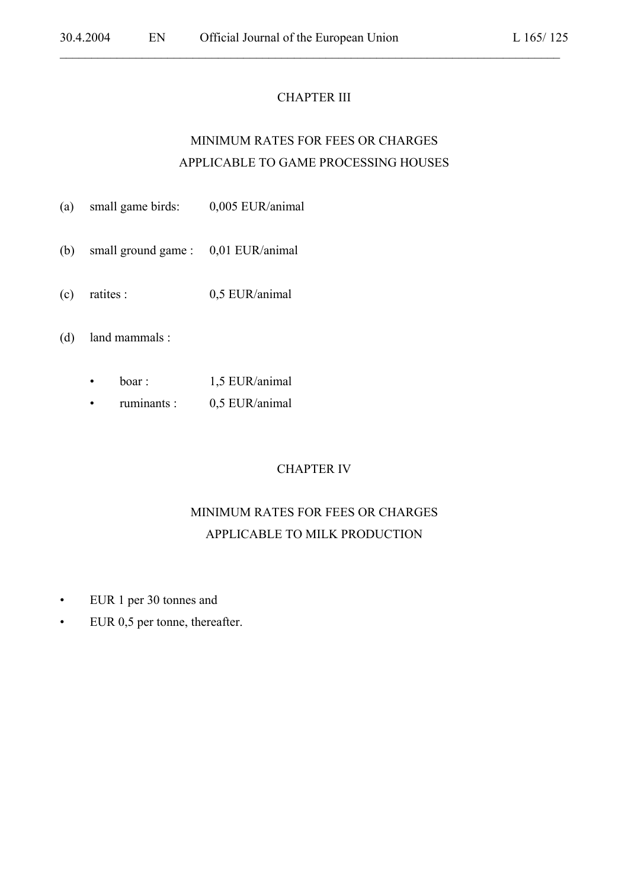#### CHAPTER III

 $\mathcal{L}_\mathcal{L} = \mathcal{L}_\mathcal{L} = \mathcal{L}_\mathcal{L} = \mathcal{L}_\mathcal{L} = \mathcal{L}_\mathcal{L} = \mathcal{L}_\mathcal{L} = \mathcal{L}_\mathcal{L} = \mathcal{L}_\mathcal{L} = \mathcal{L}_\mathcal{L} = \mathcal{L}_\mathcal{L} = \mathcal{L}_\mathcal{L} = \mathcal{L}_\mathcal{L} = \mathcal{L}_\mathcal{L} = \mathcal{L}_\mathcal{L} = \mathcal{L}_\mathcal{L} = \mathcal{L}_\mathcal{L} = \mathcal{L}_\mathcal{L}$ 

# MINIMUM RATES FOR FEES OR CHARGES APPLICABLE TO GAME PROCESSING HOUSES

- (a) small game birds: 0,005 EUR/animal
- (b) small ground game : 0,01 EUR/animal
- (c) ratites : 0,5 EUR/animal

(d) land mammals :

- boar : 1,5 EUR/animal
- ruminants : 0,5 EUR/animal

### CHAPTER IV

# MINIMUM RATES FOR FEES OR CHARGES APPLICABLE TO MILK PRODUCTION

- EUR 1 per 30 tonnes and
- EUR 0,5 per tonne, thereafter.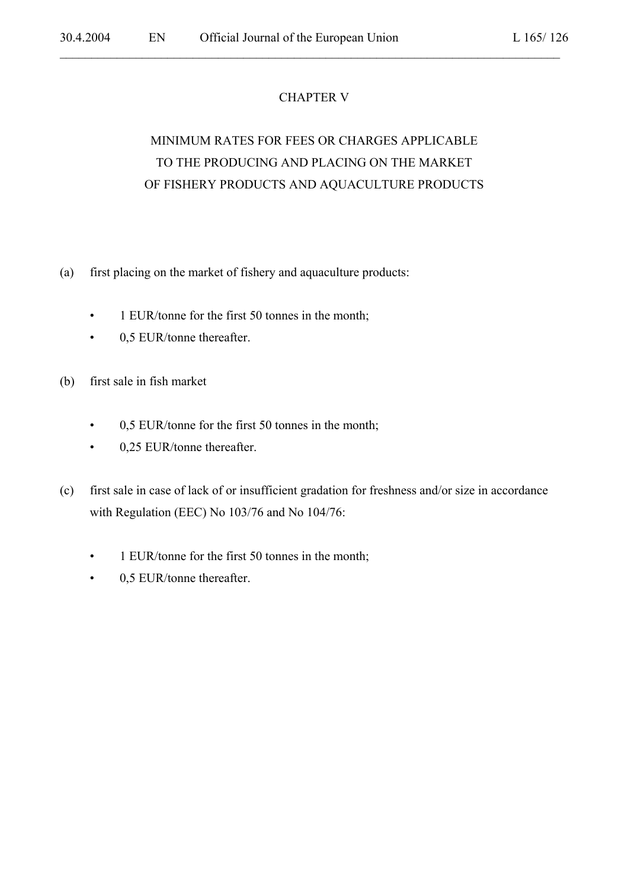# CHAPTER V

 $\mathcal{L}_\mathcal{L} = \mathcal{L}_\mathcal{L} = \mathcal{L}_\mathcal{L} = \mathcal{L}_\mathcal{L} = \mathcal{L}_\mathcal{L} = \mathcal{L}_\mathcal{L} = \mathcal{L}_\mathcal{L} = \mathcal{L}_\mathcal{L} = \mathcal{L}_\mathcal{L} = \mathcal{L}_\mathcal{L} = \mathcal{L}_\mathcal{L} = \mathcal{L}_\mathcal{L} = \mathcal{L}_\mathcal{L} = \mathcal{L}_\mathcal{L} = \mathcal{L}_\mathcal{L} = \mathcal{L}_\mathcal{L} = \mathcal{L}_\mathcal{L}$ 

# MINIMUM RATES FOR FEES OR CHARGES APPLICABLE TO THE PRODUCING AND PLACING ON THE MARKET OF FISHERY PRODUCTS AND AQUACULTURE PRODUCTS

- (a) first placing on the market of fishery and aquaculture products:
	- 1 EUR/tonne for the first 50 tonnes in the month;
	- 0,5 EUR/tonne thereafter.
- (b) first sale in fish market
	- 0,5 EUR/tonne for the first 50 tonnes in the month;
	- 0,25 EUR/tonne thereafter.
- (c) first sale in case of lack of or insufficient gradation for freshness and/or size in accordance with Regulation (EEC) No 103/76 and No 104/76:
	- 1 EUR/tonne for the first 50 tonnes in the month;
	- 0,5 EUR/tonne thereafter.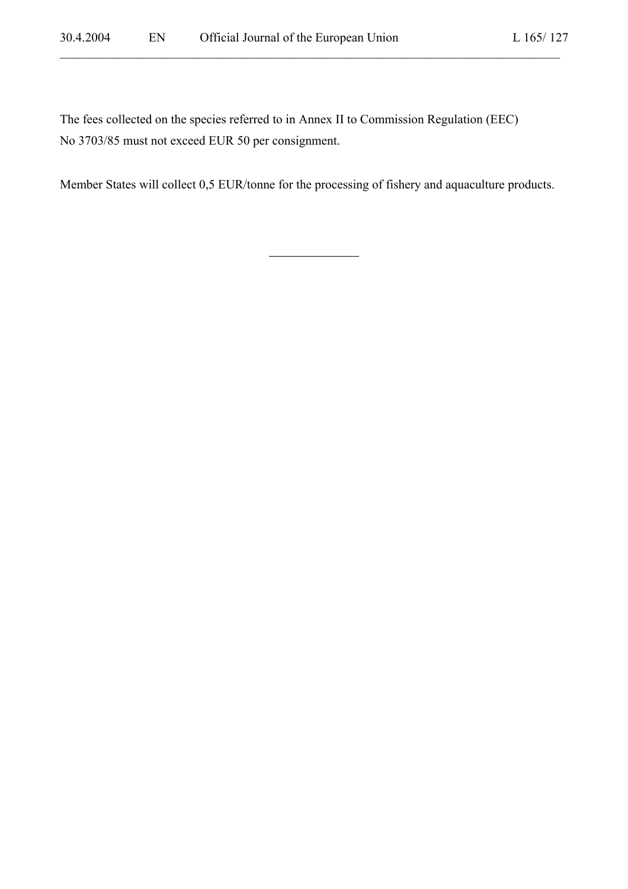The fees collected on the species referred to in Annex II to Commission Regulation (EEC) No 3703/85 must not exceed EUR 50 per consignment.

l

Member States will collect 0,5 EUR/tonne for the processing of fishery and aquaculture products.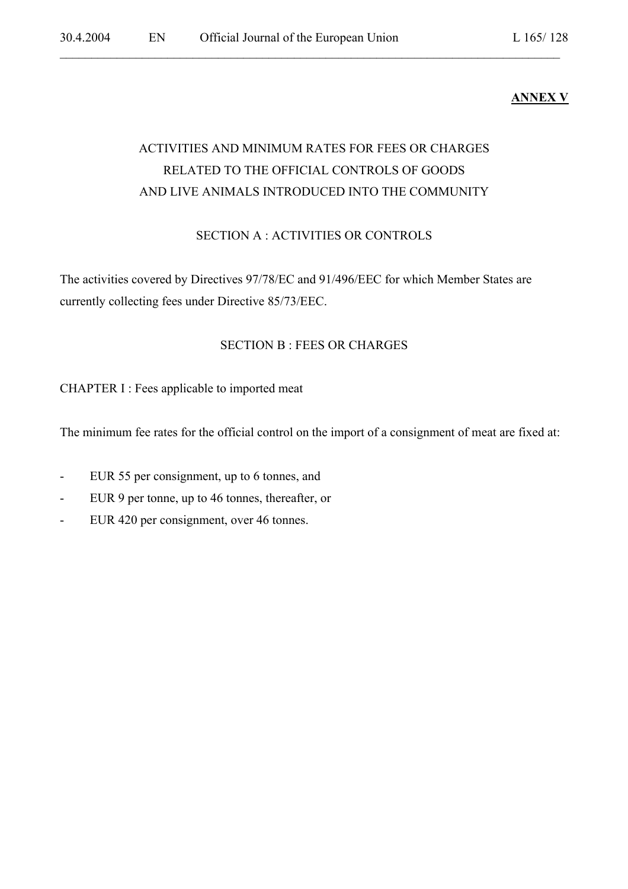# **ANNEX V**

# ACTIVITIES AND MINIMUM RATES FOR FEES OR CHARGES RELATED TO THE OFFICIAL CONTROLS OF GOODS AND LIVE ANIMALS INTRODUCED INTO THE COMMUNITY

 $\mathcal{L}_\mathcal{L} = \mathcal{L}_\mathcal{L} = \mathcal{L}_\mathcal{L} = \mathcal{L}_\mathcal{L} = \mathcal{L}_\mathcal{L} = \mathcal{L}_\mathcal{L} = \mathcal{L}_\mathcal{L} = \mathcal{L}_\mathcal{L} = \mathcal{L}_\mathcal{L} = \mathcal{L}_\mathcal{L} = \mathcal{L}_\mathcal{L} = \mathcal{L}_\mathcal{L} = \mathcal{L}_\mathcal{L} = \mathcal{L}_\mathcal{L} = \mathcal{L}_\mathcal{L} = \mathcal{L}_\mathcal{L} = \mathcal{L}_\mathcal{L}$ 

### SECTION A : ACTIVITIES OR CONTROLS

The activities covered by Directives 97/78/EC and 91/496/EEC for which Member States are currently collecting fees under Directive 85/73/EEC.

### SECTION B : FEES OR CHARGES

CHAPTER I : Fees applicable to imported meat

The minimum fee rates for the official control on the import of a consignment of meat are fixed at:

- EUR 55 per consignment, up to 6 tonnes, and
- EUR 9 per tonne, up to 46 tonnes, thereafter, or
- EUR 420 per consignment, over 46 tonnes.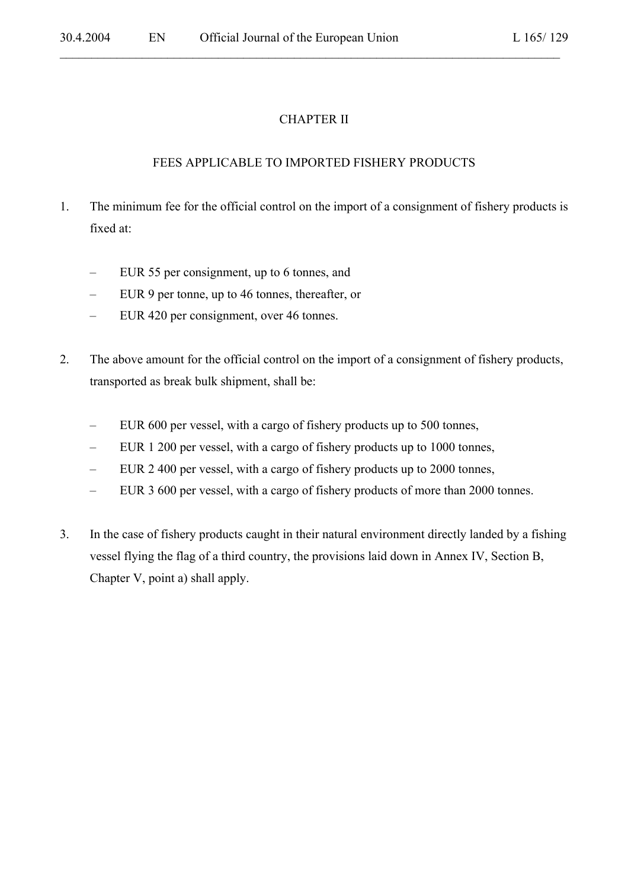# CHAPTER II

 $\mathcal{L}_\mathcal{L} = \mathcal{L}_\mathcal{L} = \mathcal{L}_\mathcal{L} = \mathcal{L}_\mathcal{L} = \mathcal{L}_\mathcal{L} = \mathcal{L}_\mathcal{L} = \mathcal{L}_\mathcal{L} = \mathcal{L}_\mathcal{L} = \mathcal{L}_\mathcal{L} = \mathcal{L}_\mathcal{L} = \mathcal{L}_\mathcal{L} = \mathcal{L}_\mathcal{L} = \mathcal{L}_\mathcal{L} = \mathcal{L}_\mathcal{L} = \mathcal{L}_\mathcal{L} = \mathcal{L}_\mathcal{L} = \mathcal{L}_\mathcal{L}$ 

### FEES APPLICABLE TO IMPORTED FISHERY PRODUCTS

- 1. The minimum fee for the official control on the import of a consignment of fishery products is fixed at:
	- EUR 55 per consignment, up to 6 tonnes, and
	- EUR 9 per tonne, up to 46 tonnes, thereafter, or
	- EUR 420 per consignment, over 46 tonnes.
- 2. The above amount for the official control on the import of a consignment of fishery products, transported as break bulk shipment, shall be:
	- EUR 600 per vessel, with a cargo of fishery products up to 500 tonnes,
	- EUR 1 200 per vessel, with a cargo of fishery products up to 1000 tonnes,
	- EUR 2 400 per vessel, with a cargo of fishery products up to 2000 tonnes,
	- EUR 3 600 per vessel, with a cargo of fishery products of more than 2000 tonnes.
- 3. In the case of fishery products caught in their natural environment directly landed by a fishing vessel flying the flag of a third country, the provisions laid down in Annex IV, Section B, Chapter V, point a) shall apply.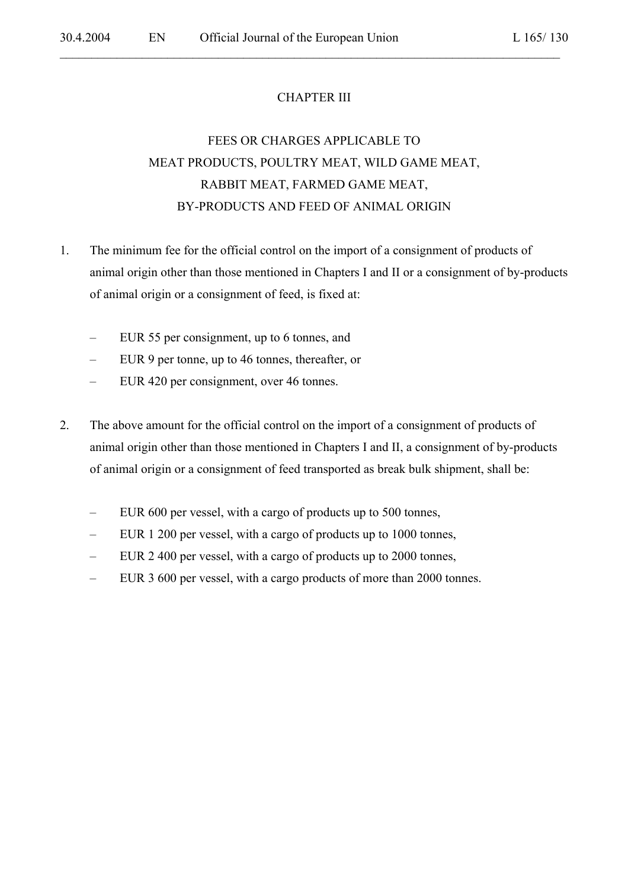# CHAPTER III

 $\mathcal{L}_\mathcal{L} = \mathcal{L}_\mathcal{L} = \mathcal{L}_\mathcal{L} = \mathcal{L}_\mathcal{L} = \mathcal{L}_\mathcal{L} = \mathcal{L}_\mathcal{L} = \mathcal{L}_\mathcal{L} = \mathcal{L}_\mathcal{L} = \mathcal{L}_\mathcal{L} = \mathcal{L}_\mathcal{L} = \mathcal{L}_\mathcal{L} = \mathcal{L}_\mathcal{L} = \mathcal{L}_\mathcal{L} = \mathcal{L}_\mathcal{L} = \mathcal{L}_\mathcal{L} = \mathcal{L}_\mathcal{L} = \mathcal{L}_\mathcal{L}$ 

# FEES OR CHARGES APPLICABLE TO MEAT PRODUCTS, POULTRY MEAT, WILD GAME MEAT, RABBIT MEAT, FARMED GAME MEAT, BY-PRODUCTS AND FEED OF ANIMAL ORIGIN

- 1. The minimum fee for the official control on the import of a consignment of products of animal origin other than those mentioned in Chapters I and II or a consignment of by-products of animal origin or a consignment of feed, is fixed at:
	- EUR 55 per consignment, up to 6 tonnes, and
	- EUR 9 per tonne, up to 46 tonnes, thereafter, or
	- EUR 420 per consignment, over 46 tonnes.
- 2. The above amount for the official control on the import of a consignment of products of animal origin other than those mentioned in Chapters I and II, a consignment of by-products of animal origin or a consignment of feed transported as break bulk shipment, shall be:
	- EUR 600 per vessel, with a cargo of products up to 500 tonnes,
	- EUR 1 200 per vessel, with a cargo of products up to 1000 tonnes,
	- EUR 2 400 per vessel, with a cargo of products up to 2000 tonnes,
	- EUR 3 600 per vessel, with a cargo products of more than 2000 tonnes.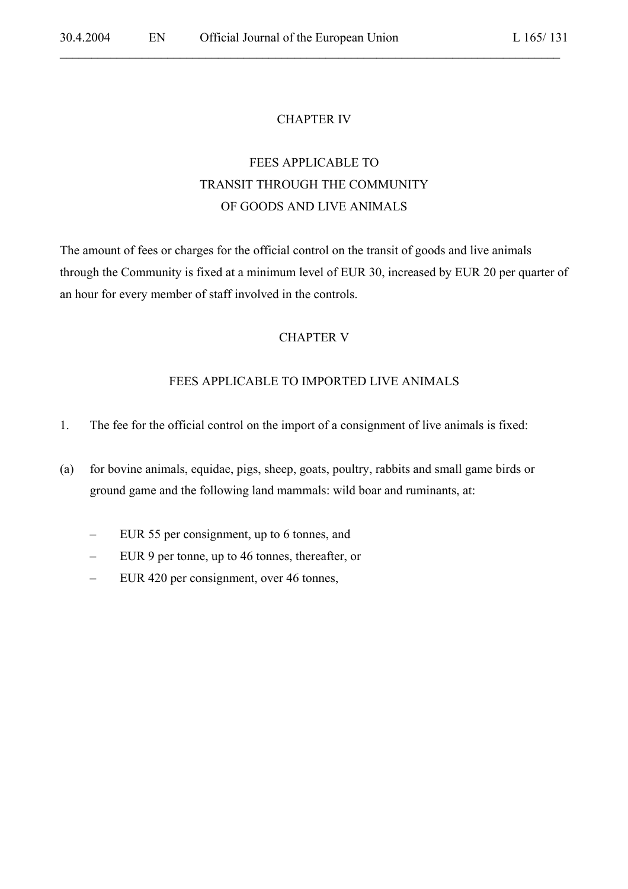#### CHAPTER IV

 $\mathcal{L}_\mathcal{L} = \mathcal{L}_\mathcal{L} = \mathcal{L}_\mathcal{L} = \mathcal{L}_\mathcal{L} = \mathcal{L}_\mathcal{L} = \mathcal{L}_\mathcal{L} = \mathcal{L}_\mathcal{L} = \mathcal{L}_\mathcal{L} = \mathcal{L}_\mathcal{L} = \mathcal{L}_\mathcal{L} = \mathcal{L}_\mathcal{L} = \mathcal{L}_\mathcal{L} = \mathcal{L}_\mathcal{L} = \mathcal{L}_\mathcal{L} = \mathcal{L}_\mathcal{L} = \mathcal{L}_\mathcal{L} = \mathcal{L}_\mathcal{L}$ 

# FEES APPLICABLE TO TRANSIT THROUGH THE COMMUNITY OF GOODS AND LIVE ANIMALS

The amount of fees or charges for the official control on the transit of goods and live animals through the Community is fixed at a minimum level of EUR 30, increased by EUR 20 per quarter of an hour for every member of staff involved in the controls.

#### CHAPTER V

#### FEES APPLICABLE TO IMPORTED LIVE ANIMALS

- 1. The fee for the official control on the import of a consignment of live animals is fixed:
- (a) for bovine animals, equidae, pigs, sheep, goats, poultry, rabbits and small game birds or ground game and the following land mammals: wild boar and ruminants, at:
	- EUR 55 per consignment, up to 6 tonnes, and
	- EUR 9 per tonne, up to 46 tonnes, thereafter, or
	- EUR 420 per consignment, over 46 tonnes,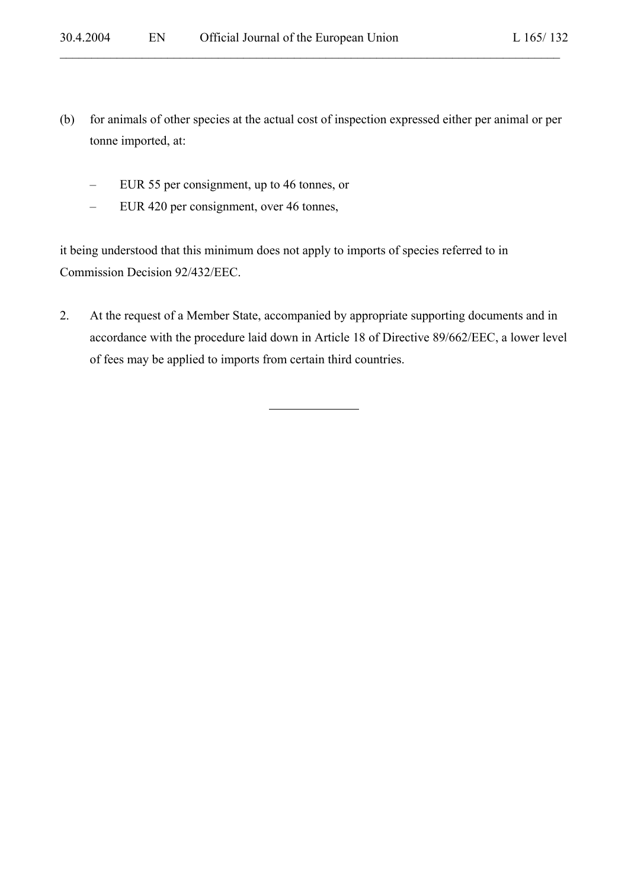(b) for animals of other species at the actual cost of inspection expressed either per animal or per tonne imported, at:

 $\mathcal{L}_\mathcal{L} = \mathcal{L}_\mathcal{L} = \mathcal{L}_\mathcal{L} = \mathcal{L}_\mathcal{L} = \mathcal{L}_\mathcal{L} = \mathcal{L}_\mathcal{L} = \mathcal{L}_\mathcal{L} = \mathcal{L}_\mathcal{L} = \mathcal{L}_\mathcal{L} = \mathcal{L}_\mathcal{L} = \mathcal{L}_\mathcal{L} = \mathcal{L}_\mathcal{L} = \mathcal{L}_\mathcal{L} = \mathcal{L}_\mathcal{L} = \mathcal{L}_\mathcal{L} = \mathcal{L}_\mathcal{L} = \mathcal{L}_\mathcal{L}$ 

- EUR 55 per consignment, up to 46 tonnes, or
- EUR 420 per consignment, over 46 tonnes,

it being understood that this minimum does not apply to imports of species referred to in Commission Decision 92/432/EEC.

2. At the request of a Member State, accompanied by appropriate supporting documents and in accordance with the procedure laid down in Article 18 of Directive 89/662/EEC, a lower level of fees may be applied to imports from certain third countries.

l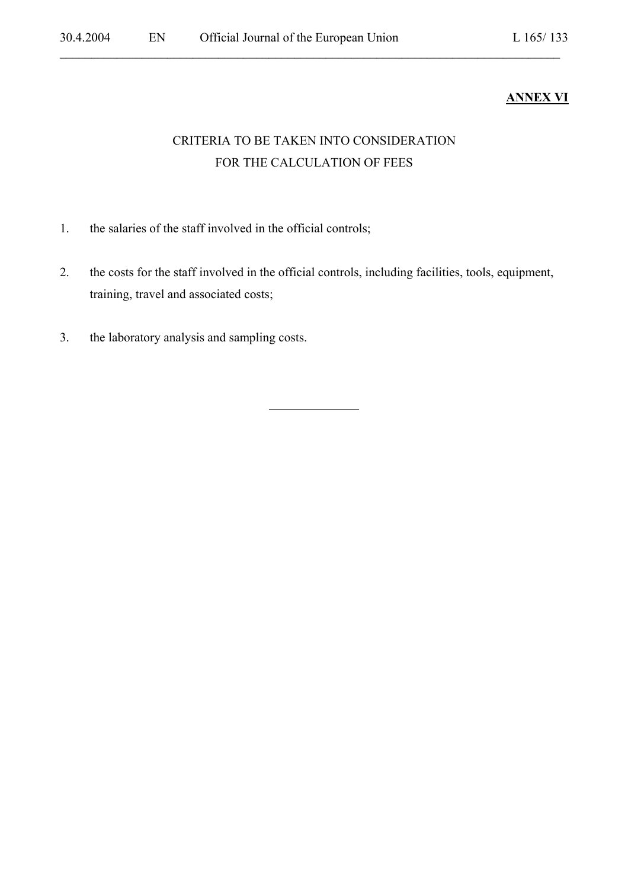# **ANNEX VI**

# CRITERIA TO BE TAKEN INTO CONSIDERATION FOR THE CALCULATION OF FEES

 $\mathcal{L}_\mathcal{L} = \mathcal{L}_\mathcal{L} = \mathcal{L}_\mathcal{L} = \mathcal{L}_\mathcal{L} = \mathcal{L}_\mathcal{L} = \mathcal{L}_\mathcal{L} = \mathcal{L}_\mathcal{L} = \mathcal{L}_\mathcal{L} = \mathcal{L}_\mathcal{L} = \mathcal{L}_\mathcal{L} = \mathcal{L}_\mathcal{L} = \mathcal{L}_\mathcal{L} = \mathcal{L}_\mathcal{L} = \mathcal{L}_\mathcal{L} = \mathcal{L}_\mathcal{L} = \mathcal{L}_\mathcal{L} = \mathcal{L}_\mathcal{L}$ 

- 1. the salaries of the staff involved in the official controls;
- 2. the costs for the staff involved in the official controls, including facilities, tools, equipment, training, travel and associated costs;

l

3. the laboratory analysis and sampling costs.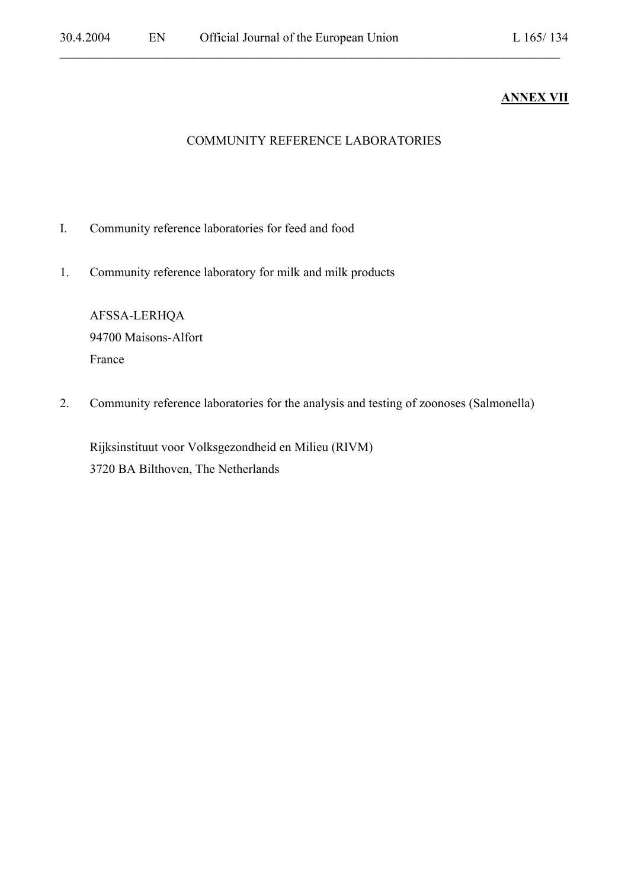# **ANNEX VII**

#### COMMUNITY REFERENCE LABORATORIES

 $\mathcal{L}_\mathcal{L} = \mathcal{L}_\mathcal{L} = \mathcal{L}_\mathcal{L} = \mathcal{L}_\mathcal{L} = \mathcal{L}_\mathcal{L} = \mathcal{L}_\mathcal{L} = \mathcal{L}_\mathcal{L} = \mathcal{L}_\mathcal{L} = \mathcal{L}_\mathcal{L} = \mathcal{L}_\mathcal{L} = \mathcal{L}_\mathcal{L} = \mathcal{L}_\mathcal{L} = \mathcal{L}_\mathcal{L} = \mathcal{L}_\mathcal{L} = \mathcal{L}_\mathcal{L} = \mathcal{L}_\mathcal{L} = \mathcal{L}_\mathcal{L}$ 

- I. Community reference laboratories for feed and food
- 1. Community reference laboratory for milk and milk products

AFSSA-LERHQA 94700 Maisons-Alfort France

2. Community reference laboratories for the analysis and testing of zoonoses (Salmonella)

Rijksinstituut voor Volksgezondheid en Milieu (RIVM) 3720 BA Bilthoven, The Netherlands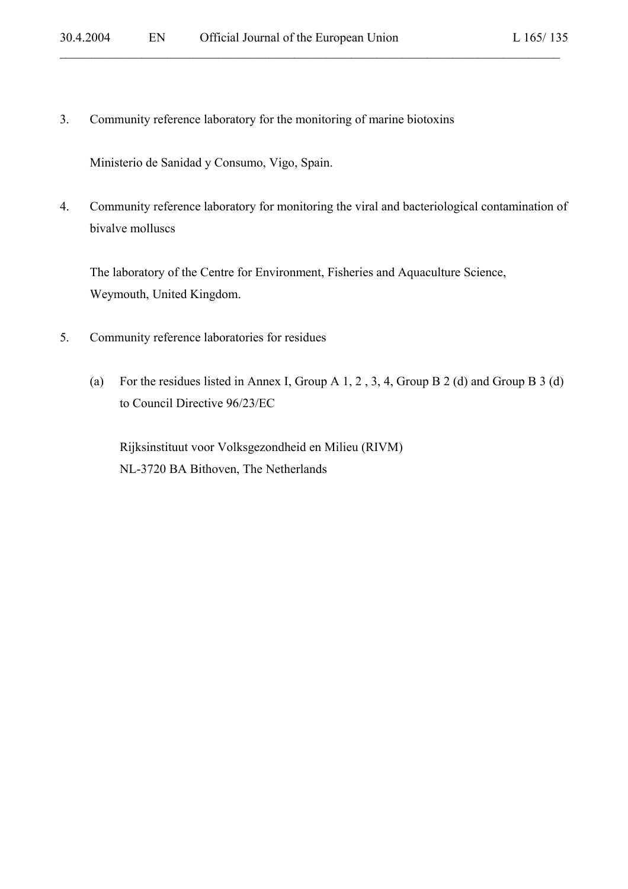3. Community reference laboratory for the monitoring of marine biotoxins

Ministerio de Sanidad y Consumo, Vigo, Spain.

4. Community reference laboratory for monitoring the viral and bacteriological contamination of bivalve molluscs

 $\mathcal{L}_\mathcal{L} = \mathcal{L}_\mathcal{L} = \mathcal{L}_\mathcal{L} = \mathcal{L}_\mathcal{L} = \mathcal{L}_\mathcal{L} = \mathcal{L}_\mathcal{L} = \mathcal{L}_\mathcal{L} = \mathcal{L}_\mathcal{L} = \mathcal{L}_\mathcal{L} = \mathcal{L}_\mathcal{L} = \mathcal{L}_\mathcal{L} = \mathcal{L}_\mathcal{L} = \mathcal{L}_\mathcal{L} = \mathcal{L}_\mathcal{L} = \mathcal{L}_\mathcal{L} = \mathcal{L}_\mathcal{L} = \mathcal{L}_\mathcal{L}$ 

The laboratory of the Centre for Environment, Fisheries and Aquaculture Science, Weymouth, United Kingdom.

- 5. Community reference laboratories for residues
	- (a) For the residues listed in Annex I, Group A 1, 2 , 3, 4, Group B 2 (d) and Group B 3 (d) to Council Directive 96/23/EC

Rijksinstituut voor Volksgezondheid en Milieu (RIVM) NL-3720 BA Bithoven, The Netherlands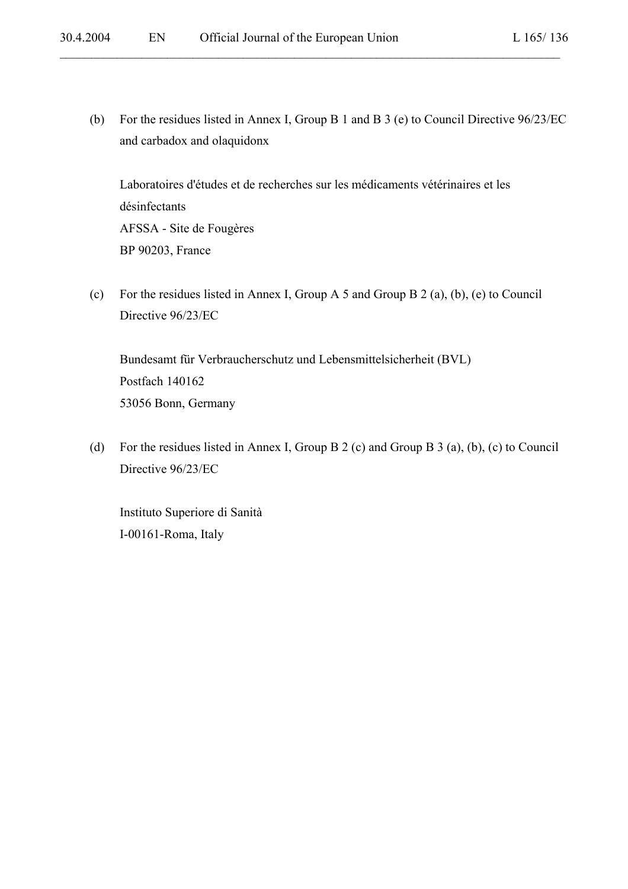(b) For the residues listed in Annex I, Group B 1 and B 3 (e) to Council Directive 96/23/EC and carbadox and olaquidonx

 $\mathcal{L}_\mathcal{L} = \mathcal{L}_\mathcal{L} = \mathcal{L}_\mathcal{L} = \mathcal{L}_\mathcal{L} = \mathcal{L}_\mathcal{L} = \mathcal{L}_\mathcal{L} = \mathcal{L}_\mathcal{L} = \mathcal{L}_\mathcal{L} = \mathcal{L}_\mathcal{L} = \mathcal{L}_\mathcal{L} = \mathcal{L}_\mathcal{L} = \mathcal{L}_\mathcal{L} = \mathcal{L}_\mathcal{L} = \mathcal{L}_\mathcal{L} = \mathcal{L}_\mathcal{L} = \mathcal{L}_\mathcal{L} = \mathcal{L}_\mathcal{L}$ 

Laboratoires d'études et de recherches sur les médicaments vétérinaires et les désinfectants AFSSA - Site de Fougères BP 90203, France

(c) For the residues listed in Annex I, Group A 5 and Group B 2 (a), (b), (e) to Council Directive 96/23/EC

Bundesamt für Verbraucherschutz und Lebensmittelsicherheit (BVL) Postfach 140162 53056 Bonn, Germany

(d) For the residues listed in Annex I, Group B 2 (c) and Group B 3 (a), (b), (c) to Council Directive 96/23/EC

Instituto Superiore di Sanità I-00161-Roma, Italy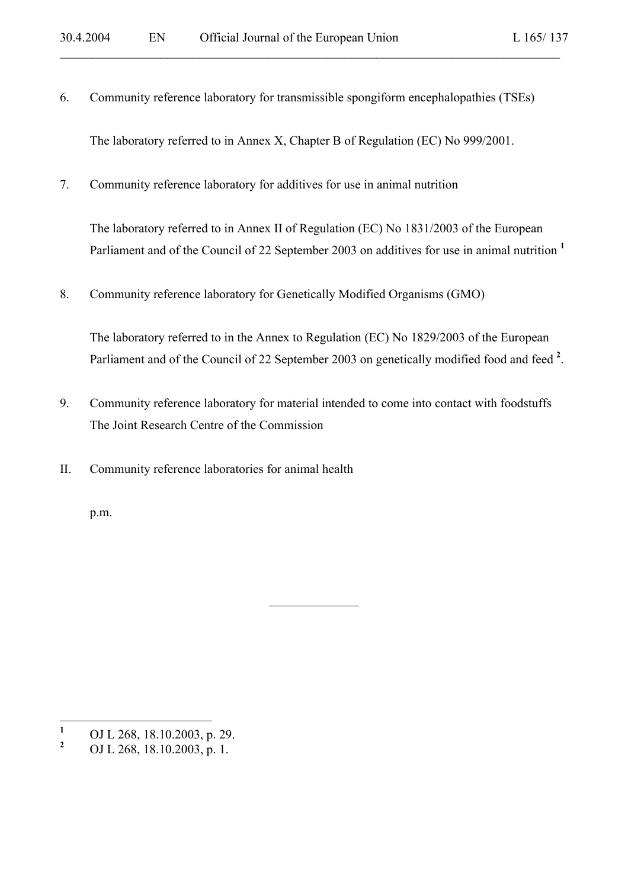6. Community reference laboratory for transmissible spongiform encephalopathies (TSEs)

 $\mathcal{L}_\mathcal{L} = \mathcal{L}_\mathcal{L} = \mathcal{L}_\mathcal{L} = \mathcal{L}_\mathcal{L} = \mathcal{L}_\mathcal{L} = \mathcal{L}_\mathcal{L} = \mathcal{L}_\mathcal{L} = \mathcal{L}_\mathcal{L} = \mathcal{L}_\mathcal{L} = \mathcal{L}_\mathcal{L} = \mathcal{L}_\mathcal{L} = \mathcal{L}_\mathcal{L} = \mathcal{L}_\mathcal{L} = \mathcal{L}_\mathcal{L} = \mathcal{L}_\mathcal{L} = \mathcal{L}_\mathcal{L} = \mathcal{L}_\mathcal{L}$ 

The laboratory referred to in Annex X, Chapter B of Regulation (EC) No 999/2001.

7. Community reference laboratory for additives for use in animal nutrition

The laboratory referred to in Annex II of Regulation (EC) No 1831/2003 of the European Parliament and of the Council of 22 September 2003 on additives for use in animal nutrition **<sup>1</sup>**

8. Community reference laboratory for Genetically Modified Organisms (GMO)

l

The laboratory referred to in the Annex to Regulation (EC) No 1829/2003 of the European Parliament and of the Council of 22 September 2003 on genetically modified food and feed<sup>2</sup>.

- 9. Community reference laboratory for material intended to come into contact with foodstuffs The Joint Research Centre of the Commission
- II. Community reference laboratories for animal health

p.m.

 **1** OJ L 268, 18.10.2003, p. 29.

**<sup>2</sup>** OJ L 268, 18.10.2003, p. 1.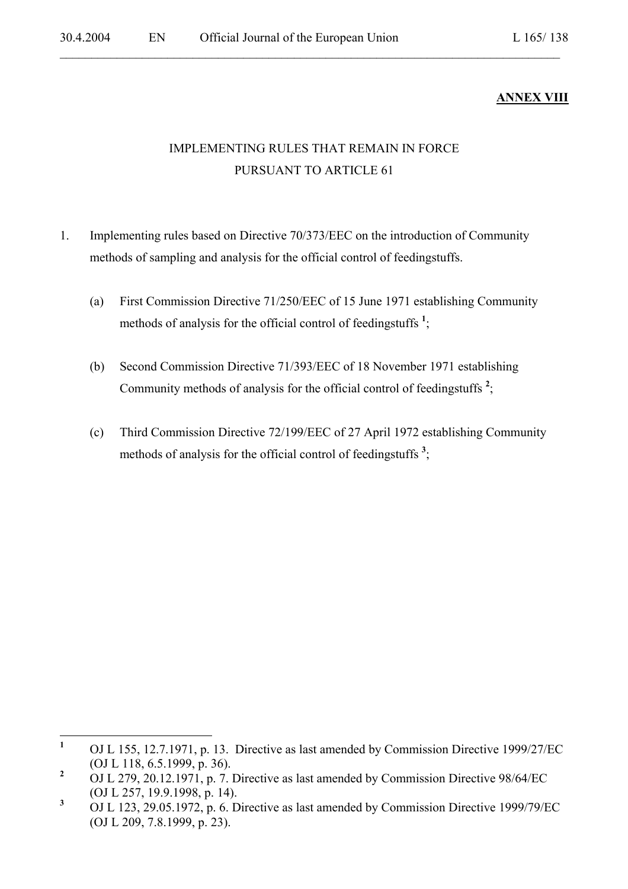# **ANNEX VIII**

# IMPLEMENTING RULES THAT REMAIN IN FORCE PURSUANT TO ARTICLE 61

- 1. Implementing rules based on Directive 70/373/EEC on the introduction of Community methods of sampling and analysis for the official control of feedingstuffs.
	- (a) First Commission Directive 71/250/EEC of 15 June 1971 establishing Community methods of analysis for the official control of feedingstuffs<sup>1</sup>;
	- (b) Second Commission Directive 71/393/EEC of 18 November 1971 establishing Community methods of analysis for the official control of feedingstuffs **<sup>2</sup>** ;
	- (c) Third Commission Directive 72/199/EEC of 27 April 1972 establishing Community methods of analysis for the official control of feedingstuffs<sup>3</sup>;

 **1** OJ L 155, 12.7.1971, p. 13. Directive as last amended by Commission Directive 1999/27/EC (OJ L 118, 6.5.1999, p. 36).

**<sup>2</sup>** OJ L 279, 20.12.1971, p. 7. Directive as last amended by Commission Directive 98/64/EC (OJ L 257, 19.9.1998, p. 14).

**<sup>3</sup>** OJ L 123, 29.05.1972, p. 6. Directive as last amended by Commission Directive 1999/79/EC (OJ L 209, 7.8.1999, p. 23).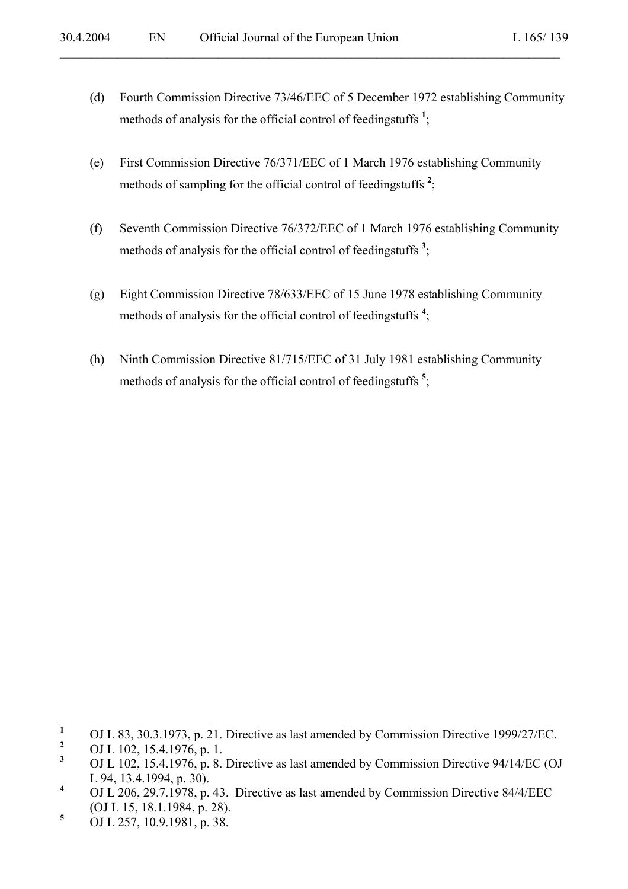(d) Fourth Commission Directive 73/46/EEC of 5 December 1972 establishing Community methods of analysis for the official control of feedingstuffs **<sup>1</sup>** ;

- (e) First Commission Directive 76/371/EEC of 1 March 1976 establishing Community methods of sampling for the official control of feedingstuffs **<sup>2</sup>** ;
- (f) Seventh Commission Directive 76/372/EEC of 1 March 1976 establishing Community methods of analysis for the official control of feedingstuffs<sup>3</sup>;
- (g) Eight Commission Directive 78/633/EEC of 15 June 1978 establishing Community methods of analysis for the official control of feedingstuffs **<sup>4</sup>** ;
- (h) Ninth Commission Directive 81/715/EEC of 31 July 1981 establishing Community methods of analysis for the official control of feedingstuffs **<sup>5</sup>** ;

 **1** OJ L 83, 30.3.1973, p. 21. Directive as last amended by Commission Directive 1999/27/EC.

**<sup>2</sup>** OJ L 102, 15.4.1976, p. 1.

**<sup>3</sup>** OJ L 102, 15.4.1976, p. 8. Directive as last amended by Commission Directive 94/14/EC (OJ L 94, 13.4.1994, p. 30).

**<sup>4</sup>** OJ L 206, 29.7.1978, p. 43. Directive as last amended by Commission Directive 84/4/EEC (OJ L 15, 18.1.1984, p. 28).

**<sup>5</sup>** OJ L 257, 10.9.1981, p. 38.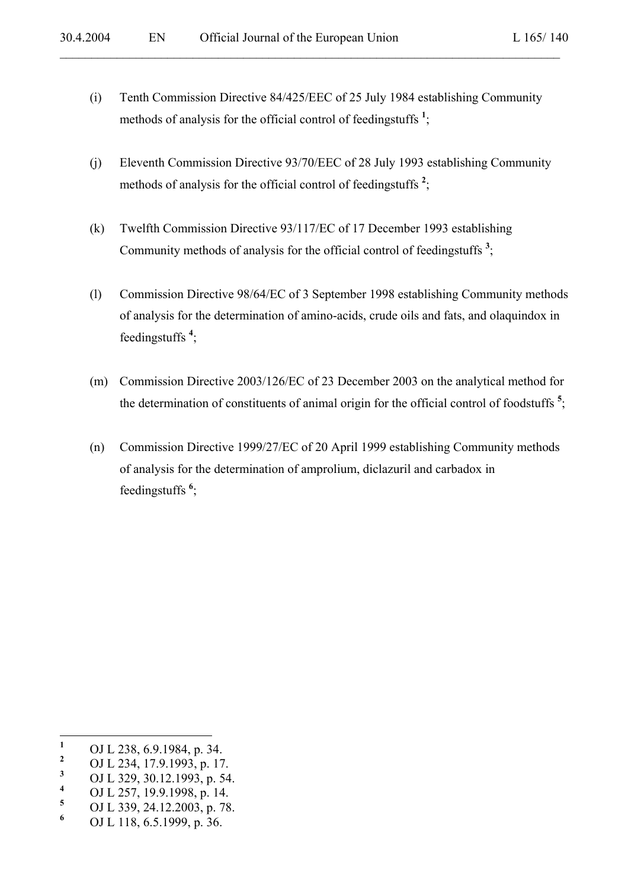(i) Tenth Commission Directive 84/425/EEC of 25 July 1984 establishing Community methods of analysis for the official control of feedingstuffs **<sup>1</sup>** ;

- (j) Eleventh Commission Directive 93/70/EEC of 28 July 1993 establishing Community methods of analysis for the official control of feedingstuffs<sup>2</sup>;
- (k) Twelfth Commission Directive 93/117/EC of 17 December 1993 establishing Community methods of analysis for the official control of feedingstuffs **<sup>3</sup>** ;
- (l) Commission Directive 98/64/EC of 3 September 1998 establishing Community methods of analysis for the determination of amino-acids, crude oils and fats, and olaquindox in feedingstuffs **<sup>4</sup>** ;
- (m) Commission Directive 2003/126/EC of 23 December 2003 on the analytical method for the determination of constituents of animal origin for the official control of foodstuffs **<sup>5</sup>** ;
- (n) Commission Directive 1999/27/EC of 20 April 1999 establishing Community methods of analysis for the determination of amprolium, diclazuril and carbadox in feedingstuffs **<sup>6</sup>** ;

- **4** OJ L 257, 19.9.1998, p. 14. **5**
- OJ L 339, 24.12.2003, p. 78.
- **6** OJ L 118, 6.5.1999, p. 36.

 **1** OJ L 238, 6.9.1984, p. 34.

**<sup>2</sup>** OJ L 234, 17.9.1993, p. 17.

**<sup>3</sup>** OJ L 329, 30.12.1993, p. 54.